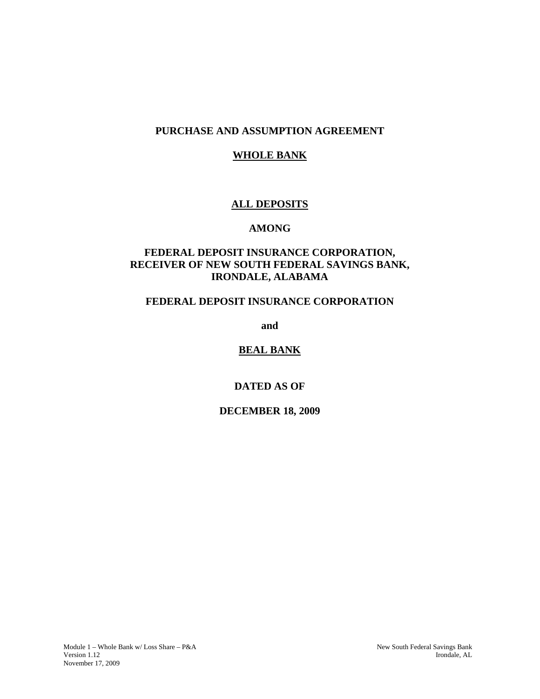#### **PURCHASE AND ASSUMPTION AGREEMENT**

#### **WHOLE BANK**

### **ALL DEPOSITS**

#### **AMONG**

### **FEDERAL DEPOSIT INSURANCE CORPORATION, RECEIVER OF NEW SOUTH FEDERAL SAVINGS BANK, IRONDALE, ALABAMA**

#### **FEDERAL DEPOSIT INSURANCE CORPORATION**

**and** 

#### **BEAL BANK**

### **DATED AS OF**

#### **DECEMBER 18, 2009**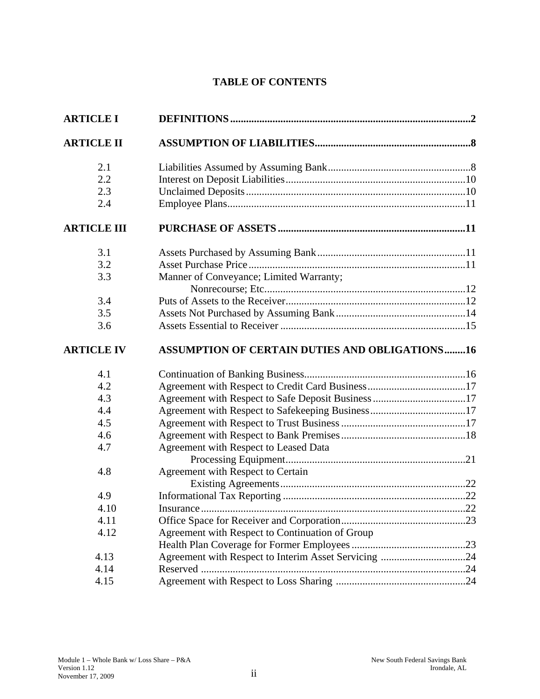# **TABLE OF CONTENTS**

| <b>ARTICLE I</b>   |                                                       |  |
|--------------------|-------------------------------------------------------|--|
| <b>ARTICLE II</b>  |                                                       |  |
| 2.1                |                                                       |  |
| 2.2                |                                                       |  |
| 2.3                |                                                       |  |
| 2.4                |                                                       |  |
| <b>ARTICLE III</b> |                                                       |  |
| 3.1                |                                                       |  |
| 3.2                |                                                       |  |
| 3.3                | Manner of Conveyance; Limited Warranty;               |  |
|                    |                                                       |  |
| 3.4                |                                                       |  |
| 3.5                |                                                       |  |
| 3.6                |                                                       |  |
| <b>ARTICLE IV</b>  | <b>ASSUMPTION OF CERTAIN DUTIES AND OBLIGATIONS16</b> |  |
| 4.1                |                                                       |  |
| 4.2                |                                                       |  |
| 4.3                |                                                       |  |
| 4.4                |                                                       |  |
| 4.5                |                                                       |  |
| 4.6                |                                                       |  |
| 4.7                | Agreement with Respect to Leased Data                 |  |
|                    |                                                       |  |
| 4.8                | Agreement with Respect to Certain                     |  |
|                    |                                                       |  |
| 4.9                |                                                       |  |
| 4.10               |                                                       |  |
| 4.11               |                                                       |  |
| 4.12               | Agreement with Respect to Continuation of Group       |  |
|                    |                                                       |  |
| 4.13               |                                                       |  |
| 4.14               |                                                       |  |
| 4.15               |                                                       |  |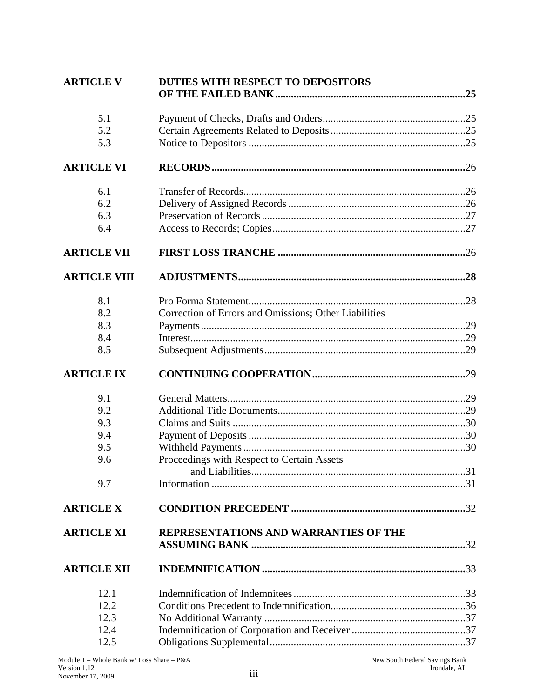| <b>ARTICLE V</b>    | DUTIES WITH RESPECT TO DEPOSITORS                     |  |
|---------------------|-------------------------------------------------------|--|
|                     |                                                       |  |
| 5.1                 |                                                       |  |
| 5.2                 |                                                       |  |
| 5.3                 |                                                       |  |
| <b>ARTICLE VI</b>   |                                                       |  |
| 6.1                 |                                                       |  |
| 6.2                 |                                                       |  |
| 6.3                 |                                                       |  |
| 6.4                 |                                                       |  |
| <b>ARTICLE VII</b>  |                                                       |  |
| <b>ARTICLE VIII</b> |                                                       |  |
| 8.1                 |                                                       |  |
| 8.2                 | Correction of Errors and Omissions; Other Liabilities |  |
| 8.3                 |                                                       |  |
| 8.4                 |                                                       |  |
| 8.5                 |                                                       |  |
| <b>ARTICLE IX</b>   |                                                       |  |
| 9.1                 |                                                       |  |
| 9.2                 |                                                       |  |
| 9.3                 |                                                       |  |
| 9.4                 |                                                       |  |
| 9.5                 |                                                       |  |
| 9.6                 | Proceedings with Respect to Certain Assets            |  |
|                     |                                                       |  |
| 9.7                 |                                                       |  |
| <b>ARTICLE X</b>    |                                                       |  |
| <b>ARTICLE XI</b>   | <b>REPRESENTATIONS AND WARRANTIES OF THE</b>          |  |
| <b>ARTICLE XII</b>  |                                                       |  |
| 12.1                |                                                       |  |
| 12.2                |                                                       |  |
| 12.3                |                                                       |  |
| 12.4                |                                                       |  |
| 12.5                |                                                       |  |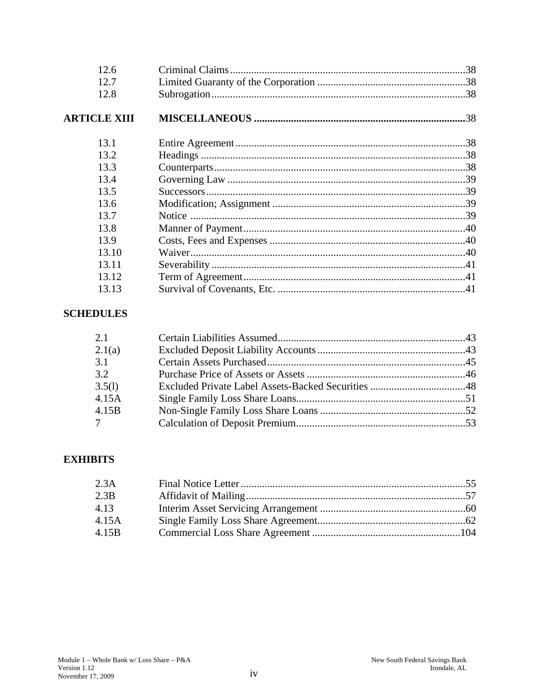| 12.6                |  |
|---------------------|--|
| 12.7                |  |
| 12.8                |  |
| <b>ARTICLE XIII</b> |  |
| 13.1                |  |
| 13.2                |  |
| 13.3                |  |
| 13.4                |  |
| 13.5                |  |
| 13.6                |  |
| 13.7                |  |
| 13.8                |  |
| 13.9                |  |
| 13.10               |  |
| 13.11               |  |
| 13.12               |  |
| 13.13               |  |

# **SCHEDULES**

| 2.1    |  |
|--------|--|
| 2.1(a) |  |
| 3.1    |  |
| 3.2    |  |
| 3.5(l) |  |
| 4.15A  |  |
| 4.15B  |  |
| 7      |  |

# **EXHIBITS**

| 2.3A  |  |
|-------|--|
| 2.3B  |  |
| 4.13  |  |
| 4.15A |  |
| 4.15B |  |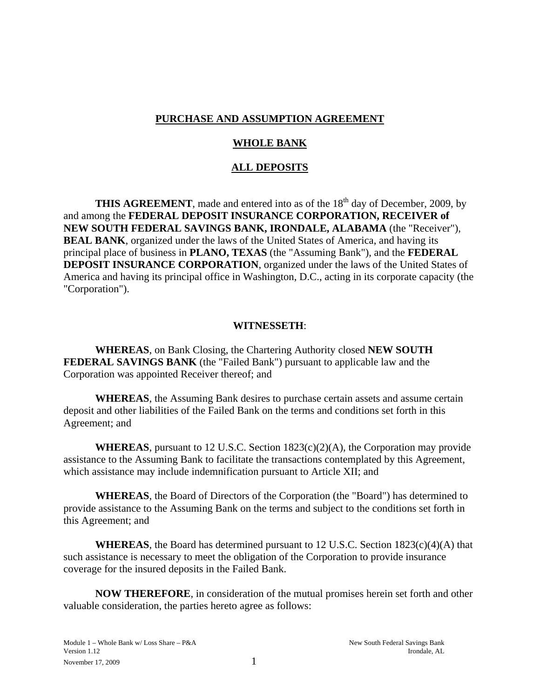### **PURCHASE AND ASSUMPTION AGREEMENT**

## **WHOLE BANK**

### **ALL DEPOSITS**

**THIS AGREEMENT**, made and entered into as of the 18<sup>th</sup> day of December, 2009, by and among the **FEDERAL DEPOSIT INSURANCE CORPORATION, RECEIVER of NEW SOUTH FEDERAL SAVINGS BANK, IRONDALE, ALABAMA** (the "Receiver"), **BEAL BANK**, organized under the laws of the United States of America, and having its principal place of business in **PLANO, TEXAS** (the "Assuming Bank"), and the **FEDERAL DEPOSIT INSURANCE CORPORATION**, organized under the laws of the United States of America and having its principal office in Washington, D.C., acting in its corporate capacity (the "Corporation").

#### **WITNESSETH**:

**WHEREAS**, on Bank Closing, the Chartering Authority closed **NEW SOUTH FEDERAL SAVINGS BANK** (the "Failed Bank") pursuant to applicable law and the Corporation was appointed Receiver thereof; and

 **WHEREAS**, the Assuming Bank desires to purchase certain assets and assume certain deposit and other liabilities of the Failed Bank on the terms and conditions set forth in this Agreement; and

**WHEREAS**, pursuant to 12 U.S.C. Section 1823(c)(2)(A), the Corporation may provide assistance to the Assuming Bank to facilitate the transactions contemplated by this Agreement, which assistance may include indemnification pursuant to Article XII; and

**WHEREAS**, the Board of Directors of the Corporation (the "Board") has determined to provide assistance to the Assuming Bank on the terms and subject to the conditions set forth in this Agreement; and

**WHEREAS**, the Board has determined pursuant to 12 U.S.C. Section 1823(c)(4)(A) that such assistance is necessary to meet the obligation of the Corporation to provide insurance coverage for the insured deposits in the Failed Bank.

 **NOW THEREFORE**, in consideration of the mutual promises herein set forth and other valuable consideration, the parties hereto agree as follows: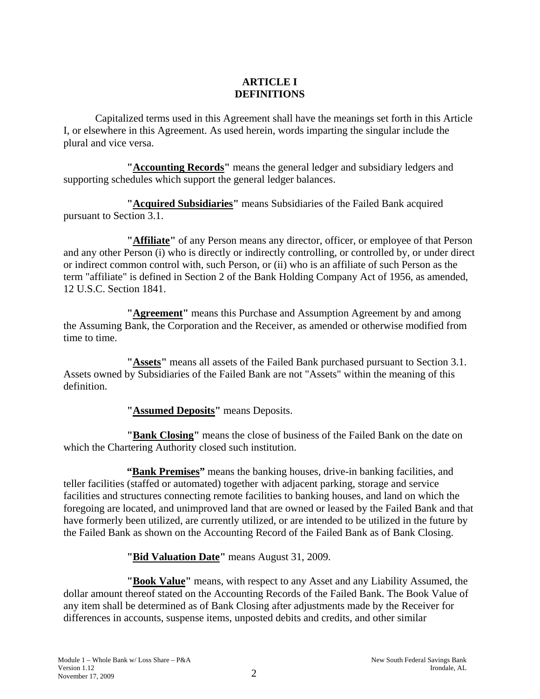# **ARTICLE I DEFINITIONS**

<span id="page-5-0"></span>Capitalized terms used in this Agreement shall have the meanings set forth in this Article I, or elsewhere in this Agreement. As used herein, words imparting the singular include the plural and vice versa.

**"Accounting Records"** means the general ledger and subsidiary ledgers and supporting schedules which support the general ledger balances.

**"Acquired Subsidiaries"** means Subsidiaries of the Failed Bank acquired pursuant to Section 3.1.

**"Affiliate"** of any Person means any director, officer, or employee of that Person and any other Person (i) who is directly or indirectly controlling, or controlled by, or under direct or indirect common control with, such Person, or (ii) who is an affiliate of such Person as the term "affiliate" is defined in Section 2 of the Bank Holding Company Act of 1956, as amended, 12 U.S.C. Section 1841.

**"Agreement"** means this Purchase and Assumption Agreement by and among the Assuming Bank, the Corporation and the Receiver, as amended or otherwise modified from time to time.

**"Assets"** means all assets of the Failed Bank purchased pursuant to Section 3.1. Assets owned by Subsidiaries of the Failed Bank are not "Assets" within the meaning of this definition.

**"Assumed Deposits"** means Deposits.

**"Bank Closing"** means the close of business of the Failed Bank on the date on which the Chartering Authority closed such institution.

**"Bank Premises"** means the banking houses, drive-in banking facilities, and teller facilities (staffed or automated) together with adjacent parking, storage and service facilities and structures connecting remote facilities to banking houses, and land on which the foregoing are located, and unimproved land that are owned or leased by the Failed Bank and that have formerly been utilized, are currently utilized, or are intended to be utilized in the future by the Failed Bank as shown on the Accounting Record of the Failed Bank as of Bank Closing.

**"Bid Valuation Date"** means August 31, 2009.

**"Book Value"** means, with respect to any Asset and any Liability Assumed, the dollar amount thereof stated on the Accounting Records of the Failed Bank. The Book Value of any item shall be determined as of Bank Closing after adjustments made by the Receiver for differences in accounts, suspense items, unposted debits and credits, and other similar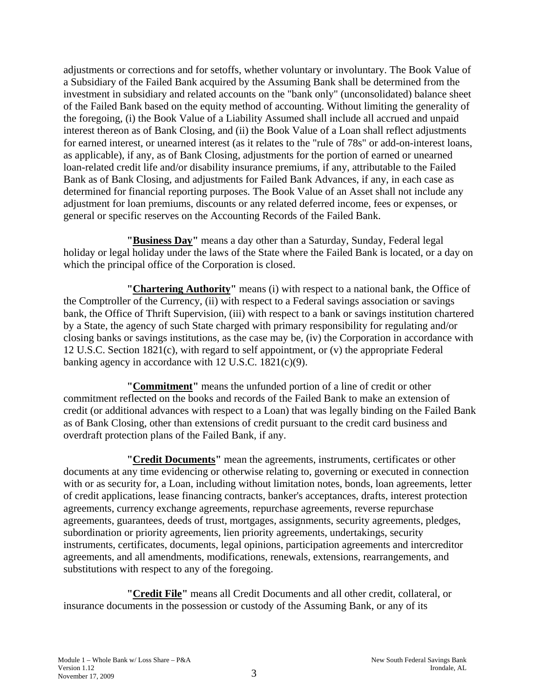<span id="page-6-0"></span>adjustments or corrections and for setoffs, whether voluntary or involuntary. The Book Value of a Subsidiary of the Failed Bank acquired by the Assuming Bank shall be determined from the investment in subsidiary and related accounts on the "bank only" (unconsolidated) balance sheet of the Failed Bank based on the equity method of accounting. Without limiting the generality of the foregoing, (i) the Book Value of a Liability Assumed shall include all accrued and unpaid interest thereon as of Bank Closing, and (ii) the Book Value of a Loan shall reflect adjustments for earned interest, or unearned interest (as it relates to the "rule of 78s" or add-on-interest loans, as applicable), if any, as of Bank Closing, adjustments for the portion of earned or unearned loan-related credit life and/or disability insurance premiums, if any, attributable to the Failed Bank as of Bank Closing, and adjustments for Failed Bank Advances, if any, in each case as determined for financial reporting purposes. The Book Value of an Asset shall not include any adjustment for loan premiums, discounts or any related deferred income, fees or expenses, or general or specific reserves on the Accounting Records of the Failed Bank.

**"Business Day"** means a day other than a Saturday, Sunday, Federal legal holiday or legal holiday under the laws of the State where the Failed Bank is located, or a day on which the principal office of the Corporation is closed.

**"Chartering Authority"** means (i) with respect to a national bank, the Office of the Comptroller of the Currency, (ii) with respect to a Federal savings association or savings bank, the Office of Thrift Supervision, (iii) with respect to a bank or savings institution chartered by a State, the agency of such State charged with primary responsibility for regulating and/or closing banks or savings institutions, as the case may be, (iv) the Corporation in accordance with 12 U.S.C. Section 1821(c), with regard to self appointment, or (v) the appropriate Federal banking agency in accordance with 12 U.S.C. 1821(c)(9).

**"Commitment"** means the unfunded portion of a line of credit or other commitment reflected on the books and records of the Failed Bank to make an extension of credit (or additional advances with respect to a Loan) that was legally binding on the Failed Bank as of Bank Closing, other than extensions of credit pursuant to the credit card business and overdraft protection plans of the Failed Bank, if any.

**"Credit Documents"** mean the agreements, instruments, certificates or other documents at any time evidencing or otherwise relating to, governing or executed in connection with or as security for, a Loan, including without limitation notes, bonds, loan agreements, letter of credit applications, lease financing contracts, banker's acceptances, drafts, interest protection agreements, currency exchange agreements, repurchase agreements, reverse repurchase agreements, guarantees, deeds of trust, mortgages, assignments, security agreements, pledges, subordination or priority agreements, lien priority agreements, undertakings, security instruments, certificates, documents, legal opinions, participation agreements and intercreditor agreements, and all amendments, modifications, renewals, extensions, rearrangements, and substitutions with respect to any of the foregoing.

**"Credit File"** means all Credit Documents and all other credit, collateral, or insurance documents in the possession or custody of the Assuming Bank, or any of its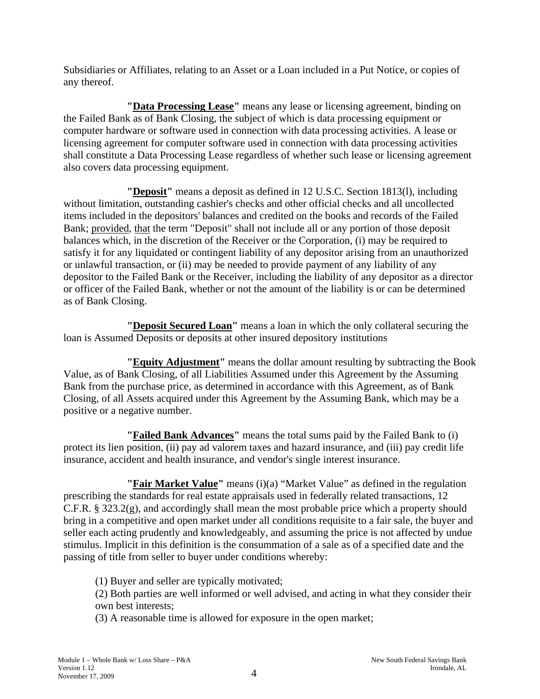<span id="page-7-0"></span>Subsidiaries or Affiliates, relating to an Asset or a Loan included in a Put Notice, or copies of any thereof.

**"Data Processing Lease"** means any lease or licensing agreement, binding on the Failed Bank as of Bank Closing, the subject of which is data processing equipment or computer hardware or software used in connection with data processing activities. A lease or licensing agreement for computer software used in connection with data processing activities shall constitute a Data Processing Lease regardless of whether such lease or licensing agreement also covers data processing equipment.

**"Deposit"** means a deposit as defined in 12 U.S.C. Section 1813(l), including without limitation, outstanding cashier's checks and other official checks and all uncollected items included in the depositors' balances and credited on the books and records of the Failed Bank; provided, that the term "Deposit" shall not include all or any portion of those deposit balances which, in the discretion of the Receiver or the Corporation, (i) may be required to satisfy it for any liquidated or contingent liability of any depositor arising from an unauthorized or unlawful transaction, or (ii) may be needed to provide payment of any liability of any depositor to the Failed Bank or the Receiver, including the liability of any depositor as a director or officer of the Failed Bank, whether or not the amount of the liability is or can be determined as of Bank Closing.

**"Deposit Secured Loan"** means a loan in which the only collateral securing the loan is Assumed Deposits or deposits at other insured depository institutions

**"Equity Adjustment"** means the dollar amount resulting by subtracting the Book Value, as of Bank Closing, of all Liabilities Assumed under this Agreement by the Assuming Bank from the purchase price, as determined in accordance with this Agreement, as of Bank Closing, of all Assets acquired under this Agreement by the Assuming Bank, which may be a positive or a negative number.

**"Failed Bank Advances"** means the total sums paid by the Failed Bank to (i) protect its lien position, (ii) pay ad valorem taxes and hazard insurance, and (iii) pay credit life insurance, accident and health insurance, and vendor's single interest insurance.

**"Fair Market Value"** means (i)(a) "Market Value" as defined in the regulation prescribing the standards for real estate appraisals used in federally related transactions, 12 C.F.R. § 323.2(g), and accordingly shall mean the most probable price which a property should bring in a competitive and open market under all conditions requisite to a fair sale, the buyer and seller each acting prudently and knowledgeably, and assuming the price is not affected by undue stimulus. Implicit in this definition is the consummation of a sale as of a specified date and the passing of title from seller to buyer under conditions whereby:

(1) Buyer and seller are typically motivated;

(2) Both parties are well informed or well advised, and acting in what they consider their own best interests;

(3) A reasonable time is allowed for exposure in the open market;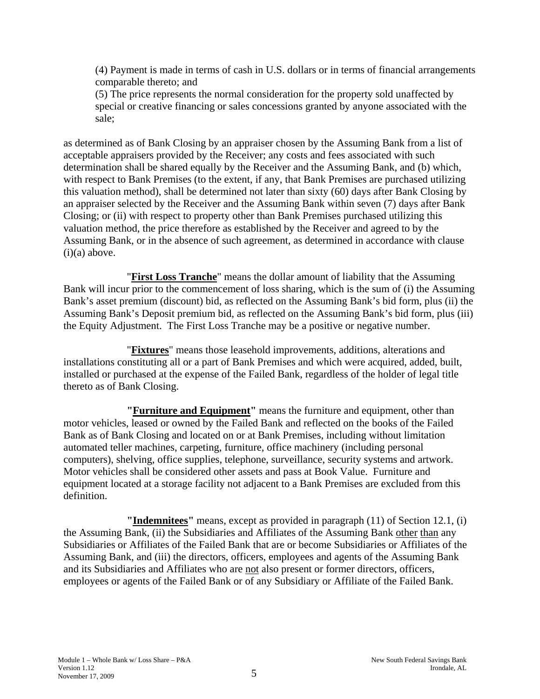(4) Payment is made in terms of cash in U.S. dollars or in terms of financial arrangements comparable thereto; and

(5) The price represents the normal consideration for the property sold unaffected by special or creative financing or sales concessions granted by anyone associated with the sale;

as determined as of Bank Closing by an appraiser chosen by the Assuming Bank from a list of acceptable appraisers provided by the Receiver; any costs and fees associated with such determination shall be shared equally by the Receiver and the Assuming Bank, and (b) which, with respect to Bank Premises (to the extent, if any, that Bank Premises are purchased utilizing this valuation method), shall be determined not later than sixty (60) days after Bank Closing by an appraiser selected by the Receiver and the Assuming Bank within seven (7) days after Bank Closing; or (ii) with respect to property other than Bank Premises purchased utilizing this valuation method, the price therefore as established by the Receiver and agreed to by the Assuming Bank, or in the absence of such agreement, as determined in accordance with clause  $(i)(a)$  above.

"**First Loss Tranche**" means the dollar amount of liability that the Assuming Bank will incur prior to the commencement of loss sharing, which is the sum of (i) the Assuming Bank's asset premium (discount) bid, as reflected on the Assuming Bank's bid form, plus (ii) the Assuming Bank's Deposit premium bid, as reflected on the Assuming Bank's bid form, plus (iii) the Equity Adjustment. The First Loss Tranche may be a positive or negative number.

"**Fixtures**" means those leasehold improvements, additions, alterations and installations constituting all or a part of Bank Premises and which were acquired, added, built, installed or purchased at the expense of the Failed Bank, regardless of the holder of legal title thereto as of Bank Closing.

**"Furniture and Equipment"** means the furniture and equipment, other than motor vehicles, leased or owned by the Failed Bank and reflected on the books of the Failed Bank as of Bank Closing and located on or at Bank Premises, including without limitation automated teller machines, carpeting, furniture, office machinery (including personal computers), shelving, office supplies, telephone, surveillance, security systems and artwork. Motor vehicles shall be considered other assets and pass at Book Value. Furniture and equipment located at a storage facility not adjacent to a Bank Premises are excluded from this definition.

**"Indemnitees"** means, except as provided in paragraph (11) of Section 12.1, (i) the Assuming Bank, (ii) the Subsidiaries and Affiliates of the Assuming Bank other than any Subsidiaries or Affiliates of the Failed Bank that are or become Subsidiaries or Affiliates of the Assuming Bank, and (iii) the directors, officers, employees and agents of the Assuming Bank and its Subsidiaries and Affiliates who are not also present or former directors, officers, employees or agents of the Failed Bank or of any Subsidiary or Affiliate of the Failed Bank.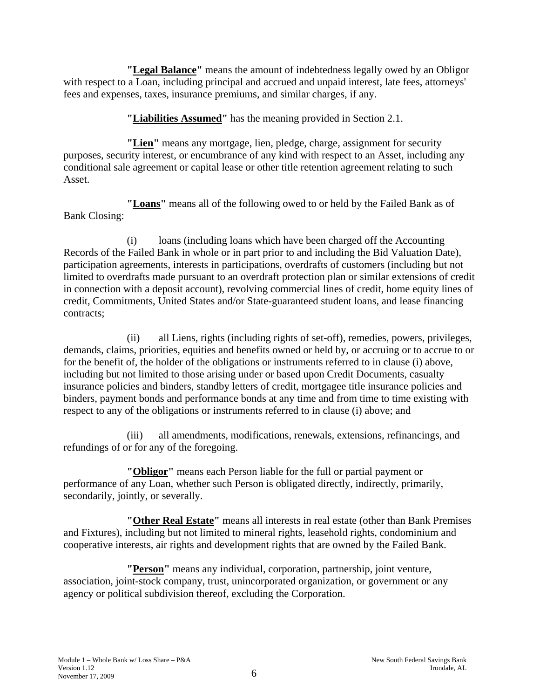**"Legal Balance"** means the amount of indebtedness legally owed by an Obligor with respect to a Loan, including principal and accrued and unpaid interest, late fees, attorneys' fees and expenses, taxes, insurance premiums, and similar charges, if any.

 **"Liabilities Assumed"** has the meaning provided in Section 2.1.

**"Lien"** means any mortgage, lien, pledge, charge, assignment for security purposes, security interest, or encumbrance of any kind with respect to an Asset, including any conditional sale agreement or capital lease or other title retention agreement relating to such Asset.

**"Loans"** means all of the following owed to or held by the Failed Bank as of Bank Closing:

(i) loans (including loans which have been charged off the Accounting Records of the Failed Bank in whole or in part prior to and including the Bid Valuation Date), participation agreements, interests in participations, overdrafts of customers (including but not limited to overdrafts made pursuant to an overdraft protection plan or similar extensions of credit in connection with a deposit account), revolving commercial lines of credit, home equity lines of credit, Commitments, United States and/or State-guaranteed student loans, and lease financing contracts;

(ii) all Liens, rights (including rights of set-off), remedies, powers, privileges, demands, claims, priorities, equities and benefits owned or held by, or accruing or to accrue to or for the benefit of, the holder of the obligations or instruments referred to in clause (i) above, including but not limited to those arising under or based upon Credit Documents, casualty insurance policies and binders, standby letters of credit, mortgagee title insurance policies and binders, payment bonds and performance bonds at any time and from time to time existing with respect to any of the obligations or instruments referred to in clause (i) above; and

(iii) all amendments, modifications, renewals, extensions, refinancings, and refundings of or for any of the foregoing.

**"Obligor"** means each Person liable for the full or partial payment or performance of any Loan, whether such Person is obligated directly, indirectly, primarily, secondarily, jointly, or severally.

**"Other Real Estate"** means all interests in real estate (other than Bank Premises and Fixtures), including but not limited to mineral rights, leasehold rights, condominium and cooperative interests, air rights and development rights that are owned by the Failed Bank.

**"Person"** means any individual, corporation, partnership, joint venture, association, joint-stock company, trust, unincorporated organization, or government or any agency or political subdivision thereof, excluding the Corporation.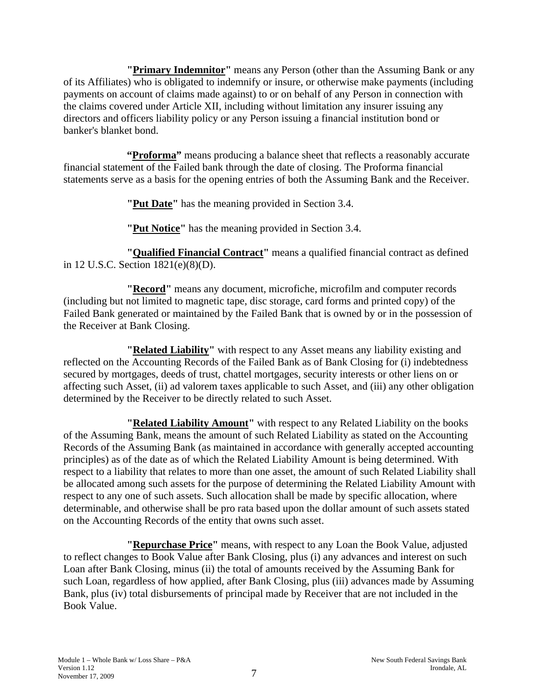**"Primary Indemnitor"** means any Person (other than the Assuming Bank or any of its Affiliates) who is obligated to indemnify or insure, or otherwise make payments (including payments on account of claims made against) to or on behalf of any Person in connection with the claims covered under Article XII, including without limitation any insurer issuing any directors and officers liability policy or any Person issuing a financial institution bond or banker's blanket bond.

**"Proforma"** means producing a balance sheet that reflects a reasonably accurate financial statement of the Failed bank through the date of closing. The Proforma financial statements serve as a basis for the opening entries of both the Assuming Bank and the Receiver.

**"Put Date"** has the meaning provided in Section 3.4.

**"Put Notice"** has the meaning provided in Section 3.4.

**"Qualified Financial Contract"** means a qualified financial contract as defined in 12 U.S.C. Section 1821(e)(8)(D).

**"Record"** means any document, microfiche, microfilm and computer records (including but not limited to magnetic tape, disc storage, card forms and printed copy) of the Failed Bank generated or maintained by the Failed Bank that is owned by or in the possession of the Receiver at Bank Closing.

**"Related Liability"** with respect to any Asset means any liability existing and reflected on the Accounting Records of the Failed Bank as of Bank Closing for (i) indebtedness secured by mortgages, deeds of trust, chattel mortgages, security interests or other liens on or affecting such Asset, (ii) ad valorem taxes applicable to such Asset, and (iii) any other obligation determined by the Receiver to be directly related to such Asset.

**"Related Liability Amount"** with respect to any Related Liability on the books of the Assuming Bank, means the amount of such Related Liability as stated on the Accounting Records of the Assuming Bank (as maintained in accordance with generally accepted accounting principles) as of the date as of which the Related Liability Amount is being determined. With respect to a liability that relates to more than one asset, the amount of such Related Liability shall be allocated among such assets for the purpose of determining the Related Liability Amount with respect to any one of such assets. Such allocation shall be made by specific allocation, where determinable, and otherwise shall be pro rata based upon the dollar amount of such assets stated on the Accounting Records of the entity that owns such asset.

 **"Repurchase Price"** means, with respect to any Loan the Book Value, adjusted to reflect changes to Book Value after Bank Closing, plus (i) any advances and interest on such Loan after Bank Closing, minus (ii) the total of amounts received by the Assuming Bank for such Loan, regardless of how applied, after Bank Closing, plus (iii) advances made by Assuming Bank, plus (iv) total disbursements of principal made by Receiver that are not included in the Book Value.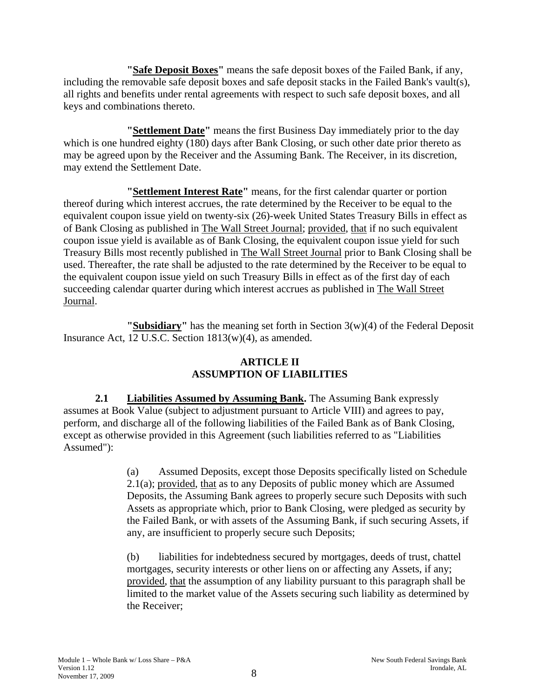**"Safe Deposit Boxes"** means the safe deposit boxes of the Failed Bank, if any, including the removable safe deposit boxes and safe deposit stacks in the Failed Bank's vault(s), all rights and benefits under rental agreements with respect to such safe deposit boxes, and all keys and combinations thereto.

**"Settlement Date"** means the first Business Day immediately prior to the day which is one hundred eighty (180) days after Bank Closing, or such other date prior thereto as may be agreed upon by the Receiver and the Assuming Bank. The Receiver, in its discretion, may extend the Settlement Date.

**"Settlement Interest Rate"** means, for the first calendar quarter or portion thereof during which interest accrues, the rate determined by the Receiver to be equal to the equivalent coupon issue yield on twenty-six (26)-week United States Treasury Bills in effect as of Bank Closing as published in The Wall Street Journal; provided, that if no such equivalent coupon issue yield is available as of Bank Closing, the equivalent coupon issue yield for such Treasury Bills most recently published in The Wall Street Journal prior to Bank Closing shall be used. Thereafter, the rate shall be adjusted to the rate determined by the Receiver to be equal to the equivalent coupon issue yield on such Treasury Bills in effect as of the first day of each succeeding calendar quarter during which interest accrues as published in The Wall Street Journal.

**"Subsidiary"** has the meaning set forth in Section 3(w)(4) of the Federal Deposit Insurance Act, 12 U.S.C. Section 1813(w)(4), as amended.

### **ARTICLE II ASSUMPTION OF LIABILITIES**

 **2.1 Liabilities Assumed by Assuming Bank.** The Assuming Bank expressly assumes at Book Value (subject to adjustment pursuant to Article VIII) and agrees to pay, perform, and discharge all of the following liabilities of the Failed Bank as of Bank Closing, except as otherwise provided in this Agreement (such liabilities referred to as "Liabilities Assumed"):

> (a) Assumed Deposits, except those Deposits specifically listed on Schedule 2.1(a); provided, that as to any Deposits of public money which are Assumed Deposits, the Assuming Bank agrees to properly secure such Deposits with such Assets as appropriate which, prior to Bank Closing, were pledged as security by the Failed Bank, or with assets of the Assuming Bank, if such securing Assets, if any, are insufficient to properly secure such Deposits;

> (b) liabilities for indebtedness secured by mortgages, deeds of trust, chattel mortgages, security interests or other liens on or affecting any Assets, if any; provided, that the assumption of any liability pursuant to this paragraph shall be limited to the market value of the Assets securing such liability as determined by the Receiver;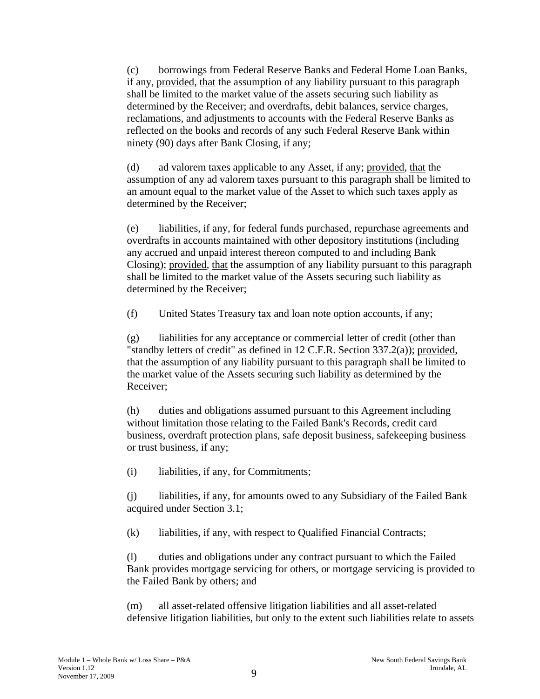(c) borrowings from Federal Reserve Banks and Federal Home Loan Banks, if any, provided, that the assumption of any liability pursuant to this paragraph shall be limited to the market value of the assets securing such liability as determined by the Receiver; and overdrafts, debit balances, service charges, reclamations, and adjustments to accounts with the Federal Reserve Banks as reflected on the books and records of any such Federal Reserve Bank within ninety (90) days after Bank Closing, if any;

(d) ad valorem taxes applicable to any Asset, if any; provided, that the assumption of any ad valorem taxes pursuant to this paragraph shall be limited to an amount equal to the market value of the Asset to which such taxes apply as determined by the Receiver;

(e) liabilities, if any, for federal funds purchased, repurchase agreements and overdrafts in accounts maintained with other depository institutions (including any accrued and unpaid interest thereon computed to and including Bank Closing); provided, that the assumption of any liability pursuant to this paragraph shall be limited to the market value of the Assets securing such liability as determined by the Receiver;

(f) United States Treasury tax and loan note option accounts, if any;

(g) liabilities for any acceptance or commercial letter of credit (other than "standby letters of credit" as defined in 12 C.F.R. Section 337.2(a)); provided, that the assumption of any liability pursuant to this paragraph shall be limited to the market value of the Assets securing such liability as determined by the Receiver;

(h) duties and obligations assumed pursuant to this Agreement including without limitation those relating to the Failed Bank's Records, credit card business, overdraft protection plans, safe deposit business, safekeeping business or trust business, if any;

(i) liabilities, if any, for Commitments;

(j) liabilities, if any, for amounts owed to any Subsidiary of the Failed Bank acquired under Section 3.1;

(k) liabilities, if any, with respect to Qualified Financial Contracts;

(l) duties and obligations under any contract pursuant to which the Failed Bank provides mortgage servicing for others, or mortgage servicing is provided to the Failed Bank by others; and

(m) all asset-related offensive litigation liabilities and all asset-related defensive litigation liabilities, but only to the extent such liabilities relate to assets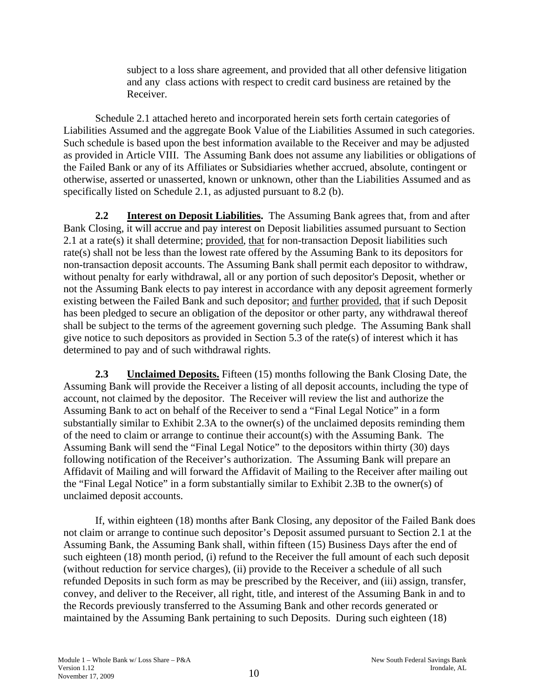subject to a loss share agreement, and provided that all other defensive litigation and any class actions with respect to credit card business are retained by the Receiver.

Schedule 2.1 attached hereto and incorporated herein sets forth certain categories of Liabilities Assumed and the aggregate Book Value of the Liabilities Assumed in such categories. Such schedule is based upon the best information available to the Receiver and may be adjusted as provided in Article VIII. The Assuming Bank does not assume any liabilities or obligations of the Failed Bank or any of its Affiliates or Subsidiaries whether accrued, absolute, contingent or otherwise, asserted or unasserted, known or unknown, other than the Liabilities Assumed and as specifically listed on Schedule 2.1, as adjusted pursuant to 8.2 (b).

**2.2 Interest on Deposit Liabilities.** The Assuming Bank agrees that, from and after Bank Closing, it will accrue and pay interest on Deposit liabilities assumed pursuant to Section 2.1 at a rate(s) it shall determine; provided, that for non-transaction Deposit liabilities such rate(s) shall not be less than the lowest rate offered by the Assuming Bank to its depositors for non-transaction deposit accounts. The Assuming Bank shall permit each depositor to withdraw, without penalty for early withdrawal, all or any portion of such depositor's Deposit, whether or not the Assuming Bank elects to pay interest in accordance with any deposit agreement formerly existing between the Failed Bank and such depositor; and further provided, that if such Deposit has been pledged to secure an obligation of the depositor or other party, any withdrawal thereof shall be subject to the terms of the agreement governing such pledge. The Assuming Bank shall give notice to such depositors as provided in Section 5.3 of the rate(s) of interest which it has determined to pay and of such withdrawal rights.

**2.3 Unclaimed Deposits.** Fifteen (15) months following the Bank Closing Date, the Assuming Bank will provide the Receiver a listing of all deposit accounts, including the type of account, not claimed by the depositor. The Receiver will review the list and authorize the Assuming Bank to act on behalf of the Receiver to send a "Final Legal Notice" in a form substantially similar to Exhibit 2.3A to the owner(s) of the unclaimed deposits reminding them of the need to claim or arrange to continue their account(s) with the Assuming Bank. The Assuming Bank will send the "Final Legal Notice" to the depositors within thirty (30) days following notification of the Receiver's authorization. The Assuming Bank will prepare an Affidavit of Mailing and will forward the Affidavit of Mailing to the Receiver after mailing out the "Final Legal Notice" in a form substantially similar to Exhibit 2.3B to the owner(s) of unclaimed deposit accounts.

If, within eighteen (18) months after Bank Closing, any depositor of the Failed Bank does not claim or arrange to continue such depositor's Deposit assumed pursuant to Section 2.1 at the Assuming Bank, the Assuming Bank shall, within fifteen (15) Business Days after the end of such eighteen (18) month period, (i) refund to the Receiver the full amount of each such deposit (without reduction for service charges), (ii) provide to the Receiver a schedule of all such refunded Deposits in such form as may be prescribed by the Receiver, and (iii) assign, transfer, convey, and deliver to the Receiver, all right, title, and interest of the Assuming Bank in and to the Records previously transferred to the Assuming Bank and other records generated or maintained by the Assuming Bank pertaining to such Deposits. During such eighteen (18)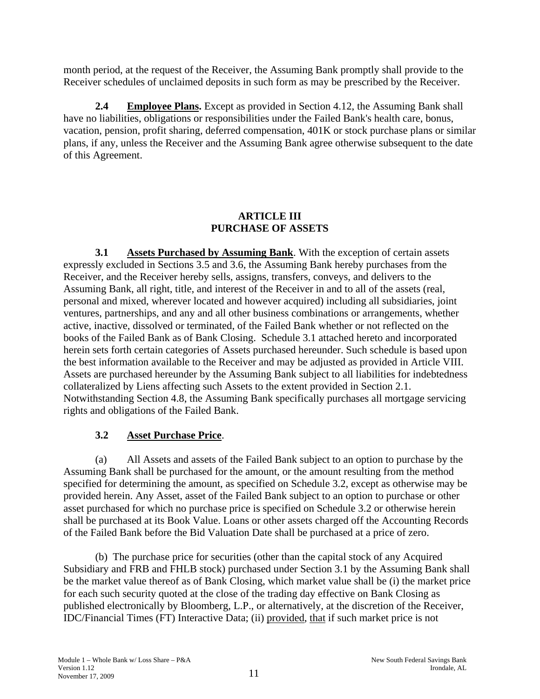month period, at the request of the Receiver, the Assuming Bank promptly shall provide to the Receiver schedules of unclaimed deposits in such form as may be prescribed by the Receiver.

**2.4 Employee Plans.** Except as provided in Section 4.12, the Assuming Bank shall have no liabilities, obligations or responsibilities under the Failed Bank's health care, bonus, vacation, pension, profit sharing, deferred compensation, 401K or stock purchase plans or similar plans, if any, unless the Receiver and the Assuming Bank agree otherwise subsequent to the date of this Agreement.

### **ARTICLE III PURCHASE OF ASSETS**

 **3.1 Assets Purchased by Assuming Bank**. With the exception of certain assets expressly excluded in Sections 3.5 and 3.6, the Assuming Bank hereby purchases from the Receiver, and the Receiver hereby sells, assigns, transfers, conveys, and delivers to the Assuming Bank, all right, title, and interest of the Receiver in and to all of the assets (real, personal and mixed, wherever located and however acquired) including all subsidiaries, joint ventures, partnerships, and any and all other business combinations or arrangements, whether active, inactive, dissolved or terminated, of the Failed Bank whether or not reflected on the books of the Failed Bank as of Bank Closing. Schedule 3.1 attached hereto and incorporated herein sets forth certain categories of Assets purchased hereunder. Such schedule is based upon the best information available to the Receiver and may be adjusted as provided in Article VIII. Assets are purchased hereunder by the Assuming Bank subject to all liabilities for indebtedness collateralized by Liens affecting such Assets to the extent provided in Section 2.1. Notwithstanding Section 4.8, the Assuming Bank specifically purchases all mortgage servicing rights and obligations of the Failed Bank.

# **3.2 Asset Purchase Price**.

(a) All Assets and assets of the Failed Bank subject to an option to purchase by the Assuming Bank shall be purchased for the amount, or the amount resulting from the method specified for determining the amount, as specified on Schedule 3.2, except as otherwise may be provided herein. Any Asset, asset of the Failed Bank subject to an option to purchase or other asset purchased for which no purchase price is specified on Schedule 3.2 or otherwise herein shall be purchased at its Book Value. Loans or other assets charged off the Accounting Records of the Failed Bank before the Bid Valuation Date shall be purchased at a price of zero.

(b) The purchase price for securities (other than the capital stock of any Acquired Subsidiary and FRB and FHLB stock) purchased under Section 3.1 by the Assuming Bank shall be the market value thereof as of Bank Closing, which market value shall be (i) the market price for each such security quoted at the close of the trading day effective on Bank Closing as published electronically by Bloomberg, L.P., or alternatively, at the discretion of the Receiver, IDC/Financial Times (FT) Interactive Data; (ii) provided, that if such market price is not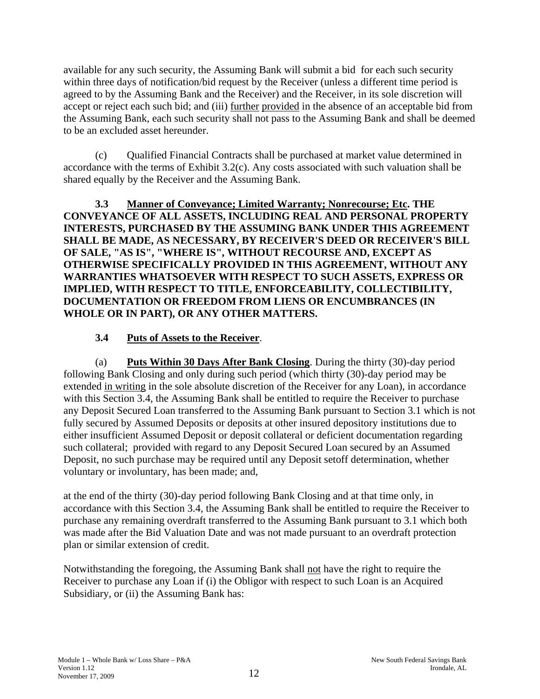available for any such security, the Assuming Bank will submit a bid for each such security within three days of notification/bid request by the Receiver (unless a different time period is agreed to by the Assuming Bank and the Receiver) and the Receiver, in its sole discretion will accept or reject each such bid; and (iii) further provided in the absence of an acceptable bid from the Assuming Bank, each such security shall not pass to the Assuming Bank and shall be deemed to be an excluded asset hereunder.

(c) Qualified Financial Contracts shall be purchased at market value determined in accordance with the terms of Exhibit 3.2(c). Any costs associated with such valuation shall be shared equally by the Receiver and the Assuming Bank.

 **3.3 Manner of Conveyance; Limited Warranty; Nonrecourse; Etc. THE CONVEYANCE OF ALL ASSETS, INCLUDING REAL AND PERSONAL PROPERTY INTERESTS, PURCHASED BY THE ASSUMING BANK UNDER THIS AGREEMENT SHALL BE MADE, AS NECESSARY, BY RECEIVER'S DEED OR RECEIVER'S BILL OF SALE, "AS IS", "WHERE IS", WITHOUT RECOURSE AND, EXCEPT AS OTHERWISE SPECIFICALLY PROVIDED IN THIS AGREEMENT, WITHOUT ANY WARRANTIES WHATSOEVER WITH RESPECT TO SUCH ASSETS, EXPRESS OR IMPLIED, WITH RESPECT TO TITLE, ENFORCEABILITY, COLLECTIBILITY, DOCUMENTATION OR FREEDOM FROM LIENS OR ENCUMBRANCES (IN WHOLE OR IN PART), OR ANY OTHER MATTERS.** 

# **3.4 Puts of Assets to the Receiver**.

(a) **Puts Within 30 Days After Bank Closing**. During the thirty (30)-day period following Bank Closing and only during such period (which thirty (30)-day period may be extended in writing in the sole absolute discretion of the Receiver for any Loan), in accordance with this Section 3.4, the Assuming Bank shall be entitled to require the Receiver to purchase any Deposit Secured Loan transferred to the Assuming Bank pursuant to Section 3.1 which is not fully secured by Assumed Deposits or deposits at other insured depository institutions due to either insufficient Assumed Deposit or deposit collateral or deficient documentation regarding such collateral; provided with regard to any Deposit Secured Loan secured by an Assumed Deposit, no such purchase may be required until any Deposit setoff determination, whether voluntary or involuntary, has been made; and,

at the end of the thirty (30)-day period following Bank Closing and at that time only, in accordance with this Section 3.4, the Assuming Bank shall be entitled to require the Receiver to purchase any remaining overdraft transferred to the Assuming Bank pursuant to 3.1 which both was made after the Bid Valuation Date and was not made pursuant to an overdraft protection plan or similar extension of credit.

Notwithstanding the foregoing, the Assuming Bank shall not have the right to require the Receiver to purchase any Loan if (i) the Obligor with respect to such Loan is an Acquired Subsidiary, or (ii) the Assuming Bank has: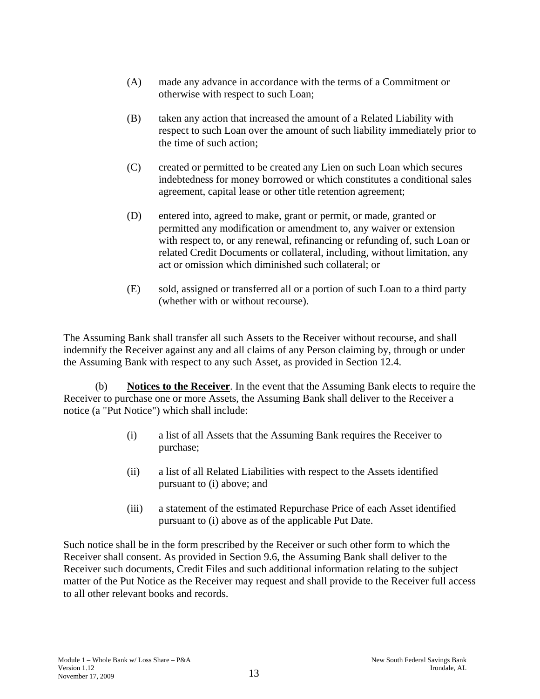- (A) made any advance in accordance with the terms of a Commitment or otherwise with respect to such Loan;
- (B) taken any action that increased the amount of a Related Liability with respect to such Loan over the amount of such liability immediately prior to the time of such action;
- (C) created or permitted to be created any Lien on such Loan which secures indebtedness for money borrowed or which constitutes a conditional sales agreement, capital lease or other title retention agreement;
- (D) entered into, agreed to make, grant or permit, or made, granted or permitted any modification or amendment to, any waiver or extension with respect to, or any renewal, refinancing or refunding of, such Loan or related Credit Documents or collateral, including, without limitation, any act or omission which diminished such collateral; or
- (E) sold, assigned or transferred all or a portion of such Loan to a third party (whether with or without recourse).

The Assuming Bank shall transfer all such Assets to the Receiver without recourse, and shall indemnify the Receiver against any and all claims of any Person claiming by, through or under the Assuming Bank with respect to any such Asset, as provided in Section 12.4.

(b) **Notices to the Receiver**. In the event that the Assuming Bank elects to require the Receiver to purchase one or more Assets, the Assuming Bank shall deliver to the Receiver a notice (a "Put Notice") which shall include:

- (i) a list of all Assets that the Assuming Bank requires the Receiver to purchase;
- (ii) a list of all Related Liabilities with respect to the Assets identified pursuant to (i) above; and
- (iii) a statement of the estimated Repurchase Price of each Asset identified pursuant to (i) above as of the applicable Put Date.

Such notice shall be in the form prescribed by the Receiver or such other form to which the Receiver shall consent. As provided in Section 9.6, the Assuming Bank shall deliver to the Receiver such documents, Credit Files and such additional information relating to the subject matter of the Put Notice as the Receiver may request and shall provide to the Receiver full access to all other relevant books and records.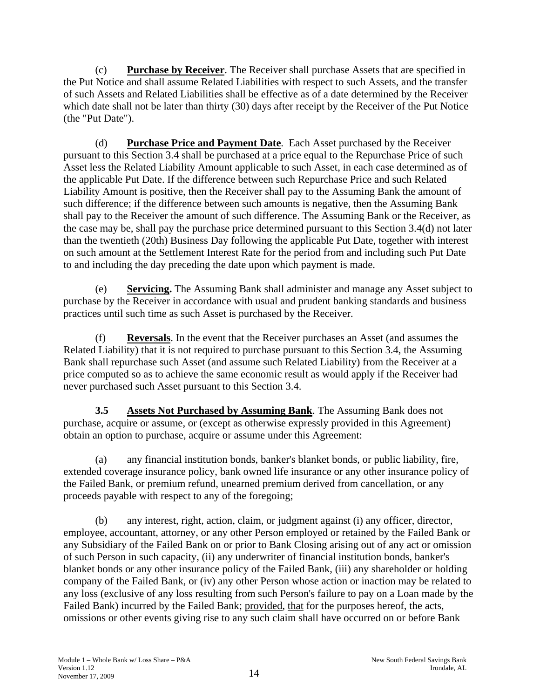(c) **Purchase by Receiver**. The Receiver shall purchase Assets that are specified in the Put Notice and shall assume Related Liabilities with respect to such Assets, and the transfer of such Assets and Related Liabilities shall be effective as of a date determined by the Receiver which date shall not be later than thirty (30) days after receipt by the Receiver of the Put Notice (the "Put Date").

(d) **Purchase Price and Payment Date**. Each Asset purchased by the Receiver pursuant to this Section 3.4 shall be purchased at a price equal to the Repurchase Price of such Asset less the Related Liability Amount applicable to such Asset, in each case determined as of the applicable Put Date. If the difference between such Repurchase Price and such Related Liability Amount is positive, then the Receiver shall pay to the Assuming Bank the amount of such difference; if the difference between such amounts is negative, then the Assuming Bank shall pay to the Receiver the amount of such difference. The Assuming Bank or the Receiver, as the case may be, shall pay the purchase price determined pursuant to this Section 3.4(d) not later than the twentieth (20th) Business Day following the applicable Put Date, together with interest on such amount at the Settlement Interest Rate for the period from and including such Put Date to and including the day preceding the date upon which payment is made.

(e) **Servicing.** The Assuming Bank shall administer and manage any Asset subject to purchase by the Receiver in accordance with usual and prudent banking standards and business practices until such time as such Asset is purchased by the Receiver.

(f) **Reversals**. In the event that the Receiver purchases an Asset (and assumes the Related Liability) that it is not required to purchase pursuant to this Section 3.4, the Assuming Bank shall repurchase such Asset (and assume such Related Liability) from the Receiver at a price computed so as to achieve the same economic result as would apply if the Receiver had never purchased such Asset pursuant to this Section 3.4.

**3.5 Assets Not Purchased by Assuming Bank**. The Assuming Bank does not purchase, acquire or assume, or (except as otherwise expressly provided in this Agreement) obtain an option to purchase, acquire or assume under this Agreement:

(a) any financial institution bonds, banker's blanket bonds, or public liability, fire, extended coverage insurance policy, bank owned life insurance or any other insurance policy of the Failed Bank, or premium refund, unearned premium derived from cancellation, or any proceeds payable with respect to any of the foregoing;

(b) any interest, right, action, claim, or judgment against (i) any officer, director, employee, accountant, attorney, or any other Person employed or retained by the Failed Bank or any Subsidiary of the Failed Bank on or prior to Bank Closing arising out of any act or omission of such Person in such capacity, (ii) any underwriter of financial institution bonds, banker's blanket bonds or any other insurance policy of the Failed Bank, (iii) any shareholder or holding company of the Failed Bank, or (iv) any other Person whose action or inaction may be related to any loss (exclusive of any loss resulting from such Person's failure to pay on a Loan made by the Failed Bank) incurred by the Failed Bank; provided, that for the purposes hereof, the acts, omissions or other events giving rise to any such claim shall have occurred on or before Bank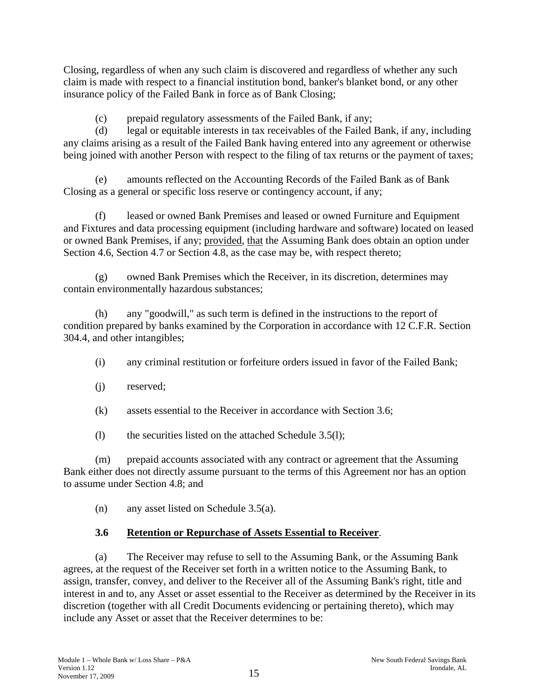Closing, regardless of when any such claim is discovered and regardless of whether any such claim is made with respect to a financial institution bond, banker's blanket bond, or any other insurance policy of the Failed Bank in force as of Bank Closing;

(c) prepaid regulatory assessments of the Failed Bank, if any;

(d) legal or equitable interests in tax receivables of the Failed Bank, if any, including any claims arising as a result of the Failed Bank having entered into any agreement or otherwise being joined with another Person with respect to the filing of tax returns or the payment of taxes;

(e) amounts reflected on the Accounting Records of the Failed Bank as of Bank Closing as a general or specific loss reserve or contingency account, if any;

(f) leased or owned Bank Premises and leased or owned Furniture and Equipment and Fixtures and data processing equipment (including hardware and software) located on leased or owned Bank Premises, if any; provided, that the Assuming Bank does obtain an option under Section 4.6, Section 4.7 or Section 4.8, as the case may be, with respect thereto;

(g) owned Bank Premises which the Receiver, in its discretion, determines may contain environmentally hazardous substances;

(h) any "goodwill," as such term is defined in the instructions to the report of condition prepared by banks examined by the Corporation in accordance with 12 C.F.R. Section 304.4, and other intangibles;

- (i) any criminal restitution or forfeiture orders issued in favor of the Failed Bank;
- (j) reserved;

(k) assets essential to the Receiver in accordance with Section 3.6;

(1) the securities listed on the attached Schedule  $3.5(1)$ ;

(m) prepaid accounts associated with any contract or agreement that the Assuming Bank either does not directly assume pursuant to the terms of this Agreement nor has an option to assume under Section 4.8; and

(n) any asset listed on Schedule 3.5(a).

# **3.6 Retention or Repurchase of Assets Essential to Receiver**.

(a) The Receiver may refuse to sell to the Assuming Bank, or the Assuming Bank agrees, at the request of the Receiver set forth in a written notice to the Assuming Bank, to assign, transfer, convey, and deliver to the Receiver all of the Assuming Bank's right, title and interest in and to, any Asset or asset essential to the Receiver as determined by the Receiver in its discretion (together with all Credit Documents evidencing or pertaining thereto), which may include any Asset or asset that the Receiver determines to be: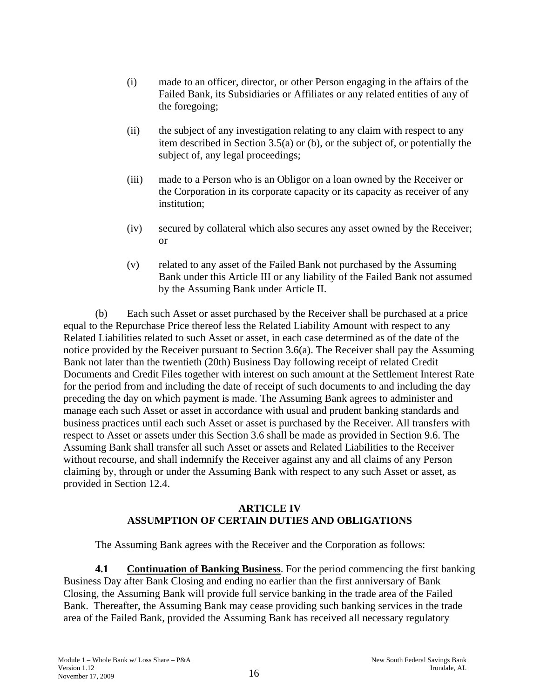- (i) made to an officer, director, or other Person engaging in the affairs of the Failed Bank, its Subsidiaries or Affiliates or any related entities of any of the foregoing;
- (ii) the subject of any investigation relating to any claim with respect to any item described in Section 3.5(a) or (b), or the subject of, or potentially the subject of, any legal proceedings;
- (iii) made to a Person who is an Obligor on a loan owned by the Receiver or the Corporation in its corporate capacity or its capacity as receiver of any institution;
- (iv) secured by collateral which also secures any asset owned by the Receiver; or
- (v) related to any asset of the Failed Bank not purchased by the Assuming Bank under this Article III or any liability of the Failed Bank not assumed by the Assuming Bank under Article II.

(b) Each such Asset or asset purchased by the Receiver shall be purchased at a price equal to the Repurchase Price thereof less the Related Liability Amount with respect to any Related Liabilities related to such Asset or asset, in each case determined as of the date of the notice provided by the Receiver pursuant to Section 3.6(a). The Receiver shall pay the Assuming Bank not later than the twentieth (20th) Business Day following receipt of related Credit Documents and Credit Files together with interest on such amount at the Settlement Interest Rate for the period from and including the date of receipt of such documents to and including the day preceding the day on which payment is made. The Assuming Bank agrees to administer and manage each such Asset or asset in accordance with usual and prudent banking standards and business practices until each such Asset or asset is purchased by the Receiver. All transfers with respect to Asset or assets under this Section 3.6 shall be made as provided in Section 9.6. The Assuming Bank shall transfer all such Asset or assets and Related Liabilities to the Receiver without recourse, and shall indemnify the Receiver against any and all claims of any Person claiming by, through or under the Assuming Bank with respect to any such Asset or asset, as provided in Section 12.4.

### **ARTICLE IV ASSUMPTION OF CERTAIN DUTIES AND OBLIGATIONS**

The Assuming Bank agrees with the Receiver and the Corporation as follows:

**4.1 Continuation of Banking Business**. For the period commencing the first banking Business Day after Bank Closing and ending no earlier than the first anniversary of Bank Closing, the Assuming Bank will provide full service banking in the trade area of the Failed Bank. Thereafter, the Assuming Bank may cease providing such banking services in the trade area of the Failed Bank, provided the Assuming Bank has received all necessary regulatory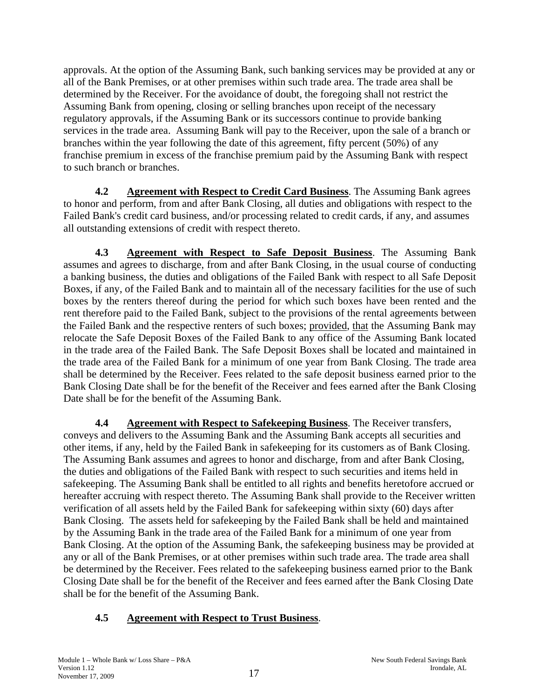approvals. At the option of the Assuming Bank, such banking services may be provided at any or all of the Bank Premises, or at other premises within such trade area. The trade area shall be determined by the Receiver. For the avoidance of doubt, the foregoing shall not restrict the Assuming Bank from opening, closing or selling branches upon receipt of the necessary regulatory approvals, if the Assuming Bank or its successors continue to provide banking services in the trade area. Assuming Bank will pay to the Receiver, upon the sale of a branch or branches within the year following the date of this agreement, fifty percent (50%) of any franchise premium in excess of the franchise premium paid by the Assuming Bank with respect to such branch or branches.

**4.2** Agreement with Respect to Credit Card Business. The Assuming Bank agrees to honor and perform, from and after Bank Closing, all duties and obligations with respect to the Failed Bank's credit card business, and/or processing related to credit cards, if any, and assumes all outstanding extensions of credit with respect thereto.

**4.3 Agreement with Respect to Safe Deposit Business**. The Assuming Bank assumes and agrees to discharge, from and after Bank Closing, in the usual course of conducting a banking business, the duties and obligations of the Failed Bank with respect to all Safe Deposit Boxes, if any, of the Failed Bank and to maintain all of the necessary facilities for the use of such boxes by the renters thereof during the period for which such boxes have been rented and the rent therefore paid to the Failed Bank, subject to the provisions of the rental agreements between the Failed Bank and the respective renters of such boxes; provided, that the Assuming Bank may relocate the Safe Deposit Boxes of the Failed Bank to any office of the Assuming Bank located in the trade area of the Failed Bank. The Safe Deposit Boxes shall be located and maintained in the trade area of the Failed Bank for a minimum of one year from Bank Closing. The trade area shall be determined by the Receiver. Fees related to the safe deposit business earned prior to the Bank Closing Date shall be for the benefit of the Receiver and fees earned after the Bank Closing Date shall be for the benefit of the Assuming Bank.

**4.4 Agreement with Respect to Safekeeping Business**. The Receiver transfers, conveys and delivers to the Assuming Bank and the Assuming Bank accepts all securities and other items, if any, held by the Failed Bank in safekeeping for its customers as of Bank Closing. The Assuming Bank assumes and agrees to honor and discharge, from and after Bank Closing, the duties and obligations of the Failed Bank with respect to such securities and items held in safekeeping. The Assuming Bank shall be entitled to all rights and benefits heretofore accrued or hereafter accruing with respect thereto. The Assuming Bank shall provide to the Receiver written verification of all assets held by the Failed Bank for safekeeping within sixty (60) days after Bank Closing. The assets held for safekeeping by the Failed Bank shall be held and maintained by the Assuming Bank in the trade area of the Failed Bank for a minimum of one year from Bank Closing. At the option of the Assuming Bank, the safekeeping business may be provided at any or all of the Bank Premises, or at other premises within such trade area. The trade area shall be determined by the Receiver. Fees related to the safekeeping business earned prior to the Bank Closing Date shall be for the benefit of the Receiver and fees earned after the Bank Closing Date shall be for the benefit of the Assuming Bank.

# **4.5 Agreement with Respect to Trust Business**.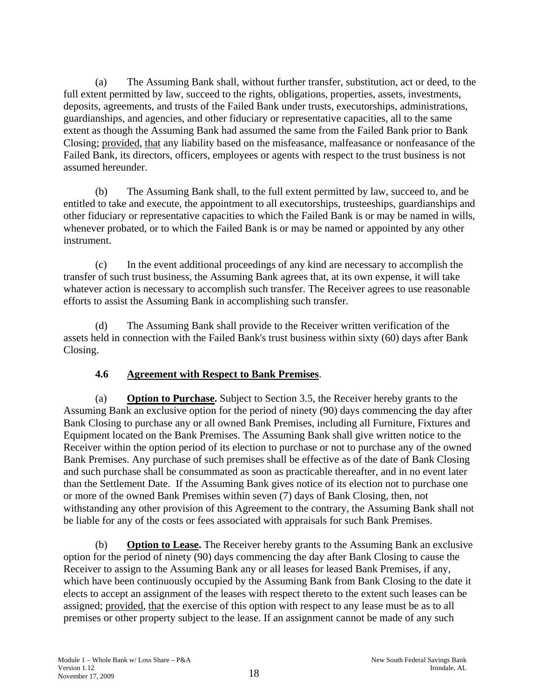(a) The Assuming Bank shall, without further transfer, substitution, act or deed, to the full extent permitted by law, succeed to the rights, obligations, properties, assets, investments, deposits, agreements, and trusts of the Failed Bank under trusts, executorships, administrations, guardianships, and agencies, and other fiduciary or representative capacities, all to the same extent as though the Assuming Bank had assumed the same from the Failed Bank prior to Bank Closing; provided, that any liability based on the misfeasance, malfeasance or nonfeasance of the Failed Bank, its directors, officers, employees or agents with respect to the trust business is not assumed hereunder.

(b) The Assuming Bank shall, to the full extent permitted by law, succeed to, and be entitled to take and execute, the appointment to all executorships, trusteeships, guardianships and other fiduciary or representative capacities to which the Failed Bank is or may be named in wills, whenever probated, or to which the Failed Bank is or may be named or appointed by any other instrument.

(c) In the event additional proceedings of any kind are necessary to accomplish the transfer of such trust business, the Assuming Bank agrees that, at its own expense, it will take whatever action is necessary to accomplish such transfer. The Receiver agrees to use reasonable efforts to assist the Assuming Bank in accomplishing such transfer.

(d) The Assuming Bank shall provide to the Receiver written verification of the assets held in connection with the Failed Bank's trust business within sixty (60) days after Bank Closing.

# **4.6 Agreement with Respect to Bank Premises**.

(a) **Option to Purchase.** Subject to Section 3.5, the Receiver hereby grants to the Assuming Bank an exclusive option for the period of ninety (90) days commencing the day after Bank Closing to purchase any or all owned Bank Premises, including all Furniture, Fixtures and Equipment located on the Bank Premises. The Assuming Bank shall give written notice to the Receiver within the option period of its election to purchase or not to purchase any of the owned Bank Premises. Any purchase of such premises shall be effective as of the date of Bank Closing and such purchase shall be consummated as soon as practicable thereafter, and in no event later than the Settlement Date. If the Assuming Bank gives notice of its election not to purchase one or more of the owned Bank Premises within seven (7) days of Bank Closing, then, not withstanding any other provision of this Agreement to the contrary, the Assuming Bank shall not be liable for any of the costs or fees associated with appraisals for such Bank Premises.

(b) **Option to Lease.** The Receiver hereby grants to the Assuming Bank an exclusive option for the period of ninety (90) days commencing the day after Bank Closing to cause the Receiver to assign to the Assuming Bank any or all leases for leased Bank Premises, if any, which have been continuously occupied by the Assuming Bank from Bank Closing to the date it elects to accept an assignment of the leases with respect thereto to the extent such leases can be assigned; provided, that the exercise of this option with respect to any lease must be as to all premises or other property subject to the lease. If an assignment cannot be made of any such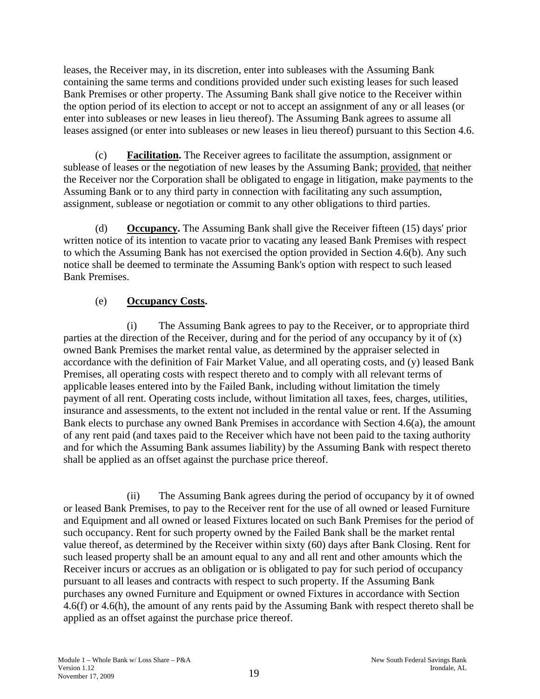leases, the Receiver may, in its discretion, enter into subleases with the Assuming Bank containing the same terms and conditions provided under such existing leases for such leased Bank Premises or other property. The Assuming Bank shall give notice to the Receiver within the option period of its election to accept or not to accept an assignment of any or all leases (or enter into subleases or new leases in lieu thereof). The Assuming Bank agrees to assume all leases assigned (or enter into subleases or new leases in lieu thereof) pursuant to this Section 4.6.

(c) **Facilitation.** The Receiver agrees to facilitate the assumption, assignment or sublease of leases or the negotiation of new leases by the Assuming Bank; provided, that neither the Receiver nor the Corporation shall be obligated to engage in litigation, make payments to the Assuming Bank or to any third party in connection with facilitating any such assumption, assignment, sublease or negotiation or commit to any other obligations to third parties.

(d) **Occupancy.** The Assuming Bank shall give the Receiver fifteen (15) days' prior written notice of its intention to vacate prior to vacating any leased Bank Premises with respect to which the Assuming Bank has not exercised the option provided in Section 4.6(b). Any such notice shall be deemed to terminate the Assuming Bank's option with respect to such leased Bank Premises.

# (e) **Occupancy Costs.**

(i) The Assuming Bank agrees to pay to the Receiver, or to appropriate third parties at the direction of the Receiver, during and for the period of any occupancy by it of (x) owned Bank Premises the market rental value, as determined by the appraiser selected in accordance with the definition of Fair Market Value, and all operating costs, and (y) leased Bank Premises, all operating costs with respect thereto and to comply with all relevant terms of applicable leases entered into by the Failed Bank, including without limitation the timely payment of all rent. Operating costs include, without limitation all taxes, fees, charges, utilities, insurance and assessments, to the extent not included in the rental value or rent. If the Assuming Bank elects to purchase any owned Bank Premises in accordance with Section 4.6(a), the amount of any rent paid (and taxes paid to the Receiver which have not been paid to the taxing authority and for which the Assuming Bank assumes liability) by the Assuming Bank with respect thereto shall be applied as an offset against the purchase price thereof.

(ii) The Assuming Bank agrees during the period of occupancy by it of owned or leased Bank Premises, to pay to the Receiver rent for the use of all owned or leased Furniture and Equipment and all owned or leased Fixtures located on such Bank Premises for the period of such occupancy. Rent for such property owned by the Failed Bank shall be the market rental value thereof, as determined by the Receiver within sixty (60) days after Bank Closing. Rent for such leased property shall be an amount equal to any and all rent and other amounts which the Receiver incurs or accrues as an obligation or is obligated to pay for such period of occupancy pursuant to all leases and contracts with respect to such property. If the Assuming Bank purchases any owned Furniture and Equipment or owned Fixtures in accordance with Section 4.6(f) or 4.6(h), the amount of any rents paid by the Assuming Bank with respect thereto shall be applied as an offset against the purchase price thereof.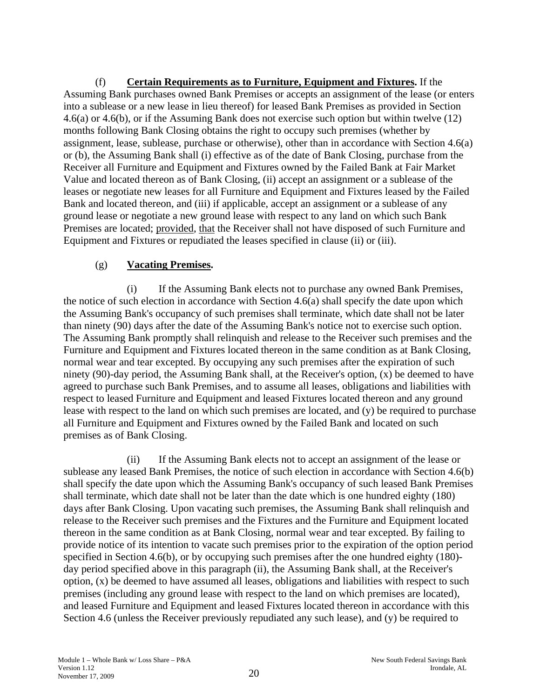(f) **Certain Requirements as to Furniture, Equipment and Fixtures.** If the Assuming Bank purchases owned Bank Premises or accepts an assignment of the lease (or enters into a sublease or a new lease in lieu thereof) for leased Bank Premises as provided in Section 4.6(a) or 4.6(b), or if the Assuming Bank does not exercise such option but within twelve (12) months following Bank Closing obtains the right to occupy such premises (whether by assignment, lease, sublease, purchase or otherwise), other than in accordance with Section 4.6(a) or (b), the Assuming Bank shall (i) effective as of the date of Bank Closing, purchase from the Receiver all Furniture and Equipment and Fixtures owned by the Failed Bank at Fair Market Value and located thereon as of Bank Closing, (ii) accept an assignment or a sublease of the leases or negotiate new leases for all Furniture and Equipment and Fixtures leased by the Failed Bank and located thereon, and (iii) if applicable, accept an assignment or a sublease of any ground lease or negotiate a new ground lease with respect to any land on which such Bank Premises are located; provided, that the Receiver shall not have disposed of such Furniture and Equipment and Fixtures or repudiated the leases specified in clause (ii) or (iii).

# (g) **Vacating Premises.**

(i) If the Assuming Bank elects not to purchase any owned Bank Premises, the notice of such election in accordance with Section 4.6(a) shall specify the date upon which the Assuming Bank's occupancy of such premises shall terminate, which date shall not be later than ninety (90) days after the date of the Assuming Bank's notice not to exercise such option. The Assuming Bank promptly shall relinquish and release to the Receiver such premises and the Furniture and Equipment and Fixtures located thereon in the same condition as at Bank Closing, normal wear and tear excepted. By occupying any such premises after the expiration of such ninety (90)-day period, the Assuming Bank shall, at the Receiver's option, (x) be deemed to have agreed to purchase such Bank Premises, and to assume all leases, obligations and liabilities with respect to leased Furniture and Equipment and leased Fixtures located thereon and any ground lease with respect to the land on which such premises are located, and (y) be required to purchase all Furniture and Equipment and Fixtures owned by the Failed Bank and located on such premises as of Bank Closing.

(ii) If the Assuming Bank elects not to accept an assignment of the lease or sublease any leased Bank Premises, the notice of such election in accordance with Section 4.6(b) shall specify the date upon which the Assuming Bank's occupancy of such leased Bank Premises shall terminate, which date shall not be later than the date which is one hundred eighty (180) days after Bank Closing. Upon vacating such premises, the Assuming Bank shall relinquish and release to the Receiver such premises and the Fixtures and the Furniture and Equipment located thereon in the same condition as at Bank Closing, normal wear and tear excepted. By failing to provide notice of its intention to vacate such premises prior to the expiration of the option period specified in Section 4.6(b), or by occupying such premises after the one hundred eighty (180) day period specified above in this paragraph (ii), the Assuming Bank shall, at the Receiver's option, (x) be deemed to have assumed all leases, obligations and liabilities with respect to such premises (including any ground lease with respect to the land on which premises are located), and leased Furniture and Equipment and leased Fixtures located thereon in accordance with this Section 4.6 (unless the Receiver previously repudiated any such lease), and (y) be required to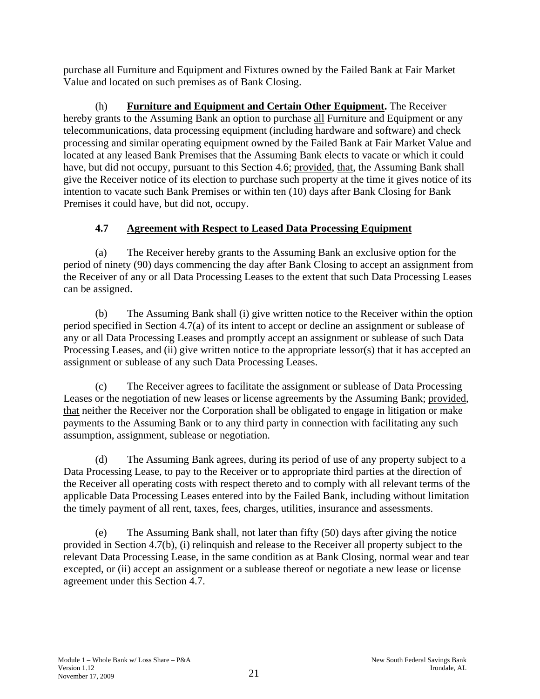purchase all Furniture and Equipment and Fixtures owned by the Failed Bank at Fair Market Value and located on such premises as of Bank Closing.

(h) **Furniture and Equipment and Certain Other Equipment.** The Receiver hereby grants to the Assuming Bank an option to purchase all Furniture and Equipment or any telecommunications, data processing equipment (including hardware and software) and check processing and similar operating equipment owned by the Failed Bank at Fair Market Value and located at any leased Bank Premises that the Assuming Bank elects to vacate or which it could have, but did not occupy, pursuant to this Section 4.6; provided, that, the Assuming Bank shall give the Receiver notice of its election to purchase such property at the time it gives notice of its intention to vacate such Bank Premises or within ten (10) days after Bank Closing for Bank Premises it could have, but did not, occupy.

# **4.7 Agreement with Respect to Leased Data Processing Equipment**

(a) The Receiver hereby grants to the Assuming Bank an exclusive option for the period of ninety (90) days commencing the day after Bank Closing to accept an assignment from the Receiver of any or all Data Processing Leases to the extent that such Data Processing Leases can be assigned.

(b) The Assuming Bank shall (i) give written notice to the Receiver within the option period specified in Section 4.7(a) of its intent to accept or decline an assignment or sublease of any or all Data Processing Leases and promptly accept an assignment or sublease of such Data Processing Leases, and (ii) give written notice to the appropriate lessor(s) that it has accepted an assignment or sublease of any such Data Processing Leases.

(c) The Receiver agrees to facilitate the assignment or sublease of Data Processing Leases or the negotiation of new leases or license agreements by the Assuming Bank; provided, that neither the Receiver nor the Corporation shall be obligated to engage in litigation or make payments to the Assuming Bank or to any third party in connection with facilitating any such assumption, assignment, sublease or negotiation.

(d) The Assuming Bank agrees, during its period of use of any property subject to a Data Processing Lease, to pay to the Receiver or to appropriate third parties at the direction of the Receiver all operating costs with respect thereto and to comply with all relevant terms of the applicable Data Processing Leases entered into by the Failed Bank, including without limitation the timely payment of all rent, taxes, fees, charges, utilities, insurance and assessments.

(e) The Assuming Bank shall, not later than fifty (50) days after giving the notice provided in Section 4.7(b), (i) relinquish and release to the Receiver all property subject to the relevant Data Processing Lease, in the same condition as at Bank Closing, normal wear and tear excepted, or (ii) accept an assignment or a sublease thereof or negotiate a new lease or license agreement under this Section 4.7.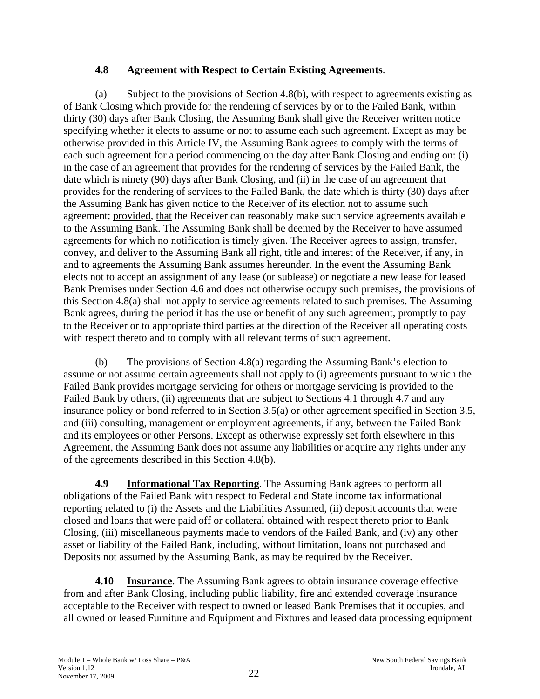## **4.8 Agreement with Respect to Certain Existing Agreements**.

(a) Subject to the provisions of Section 4.8(b), with respect to agreements existing as of Bank Closing which provide for the rendering of services by or to the Failed Bank, within thirty (30) days after Bank Closing, the Assuming Bank shall give the Receiver written notice specifying whether it elects to assume or not to assume each such agreement. Except as may be otherwise provided in this Article IV, the Assuming Bank agrees to comply with the terms of each such agreement for a period commencing on the day after Bank Closing and ending on: (i) in the case of an agreement that provides for the rendering of services by the Failed Bank, the date which is ninety (90) days after Bank Closing, and (ii) in the case of an agreement that provides for the rendering of services to the Failed Bank, the date which is thirty (30) days after the Assuming Bank has given notice to the Receiver of its election not to assume such agreement; provided, that the Receiver can reasonably make such service agreements available to the Assuming Bank. The Assuming Bank shall be deemed by the Receiver to have assumed agreements for which no notification is timely given. The Receiver agrees to assign, transfer, convey, and deliver to the Assuming Bank all right, title and interest of the Receiver, if any, in and to agreements the Assuming Bank assumes hereunder. In the event the Assuming Bank elects not to accept an assignment of any lease (or sublease) or negotiate a new lease for leased Bank Premises under Section 4.6 and does not otherwise occupy such premises, the provisions of this Section 4.8(a) shall not apply to service agreements related to such premises. The Assuming Bank agrees, during the period it has the use or benefit of any such agreement, promptly to pay to the Receiver or to appropriate third parties at the direction of the Receiver all operating costs with respect thereto and to comply with all relevant terms of such agreement.

(b) The provisions of Section 4.8(a) regarding the Assuming Bank's election to assume or not assume certain agreements shall not apply to (i) agreements pursuant to which the Failed Bank provides mortgage servicing for others or mortgage servicing is provided to the Failed Bank by others, (ii) agreements that are subject to Sections 4.1 through 4.7 and any insurance policy or bond referred to in Section 3.5(a) or other agreement specified in Section 3.5, and (iii) consulting, management or employment agreements, if any, between the Failed Bank and its employees or other Persons. Except as otherwise expressly set forth elsewhere in this Agreement, the Assuming Bank does not assume any liabilities or acquire any rights under any of the agreements described in this Section 4.8(b).

**4.9 Informational Tax Reporting**. The Assuming Bank agrees to perform all obligations of the Failed Bank with respect to Federal and State income tax informational reporting related to (i) the Assets and the Liabilities Assumed, (ii) deposit accounts that were closed and loans that were paid off or collateral obtained with respect thereto prior to Bank Closing, (iii) miscellaneous payments made to vendors of the Failed Bank, and (iv) any other asset or liability of the Failed Bank, including, without limitation, loans not purchased and Deposits not assumed by the Assuming Bank, as may be required by the Receiver.

**4.10 Insurance**. The Assuming Bank agrees to obtain insurance coverage effective from and after Bank Closing, including public liability, fire and extended coverage insurance acceptable to the Receiver with respect to owned or leased Bank Premises that it occupies, and all owned or leased Furniture and Equipment and Fixtures and leased data processing equipment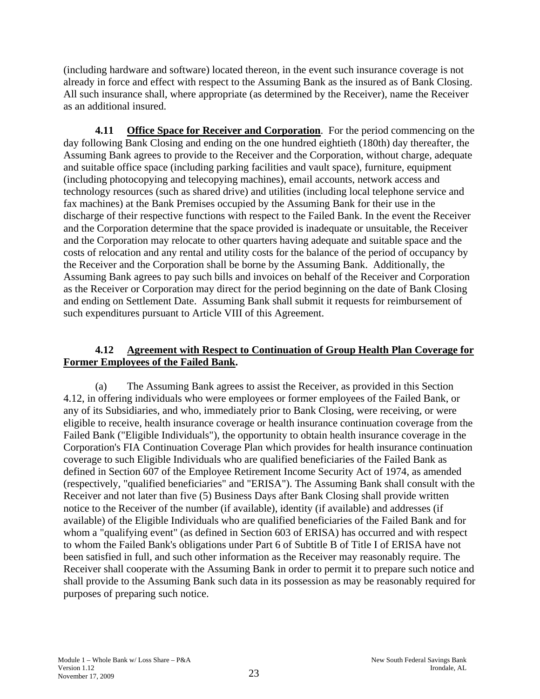(including hardware and software) located thereon, in the event such insurance coverage is not already in force and effect with respect to the Assuming Bank as the insured as of Bank Closing. All such insurance shall, where appropriate (as determined by the Receiver), name the Receiver as an additional insured.

**4.11** Office Space for Receiver and Corporation. For the period commencing on the day following Bank Closing and ending on the one hundred eightieth (180th) day thereafter, the Assuming Bank agrees to provide to the Receiver and the Corporation, without charge, adequate and suitable office space (including parking facilities and vault space), furniture, equipment (including photocopying and telecopying machines), email accounts, network access and technology resources (such as shared drive) and utilities (including local telephone service and fax machines) at the Bank Premises occupied by the Assuming Bank for their use in the discharge of their respective functions with respect to the Failed Bank. In the event the Receiver and the Corporation determine that the space provided is inadequate or unsuitable, the Receiver and the Corporation may relocate to other quarters having adequate and suitable space and the costs of relocation and any rental and utility costs for the balance of the period of occupancy by the Receiver and the Corporation shall be borne by the Assuming Bank. Additionally, the Assuming Bank agrees to pay such bills and invoices on behalf of the Receiver and Corporation as the Receiver or Corporation may direct for the period beginning on the date of Bank Closing and ending on Settlement Date. Assuming Bank shall submit it requests for reimbursement of such expenditures pursuant to Article VIII of this Agreement.

### **4.12 Agreement with Respect to Continuation of Group Health Plan Coverage for Former Employees of the Failed Bank.**

(a) The Assuming Bank agrees to assist the Receiver, as provided in this Section 4.12, in offering individuals who were employees or former employees of the Failed Bank, or any of its Subsidiaries, and who, immediately prior to Bank Closing, were receiving, or were eligible to receive, health insurance coverage or health insurance continuation coverage from the Failed Bank ("Eligible Individuals"), the opportunity to obtain health insurance coverage in the Corporation's FIA Continuation Coverage Plan which provides for health insurance continuation coverage to such Eligible Individuals who are qualified beneficiaries of the Failed Bank as defined in Section 607 of the Employee Retirement Income Security Act of 1974, as amended (respectively, "qualified beneficiaries" and "ERISA"). The Assuming Bank shall consult with the Receiver and not later than five (5) Business Days after Bank Closing shall provide written notice to the Receiver of the number (if available), identity (if available) and addresses (if available) of the Eligible Individuals who are qualified beneficiaries of the Failed Bank and for whom a "qualifying event" (as defined in Section 603 of ERISA) has occurred and with respect to whom the Failed Bank's obligations under Part 6 of Subtitle B of Title I of ERISA have not been satisfied in full, and such other information as the Receiver may reasonably require. The Receiver shall cooperate with the Assuming Bank in order to permit it to prepare such notice and shall provide to the Assuming Bank such data in its possession as may be reasonably required for purposes of preparing such notice.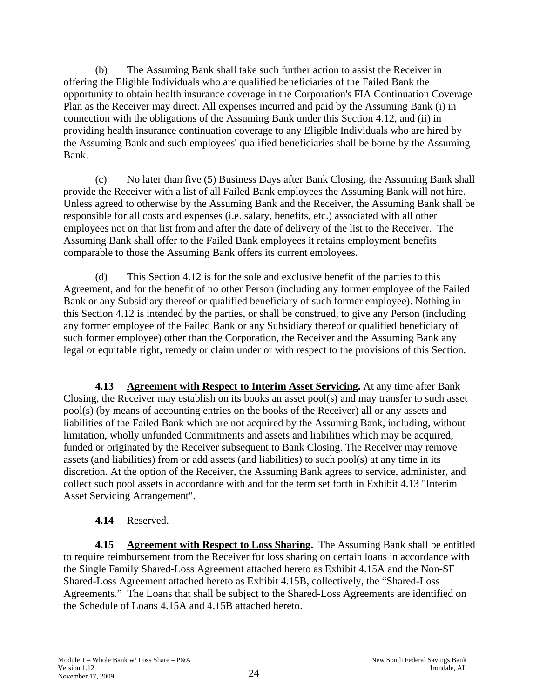(b) The Assuming Bank shall take such further action to assist the Receiver in offering the Eligible Individuals who are qualified beneficiaries of the Failed Bank the opportunity to obtain health insurance coverage in the Corporation's FIA Continuation Coverage Plan as the Receiver may direct. All expenses incurred and paid by the Assuming Bank (i) in connection with the obligations of the Assuming Bank under this Section 4.12, and (ii) in providing health insurance continuation coverage to any Eligible Individuals who are hired by the Assuming Bank and such employees' qualified beneficiaries shall be borne by the Assuming Bank.

(c) No later than five (5) Business Days after Bank Closing, the Assuming Bank shall provide the Receiver with a list of all Failed Bank employees the Assuming Bank will not hire. Unless agreed to otherwise by the Assuming Bank and the Receiver, the Assuming Bank shall be responsible for all costs and expenses (i.e. salary, benefits, etc.) associated with all other employees not on that list from and after the date of delivery of the list to the Receiver. The Assuming Bank shall offer to the Failed Bank employees it retains employment benefits comparable to those the Assuming Bank offers its current employees.

(d) This Section 4.12 is for the sole and exclusive benefit of the parties to this Agreement, and for the benefit of no other Person (including any former employee of the Failed Bank or any Subsidiary thereof or qualified beneficiary of such former employee). Nothing in this Section 4.12 is intended by the parties, or shall be construed, to give any Person (including any former employee of the Failed Bank or any Subsidiary thereof or qualified beneficiary of such former employee) other than the Corporation, the Receiver and the Assuming Bank any legal or equitable right, remedy or claim under or with respect to the provisions of this Section.

**4.13 Agreement with Respect to Interim Asset Servicing.** At any time after Bank Closing, the Receiver may establish on its books an asset pool(s) and may transfer to such asset pool(s) (by means of accounting entries on the books of the Receiver) all or any assets and liabilities of the Failed Bank which are not acquired by the Assuming Bank, including, without limitation, wholly unfunded Commitments and assets and liabilities which may be acquired, funded or originated by the Receiver subsequent to Bank Closing. The Receiver may remove assets (and liabilities) from or add assets (and liabilities) to such pool(s) at any time in its discretion. At the option of the Receiver, the Assuming Bank agrees to service, administer, and collect such pool assets in accordance with and for the term set forth in Exhibit 4.13 "Interim Asset Servicing Arrangement".

# **4.14** Reserved.

**4.15 Agreement with Respect to Loss Sharing.** The Assuming Bank shall be entitled to require reimbursement from the Receiver for loss sharing on certain loans in accordance with the Single Family Shared-Loss Agreement attached hereto as Exhibit 4.15A and the Non-SF Shared-Loss Agreement attached hereto as Exhibit 4.15B, collectively, the "Shared-Loss Agreements." The Loans that shall be subject to the Shared-Loss Agreements are identified on the Schedule of Loans 4.15A and 4.15B attached hereto.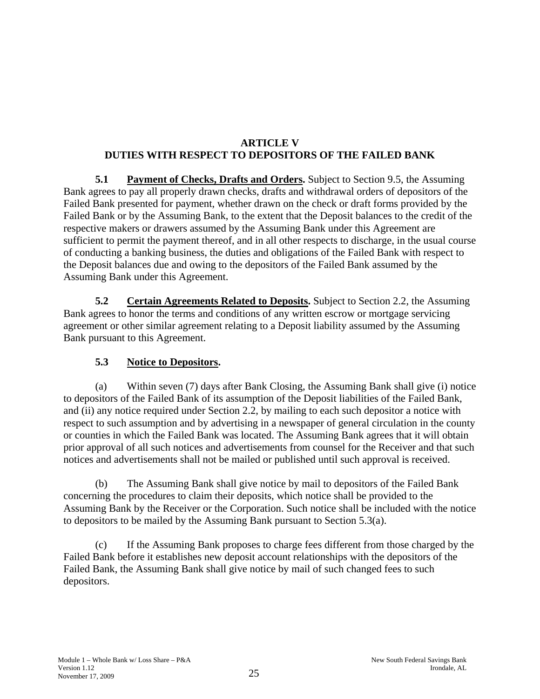# **ARTICLE V DUTIES WITH RESPECT TO DEPOSITORS OF THE FAILED BANK**

**5.1 Payment of Checks, Drafts and Orders.** Subject to Section 9.5, the Assuming Bank agrees to pay all properly drawn checks, drafts and withdrawal orders of depositors of the Failed Bank presented for payment, whether drawn on the check or draft forms provided by the Failed Bank or by the Assuming Bank, to the extent that the Deposit balances to the credit of the respective makers or drawers assumed by the Assuming Bank under this Agreement are sufficient to permit the payment thereof, and in all other respects to discharge, in the usual course of conducting a banking business, the duties and obligations of the Failed Bank with respect to the Deposit balances due and owing to the depositors of the Failed Bank assumed by the Assuming Bank under this Agreement.

**5.2 Certain Agreements Related to Deposits.** Subject to Section 2.2, the Assuming Bank agrees to honor the terms and conditions of any written escrow or mortgage servicing agreement or other similar agreement relating to a Deposit liability assumed by the Assuming Bank pursuant to this Agreement.

# **5.3 Notice to Depositors.**

(a) Within seven (7) days after Bank Closing, the Assuming Bank shall give (i) notice to depositors of the Failed Bank of its assumption of the Deposit liabilities of the Failed Bank, and (ii) any notice required under Section 2.2, by mailing to each such depositor a notice with respect to such assumption and by advertising in a newspaper of general circulation in the county or counties in which the Failed Bank was located. The Assuming Bank agrees that it will obtain prior approval of all such notices and advertisements from counsel for the Receiver and that such notices and advertisements shall not be mailed or published until such approval is received.

(b) The Assuming Bank shall give notice by mail to depositors of the Failed Bank concerning the procedures to claim their deposits, which notice shall be provided to the Assuming Bank by the Receiver or the Corporation. Such notice shall be included with the notice to depositors to be mailed by the Assuming Bank pursuant to Section 5.3(a).

(c) If the Assuming Bank proposes to charge fees different from those charged by the Failed Bank before it establishes new deposit account relationships with the depositors of the Failed Bank, the Assuming Bank shall give notice by mail of such changed fees to such depositors.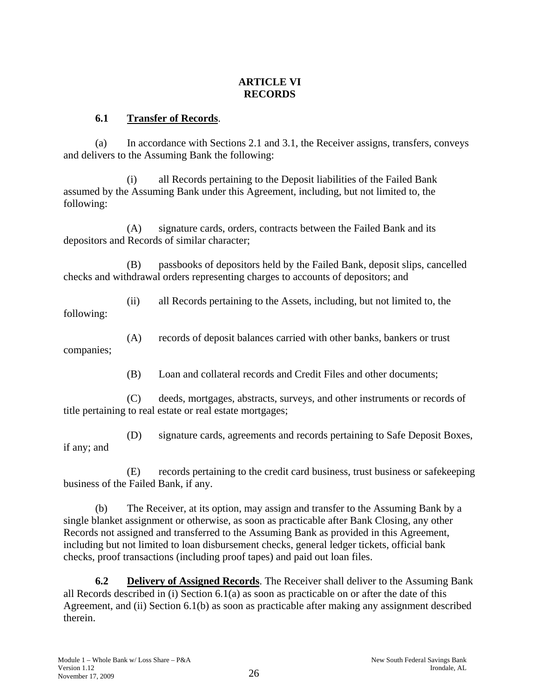# **ARTICLE VI RECORDS**

## **6.1 Transfer of Records**.

(a) In accordance with Sections 2.1 and 3.1, the Receiver assigns, transfers, conveys and delivers to the Assuming Bank the following:

(i) all Records pertaining to the Deposit liabilities of the Failed Bank assumed by the Assuming Bank under this Agreement, including, but not limited to, the following:

(A) signature cards, orders, contracts between the Failed Bank and its depositors and Records of similar character;

(B) passbooks of depositors held by the Failed Bank, deposit slips, cancelled checks and withdrawal orders representing charges to accounts of depositors; and

following: (ii) all Records pertaining to the Assets, including, but not limited to, the

companies; (A) records of deposit balances carried with other banks, bankers or trust

(B) Loan and collateral records and Credit Files and other documents;

(C) deeds, mortgages, abstracts, surveys, and other instruments or records of title pertaining to real estate or real estate mortgages;

(D) signature cards, agreements and records pertaining to Safe Deposit Boxes, if any; and

(E) records pertaining to the credit card business, trust business or safekeeping business of the Failed Bank, if any.

(b) The Receiver, at its option, may assign and transfer to the Assuming Bank by a single blanket assignment or otherwise, as soon as practicable after Bank Closing, any other Records not assigned and transferred to the Assuming Bank as provided in this Agreement, including but not limited to loan disbursement checks, general ledger tickets, official bank checks, proof transactions (including proof tapes) and paid out loan files.

**6.2 Delivery of Assigned Records**. The Receiver shall deliver to the Assuming Bank all Records described in (i) Section 6.1(a) as soon as practicable on or after the date of this Agreement, and (ii) Section 6.1(b) as soon as practicable after making any assignment described therein.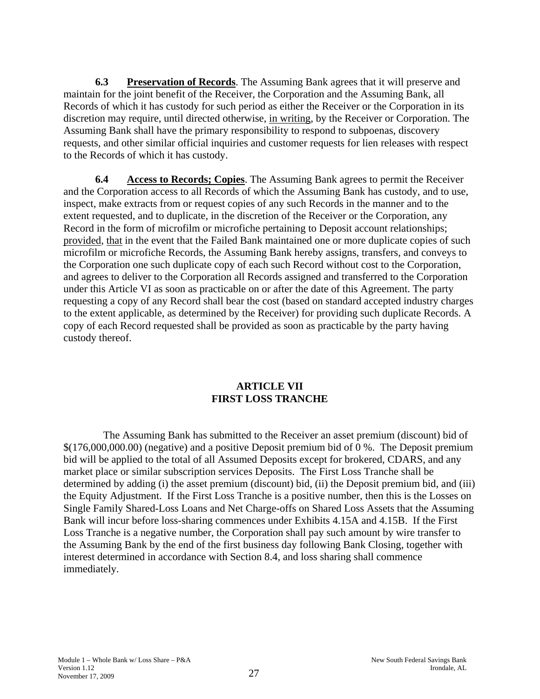**6.3** Preservation of Records. The Assuming Bank agrees that it will preserve and maintain for the joint benefit of the Receiver, the Corporation and the Assuming Bank, all Records of which it has custody for such period as either the Receiver or the Corporation in its discretion may require, until directed otherwise, in writing, by the Receiver or Corporation. The Assuming Bank shall have the primary responsibility to respond to subpoenas, discovery requests, and other similar official inquiries and customer requests for lien releases with respect to the Records of which it has custody.

**6.4 Access to Records; Copies**. The Assuming Bank agrees to permit the Receiver and the Corporation access to all Records of which the Assuming Bank has custody, and to use, inspect, make extracts from or request copies of any such Records in the manner and to the extent requested, and to duplicate, in the discretion of the Receiver or the Corporation, any Record in the form of microfilm or microfiche pertaining to Deposit account relationships; provided, that in the event that the Failed Bank maintained one or more duplicate copies of such microfilm or microfiche Records, the Assuming Bank hereby assigns, transfers, and conveys to the Corporation one such duplicate copy of each such Record without cost to the Corporation, and agrees to deliver to the Corporation all Records assigned and transferred to the Corporation under this Article VI as soon as practicable on or after the date of this Agreement. The party requesting a copy of any Record shall bear the cost (based on standard accepted industry charges to the extent applicable, as determined by the Receiver) for providing such duplicate Records. A copy of each Record requested shall be provided as soon as practicable by the party having custody thereof.

### **ARTICLE VII FIRST LOSS TRANCHE**

 The Assuming Bank has submitted to the Receiver an asset premium (discount) bid of \$(176,000,000.00) (negative) and a positive Deposit premium bid of 0 %. The Deposit premium bid will be applied to the total of all Assumed Deposits except for brokered, CDARS, and any market place or similar subscription services Deposits. The First Loss Tranche shall be determined by adding (i) the asset premium (discount) bid, (ii) the Deposit premium bid, and (iii) the Equity Adjustment. If the First Loss Tranche is a positive number, then this is the Losses on Single Family Shared-Loss Loans and Net Charge-offs on Shared Loss Assets that the Assuming Bank will incur before loss-sharing commences under Exhibits 4.15A and 4.15B. If the First Loss Tranche is a negative number, the Corporation shall pay such amount by wire transfer to the Assuming Bank by the end of the first business day following Bank Closing, together with interest determined in accordance with Section 8.4, and loss sharing shall commence immediately.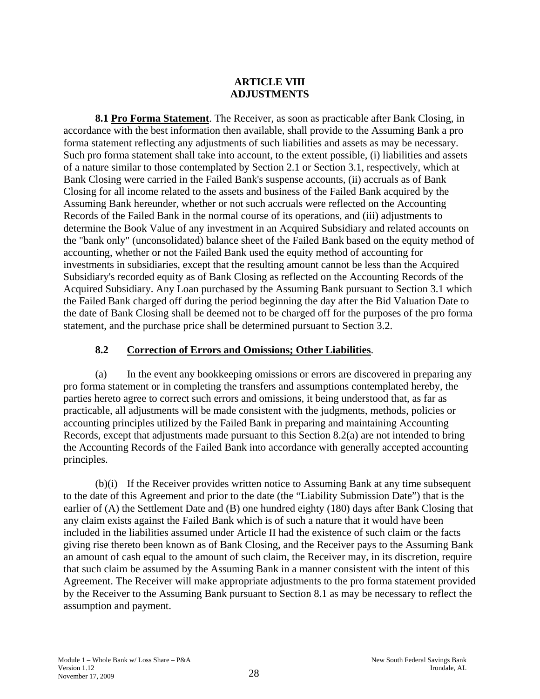### **ARTICLE VIII ADJUSTMENTS**

**8.1 Pro Forma Statement**. The Receiver, as soon as practicable after Bank Closing, in accordance with the best information then available, shall provide to the Assuming Bank a pro forma statement reflecting any adjustments of such liabilities and assets as may be necessary. Such pro forma statement shall take into account, to the extent possible, (i) liabilities and assets of a nature similar to those contemplated by Section 2.1 or Section 3.1, respectively, which at Bank Closing were carried in the Failed Bank's suspense accounts, (ii) accruals as of Bank Closing for all income related to the assets and business of the Failed Bank acquired by the Assuming Bank hereunder, whether or not such accruals were reflected on the Accounting Records of the Failed Bank in the normal course of its operations, and (iii) adjustments to determine the Book Value of any investment in an Acquired Subsidiary and related accounts on the "bank only" (unconsolidated) balance sheet of the Failed Bank based on the equity method of accounting, whether or not the Failed Bank used the equity method of accounting for investments in subsidiaries, except that the resulting amount cannot be less than the Acquired Subsidiary's recorded equity as of Bank Closing as reflected on the Accounting Records of the Acquired Subsidiary. Any Loan purchased by the Assuming Bank pursuant to Section 3.1 which the Failed Bank charged off during the period beginning the day after the Bid Valuation Date to the date of Bank Closing shall be deemed not to be charged off for the purposes of the pro forma statement, and the purchase price shall be determined pursuant to Section 3.2.

### **8.2 Correction of Errors and Omissions; Other Liabilities**.

(a) In the event any bookkeeping omissions or errors are discovered in preparing any pro forma statement or in completing the transfers and assumptions contemplated hereby, the parties hereto agree to correct such errors and omissions, it being understood that, as far as practicable, all adjustments will be made consistent with the judgments, methods, policies or accounting principles utilized by the Failed Bank in preparing and maintaining Accounting Records, except that adjustments made pursuant to this Section 8.2(a) are not intended to bring the Accounting Records of the Failed Bank into accordance with generally accepted accounting principles.

(b)(i) If the Receiver provides written notice to Assuming Bank at any time subsequent to the date of this Agreement and prior to the date (the "Liability Submission Date") that is the earlier of (A) the Settlement Date and (B) one hundred eighty (180) days after Bank Closing that any claim exists against the Failed Bank which is of such a nature that it would have been included in the liabilities assumed under Article II had the existence of such claim or the facts giving rise thereto been known as of Bank Closing, and the Receiver pays to the Assuming Bank an amount of cash equal to the amount of such claim, the Receiver may, in its discretion, require that such claim be assumed by the Assuming Bank in a manner consistent with the intent of this Agreement. The Receiver will make appropriate adjustments to the pro forma statement provided by the Receiver to the Assuming Bank pursuant to Section 8.1 as may be necessary to reflect the assumption and payment.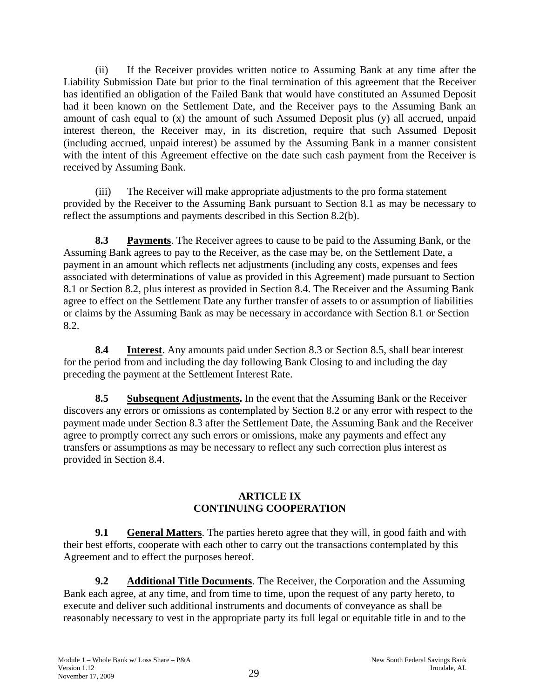(ii) If the Receiver provides written notice to Assuming Bank at any time after the Liability Submission Date but prior to the final termination of this agreement that the Receiver has identified an obligation of the Failed Bank that would have constituted an Assumed Deposit had it been known on the Settlement Date, and the Receiver pays to the Assuming Bank an amount of cash equal to (x) the amount of such Assumed Deposit plus (y) all accrued, unpaid interest thereon, the Receiver may, in its discretion, require that such Assumed Deposit (including accrued, unpaid interest) be assumed by the Assuming Bank in a manner consistent with the intent of this Agreement effective on the date such cash payment from the Receiver is received by Assuming Bank.

(iii) The Receiver will make appropriate adjustments to the pro forma statement provided by the Receiver to the Assuming Bank pursuant to Section 8.1 as may be necessary to reflect the assumptions and payments described in this Section 8.2(b).

**8.3 Payments**. The Receiver agrees to cause to be paid to the Assuming Bank, or the Assuming Bank agrees to pay to the Receiver, as the case may be, on the Settlement Date, a payment in an amount which reflects net adjustments (including any costs, expenses and fees associated with determinations of value as provided in this Agreement) made pursuant to Section 8.1 or Section 8.2, plus interest as provided in Section 8.4. The Receiver and the Assuming Bank agree to effect on the Settlement Date any further transfer of assets to or assumption of liabilities or claims by the Assuming Bank as may be necessary in accordance with Section 8.1 or Section 8.2.

**8.4 Interest**. Any amounts paid under Section 8.3 or Section 8.5, shall bear interest for the period from and including the day following Bank Closing to and including the day preceding the payment at the Settlement Interest Rate.

**8.5 Subsequent Adjustments.** In the event that the Assuming Bank or the Receiver discovers any errors or omissions as contemplated by Section 8.2 or any error with respect to the payment made under Section 8.3 after the Settlement Date, the Assuming Bank and the Receiver agree to promptly correct any such errors or omissions, make any payments and effect any transfers or assumptions as may be necessary to reflect any such correction plus interest as provided in Section 8.4.

### **ARTICLE IX CONTINUING COOPERATION**

**9.1** General Matters. The parties hereto agree that they will, in good faith and with their best efforts, cooperate with each other to carry out the transactions contemplated by this Agreement and to effect the purposes hereof.

**9.2 Additional Title Documents**. The Receiver, the Corporation and the Assuming Bank each agree, at any time, and from time to time, upon the request of any party hereto, to execute and deliver such additional instruments and documents of conveyance as shall be reasonably necessary to vest in the appropriate party its full legal or equitable title in and to the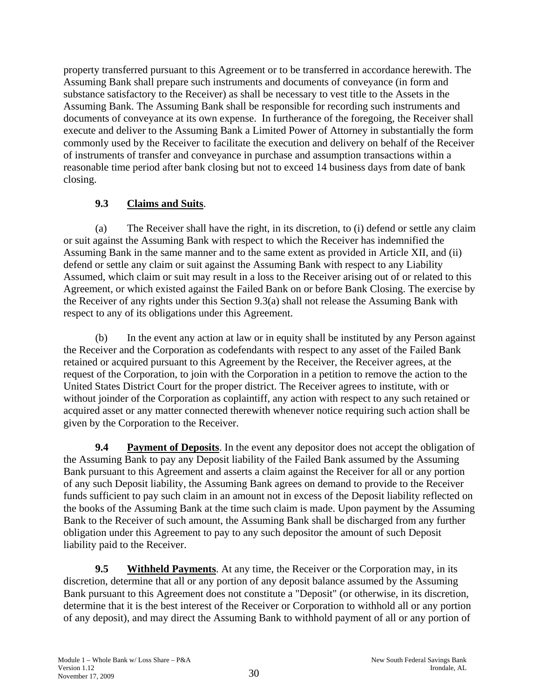property transferred pursuant to this Agreement or to be transferred in accordance herewith. The Assuming Bank shall prepare such instruments and documents of conveyance (in form and substance satisfactory to the Receiver) as shall be necessary to vest title to the Assets in the Assuming Bank. The Assuming Bank shall be responsible for recording such instruments and documents of conveyance at its own expense. In furtherance of the foregoing, the Receiver shall execute and deliver to the Assuming Bank a Limited Power of Attorney in substantially the form commonly used by the Receiver to facilitate the execution and delivery on behalf of the Receiver of instruments of transfer and conveyance in purchase and assumption transactions within a reasonable time period after bank closing but not to exceed 14 business days from date of bank closing.

# **9.3 Claims and Suits**.

(a) The Receiver shall have the right, in its discretion, to (i) defend or settle any claim or suit against the Assuming Bank with respect to which the Receiver has indemnified the Assuming Bank in the same manner and to the same extent as provided in Article XII, and (ii) defend or settle any claim or suit against the Assuming Bank with respect to any Liability Assumed, which claim or suit may result in a loss to the Receiver arising out of or related to this Agreement, or which existed against the Failed Bank on or before Bank Closing. The exercise by the Receiver of any rights under this Section 9.3(a) shall not release the Assuming Bank with respect to any of its obligations under this Agreement.

(b) In the event any action at law or in equity shall be instituted by any Person against the Receiver and the Corporation as codefendants with respect to any asset of the Failed Bank retained or acquired pursuant to this Agreement by the Receiver, the Receiver agrees, at the request of the Corporation, to join with the Corporation in a petition to remove the action to the United States District Court for the proper district. The Receiver agrees to institute, with or without joinder of the Corporation as coplaintiff, any action with respect to any such retained or acquired asset or any matter connected therewith whenever notice requiring such action shall be given by the Corporation to the Receiver.

**9.4** Payment of Deposits. In the event any depositor does not accept the obligation of the Assuming Bank to pay any Deposit liability of the Failed Bank assumed by the Assuming Bank pursuant to this Agreement and asserts a claim against the Receiver for all or any portion of any such Deposit liability, the Assuming Bank agrees on demand to provide to the Receiver funds sufficient to pay such claim in an amount not in excess of the Deposit liability reflected on the books of the Assuming Bank at the time such claim is made. Upon payment by the Assuming Bank to the Receiver of such amount, the Assuming Bank shall be discharged from any further obligation under this Agreement to pay to any such depositor the amount of such Deposit liability paid to the Receiver.

**9.5 Withheld Payments**. At any time, the Receiver or the Corporation may, in its discretion, determine that all or any portion of any deposit balance assumed by the Assuming Bank pursuant to this Agreement does not constitute a "Deposit" (or otherwise, in its discretion, determine that it is the best interest of the Receiver or Corporation to withhold all or any portion of any deposit), and may direct the Assuming Bank to withhold payment of all or any portion of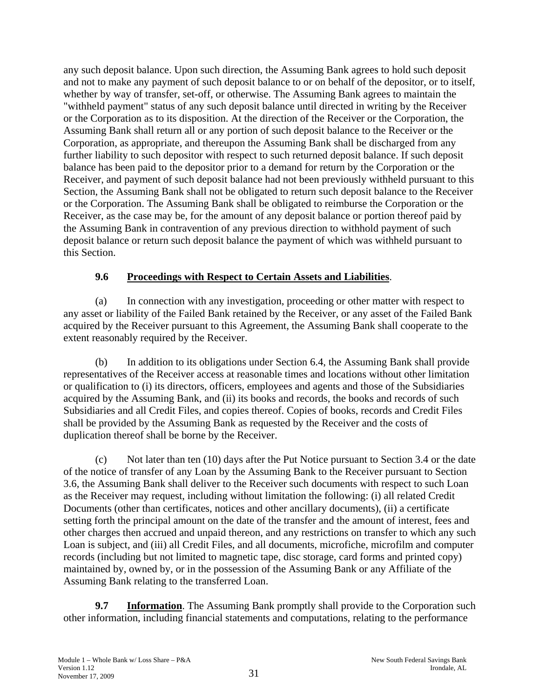any such deposit balance. Upon such direction, the Assuming Bank agrees to hold such deposit and not to make any payment of such deposit balance to or on behalf of the depositor, or to itself, whether by way of transfer, set-off, or otherwise. The Assuming Bank agrees to maintain the "withheld payment" status of any such deposit balance until directed in writing by the Receiver or the Corporation as to its disposition. At the direction of the Receiver or the Corporation, the Assuming Bank shall return all or any portion of such deposit balance to the Receiver or the Corporation, as appropriate, and thereupon the Assuming Bank shall be discharged from any further liability to such depositor with respect to such returned deposit balance. If such deposit balance has been paid to the depositor prior to a demand for return by the Corporation or the Receiver, and payment of such deposit balance had not been previously withheld pursuant to this Section, the Assuming Bank shall not be obligated to return such deposit balance to the Receiver or the Corporation. The Assuming Bank shall be obligated to reimburse the Corporation or the Receiver, as the case may be, for the amount of any deposit balance or portion thereof paid by the Assuming Bank in contravention of any previous direction to withhold payment of such deposit balance or return such deposit balance the payment of which was withheld pursuant to this Section.

# **9.6 Proceedings with Respect to Certain Assets and Liabilities**.

(a) In connection with any investigation, proceeding or other matter with respect to any asset or liability of the Failed Bank retained by the Receiver, or any asset of the Failed Bank acquired by the Receiver pursuant to this Agreement, the Assuming Bank shall cooperate to the extent reasonably required by the Receiver.

(b) In addition to its obligations under Section 6.4, the Assuming Bank shall provide representatives of the Receiver access at reasonable times and locations without other limitation or qualification to (i) its directors, officers, employees and agents and those of the Subsidiaries acquired by the Assuming Bank, and (ii) its books and records, the books and records of such Subsidiaries and all Credit Files, and copies thereof. Copies of books, records and Credit Files shall be provided by the Assuming Bank as requested by the Receiver and the costs of duplication thereof shall be borne by the Receiver.

(c) Not later than ten (10) days after the Put Notice pursuant to Section 3.4 or the date of the notice of transfer of any Loan by the Assuming Bank to the Receiver pursuant to Section 3.6, the Assuming Bank shall deliver to the Receiver such documents with respect to such Loan as the Receiver may request, including without limitation the following: (i) all related Credit Documents (other than certificates, notices and other ancillary documents), (ii) a certificate setting forth the principal amount on the date of the transfer and the amount of interest, fees and other charges then accrued and unpaid thereon, and any restrictions on transfer to which any such Loan is subject, and (iii) all Credit Files, and all documents, microfiche, microfilm and computer records (including but not limited to magnetic tape, disc storage, card forms and printed copy) maintained by, owned by, or in the possession of the Assuming Bank or any Affiliate of the Assuming Bank relating to the transferred Loan.

**9.7 Information**. The Assuming Bank promptly shall provide to the Corporation such other information, including financial statements and computations, relating to the performance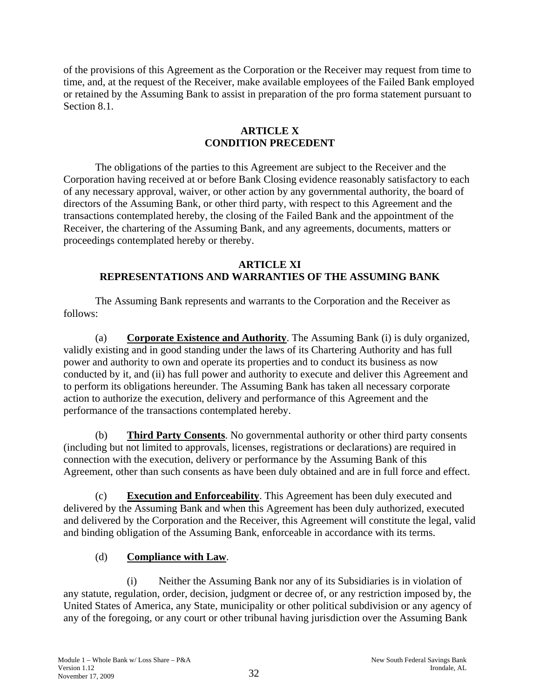of the provisions of this Agreement as the Corporation or the Receiver may request from time to time, and, at the request of the Receiver, make available employees of the Failed Bank employed or retained by the Assuming Bank to assist in preparation of the pro forma statement pursuant to Section 8.1.

### **ARTICLE X CONDITION PRECEDENT**

The obligations of the parties to this Agreement are subject to the Receiver and the Corporation having received at or before Bank Closing evidence reasonably satisfactory to each of any necessary approval, waiver, or other action by any governmental authority, the board of directors of the Assuming Bank, or other third party, with respect to this Agreement and the transactions contemplated hereby, the closing of the Failed Bank and the appointment of the Receiver, the chartering of the Assuming Bank, and any agreements, documents, matters or proceedings contemplated hereby or thereby.

#### **ARTICLE XI REPRESENTATIONS AND WARRANTIES OF THE ASSUMING BANK**

The Assuming Bank represents and warrants to the Corporation and the Receiver as follows:

(a) **Corporate Existence and Authority**. The Assuming Bank (i) is duly organized, validly existing and in good standing under the laws of its Chartering Authority and has full power and authority to own and operate its properties and to conduct its business as now conducted by it, and (ii) has full power and authority to execute and deliver this Agreement and to perform its obligations hereunder. The Assuming Bank has taken all necessary corporate action to authorize the execution, delivery and performance of this Agreement and the performance of the transactions contemplated hereby.

(b) **Third Party Consents**. No governmental authority or other third party consents (including but not limited to approvals, licenses, registrations or declarations) are required in connection with the execution, delivery or performance by the Assuming Bank of this Agreement, other than such consents as have been duly obtained and are in full force and effect.

(c) **Execution and Enforceability**. This Agreement has been duly executed and delivered by the Assuming Bank and when this Agreement has been duly authorized, executed and delivered by the Corporation and the Receiver, this Agreement will constitute the legal, valid and binding obligation of the Assuming Bank, enforceable in accordance with its terms.

# (d) **Compliance with Law**.

(i) Neither the Assuming Bank nor any of its Subsidiaries is in violation of any statute, regulation, order, decision, judgment or decree of, or any restriction imposed by, the United States of America, any State, municipality or other political subdivision or any agency of any of the foregoing, or any court or other tribunal having jurisdiction over the Assuming Bank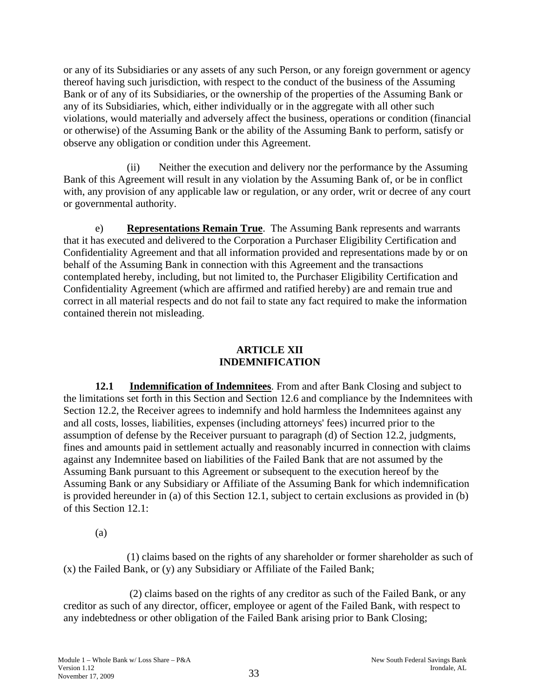or any of its Subsidiaries or any assets of any such Person, or any foreign government or agency thereof having such jurisdiction, with respect to the conduct of the business of the Assuming Bank or of any of its Subsidiaries, or the ownership of the properties of the Assuming Bank or any of its Subsidiaries, which, either individually or in the aggregate with all other such violations, would materially and adversely affect the business, operations or condition (financial or otherwise) of the Assuming Bank or the ability of the Assuming Bank to perform, satisfy or observe any obligation or condition under this Agreement.

(ii) Neither the execution and delivery nor the performance by the Assuming Bank of this Agreement will result in any violation by the Assuming Bank of, or be in conflict with, any provision of any applicable law or regulation, or any order, writ or decree of any court or governmental authority.

e) **Representations Remain True**. The Assuming Bank represents and warrants that it has executed and delivered to the Corporation a Purchaser Eligibility Certification and Confidentiality Agreement and that all information provided and representations made by or on behalf of the Assuming Bank in connection with this Agreement and the transactions contemplated hereby, including, but not limited to, the Purchaser Eligibility Certification and Confidentiality Agreement (which are affirmed and ratified hereby) are and remain true and correct in all material respects and do not fail to state any fact required to make the information contained therein not misleading.

### **ARTICLE XII INDEMNIFICATION**

**12.1** Indemnification of Indemnitees. From and after Bank Closing and subject to the limitations set forth in this Section and Section 12.6 and compliance by the Indemnitees with Section 12.2, the Receiver agrees to indemnify and hold harmless the Indemnitees against any and all costs, losses, liabilities, expenses (including attorneys' fees) incurred prior to the assumption of defense by the Receiver pursuant to paragraph (d) of Section 12.2, judgments, fines and amounts paid in settlement actually and reasonably incurred in connection with claims against any Indemnitee based on liabilities of the Failed Bank that are not assumed by the Assuming Bank pursuant to this Agreement or subsequent to the execution hereof by the Assuming Bank or any Subsidiary or Affiliate of the Assuming Bank for which indemnification is provided hereunder in (a) of this Section 12.1, subject to certain exclusions as provided in (b) of this Section 12.1:

(a)

(1) claims based on the rights of any shareholder or former shareholder as such of (x) the Failed Bank, or (y) any Subsidiary or Affiliate of the Failed Bank;

(2) claims based on the rights of any creditor as such of the Failed Bank, or any creditor as such of any director, officer, employee or agent of the Failed Bank, with respect to any indebtedness or other obligation of the Failed Bank arising prior to Bank Closing;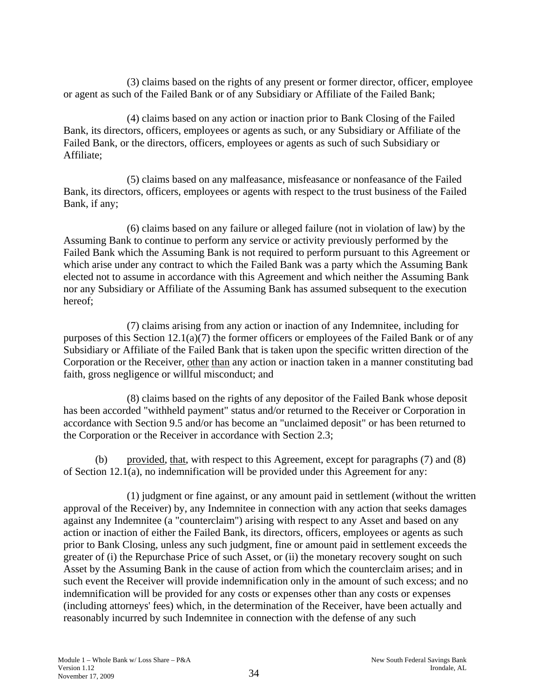(3) claims based on the rights of any present or former director, officer, employee or agent as such of the Failed Bank or of any Subsidiary or Affiliate of the Failed Bank;

(4) claims based on any action or inaction prior to Bank Closing of the Failed Bank, its directors, officers, employees or agents as such, or any Subsidiary or Affiliate of the Failed Bank, or the directors, officers, employees or agents as such of such Subsidiary or Affiliate;

(5) claims based on any malfeasance, misfeasance or nonfeasance of the Failed Bank, its directors, officers, employees or agents with respect to the trust business of the Failed Bank, if any;

(6) claims based on any failure or alleged failure (not in violation of law) by the Assuming Bank to continue to perform any service or activity previously performed by the Failed Bank which the Assuming Bank is not required to perform pursuant to this Agreement or which arise under any contract to which the Failed Bank was a party which the Assuming Bank elected not to assume in accordance with this Agreement and which neither the Assuming Bank nor any Subsidiary or Affiliate of the Assuming Bank has assumed subsequent to the execution hereof;

(7) claims arising from any action or inaction of any Indemnitee, including for purposes of this Section 12.1(a)(7) the former officers or employees of the Failed Bank or of any Subsidiary or Affiliate of the Failed Bank that is taken upon the specific written direction of the Corporation or the Receiver, other than any action or inaction taken in a manner constituting bad faith, gross negligence or willful misconduct; and

(8) claims based on the rights of any depositor of the Failed Bank whose deposit has been accorded "withheld payment" status and/or returned to the Receiver or Corporation in accordance with Section 9.5 and/or has become an "unclaimed deposit" or has been returned to the Corporation or the Receiver in accordance with Section 2.3;

(b) provided, that, with respect to this Agreement, except for paragraphs (7) and (8) of Section 12.1(a), no indemnification will be provided under this Agreement for any:

(1) judgment or fine against, or any amount paid in settlement (without the written approval of the Receiver) by, any Indemnitee in connection with any action that seeks damages against any Indemnitee (a "counterclaim") arising with respect to any Asset and based on any action or inaction of either the Failed Bank, its directors, officers, employees or agents as such prior to Bank Closing, unless any such judgment, fine or amount paid in settlement exceeds the greater of (i) the Repurchase Price of such Asset, or (ii) the monetary recovery sought on such Asset by the Assuming Bank in the cause of action from which the counterclaim arises; and in such event the Receiver will provide indemnification only in the amount of such excess; and no indemnification will be provided for any costs or expenses other than any costs or expenses (including attorneys' fees) which, in the determination of the Receiver, have been actually and reasonably incurred by such Indemnitee in connection with the defense of any such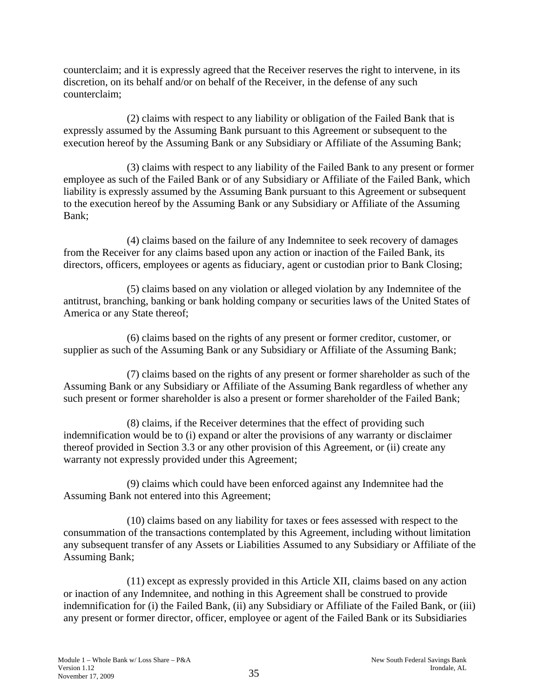counterclaim; and it is expressly agreed that the Receiver reserves the right to intervene, in its discretion, on its behalf and/or on behalf of the Receiver, in the defense of any such counterclaim;

(2) claims with respect to any liability or obligation of the Failed Bank that is expressly assumed by the Assuming Bank pursuant to this Agreement or subsequent to the execution hereof by the Assuming Bank or any Subsidiary or Affiliate of the Assuming Bank;

(3) claims with respect to any liability of the Failed Bank to any present or former employee as such of the Failed Bank or of any Subsidiary or Affiliate of the Failed Bank, which liability is expressly assumed by the Assuming Bank pursuant to this Agreement or subsequent to the execution hereof by the Assuming Bank or any Subsidiary or Affiliate of the Assuming Bank;

(4) claims based on the failure of any Indemnitee to seek recovery of damages from the Receiver for any claims based upon any action or inaction of the Failed Bank, its directors, officers, employees or agents as fiduciary, agent or custodian prior to Bank Closing;

(5) claims based on any violation or alleged violation by any Indemnitee of the antitrust, branching, banking or bank holding company or securities laws of the United States of America or any State thereof;

(6) claims based on the rights of any present or former creditor, customer, or supplier as such of the Assuming Bank or any Subsidiary or Affiliate of the Assuming Bank;

(7) claims based on the rights of any present or former shareholder as such of the Assuming Bank or any Subsidiary or Affiliate of the Assuming Bank regardless of whether any such present or former shareholder is also a present or former shareholder of the Failed Bank;

(8) claims, if the Receiver determines that the effect of providing such indemnification would be to (i) expand or alter the provisions of any warranty or disclaimer thereof provided in Section 3.3 or any other provision of this Agreement, or (ii) create any warranty not expressly provided under this Agreement;

(9) claims which could have been enforced against any Indemnitee had the Assuming Bank not entered into this Agreement;

(10) claims based on any liability for taxes or fees assessed with respect to the consummation of the transactions contemplated by this Agreement, including without limitation any subsequent transfer of any Assets or Liabilities Assumed to any Subsidiary or Affiliate of the Assuming Bank;

(11) except as expressly provided in this Article XII, claims based on any action or inaction of any Indemnitee, and nothing in this Agreement shall be construed to provide indemnification for (i) the Failed Bank, (ii) any Subsidiary or Affiliate of the Failed Bank, or (iii) any present or former director, officer, employee or agent of the Failed Bank or its Subsidiaries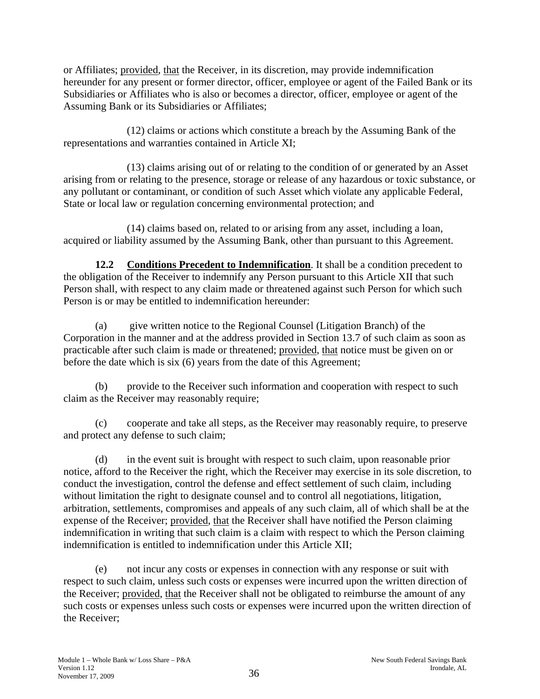or Affiliates; provided, that the Receiver, in its discretion, may provide indemnification hereunder for any present or former director, officer, employee or agent of the Failed Bank or its Subsidiaries or Affiliates who is also or becomes a director, officer, employee or agent of the Assuming Bank or its Subsidiaries or Affiliates;

(12) claims or actions which constitute a breach by the Assuming Bank of the representations and warranties contained in Article XI;

(13) claims arising out of or relating to the condition of or generated by an Asset arising from or relating to the presence, storage or release of any hazardous or toxic substance, or any pollutant or contaminant, or condition of such Asset which violate any applicable Federal, State or local law or regulation concerning environmental protection; and

(14) claims based on, related to or arising from any asset, including a loan, acquired or liability assumed by the Assuming Bank, other than pursuant to this Agreement.

**12.2 Conditions Precedent to Indemnification**. It shall be a condition precedent to the obligation of the Receiver to indemnify any Person pursuant to this Article XII that such Person shall, with respect to any claim made or threatened against such Person for which such Person is or may be entitled to indemnification hereunder:

(a) give written notice to the Regional Counsel (Litigation Branch) of the Corporation in the manner and at the address provided in Section 13.7 of such claim as soon as practicable after such claim is made or threatened; provided, that notice must be given on or before the date which is six (6) years from the date of this Agreement;

(b) provide to the Receiver such information and cooperation with respect to such claim as the Receiver may reasonably require;

(c) cooperate and take all steps, as the Receiver may reasonably require, to preserve and protect any defense to such claim;

(d) in the event suit is brought with respect to such claim, upon reasonable prior notice, afford to the Receiver the right, which the Receiver may exercise in its sole discretion, to conduct the investigation, control the defense and effect settlement of such claim, including without limitation the right to designate counsel and to control all negotiations, litigation, arbitration, settlements, compromises and appeals of any such claim, all of which shall be at the expense of the Receiver; provided, that the Receiver shall have notified the Person claiming indemnification in writing that such claim is a claim with respect to which the Person claiming indemnification is entitled to indemnification under this Article XII;

(e) not incur any costs or expenses in connection with any response or suit with respect to such claim, unless such costs or expenses were incurred upon the written direction of the Receiver; provided, that the Receiver shall not be obligated to reimburse the amount of any such costs or expenses unless such costs or expenses were incurred upon the written direction of the Receiver;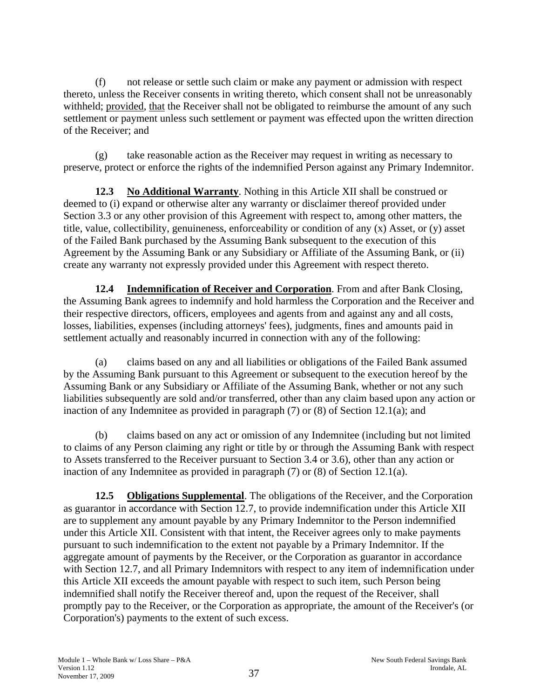(f) not release or settle such claim or make any payment or admission with respect thereto, unless the Receiver consents in writing thereto, which consent shall not be unreasonably withheld; provided, that the Receiver shall not be obligated to reimburse the amount of any such settlement or payment unless such settlement or payment was effected upon the written direction of the Receiver; and

(g) take reasonable action as the Receiver may request in writing as necessary to preserve, protect or enforce the rights of the indemnified Person against any Primary Indemnitor.

**12.3** No **Additional Warranty**. Nothing in this Article XII shall be construed or deemed to (i) expand or otherwise alter any warranty or disclaimer thereof provided under Section 3.3 or any other provision of this Agreement with respect to, among other matters, the title, value, collectibility, genuineness, enforceability or condition of any (x) Asset, or (y) asset of the Failed Bank purchased by the Assuming Bank subsequent to the execution of this Agreement by the Assuming Bank or any Subsidiary or Affiliate of the Assuming Bank, or (ii) create any warranty not expressly provided under this Agreement with respect thereto.

**12.4 Indemnification of Receiver and Corporation**. From and after Bank Closing, the Assuming Bank agrees to indemnify and hold harmless the Corporation and the Receiver and their respective directors, officers, employees and agents from and against any and all costs, losses, liabilities, expenses (including attorneys' fees), judgments, fines and amounts paid in settlement actually and reasonably incurred in connection with any of the following:

(a) claims based on any and all liabilities or obligations of the Failed Bank assumed by the Assuming Bank pursuant to this Agreement or subsequent to the execution hereof by the Assuming Bank or any Subsidiary or Affiliate of the Assuming Bank, whether or not any such liabilities subsequently are sold and/or transferred, other than any claim based upon any action or inaction of any Indemnitee as provided in paragraph (7) or (8) of Section 12.1(a); and

(b) claims based on any act or omission of any Indemnitee (including but not limited to claims of any Person claiming any right or title by or through the Assuming Bank with respect to Assets transferred to the Receiver pursuant to Section 3.4 or 3.6), other than any action or inaction of any Indemnitee as provided in paragraph (7) or (8) of Section 12.1(a).

**12.5 Obligations Supplemental**. The obligations of the Receiver, and the Corporation as guarantor in accordance with Section 12.7, to provide indemnification under this Article XII are to supplement any amount payable by any Primary Indemnitor to the Person indemnified under this Article XII. Consistent with that intent, the Receiver agrees only to make payments pursuant to such indemnification to the extent not payable by a Primary Indemnitor. If the aggregate amount of payments by the Receiver, or the Corporation as guarantor in accordance with Section 12.7, and all Primary Indemnitors with respect to any item of indemnification under this Article XII exceeds the amount payable with respect to such item, such Person being indemnified shall notify the Receiver thereof and, upon the request of the Receiver, shall promptly pay to the Receiver, or the Corporation as appropriate, the amount of the Receiver's (or Corporation's) payments to the extent of such excess.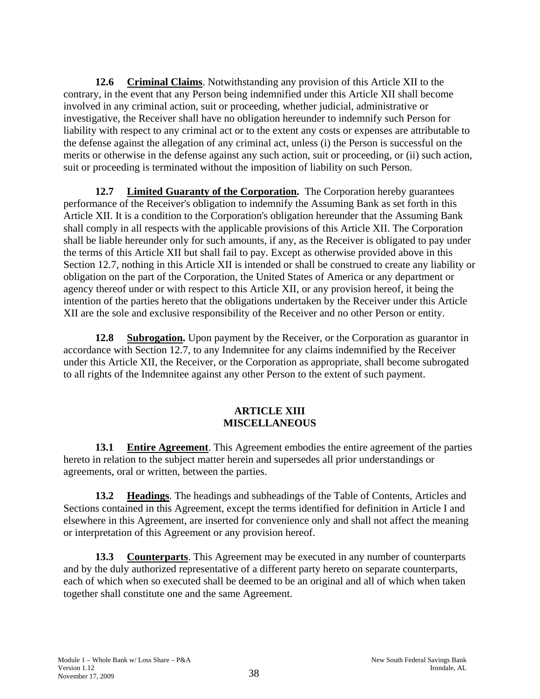**12.6 Criminal Claims**. Notwithstanding any provision of this Article XII to the contrary, in the event that any Person being indemnified under this Article XII shall become involved in any criminal action, suit or proceeding, whether judicial, administrative or investigative, the Receiver shall have no obligation hereunder to indemnify such Person for liability with respect to any criminal act or to the extent any costs or expenses are attributable to the defense against the allegation of any criminal act, unless (i) the Person is successful on the merits or otherwise in the defense against any such action, suit or proceeding, or (ii) such action, suit or proceeding is terminated without the imposition of liability on such Person.

**12.7** Limited Guaranty of the Corporation. The Corporation hereby guarantees performance of the Receiver's obligation to indemnify the Assuming Bank as set forth in this Article XII. It is a condition to the Corporation's obligation hereunder that the Assuming Bank shall comply in all respects with the applicable provisions of this Article XII. The Corporation shall be liable hereunder only for such amounts, if any, as the Receiver is obligated to pay under the terms of this Article XII but shall fail to pay. Except as otherwise provided above in this Section 12.7, nothing in this Article XII is intended or shall be construed to create any liability or obligation on the part of the Corporation, the United States of America or any department or agency thereof under or with respect to this Article XII, or any provision hereof, it being the intention of the parties hereto that the obligations undertaken by the Receiver under this Article XII are the sole and exclusive responsibility of the Receiver and no other Person or entity.

**12.8** Subrogation. Upon payment by the Receiver, or the Corporation as guarantor in accordance with Section 12.7, to any Indemnitee for any claims indemnified by the Receiver under this Article XII, the Receiver, or the Corporation as appropriate, shall become subrogated to all rights of the Indemnitee against any other Person to the extent of such payment.

### **ARTICLE XIII MISCELLANEOUS**

**13.1 Entire Agreement**. This Agreement embodies the entire agreement of the parties hereto in relation to the subject matter herein and supersedes all prior understandings or agreements, oral or written, between the parties.

**13.2 Headings**. The headings and subheadings of the Table of Contents, Articles and Sections contained in this Agreement, except the terms identified for definition in Article I and elsewhere in this Agreement, are inserted for convenience only and shall not affect the meaning or interpretation of this Agreement or any provision hereof.

**13.3** Counterparts. This Agreement may be executed in any number of counterparts and by the duly authorized representative of a different party hereto on separate counterparts, each of which when so executed shall be deemed to be an original and all of which when taken together shall constitute one and the same Agreement.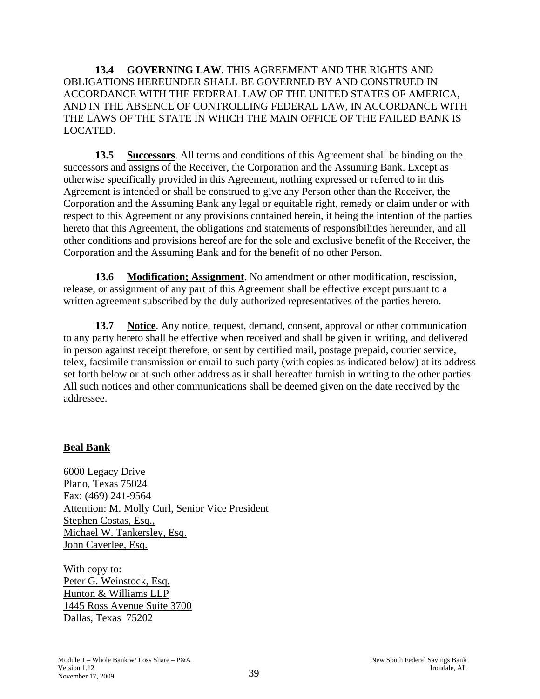**13.4 GOVERNING LAW**. THIS AGREEMENT AND THE RIGHTS AND OBLIGATIONS HEREUNDER SHALL BE GOVERNED BY AND CONSTRUED IN ACCORDANCE WITH THE FEDERAL LAW OF THE UNITED STATES OF AMERICA, AND IN THE ABSENCE OF CONTROLLING FEDERAL LAW, IN ACCORDANCE WITH THE LAWS OF THE STATE IN WHICH THE MAIN OFFICE OF THE FAILED BANK IS LOCATED.

13.5 Successors. All terms and conditions of this Agreement shall be binding on the successors and assigns of the Receiver, the Corporation and the Assuming Bank. Except as otherwise specifically provided in this Agreement, nothing expressed or referred to in this Agreement is intended or shall be construed to give any Person other than the Receiver, the Corporation and the Assuming Bank any legal or equitable right, remedy or claim under or with respect to this Agreement or any provisions contained herein, it being the intention of the parties hereto that this Agreement, the obligations and statements of responsibilities hereunder, and all other conditions and provisions hereof are for the sole and exclusive benefit of the Receiver, the Corporation and the Assuming Bank and for the benefit of no other Person.

**13.6 Modification; Assignment**. No amendment or other modification, rescission, release, or assignment of any part of this Agreement shall be effective except pursuant to a written agreement subscribed by the duly authorized representatives of the parties hereto.

**13.7 Notice**. Any notice, request, demand, consent, approval or other communication to any party hereto shall be effective when received and shall be given in writing, and delivered in person against receipt therefore, or sent by certified mail, postage prepaid, courier service, telex, facsimile transmission or email to such party (with copies as indicated below) at its address set forth below or at such other address as it shall hereafter furnish in writing to the other parties. All such notices and other communications shall be deemed given on the date received by the addressee.

### **Beal Bank**

6000 Legacy Drive Plano, Texas 75024 Fax: (469) 241-9564 Attention: M. Molly Curl, Senior Vice President Stephen Costas, Esq., Michael W. Tankersley, Esq. John Caverlee, Esq.

With copy to: Peter G. Weinstock, Esq. Hunton & Williams LLP 1445 Ross Avenue Suite 3700 Dallas, Texas 75202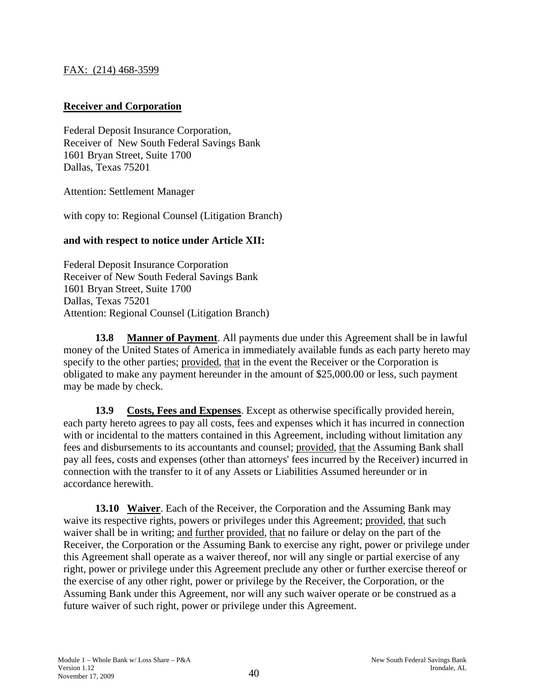### FAX: (214) 468-3599

### **Receiver and Corporation**

Federal Deposit Insurance Corporation, Receiver of New South Federal Savings Bank 1601 Bryan Street, Suite 1700 Dallas, Texas 75201

Attention: Settlement Manager

with copy to: Regional Counsel (Litigation Branch)

### **and with respect to notice under Article XII:**

Federal Deposit Insurance Corporation Receiver of New South Federal Savings Bank 1601 Bryan Street, Suite 1700 Dallas, Texas 75201 Attention: Regional Counsel (Litigation Branch)

 **13.8 Manner of Payment**. All payments due under this Agreement shall be in lawful money of the United States of America in immediately available funds as each party hereto may specify to the other parties; provided, that in the event the Receiver or the Corporation is obligated to make any payment hereunder in the amount of \$25,000.00 or less, such payment may be made by check.

**13.9 Costs, Fees and Expenses**. Except as otherwise specifically provided herein, each party hereto agrees to pay all costs, fees and expenses which it has incurred in connection with or incidental to the matters contained in this Agreement, including without limitation any fees and disbursements to its accountants and counsel; provided, that the Assuming Bank shall pay all fees, costs and expenses (other than attorneys' fees incurred by the Receiver) incurred in connection with the transfer to it of any Assets or Liabilities Assumed hereunder or in accordance herewith.

**13.10 Waiver**. Each of the Receiver, the Corporation and the Assuming Bank may waive its respective rights, powers or privileges under this Agreement; provided, that such waiver shall be in writing; and further provided, that no failure or delay on the part of the Receiver, the Corporation or the Assuming Bank to exercise any right, power or privilege under this Agreement shall operate as a waiver thereof, nor will any single or partial exercise of any right, power or privilege under this Agreement preclude any other or further exercise thereof or the exercise of any other right, power or privilege by the Receiver, the Corporation, or the Assuming Bank under this Agreement, nor will any such waiver operate or be construed as a future waiver of such right, power or privilege under this Agreement.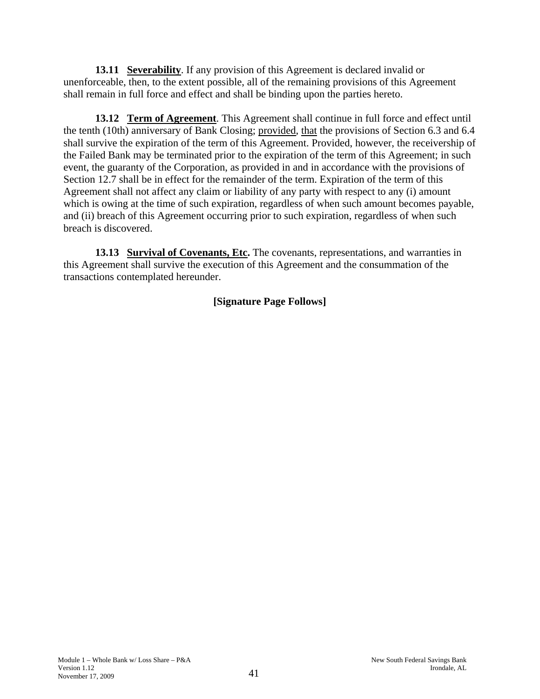**13.11 Severability**. If any provision of this Agreement is declared invalid or unenforceable, then, to the extent possible, all of the remaining provisions of this Agreement shall remain in full force and effect and shall be binding upon the parties hereto.

**13.12 Term of Agreement**. This Agreement shall continue in full force and effect until the tenth (10th) anniversary of Bank Closing; provided, that the provisions of Section 6.3 and 6.4 shall survive the expiration of the term of this Agreement. Provided, however, the receivership of the Failed Bank may be terminated prior to the expiration of the term of this Agreement; in such event, the guaranty of the Corporation, as provided in and in accordance with the provisions of Section 12.7 shall be in effect for the remainder of the term. Expiration of the term of this Agreement shall not affect any claim or liability of any party with respect to any (i) amount which is owing at the time of such expiration, regardless of when such amount becomes payable, and (ii) breach of this Agreement occurring prior to such expiration, regardless of when such breach is discovered.

**13.13 Survival of Covenants, Etc.** The covenants, representations, and warranties in this Agreement shall survive the execution of this Agreement and the consummation of the transactions contemplated hereunder.

## **[Signature Page Follows]**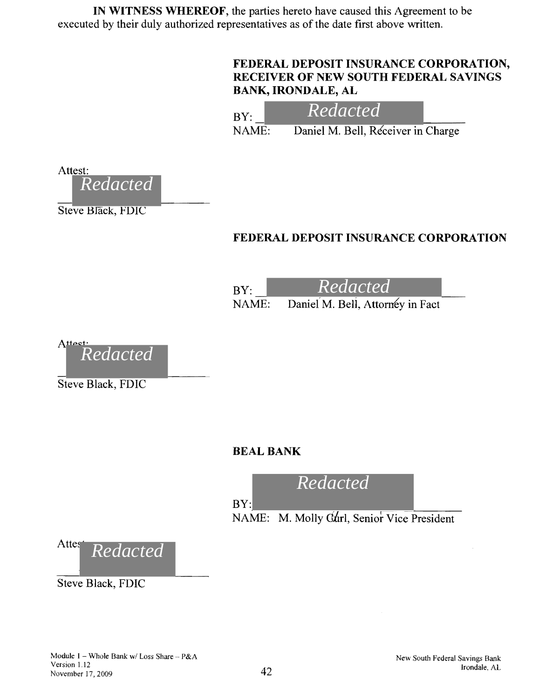IN WITNESS WHEREOF, the parties hereto have caused this Agreement to be executed by their duly authorized representatives as of the date first above written.

### FEDERAL DEPOSIT INSURANCE CORPORATION, RECEIVER OF NEW SOUTH FEDERAL SAVINGS BANK, IRONDALE, AL

| BY:   | Redacted                           |  |
|-------|------------------------------------|--|
| NAME: | Daniel M. Bell, Réceiver in Charge |  |

Attest: *Redacted*

Steve Black, FDIC

### FEDERAL DEPOSIT INSURANCE CORPORATION

BY:<br>NAME: Daniel M. Bell, Attorney in Fact *Redacted*



Steve Black, FDIC

BEALBANK

*Redacted*

BY:

NAME: M. Molly Carl, Senior Vice President

Attes *Redacted*

Steve Black, FDIC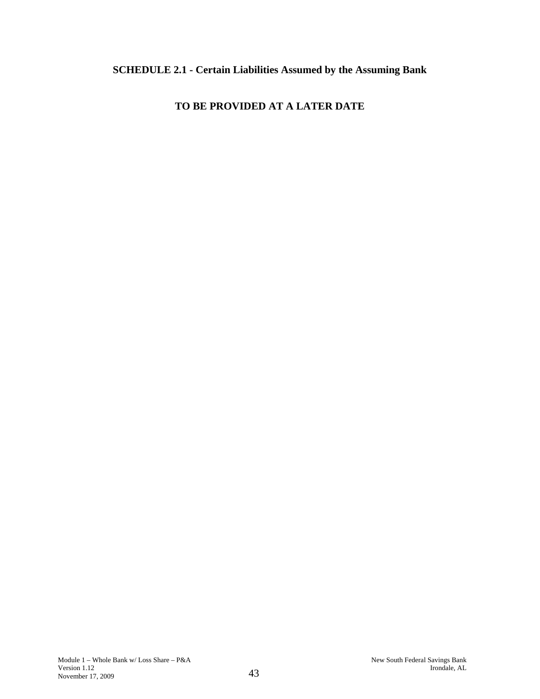# **SCHEDULE 2.1 - Certain Liabilities Assumed by the Assuming Bank**

**TO BE PROVIDED AT A LATER DATE**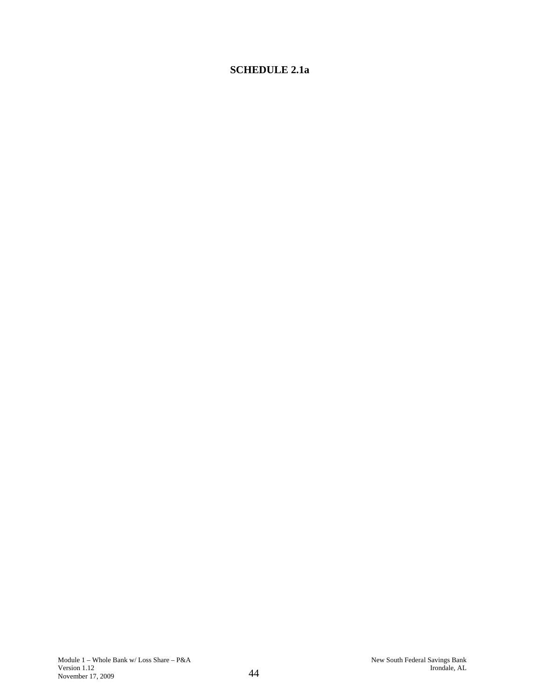# **SCHEDULE 2.1a**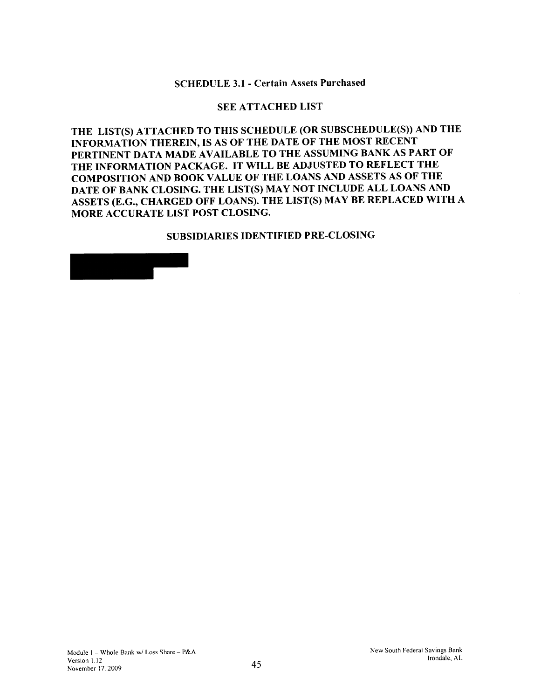SCHEDULE 3.1 - Certain Assets Purchased

#### SEE ATTACHED LIST

THE LIST(S) ATTACHED TO THIS SCHEDULE (OR SUBSCHEDULE(S)) AND THE INFORMATION THEREIN, IS AS OF THE DATE OF THE MOST RECENT PERTINENT DATA MADE AVAILABLE TO THE ASSUMING BANK AS PART OF THE INFORMATION PACKAGE. IT WILL BE ADJUSTED TO REFLECT THE COMPOSITION AND BOOK VALUE OF THE LOANS AND ASSETS AS OF THE DATE OF BANK CLOSING. THE LIST(S) MAY NOT INCLUDE ALL LOANS AND ASSETS (E.G., CHARGED OFF LOANS). THE LIST(S) MAY BE REPLACED WITH A MORE ACCURATE LIST POST CLOSING.

SUBSIDIARIES IDENTIFIED PRE-CLOSING

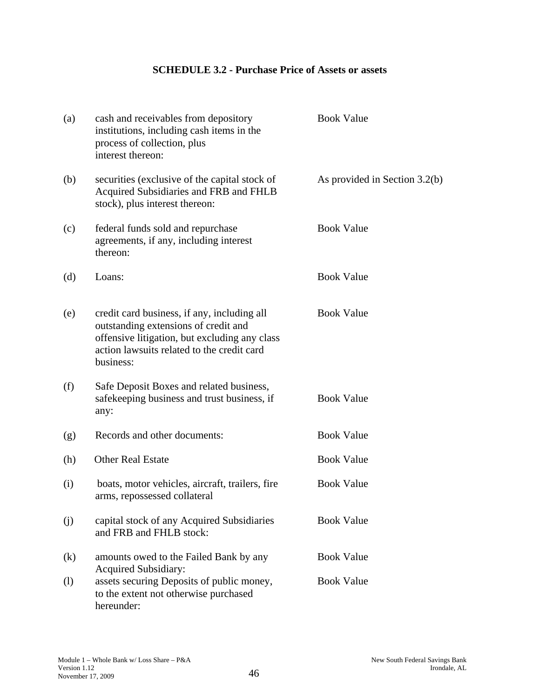## **SCHEDULE 3.2 - Purchase Price of Assets or assets**

| (a)        | cash and receivables from depository<br>institutions, including cash items in the<br>process of collection, plus<br>interest thereon:                                                           | <b>Book Value</b>                      |
|------------|-------------------------------------------------------------------------------------------------------------------------------------------------------------------------------------------------|----------------------------------------|
| (b)        | securities (exclusive of the capital stock of<br>Acquired Subsidiaries and FRB and FHLB<br>stock), plus interest thereon:                                                                       | As provided in Section $3.2(b)$        |
| (c)        | federal funds sold and repurchase<br>agreements, if any, including interest<br>thereon:                                                                                                         | <b>Book Value</b>                      |
| (d)        | Loans:                                                                                                                                                                                          | <b>Book Value</b>                      |
| (e)        | credit card business, if any, including all<br>outstanding extensions of credit and<br>offensive litigation, but excluding any class<br>action lawsuits related to the credit card<br>business: | <b>Book Value</b>                      |
| (f)        | Safe Deposit Boxes and related business,<br>safekeeping business and trust business, if<br>any:                                                                                                 | <b>Book Value</b>                      |
| (g)        | Records and other documents:                                                                                                                                                                    | <b>Book Value</b>                      |
| (h)        | <b>Other Real Estate</b>                                                                                                                                                                        | <b>Book Value</b>                      |
| (i)        | boats, motor vehicles, aircraft, trailers, fire<br>arms, repossessed collateral                                                                                                                 | <b>Book Value</b>                      |
| (j)        | capital stock of any Acquired Subsidiaries<br>and FRB and FHLB stock:                                                                                                                           | <b>Book Value</b>                      |
| (k)<br>(1) | amounts owed to the Failed Bank by any<br><b>Acquired Subsidiary:</b><br>assets securing Deposits of public money,<br>to the extent not otherwise purchased<br>hereunder:                       | <b>Book Value</b><br><b>Book Value</b> |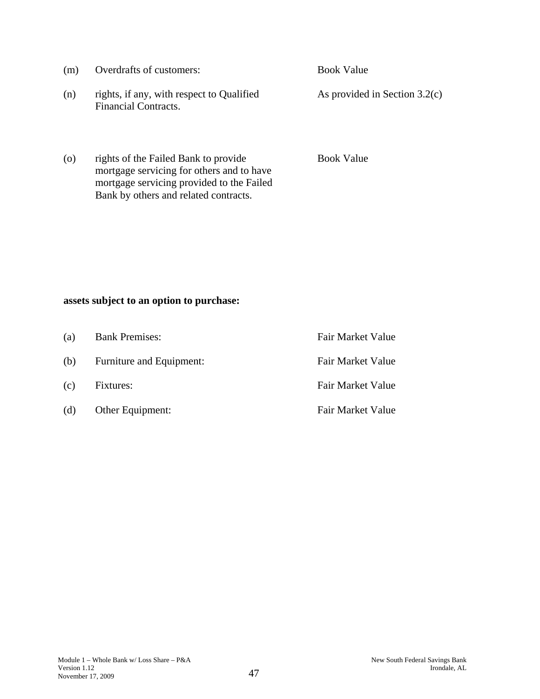| (m) | Overdrafts of customers:                                                 | <b>Book Value</b>               |
|-----|--------------------------------------------------------------------------|---------------------------------|
| (n) | rights, if any, with respect to Qualified<br><b>Financial Contracts.</b> | As provided in Section $3.2(c)$ |
|     |                                                                          |                                 |

(o) rights of the Failed Bank to provide Book Value mortgage servicing for others and to have mortgage servicing provided to the Failed Bank by others and related contracts.

### **assets subject to an option to purchase:**

| (a) | <b>Bank Premises:</b>    | Fair Market Value |
|-----|--------------------------|-------------------|
| (b) | Furniture and Equipment: | Fair Market Value |
| (c) | Fixtures:                | Fair Market Value |
| (d) | Other Equipment:         | Fair Market Value |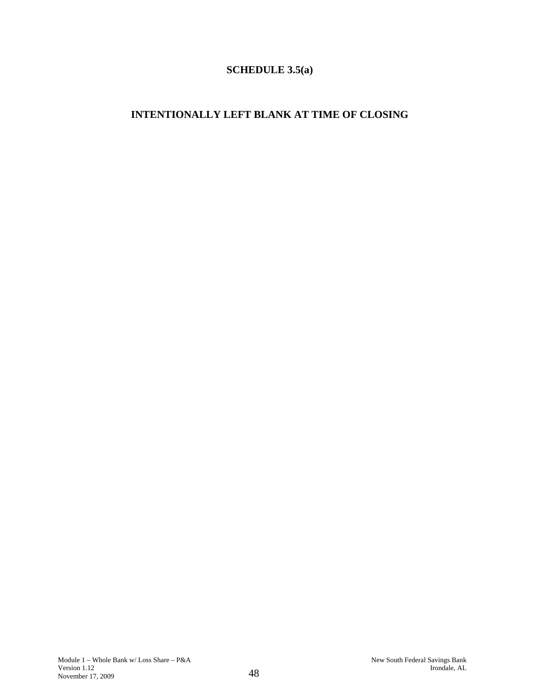# **SCHEDULE 3.5(a)**

## **INTENTIONALLY LEFT BLANK AT TIME OF CLOSING**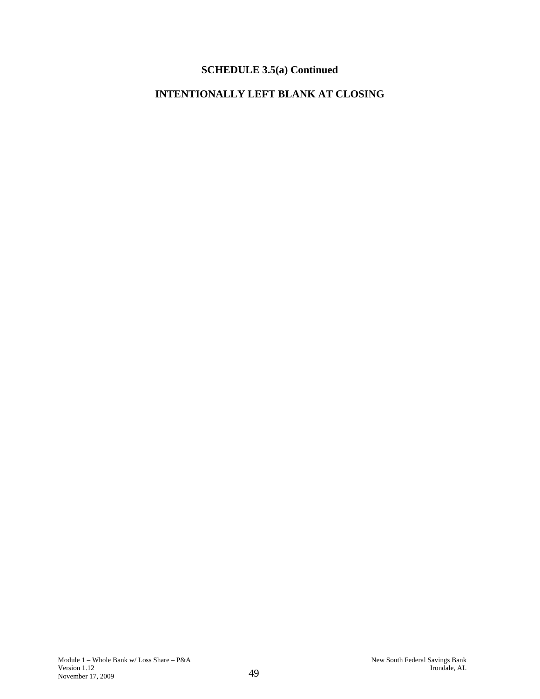# **SCHEDULE 3.5(a) Continued**

# **INTENTIONALLY LEFT BLANK AT CLOSING**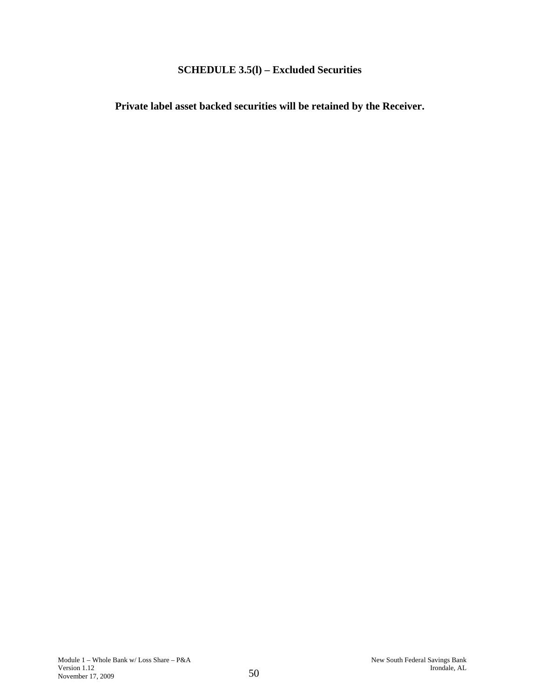## **SCHEDULE 3.5(l) – Excluded Securities**

**Private label asset backed securities will be retained by the Receiver.**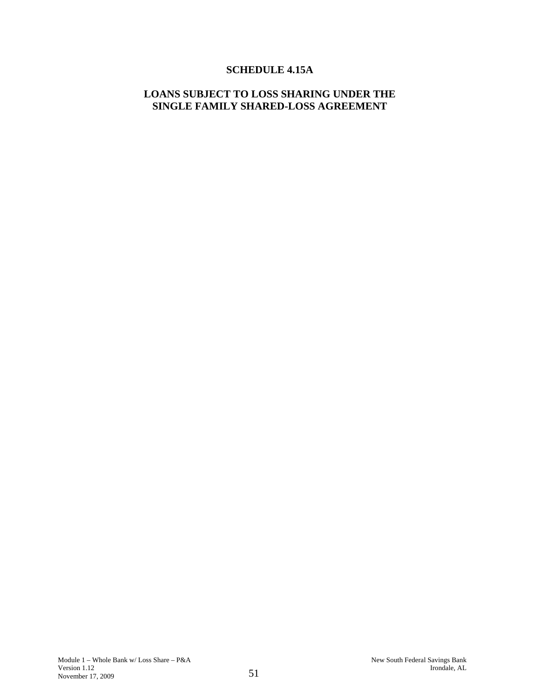### **SCHEDULE 4.15A**

### **LOANS SUBJECT TO LOSS SHARING UNDER THE SINGLE FAMILY SHARED-LOSS AGREEMENT**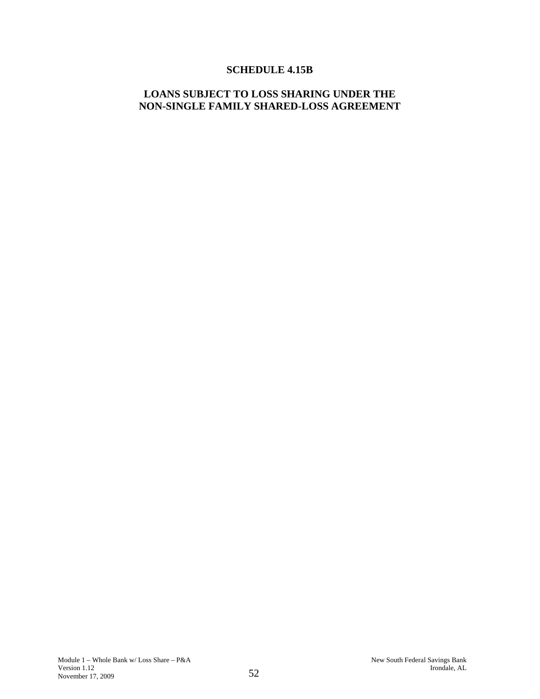### **SCHEDULE 4.15B**

### **LOANS SUBJECT TO LOSS SHARING UNDER THE NON-SINGLE FAMILY SHARED-LOSS AGREEMENT**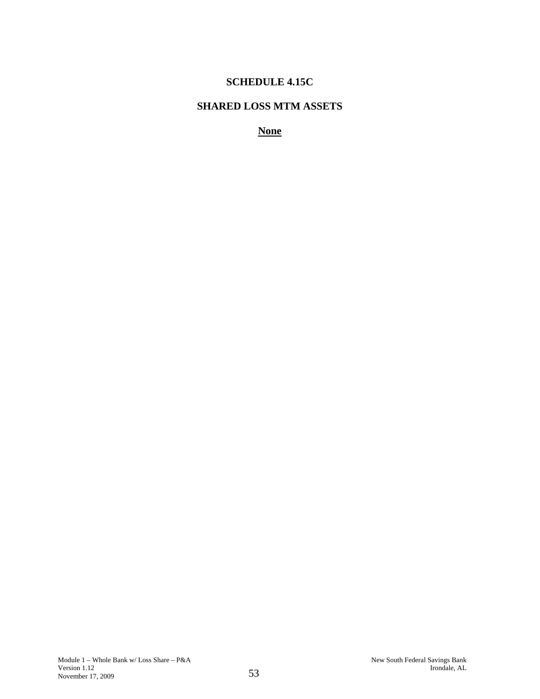## **SCHEDULE 4.15C**

## **SHARED LOSS MTM ASSETS**

**None**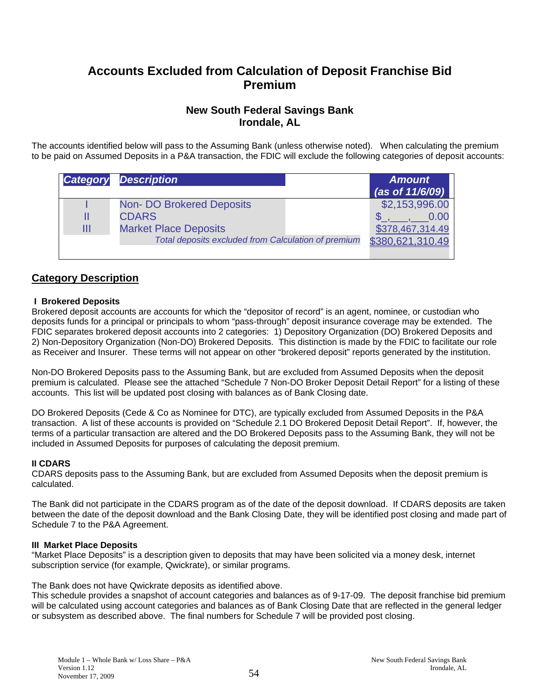# **Accounts Excluded from Calculation of Deposit Franchise Bid Premium**

### **New South Federal Savings Bank Irondale, AL**

The accounts identified below will pass to the Assuming Bank (unless otherwise noted). When calculating the premium to be paid on Assumed Deposits in a P&A transaction, the FDIC will exclude the following categories of deposit accounts:

| <b>Category</b> | <b>Description</b>                                  | <b>Amount</b>       |
|-----------------|-----------------------------------------------------|---------------------|
|                 |                                                     | $(a)$ s of 11/6/09) |
|                 | <b>Non-DO Brokered Deposits</b>                     | \$2,153,996.00      |
|                 | <b>CDARS</b>                                        | 0.00                |
| $\mathbf{III}$  | <b>Market Place Deposits</b>                        | \$378,467,314.49    |
|                 | Total deposits excluded from Calculation of premium | \$380,621,310.49    |
|                 |                                                     |                     |

### **Category Description**

#### **I Brokered Deposits**

Brokered deposit accounts are accounts for which the "depositor of record" is an agent, nominee, or custodian who deposits funds for a principal or principals to whom "pass-through" deposit insurance coverage may be extended. The FDIC separates brokered deposit accounts into 2 categories: 1) Depository Organization (DO) Brokered Deposits and 2) Non-Depository Organization (Non-DO) Brokered Deposits. This distinction is made by the FDIC to facilitate our role as Receiver and Insurer. These terms will not appear on other "brokered deposit" reports generated by the institution.

Non-DO Brokered Deposits pass to the Assuming Bank, but are excluded from Assumed Deposits when the deposit premium is calculated. Please see the attached "Schedule 7 Non-DO Broker Deposit Detail Report" for a listing of these accounts. This list will be updated post closing with balances as of Bank Closing date.

DO Brokered Deposits (Cede & Co as Nominee for DTC), are typically excluded from Assumed Deposits in the P&A transaction. A list of these accounts is provided on "Schedule 2.1 DO Brokered Deposit Detail Report". If, however, the terms of a particular transaction are altered and the DO Brokered Deposits pass to the Assuming Bank, they will not be included in Assumed Deposits for purposes of calculating the deposit premium.

#### **II CDARS**

CDARS deposits pass to the Assuming Bank, but are excluded from Assumed Deposits when the deposit premium is calculated.

The Bank did not participate in the CDARS program as of the date of the deposit download. If CDARS deposits are taken between the date of the deposit download and the Bank Closing Date, they will be identified post closing and made part of Schedule 7 to the P&A Agreement.

#### **III Market Place Deposits**

"Market Place Deposits" is a description given to deposits that may have been solicited via a money desk, internet subscription service (for example, Qwickrate), or similar programs.

The Bank does not have Qwickrate deposits as identified above.

This schedule provides a snapshot of account categories and balances as of 9-17-09. The deposit franchise bid premium will be calculated using account categories and balances as of Bank Closing Date that are reflected in the general ledger or subsystem as described above. The final numbers for Schedule 7 will be provided post closing.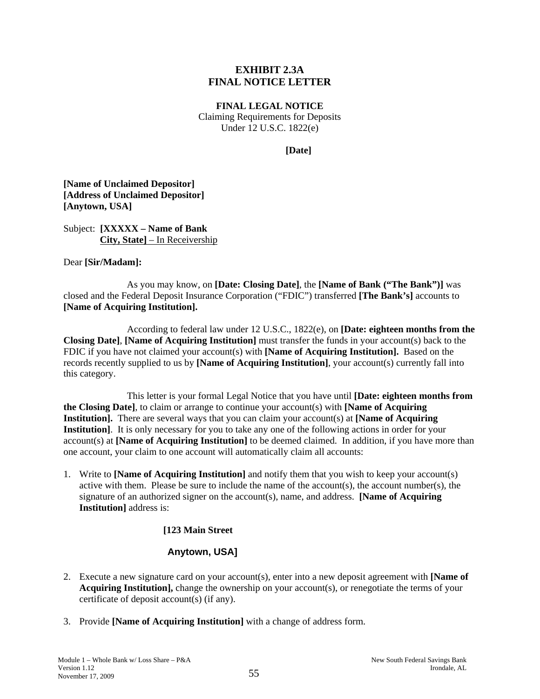### **EXHIBIT 2.3A FINAL NOTICE LETTER**

#### **FINAL LEGAL NOTICE**

Claiming Requirements for Deposits Under 12 U.S.C. 1822(e)

**[Date]** 

**[Name of Unclaimed Depositor] [Address of Unclaimed Depositor] [Anytown, USA]** 

Subject: **[XXXXX – Name of Bank City, State]** – In Receivership

Dear **[Sir/Madam]:** 

As you may know, on **[Date: Closing Date]**, the **[Name of Bank ("The Bank")]** was closed and the Federal Deposit Insurance Corporation ("FDIC") transferred **[The Bank's]** accounts to **[Name of Acquiring Institution].** 

According to federal law under 12 U.S.C., 1822(e), on **[Date: eighteen months from the Closing Date]**, **[Name of Acquiring Institution]** must transfer the funds in your account(s) back to the FDIC if you have not claimed your account(s) with **[Name of Acquiring Institution].** Based on the records recently supplied to us by **[Name of Acquiring Institution]**, your account(s) currently fall into this category.

This letter is your formal Legal Notice that you have until **[Date: eighteen months from the Closing Date]**, to claim or arrange to continue your account(s) with **[Name of Acquiring Institution].** There are several ways that you can claim your account(s) at **[Name of Acquiring Institution]**. It is only necessary for you to take any one of the following actions in order for your account(s) at **[Name of Acquiring Institution]** to be deemed claimed. In addition, if you have more than one account, your claim to one account will automatically claim all accounts:

1. Write to **[Name of Acquiring Institution**] and notify them that you wish to keep your account(s) active with them. Please be sure to include the name of the account(s), the account number(s), the signature of an authorized signer on the account(s), name, and address. **[Name of Acquiring Institution]** address is:

#### **[123 Main Street**

### **Anytown, USA]**

- 2. Execute a new signature card on your account(s), enter into a new deposit agreement with **[Name of Acquiring Institution],** change the ownership on your account(s), or renegotiate the terms of your certificate of deposit account(s) (if any).
- 3. Provide **[Name of Acquiring Institution]** with a change of address form.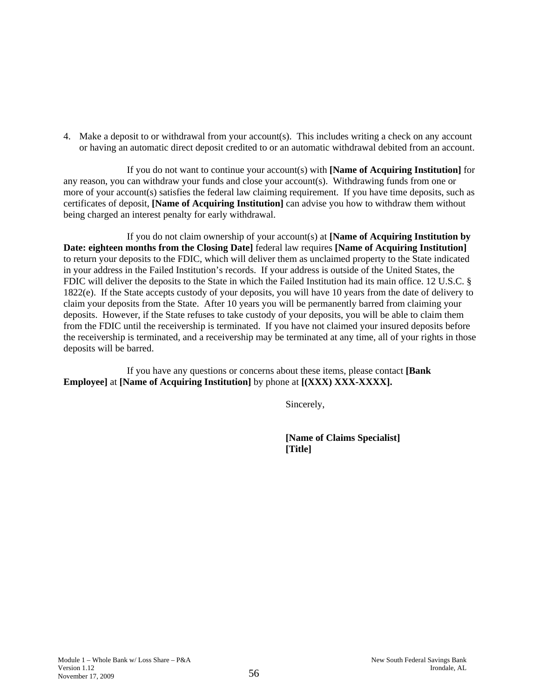4. Make a deposit to or withdrawal from your account(s). This includes writing a check on any account or having an automatic direct deposit credited to or an automatic withdrawal debited from an account.

If you do not want to continue your account(s) with **[Name of Acquiring Institution]** for any reason, you can withdraw your funds and close your account(s). Withdrawing funds from one or more of your account(s) satisfies the federal law claiming requirement. If you have time deposits, such as certificates of deposit, **[Name of Acquiring Institution]** can advise you how to withdraw them without being charged an interest penalty for early withdrawal.

If you do not claim ownership of your account(s) at **[Name of Acquiring Institution by Date: eighteen months from the Closing Date]** federal law requires **[Name of Acquiring Institution]**  to return your deposits to the FDIC, which will deliver them as unclaimed property to the State indicated in your address in the Failed Institution's records. If your address is outside of the United States, the FDIC will deliver the deposits to the State in which the Failed Institution had its main office. 12 U.S.C. § 1822(e). If the State accepts custody of your deposits, you will have 10 years from the date of delivery to claim your deposits from the State. After 10 years you will be permanently barred from claiming your deposits. However, if the State refuses to take custody of your deposits, you will be able to claim them from the FDIC until the receivership is terminated. If you have not claimed your insured deposits before the receivership is terminated, and a receivership may be terminated at any time, all of your rights in those deposits will be barred.

If you have any questions or concerns about these items, please contact **[Bank Employee]** at **[Name of Acquiring Institution]** by phone at **[(XXX) XXX-XXXX].** 

Sincerely,

**[Name of Claims Specialist] [Title]**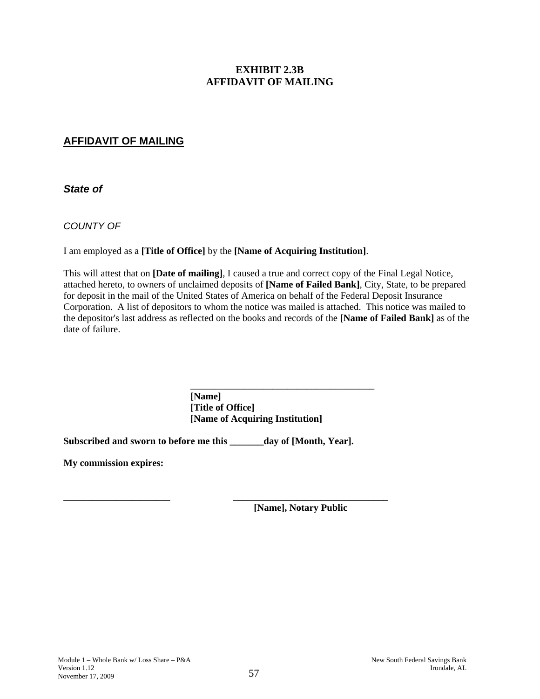### **EXHIBIT 2.3B AFFIDAVIT OF MAILING**

### **AFFIDAVIT OF MAILING**

*State of* 

*COUNTY OF* 

I am employed as a **[Title of Office]** by the **[Name of Acquiring Institution]**.

This will attest that on **[Date of mailing]**, I caused a true and correct copy of the Final Legal Notice, attached hereto, to owners of unclaimed deposits of **[Name of Failed Bank]**, City, State, to be prepared for deposit in the mail of the United States of America on behalf of the Federal Deposit Insurance Corporation. A list of depositors to whom the notice was mailed is attached. This notice was mailed to the depositor's last address as reflected on the books and records of the **[Name of Failed Bank]** as of the date of failure.

 $\overline{\phantom{a}}$  , and the contract of the contract of the contract of the contract of the contract of the contract of the contract of the contract of the contract of the contract of the contract of the contract of the contrac **[Name] [Title of Office] [Name of Acquiring Institution]** 

**Subscribed and sworn to before me this \_\_\_\_\_\_\_day of [Month, Year].** 

**My commission expires:** 

**\_\_\_\_\_\_\_\_\_\_\_\_\_\_\_\_\_\_\_\_\_\_ \_\_\_\_\_\_\_\_\_\_\_\_\_\_\_\_\_\_\_\_\_\_\_\_\_\_\_\_\_\_\_\_ [Name], Notary Public**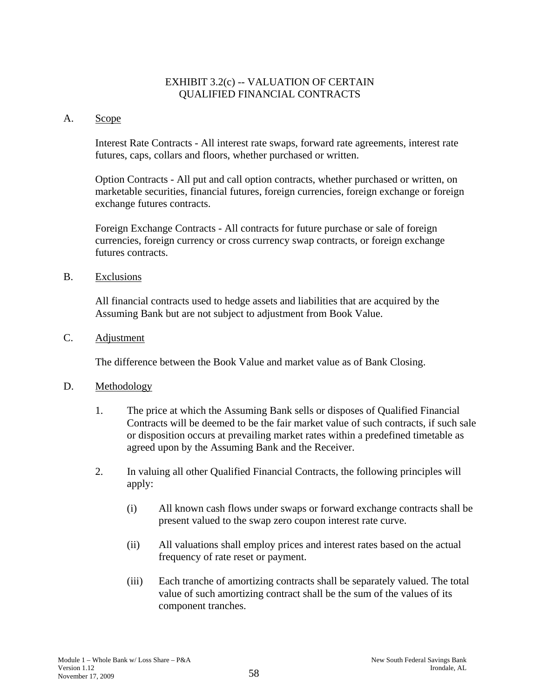### EXHIBIT 3.2(c) -- VALUATION OF CERTAIN QUALIFIED FINANCIAL CONTRACTS

#### A. Scope

Interest Rate Contracts - All interest rate swaps, forward rate agreements, interest rate futures, caps, collars and floors, whether purchased or written.

Option Contracts - All put and call option contracts, whether purchased or written, on marketable securities, financial futures, foreign currencies, foreign exchange or foreign exchange futures contracts.

Foreign Exchange Contracts - All contracts for future purchase or sale of foreign currencies, foreign currency or cross currency swap contracts, or foreign exchange futures contracts.

### B. Exclusions

All financial contracts used to hedge assets and liabilities that are acquired by the Assuming Bank but are not subject to adjustment from Book Value.

### C. Adjustment

The difference between the Book Value and market value as of Bank Closing.

### D. Methodology

- 1. The price at which the Assuming Bank sells or disposes of Qualified Financial Contracts will be deemed to be the fair market value of such contracts, if such sale or disposition occurs at prevailing market rates within a predefined timetable as agreed upon by the Assuming Bank and the Receiver.
- 2. In valuing all other Qualified Financial Contracts, the following principles will apply:
	- (i) All known cash flows under swaps or forward exchange contracts shall be present valued to the swap zero coupon interest rate curve.
	- (ii) All valuations shall employ prices and interest rates based on the actual frequency of rate reset or payment.
	- (iii) Each tranche of amortizing contracts shall be separately valued. The total value of such amortizing contract shall be the sum of the values of its component tranches.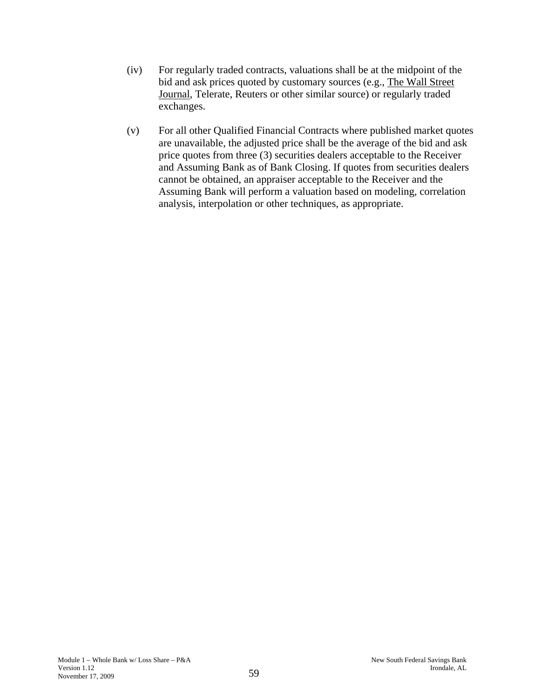- (iv) For regularly traded contracts, valuations shall be at the midpoint of the bid and ask prices quoted by customary sources (e.g., The Wall Street Journal, Telerate, Reuters or other similar source) or regularly traded exchanges.
- (v) For all other Qualified Financial Contracts where published market quotes are unavailable, the adjusted price shall be the average of the bid and ask price quotes from three (3) securities dealers acceptable to the Receiver and Assuming Bank as of Bank Closing. If quotes from securities dealers cannot be obtained, an appraiser acceptable to the Receiver and the Assuming Bank will perform a valuation based on modeling, correlation analysis, interpolation or other techniques, as appropriate.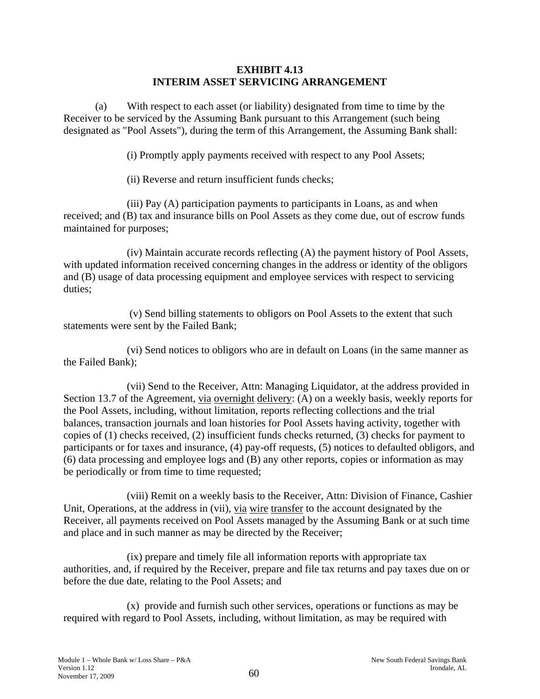### **EXHIBIT 4.13 INTERIM ASSET SERVICING ARRANGEMENT**

(a) With respect to each asset (or liability) designated from time to time by the Receiver to be serviced by the Assuming Bank pursuant to this Arrangement (such being designated as "Pool Assets"), during the term of this Arrangement, the Assuming Bank shall:

(i) Promptly apply payments received with respect to any Pool Assets;

(ii) Reverse and return insufficient funds checks;

(iii) Pay (A) participation payments to participants in Loans, as and when received; and (B) tax and insurance bills on Pool Assets as they come due, out of escrow funds maintained for purposes;

(iv) Maintain accurate records reflecting (A) the payment history of Pool Assets, with updated information received concerning changes in the address or identity of the obligors and (B) usage of data processing equipment and employee services with respect to servicing duties;

 (v) Send billing statements to obligors on Pool Assets to the extent that such statements were sent by the Failed Bank;

(vi) Send notices to obligors who are in default on Loans (in the same manner as the Failed Bank);

(vii) Send to the Receiver, Attn: Managing Liquidator, at the address provided in Section 13.7 of the Agreement, via overnight delivery: (A) on a weekly basis, weekly reports for the Pool Assets, including, without limitation, reports reflecting collections and the trial balances, transaction journals and loan histories for Pool Assets having activity, together with copies of (1) checks received, (2) insufficient funds checks returned, (3) checks for payment to participants or for taxes and insurance, (4) pay-off requests, (5) notices to defaulted obligors, and (6) data processing and employee logs and (B) any other reports, copies or information as may be periodically or from time to time requested;

(viii) Remit on a weekly basis to the Receiver, Attn: Division of Finance, Cashier Unit, Operations, at the address in (vii), via wire transfer to the account designated by the Receiver, all payments received on Pool Assets managed by the Assuming Bank or at such time and place and in such manner as may be directed by the Receiver;

(ix) prepare and timely file all information reports with appropriate tax authorities, and, if required by the Receiver, prepare and file tax returns and pay taxes due on or before the due date, relating to the Pool Assets; and

(x) provide and furnish such other services, operations or functions as may be required with regard to Pool Assets, including, without limitation, as may be required with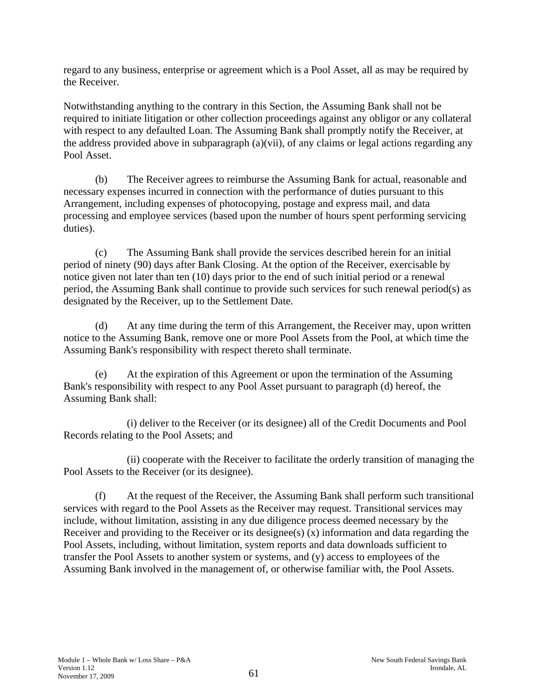regard to any business, enterprise or agreement which is a Pool Asset, all as may be required by the Receiver.

Notwithstanding anything to the contrary in this Section, the Assuming Bank shall not be required to initiate litigation or other collection proceedings against any obligor or any collateral with respect to any defaulted Loan. The Assuming Bank shall promptly notify the Receiver, at the address provided above in subparagraph (a)(vii), of any claims or legal actions regarding any Pool Asset.

(b) The Receiver agrees to reimburse the Assuming Bank for actual, reasonable and necessary expenses incurred in connection with the performance of duties pursuant to this Arrangement, including expenses of photocopying, postage and express mail, and data processing and employee services (based upon the number of hours spent performing servicing duties).

(c) The Assuming Bank shall provide the services described herein for an initial period of ninety (90) days after Bank Closing. At the option of the Receiver, exercisable by notice given not later than ten (10) days prior to the end of such initial period or a renewal period, the Assuming Bank shall continue to provide such services for such renewal period(s) as designated by the Receiver, up to the Settlement Date.

(d) At any time during the term of this Arrangement, the Receiver may, upon written notice to the Assuming Bank, remove one or more Pool Assets from the Pool, at which time the Assuming Bank's responsibility with respect thereto shall terminate.

(e) At the expiration of this Agreement or upon the termination of the Assuming Bank's responsibility with respect to any Pool Asset pursuant to paragraph (d) hereof, the Assuming Bank shall:

(i) deliver to the Receiver (or its designee) all of the Credit Documents and Pool Records relating to the Pool Assets; and

(ii) cooperate with the Receiver to facilitate the orderly transition of managing the Pool Assets to the Receiver (or its designee).

(f) At the request of the Receiver, the Assuming Bank shall perform such transitional services with regard to the Pool Assets as the Receiver may request. Transitional services may include, without limitation, assisting in any due diligence process deemed necessary by the Receiver and providing to the Receiver or its designee(s) (x) information and data regarding the Pool Assets, including, without limitation, system reports and data downloads sufficient to transfer the Pool Assets to another system or systems, and (y) access to employees of the Assuming Bank involved in the management of, or otherwise familiar with, the Pool Assets.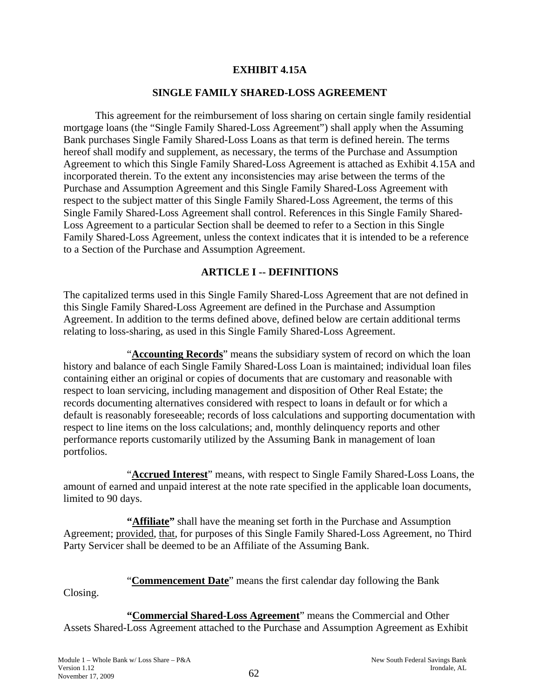#### **EXHIBIT 4.15A**

#### **SINGLE FAMILY SHARED-LOSS AGREEMENT**

This agreement for the reimbursement of loss sharing on certain single family residential mortgage loans (the "Single Family Shared-Loss Agreement") shall apply when the Assuming Bank purchases Single Family Shared-Loss Loans as that term is defined herein. The terms hereof shall modify and supplement, as necessary, the terms of the Purchase and Assumption Agreement to which this Single Family Shared-Loss Agreement is attached as Exhibit 4.15A and incorporated therein. To the extent any inconsistencies may arise between the terms of the Purchase and Assumption Agreement and this Single Family Shared-Loss Agreement with respect to the subject matter of this Single Family Shared-Loss Agreement, the terms of this Single Family Shared-Loss Agreement shall control. References in this Single Family Shared-Loss Agreement to a particular Section shall be deemed to refer to a Section in this Single Family Shared-Loss Agreement, unless the context indicates that it is intended to be a reference to a Section of the Purchase and Assumption Agreement.

### **ARTICLE I -- DEFINITIONS**

The capitalized terms used in this Single Family Shared-Loss Agreement that are not defined in this Single Family Shared-Loss Agreement are defined in the Purchase and Assumption Agreement. In addition to the terms defined above, defined below are certain additional terms relating to loss-sharing, as used in this Single Family Shared-Loss Agreement.

"**Accounting Records**" means the subsidiary system of record on which the loan history and balance of each Single Family Shared-Loss Loan is maintained; individual loan files containing either an original or copies of documents that are customary and reasonable with respect to loan servicing, including management and disposition of Other Real Estate; the records documenting alternatives considered with respect to loans in default or for which a default is reasonably foreseeable; records of loss calculations and supporting documentation with respect to line items on the loss calculations; and, monthly delinquency reports and other performance reports customarily utilized by the Assuming Bank in management of loan portfolios.

"**Accrued Interest**" means, with respect to Single Family Shared-Loss Loans, the amount of earned and unpaid interest at the note rate specified in the applicable loan documents, limited to 90 days.

**"Affiliate"** shall have the meaning set forth in the Purchase and Assumption Agreement; provided, that, for purposes of this Single Family Shared-Loss Agreement, no Third Party Servicer shall be deemed to be an Affiliate of the Assuming Bank.

"**Commencement Date**" means the first calendar day following the Bank

Closing.

**"Commercial Shared-Loss Agreement**" means the Commercial and Other Assets Shared-Loss Agreement attached to the Purchase and Assumption Agreement as Exhibit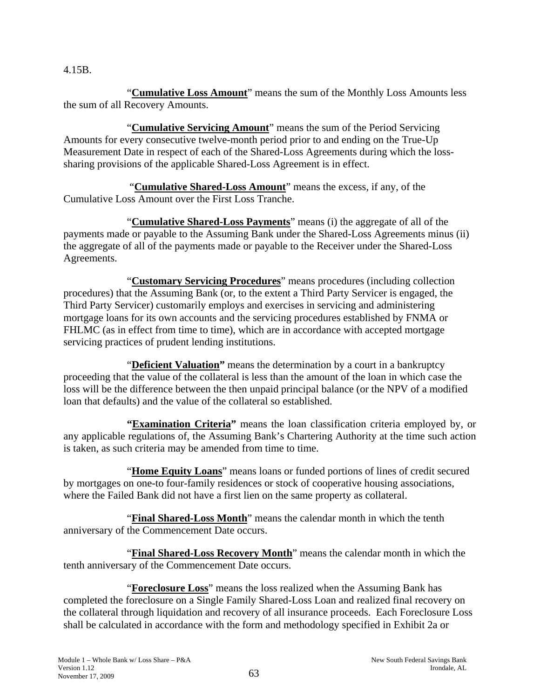4.15B.

"**Cumulative Loss Amount**" means the sum of the Monthly Loss Amounts less the sum of all Recovery Amounts.

"**Cumulative Servicing Amount**" means the sum of the Period Servicing Amounts for every consecutive twelve-month period prior to and ending on the True-Up Measurement Date in respect of each of the Shared-Loss Agreements during which the losssharing provisions of the applicable Shared-Loss Agreement is in effect.

"**Cumulative Shared-Loss Amount**" means the excess, if any, of the Cumulative Loss Amount over the First Loss Tranche.

"**Cumulative Shared-Loss Payments**" means (i) the aggregate of all of the payments made or payable to the Assuming Bank under the Shared-Loss Agreements minus (ii) the aggregate of all of the payments made or payable to the Receiver under the Shared-Loss Agreements.

"**Customary Servicing Procedures**" means procedures (including collection procedures) that the Assuming Bank (or, to the extent a Third Party Servicer is engaged, the Third Party Servicer) customarily employs and exercises in servicing and administering mortgage loans for its own accounts and the servicing procedures established by FNMA or FHLMC (as in effect from time to time), which are in accordance with accepted mortgage servicing practices of prudent lending institutions.

"**Deficient Valuation"** means the determination by a court in a bankruptcy proceeding that the value of the collateral is less than the amount of the loan in which case the loss will be the difference between the then unpaid principal balance (or the NPV of a modified loan that defaults) and the value of the collateral so established.

**"Examination Criteria"** means the loan classification criteria employed by, or any applicable regulations of, the Assuming Bank's Chartering Authority at the time such action is taken, as such criteria may be amended from time to time.

"**Home Equity Loans**" means loans or funded portions of lines of credit secured by mortgages on one-to four-family residences or stock of cooperative housing associations, where the Failed Bank did not have a first lien on the same property as collateral.

"**Final Shared-Loss Month**" means the calendar month in which the tenth anniversary of the Commencement Date occurs.

"**Final Shared-Loss Recovery Month**" means the calendar month in which the tenth anniversary of the Commencement Date occurs.

"**Foreclosure Loss**" means the loss realized when the Assuming Bank has completed the foreclosure on a Single Family Shared-Loss Loan and realized final recovery on the collateral through liquidation and recovery of all insurance proceeds. Each Foreclosure Loss shall be calculated in accordance with the form and methodology specified in Exhibit 2a or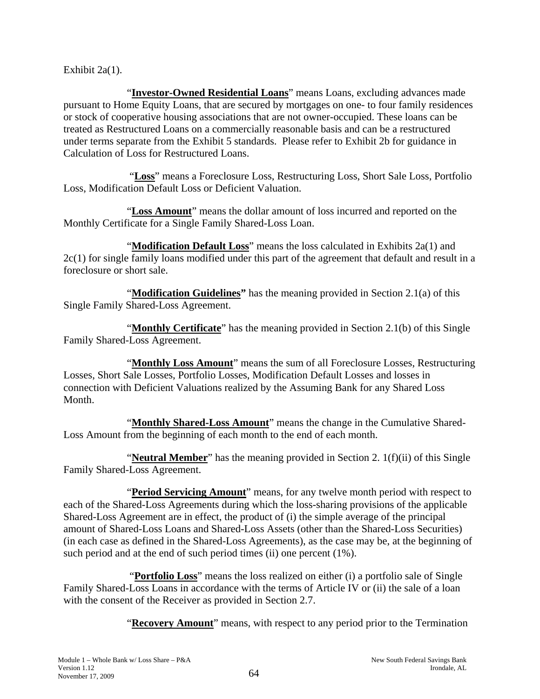Exhibit 2a(1).

"**Investor-Owned Residential Loans**" means Loans, excluding advances made pursuant to Home Equity Loans, that are secured by mortgages on one- to four family residences or stock of cooperative housing associations that are not owner-occupied. These loans can be treated as Restructured Loans on a commercially reasonable basis and can be a restructured under terms separate from the Exhibit 5 standards. Please refer to Exhibit 2b for guidance in Calculation of Loss for Restructured Loans.

"**Loss**" means a Foreclosure Loss, Restructuring Loss, Short Sale Loss, Portfolio Loss, Modification Default Loss or Deficient Valuation.

"**Loss Amount**" means the dollar amount of loss incurred and reported on the Monthly Certificate for a Single Family Shared-Loss Loan.

"**Modification Default Loss**" means the loss calculated in Exhibits 2a(1) and 2c(1) for single family loans modified under this part of the agreement that default and result in a foreclosure or short sale.

"**Modification Guidelines"** has the meaning provided in Section 2.1(a) of this Single Family Shared-Loss Agreement.

"**Monthly Certificate**" has the meaning provided in Section 2.1(b) of this Single Family Shared-Loss Agreement.

"**Monthly Loss Amount**" means the sum of all Foreclosure Losses, Restructuring Losses, Short Sale Losses, Portfolio Losses, Modification Default Losses and losses in connection with Deficient Valuations realized by the Assuming Bank for any Shared Loss Month.

"**Monthly Shared-Loss Amount**" means the change in the Cumulative Shared-Loss Amount from the beginning of each month to the end of each month.

"**Neutral Member**" has the meaning provided in Section 2. 1(f)(ii) of this Single Family Shared-Loss Agreement.

"**Period Servicing Amount**" means, for any twelve month period with respect to each of the Shared-Loss Agreements during which the loss-sharing provisions of the applicable Shared-Loss Agreement are in effect, the product of (i) the simple average of the principal amount of Shared-Loss Loans and Shared-Loss Assets (other than the Shared-Loss Securities) (in each case as defined in the Shared-Loss Agreements), as the case may be, at the beginning of such period and at the end of such period times (ii) one percent (1%).

"**Portfolio Loss**" means the loss realized on either (i) a portfolio sale of Single Family Shared-Loss Loans in accordance with the terms of Article IV or (ii) the sale of a loan with the consent of the Receiver as provided in Section 2.7.

"**Recovery Amount**" means, with respect to any period prior to the Termination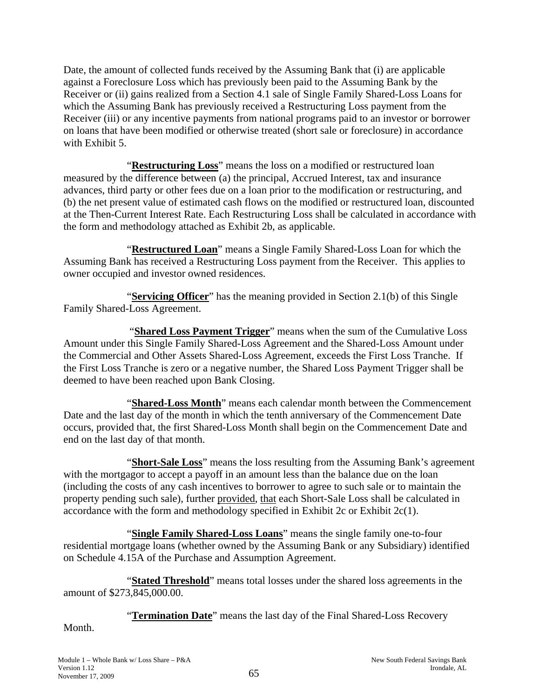Date, the amount of collected funds received by the Assuming Bank that (i) are applicable against a Foreclosure Loss which has previously been paid to the Assuming Bank by the Receiver or (ii) gains realized from a Section 4.1 sale of Single Family Shared-Loss Loans for which the Assuming Bank has previously received a Restructuring Loss payment from the Receiver (iii) or any incentive payments from national programs paid to an investor or borrower on loans that have been modified or otherwise treated (short sale or foreclosure) in accordance with Exhibit 5.

"**Restructuring Loss**" means the loss on a modified or restructured loan measured by the difference between (a) the principal, Accrued Interest, tax and insurance advances, third party or other fees due on a loan prior to the modification or restructuring, and (b) the net present value of estimated cash flows on the modified or restructured loan, discounted at the Then-Current Interest Rate. Each Restructuring Loss shall be calculated in accordance with the form and methodology attached as Exhibit 2b, as applicable.

"**Restructured Loan**" means a Single Family Shared-Loss Loan for which the Assuming Bank has received a Restructuring Loss payment from the Receiver. This applies to owner occupied and investor owned residences.

"**Servicing Officer**" has the meaning provided in Section 2.1(b) of this Single Family Shared-Loss Agreement.

"**Shared Loss Payment Trigger**" means when the sum of the Cumulative Loss Amount under this Single Family Shared-Loss Agreement and the Shared-Loss Amount under the Commercial and Other Assets Shared-Loss Agreement, exceeds the First Loss Tranche. If the First Loss Tranche is zero or a negative number, the Shared Loss Payment Trigger shall be deemed to have been reached upon Bank Closing.

"**Shared-Loss Month**" means each calendar month between the Commencement Date and the last day of the month in which the tenth anniversary of the Commencement Date occurs, provided that, the first Shared-Loss Month shall begin on the Commencement Date and end on the last day of that month.

"**Short-Sale Loss**" means the loss resulting from the Assuming Bank's agreement with the mortgagor to accept a payoff in an amount less than the balance due on the loan (including the costs of any cash incentives to borrower to agree to such sale or to maintain the property pending such sale), further provided, that each Short-Sale Loss shall be calculated in accordance with the form and methodology specified in Exhibit 2c or Exhibit 2c(1).

"**Single Family Shared-Loss Loans**" means the single family one-to-four residential mortgage loans (whether owned by the Assuming Bank or any Subsidiary) identified on Schedule 4.15A of the Purchase and Assumption Agreement.

"**Stated Threshold**" means total losses under the shared loss agreements in the amount of \$273,845,000.00.

"**Termination Date**" means the last day of the Final Shared-Loss Recovery Month.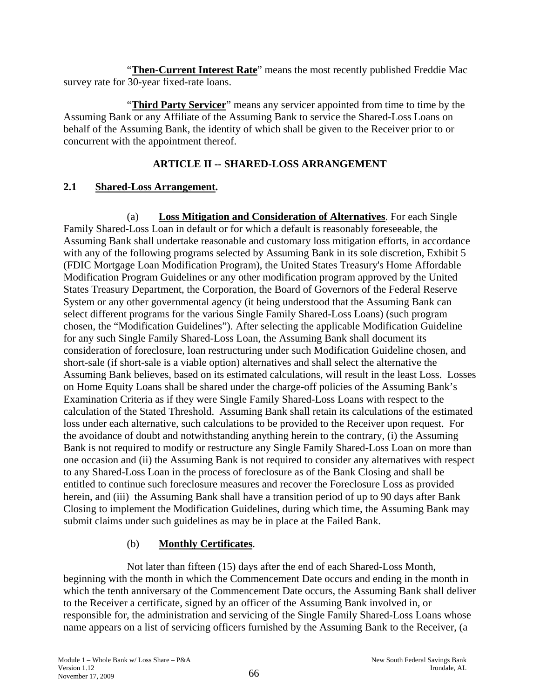"**Then-Current Interest Rate**" means the most recently published Freddie Mac survey rate for 30-year fixed-rate loans.

"**Third Party Servicer**" means any servicer appointed from time to time by the Assuming Bank or any Affiliate of the Assuming Bank to service the Shared-Loss Loans on behalf of the Assuming Bank, the identity of which shall be given to the Receiver prior to or concurrent with the appointment thereof.

### **ARTICLE II -- SHARED-LOSS ARRANGEMENT**

### **2.1 Shared-Loss Arrangement.**

(a) **Loss Mitigation and Consideration of Alternatives**. For each Single Family Shared-Loss Loan in default or for which a default is reasonably foreseeable, the Assuming Bank shall undertake reasonable and customary loss mitigation efforts, in accordance with any of the following programs selected by Assuming Bank in its sole discretion, Exhibit 5 (FDIC Mortgage Loan Modification Program), the United States Treasury's Home Affordable Modification Program Guidelines or any other modification program approved by the United States Treasury Department, the Corporation, the Board of Governors of the Federal Reserve System or any other governmental agency (it being understood that the Assuming Bank can select different programs for the various Single Family Shared-Loss Loans) (such program chosen, the "Modification Guidelines"). After selecting the applicable Modification Guideline for any such Single Family Shared-Loss Loan, the Assuming Bank shall document its consideration of foreclosure, loan restructuring under such Modification Guideline chosen, and short-sale (if short-sale is a viable option) alternatives and shall select the alternative the Assuming Bank believes, based on its estimated calculations, will result in the least Loss. Losses on Home Equity Loans shall be shared under the charge-off policies of the Assuming Bank's Examination Criteria as if they were Single Family Shared-Loss Loans with respect to the calculation of the Stated Threshold. Assuming Bank shall retain its calculations of the estimated loss under each alternative, such calculations to be provided to the Receiver upon request. For the avoidance of doubt and notwithstanding anything herein to the contrary, (i) the Assuming Bank is not required to modify or restructure any Single Family Shared-Loss Loan on more than one occasion and (ii) the Assuming Bank is not required to consider any alternatives with respect to any Shared-Loss Loan in the process of foreclosure as of the Bank Closing and shall be entitled to continue such foreclosure measures and recover the Foreclosure Loss as provided herein, and (iii) the Assuming Bank shall have a transition period of up to 90 days after Bank Closing to implement the Modification Guidelines, during which time, the Assuming Bank may submit claims under such guidelines as may be in place at the Failed Bank.

### (b) **Monthly Certificates**.

Not later than fifteen (15) days after the end of each Shared-Loss Month, beginning with the month in which the Commencement Date occurs and ending in the month in which the tenth anniversary of the Commencement Date occurs, the Assuming Bank shall deliver to the Receiver a certificate, signed by an officer of the Assuming Bank involved in, or responsible for, the administration and servicing of the Single Family Shared-Loss Loans whose name appears on a list of servicing officers furnished by the Assuming Bank to the Receiver, (a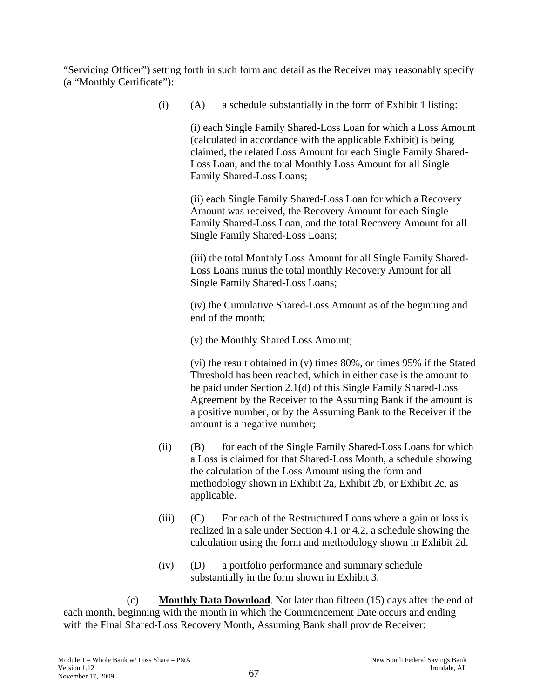"Servicing Officer") setting forth in such form and detail as the Receiver may reasonably specify (a "Monthly Certificate"):

 $(i)$  (A) a schedule substantially in the form of Exhibit 1 listing:

(i) each Single Family Shared-Loss Loan for which a Loss Amount (calculated in accordance with the applicable Exhibit) is being claimed, the related Loss Amount for each Single Family Shared-Loss Loan, and the total Monthly Loss Amount for all Single Family Shared-Loss Loans;

(ii) each Single Family Shared-Loss Loan for which a Recovery Amount was received, the Recovery Amount for each Single Family Shared-Loss Loan, and the total Recovery Amount for all Single Family Shared-Loss Loans;

(iii) the total Monthly Loss Amount for all Single Family Shared-Loss Loans minus the total monthly Recovery Amount for all Single Family Shared-Loss Loans;

(iv) the Cumulative Shared-Loss Amount as of the beginning and end of the month;

(v) the Monthly Shared Loss Amount;

(vi) the result obtained in (v) times 80%, or times 95% if the Stated Threshold has been reached, which in either case is the amount to be paid under Section 2.1(d) of this Single Family Shared-Loss Agreement by the Receiver to the Assuming Bank if the amount is a positive number, or by the Assuming Bank to the Receiver if the amount is a negative number;

- (ii) (B) for each of the Single Family Shared-Loss Loans for which a Loss is claimed for that Shared-Loss Month, a schedule showing the calculation of the Loss Amount using the form and methodology shown in Exhibit 2a, Exhibit 2b, or Exhibit 2c, as applicable.
- (iii) (C) For each of the Restructured Loans where a gain or loss is realized in a sale under Section 4.1 or 4.2, a schedule showing the calculation using the form and methodology shown in Exhibit 2d.
- $(iv)$  (D) a portfolio performance and summary schedule substantially in the form shown in Exhibit 3.

(c) **Monthly Data Download**. Not later than fifteen (15) days after the end of each month, beginning with the month in which the Commencement Date occurs and ending with the Final Shared-Loss Recovery Month, Assuming Bank shall provide Receiver: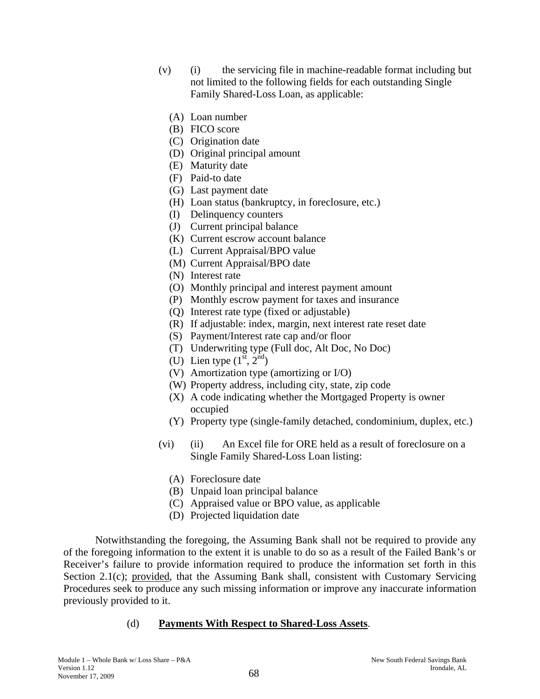- $(v)$  (i) the servicing file in machine-readable format including but not limited to the following fields for each outstanding Single Family Shared-Loss Loan, as applicable:
	- (A) Loan number
	- (B) FICO score
	- (C) Origination date
	- (D) Original principal amount
	- (E) Maturity date
	- (F) Paid-to date
	- (G) Last payment date
	- (H) Loan status (bankruptcy, in foreclosure, etc.)
	- (I) Delinquency counters
	- (J) Current principal balance
	- (K) Current escrow account balance
	- (L) Current Appraisal/BPO value
	- (M) Current Appraisal/BPO date
	- (N) Interest rate
	- (O) Monthly principal and interest payment amount
	- (P) Monthly escrow payment for taxes and insurance
	- (Q) Interest rate type (fixed or adjustable)
	- (R) If adjustable: index, margin, next interest rate reset date
	- (S) Payment/Interest rate cap and/or floor
	- (T) Underwriting type (Full doc, Alt Doc, No Doc)
	- (U) Lien type  $(1^{\overline{s}t}, 2^{\overline{n}d})$
	- (V) Amortization type (amortizing or I/O)
	- (W) Property address, including city, state, zip code
	- (X) A code indicating whether the Mortgaged Property is owner occupied
	- (Y) Property type (single-family detached, condominium, duplex, etc.)
- (vi) (ii) An Excel file for ORE held as a result of foreclosure on a Single Family Shared-Loss Loan listing:
	- (A) Foreclosure date
	- (B) Unpaid loan principal balance
	- (C) Appraised value or BPO value, as applicable
	- (D) Projected liquidation date

Notwithstanding the foregoing, the Assuming Bank shall not be required to provide any of the foregoing information to the extent it is unable to do so as a result of the Failed Bank's or Receiver's failure to provide information required to produce the information set forth in this Section 2.1(c); provided, that the Assuming Bank shall, consistent with Customary Servicing Procedures seek to produce any such missing information or improve any inaccurate information previously provided to it.

(d) **Payments With Respect to Shared-Loss Assets**.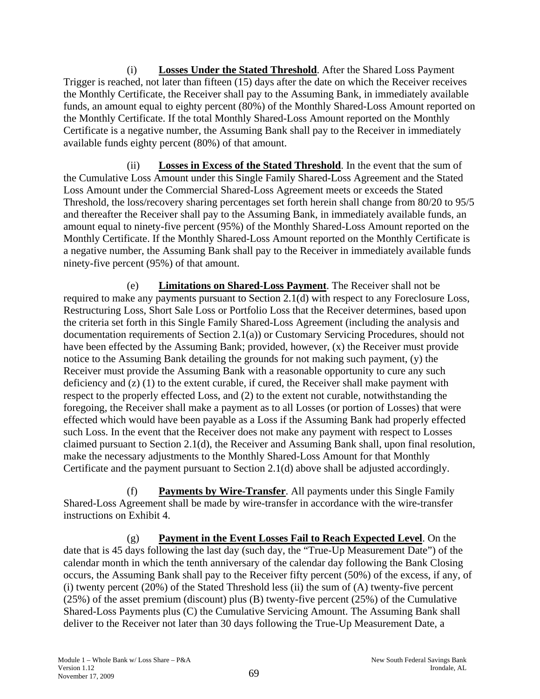(i) **Losses Under the Stated Threshold**. After the Shared Loss Payment Trigger is reached, not later than fifteen (15) days after the date on which the Receiver receives the Monthly Certificate, the Receiver shall pay to the Assuming Bank, in immediately available funds, an amount equal to eighty percent (80%) of the Monthly Shared-Loss Amount reported on the Monthly Certificate. If the total Monthly Shared-Loss Amount reported on the Monthly Certificate is a negative number, the Assuming Bank shall pay to the Receiver in immediately available funds eighty percent (80%) of that amount.

(ii) **Losses in Excess of the Stated Threshold**. In the event that the sum of the Cumulative Loss Amount under this Single Family Shared-Loss Agreement and the Stated Loss Amount under the Commercial Shared-Loss Agreement meets or exceeds the Stated Threshold, the loss/recovery sharing percentages set forth herein shall change from 80/20 to 95/5 and thereafter the Receiver shall pay to the Assuming Bank, in immediately available funds, an amount equal to ninety-five percent (95%) of the Monthly Shared-Loss Amount reported on the Monthly Certificate. If the Monthly Shared-Loss Amount reported on the Monthly Certificate is a negative number, the Assuming Bank shall pay to the Receiver in immediately available funds ninety-five percent (95%) of that amount.

(e) **Limitations on Shared-Loss Payment**. The Receiver shall not be required to make any payments pursuant to Section 2.1(d) with respect to any Foreclosure Loss, Restructuring Loss, Short Sale Loss or Portfolio Loss that the Receiver determines, based upon the criteria set forth in this Single Family Shared-Loss Agreement (including the analysis and documentation requirements of Section 2.1(a)) or Customary Servicing Procedures, should not have been effected by the Assuming Bank; provided, however, (x) the Receiver must provide notice to the Assuming Bank detailing the grounds for not making such payment, (y) the Receiver must provide the Assuming Bank with a reasonable opportunity to cure any such deficiency and (z) (1) to the extent curable, if cured, the Receiver shall make payment with respect to the properly effected Loss, and (2) to the extent not curable, notwithstanding the foregoing, the Receiver shall make a payment as to all Losses (or portion of Losses) that were effected which would have been payable as a Loss if the Assuming Bank had properly effected such Loss. In the event that the Receiver does not make any payment with respect to Losses claimed pursuant to Section 2.1(d), the Receiver and Assuming Bank shall, upon final resolution, make the necessary adjustments to the Monthly Shared-Loss Amount for that Monthly Certificate and the payment pursuant to Section 2.1(d) above shall be adjusted accordingly.

(f) **Payments by Wire-Transfer**. All payments under this Single Family Shared-Loss Agreement shall be made by wire-transfer in accordance with the wire-transfer instructions on Exhibit 4.

 (g) **Payment in the Event Losses Fail to Reach Expected Level**. On the date that is 45 days following the last day (such day, the "True-Up Measurement Date") of the calendar month in which the tenth anniversary of the calendar day following the Bank Closing occurs, the Assuming Bank shall pay to the Receiver fifty percent (50%) of the excess, if any, of  $(i)$  twenty percent (20%) of the Stated Threshold less  $(ii)$  the sum of  $(A)$  twenty-five percent (25%) of the asset premium (discount) plus (B) twenty-five percent (25%) of the Cumulative Shared-Loss Payments plus (C) the Cumulative Servicing Amount. The Assuming Bank shall deliver to the Receiver not later than 30 days following the True-Up Measurement Date, a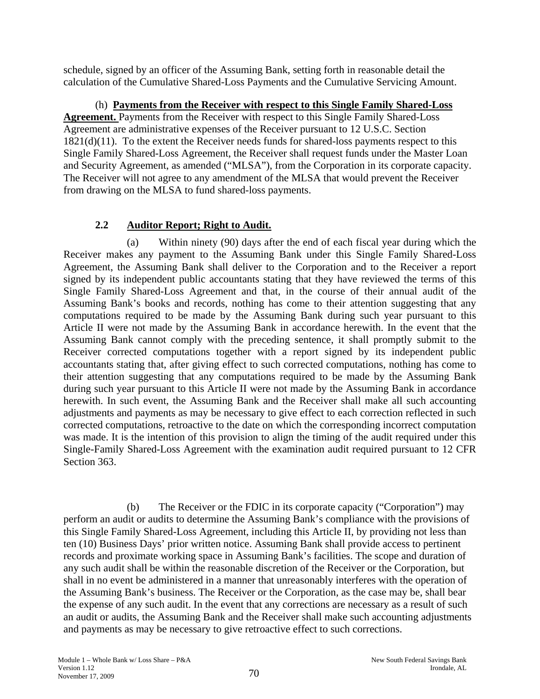schedule, signed by an officer of the Assuming Bank, setting forth in reasonable detail the calculation of the Cumulative Shared-Loss Payments and the Cumulative Servicing Amount.

(h) **Payments from the Receiver with respect to this Single Family Shared-Loss Agreement.** Payments from the Receiver with respect to this Single Family Shared-Loss Agreement are administrative expenses of the Receiver pursuant to 12 U.S.C. Section  $1821(d)(11)$ . To the extent the Receiver needs funds for shared-loss payments respect to this Single Family Shared-Loss Agreement, the Receiver shall request funds under the Master Loan and Security Agreement, as amended ("MLSA"), from the Corporation in its corporate capacity. The Receiver will not agree to any amendment of the MLSA that would prevent the Receiver from drawing on the MLSA to fund shared-loss payments.

# **2.2 Auditor Report; Right to Audit.**

(a) Within ninety (90) days after the end of each fiscal year during which the Receiver makes any payment to the Assuming Bank under this Single Family Shared-Loss Agreement, the Assuming Bank shall deliver to the Corporation and to the Receiver a report signed by its independent public accountants stating that they have reviewed the terms of this Single Family Shared-Loss Agreement and that, in the course of their annual audit of the Assuming Bank's books and records, nothing has come to their attention suggesting that any computations required to be made by the Assuming Bank during such year pursuant to this Article II were not made by the Assuming Bank in accordance herewith. In the event that the Assuming Bank cannot comply with the preceding sentence, it shall promptly submit to the Receiver corrected computations together with a report signed by its independent public accountants stating that, after giving effect to such corrected computations, nothing has come to their attention suggesting that any computations required to be made by the Assuming Bank during such year pursuant to this Article II were not made by the Assuming Bank in accordance herewith. In such event, the Assuming Bank and the Receiver shall make all such accounting adjustments and payments as may be necessary to give effect to each correction reflected in such corrected computations, retroactive to the date on which the corresponding incorrect computation was made. It is the intention of this provision to align the timing of the audit required under this Single-Family Shared-Loss Agreement with the examination audit required pursuant to 12 CFR Section 363.

(b) The Receiver or the FDIC in its corporate capacity ("Corporation") may perform an audit or audits to determine the Assuming Bank's compliance with the provisions of this Single Family Shared-Loss Agreement, including this Article II, by providing not less than ten (10) Business Days' prior written notice. Assuming Bank shall provide access to pertinent records and proximate working space in Assuming Bank's facilities. The scope and duration of any such audit shall be within the reasonable discretion of the Receiver or the Corporation, but shall in no event be administered in a manner that unreasonably interferes with the operation of the Assuming Bank's business. The Receiver or the Corporation, as the case may be, shall bear the expense of any such audit. In the event that any corrections are necessary as a result of such an audit or audits, the Assuming Bank and the Receiver shall make such accounting adjustments and payments as may be necessary to give retroactive effect to such corrections.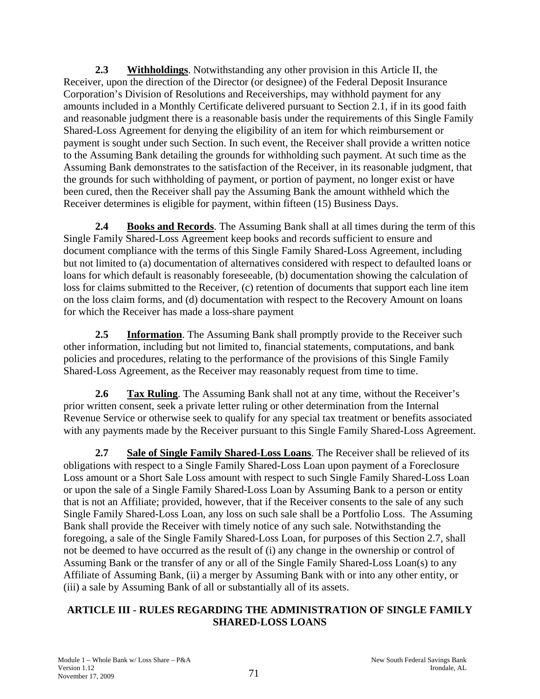**2.3 Withholdings**. Notwithstanding any other provision in this Article II, the Receiver, upon the direction of the Director (or designee) of the Federal Deposit Insurance Corporation's Division of Resolutions and Receiverships, may withhold payment for any amounts included in a Monthly Certificate delivered pursuant to Section 2.1, if in its good faith and reasonable judgment there is a reasonable basis under the requirements of this Single Family Shared-Loss Agreement for denying the eligibility of an item for which reimbursement or payment is sought under such Section. In such event, the Receiver shall provide a written notice to the Assuming Bank detailing the grounds for withholding such payment. At such time as the Assuming Bank demonstrates to the satisfaction of the Receiver, in its reasonable judgment, that the grounds for such withholding of payment, or portion of payment, no longer exist or have been cured, then the Receiver shall pay the Assuming Bank the amount withheld which the Receiver determines is eligible for payment, within fifteen (15) Business Days.

**2.4 Books and Records**. The Assuming Bank shall at all times during the term of this Single Family Shared-Loss Agreement keep books and records sufficient to ensure and document compliance with the terms of this Single Family Shared-Loss Agreement, including but not limited to (a) documentation of alternatives considered with respect to defaulted loans or loans for which default is reasonably foreseeable, (b) documentation showing the calculation of loss for claims submitted to the Receiver, (c) retention of documents that support each line item on the loss claim forms, and (d) documentation with respect to the Recovery Amount on loans for which the Receiver has made a loss-share payment

**2.5 Information**. The Assuming Bank shall promptly provide to the Receiver such other information, including but not limited to, financial statements, computations, and bank policies and procedures, relating to the performance of the provisions of this Single Family Shared-Loss Agreement, as the Receiver may reasonably request from time to time.

**2.6 Tax Ruling**. The Assuming Bank shall not at any time, without the Receiver's prior written consent, seek a private letter ruling or other determination from the Internal Revenue Service or otherwise seek to qualify for any special tax treatment or benefits associated with any payments made by the Receiver pursuant to this Single Family Shared-Loss Agreement.

**2.7 Sale of Single Family Shared-Loss Loans**. The Receiver shall be relieved of its obligations with respect to a Single Family Shared-Loss Loan upon payment of a Foreclosure Loss amount or a Short Sale Loss amount with respect to such Single Family Shared-Loss Loan or upon the sale of a Single Family Shared-Loss Loan by Assuming Bank to a person or entity that is not an Affiliate; provided, however, that if the Receiver consents to the sale of any such Single Family Shared-Loss Loan, any loss on such sale shall be a Portfolio Loss. The Assuming Bank shall provide the Receiver with timely notice of any such sale. Notwithstanding the foregoing, a sale of the Single Family Shared-Loss Loan, for purposes of this Section 2.7, shall not be deemed to have occurred as the result of (i) any change in the ownership or control of Assuming Bank or the transfer of any or all of the Single Family Shared-Loss Loan(s) to any Affiliate of Assuming Bank, (ii) a merger by Assuming Bank with or into any other entity, or (iii) a sale by Assuming Bank of all or substantially all of its assets.

## **ARTICLE III - RULES REGARDING THE ADMINISTRATION OF SINGLE FAMILY SHARED-LOSS LOANS**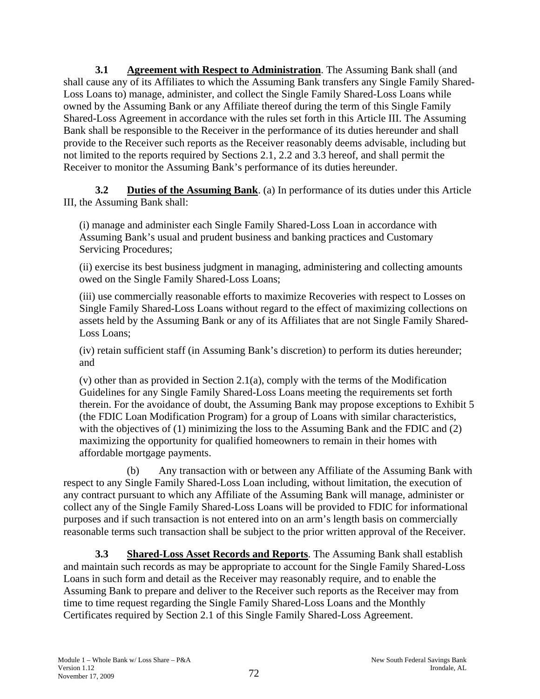**3.1** Agreement with Respect to Administration. The Assuming Bank shall (and shall cause any of its Affiliates to which the Assuming Bank transfers any Single Family Shared-Loss Loans to) manage, administer, and collect the Single Family Shared-Loss Loans while owned by the Assuming Bank or any Affiliate thereof during the term of this Single Family Shared-Loss Agreement in accordance with the rules set forth in this Article III. The Assuming Bank shall be responsible to the Receiver in the performance of its duties hereunder and shall provide to the Receiver such reports as the Receiver reasonably deems advisable, including but not limited to the reports required by Sections 2.1, 2.2 and 3.3 hereof, and shall permit the Receiver to monitor the Assuming Bank's performance of its duties hereunder.

**3.2 Duties of the Assuming Bank**. (a) In performance of its duties under this Article III, the Assuming Bank shall:

(i) manage and administer each Single Family Shared-Loss Loan in accordance with Assuming Bank's usual and prudent business and banking practices and Customary Servicing Procedures;

(ii) exercise its best business judgment in managing, administering and collecting amounts owed on the Single Family Shared-Loss Loans;

(iii) use commercially reasonable efforts to maximize Recoveries with respect to Losses on Single Family Shared-Loss Loans without regard to the effect of maximizing collections on assets held by the Assuming Bank or any of its Affiliates that are not Single Family Shared-Loss Loans;

(iv) retain sufficient staff (in Assuming Bank's discretion) to perform its duties hereunder; and

(v) other than as provided in Section 2.1(a), comply with the terms of the Modification Guidelines for any Single Family Shared-Loss Loans meeting the requirements set forth therein. For the avoidance of doubt, the Assuming Bank may propose exceptions to Exhibit 5 (the FDIC Loan Modification Program) for a group of Loans with similar characteristics, with the objectives of (1) minimizing the loss to the Assuming Bank and the FDIC and (2) maximizing the opportunity for qualified homeowners to remain in their homes with affordable mortgage payments.

(b) Any transaction with or between any Affiliate of the Assuming Bank with respect to any Single Family Shared-Loss Loan including, without limitation, the execution of any contract pursuant to which any Affiliate of the Assuming Bank will manage, administer or collect any of the Single Family Shared-Loss Loans will be provided to FDIC for informational purposes and if such transaction is not entered into on an arm's length basis on commercially reasonable terms such transaction shall be subject to the prior written approval of the Receiver.

**3.3 Shared-Loss Asset Records and Reports**. The Assuming Bank shall establish and maintain such records as may be appropriate to account for the Single Family Shared-Loss Loans in such form and detail as the Receiver may reasonably require, and to enable the Assuming Bank to prepare and deliver to the Receiver such reports as the Receiver may from time to time request regarding the Single Family Shared-Loss Loans and the Monthly Certificates required by Section 2.1 of this Single Family Shared-Loss Agreement.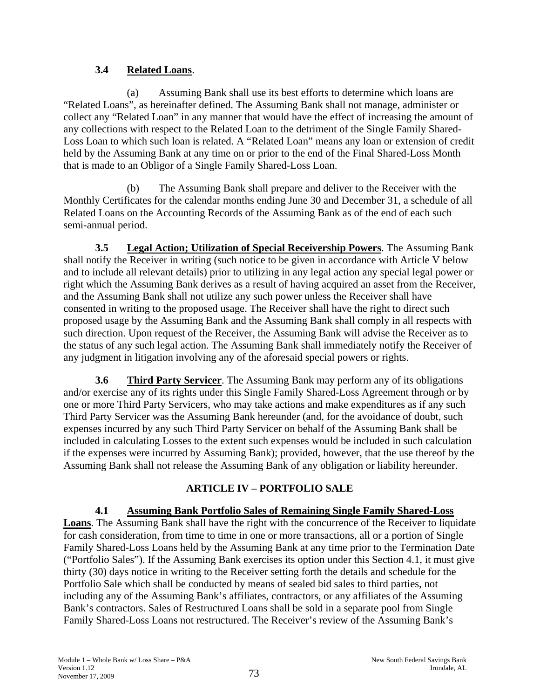## **3.4 Related Loans**.

(a) Assuming Bank shall use its best efforts to determine which loans are "Related Loans", as hereinafter defined. The Assuming Bank shall not manage, administer or collect any "Related Loan" in any manner that would have the effect of increasing the amount of any collections with respect to the Related Loan to the detriment of the Single Family Shared-Loss Loan to which such loan is related. A "Related Loan" means any loan or extension of credit held by the Assuming Bank at any time on or prior to the end of the Final Shared-Loss Month that is made to an Obligor of a Single Family Shared-Loss Loan.

(b) The Assuming Bank shall prepare and deliver to the Receiver with the Monthly Certificates for the calendar months ending June 30 and December 31, a schedule of all Related Loans on the Accounting Records of the Assuming Bank as of the end of each such semi-annual period.

**3.5 Legal Action; Utilization of Special Receivership Powers**. The Assuming Bank shall notify the Receiver in writing (such notice to be given in accordance with Article V below and to include all relevant details) prior to utilizing in any legal action any special legal power or right which the Assuming Bank derives as a result of having acquired an asset from the Receiver, and the Assuming Bank shall not utilize any such power unless the Receiver shall have consented in writing to the proposed usage. The Receiver shall have the right to direct such proposed usage by the Assuming Bank and the Assuming Bank shall comply in all respects with such direction. Upon request of the Receiver, the Assuming Bank will advise the Receiver as to the status of any such legal action. The Assuming Bank shall immediately notify the Receiver of any judgment in litigation involving any of the aforesaid special powers or rights.

**3.6 Third Party Servicer**. The Assuming Bank may perform any of its obligations and/or exercise any of its rights under this Single Family Shared-Loss Agreement through or by one or more Third Party Servicers, who may take actions and make expenditures as if any such Third Party Servicer was the Assuming Bank hereunder (and, for the avoidance of doubt, such expenses incurred by any such Third Party Servicer on behalf of the Assuming Bank shall be included in calculating Losses to the extent such expenses would be included in such calculation if the expenses were incurred by Assuming Bank); provided, however, that the use thereof by the Assuming Bank shall not release the Assuming Bank of any obligation or liability hereunder.

# **ARTICLE IV – PORTFOLIO SALE**

**4.1 Assuming Bank Portfolio Sales of Remaining Single Family Shared-Loss Loans**. The Assuming Bank shall have the right with the concurrence of the Receiver to liquidate for cash consideration, from time to time in one or more transactions, all or a portion of Single Family Shared-Loss Loans held by the Assuming Bank at any time prior to the Termination Date ("Portfolio Sales"). If the Assuming Bank exercises its option under this Section 4.1, it must give thirty (30) days notice in writing to the Receiver setting forth the details and schedule for the Portfolio Sale which shall be conducted by means of sealed bid sales to third parties, not including any of the Assuming Bank's affiliates, contractors, or any affiliates of the Assuming Bank's contractors. Sales of Restructured Loans shall be sold in a separate pool from Single Family Shared-Loss Loans not restructured. The Receiver's review of the Assuming Bank's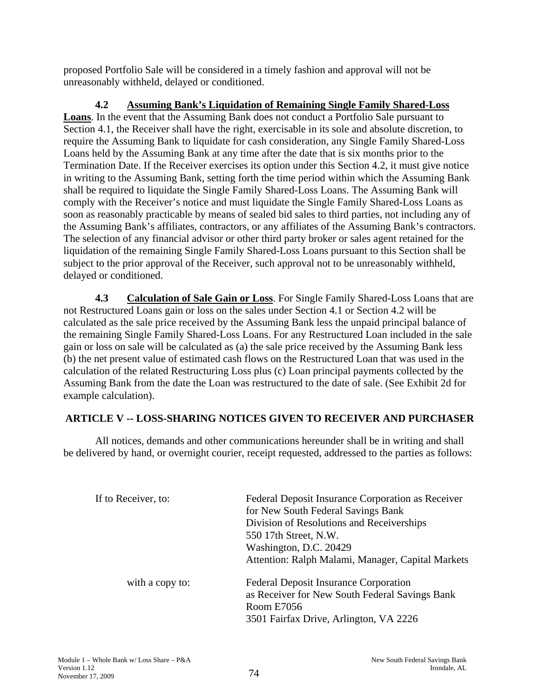proposed Portfolio Sale will be considered in a timely fashion and approval will not be unreasonably withheld, delayed or conditioned.

**4.2 Assuming Bank's Liquidation of Remaining Single Family Shared-Loss Loans**. In the event that the Assuming Bank does not conduct a Portfolio Sale pursuant to Section 4.1, the Receiver shall have the right, exercisable in its sole and absolute discretion, to require the Assuming Bank to liquidate for cash consideration, any Single Family Shared-Loss Loans held by the Assuming Bank at any time after the date that is six months prior to the Termination Date. If the Receiver exercises its option under this Section 4.2, it must give notice in writing to the Assuming Bank, setting forth the time period within which the Assuming Bank shall be required to liquidate the Single Family Shared-Loss Loans. The Assuming Bank will comply with the Receiver's notice and must liquidate the Single Family Shared-Loss Loans as soon as reasonably practicable by means of sealed bid sales to third parties, not including any of the Assuming Bank's affiliates, contractors, or any affiliates of the Assuming Bank's contractors. The selection of any financial advisor or other third party broker or sales agent retained for the liquidation of the remaining Single Family Shared-Loss Loans pursuant to this Section shall be subject to the prior approval of the Receiver, such approval not to be unreasonably withheld, delayed or conditioned.

**4.3 Calculation of Sale Gain or Loss**. For Single Family Shared-Loss Loans that are not Restructured Loans gain or loss on the sales under Section 4.1 or Section 4.2 will be calculated as the sale price received by the Assuming Bank less the unpaid principal balance of the remaining Single Family Shared-Loss Loans. For any Restructured Loan included in the sale gain or loss on sale will be calculated as (a) the sale price received by the Assuming Bank less (b) the net present value of estimated cash flows on the Restructured Loan that was used in the calculation of the related Restructuring Loss plus (c) Loan principal payments collected by the Assuming Bank from the date the Loan was restructured to the date of sale. (See Exhibit 2d for example calculation).

# **ARTICLE V -- LOSS-SHARING NOTICES GIVEN TO RECEIVER AND PURCHASER**

All notices, demands and other communications hereunder shall be in writing and shall be delivered by hand, or overnight courier, receipt requested, addressed to the parties as follows:

| If to Receiver, to: | Federal Deposit Insurance Corporation as Receiver<br>for New South Federal Savings Bank |  |  |
|---------------------|-----------------------------------------------------------------------------------------|--|--|
|                     | Division of Resolutions and Receiverships                                               |  |  |
|                     | 550 17th Street, N.W.                                                                   |  |  |
|                     | Washington, D.C. 20429                                                                  |  |  |
|                     | Attention: Ralph Malami, Manager, Capital Markets                                       |  |  |
| with a copy to:     | <b>Federal Deposit Insurance Corporation</b>                                            |  |  |
|                     | as Receiver for New South Federal Savings Bank                                          |  |  |
|                     | Room E7056                                                                              |  |  |
|                     | 3501 Fairfax Drive, Arlington, VA 2226                                                  |  |  |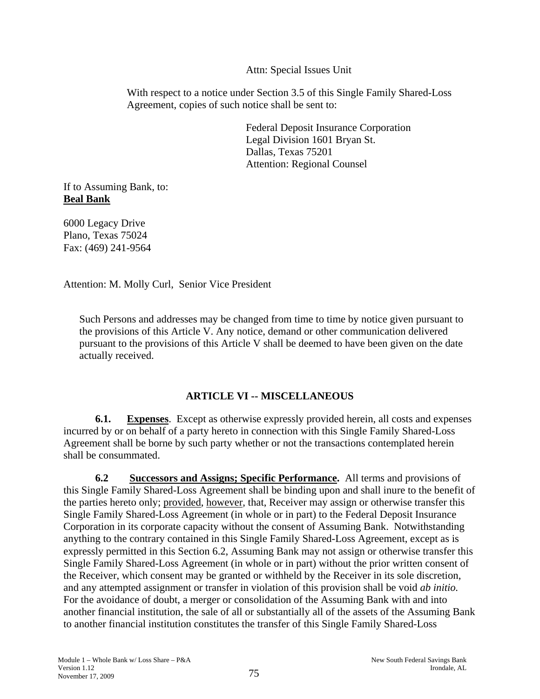Attn: Special Issues Unit

With respect to a notice under Section 3.5 of this Single Family Shared-Loss Agreement, copies of such notice shall be sent to:

> Federal Deposit Insurance Corporation Legal Division 1601 Bryan St. Dallas, Texas 75201 Attention: Regional Counsel

If to Assuming Bank, to: **Beal Bank** 

6000 Legacy Drive Plano, Texas 75024 Fax: (469) 241-9564

Attention: M. Molly Curl, Senior Vice President

Such Persons and addresses may be changed from time to time by notice given pursuant to the provisions of this Article V. Any notice, demand or other communication delivered pursuant to the provisions of this Article V shall be deemed to have been given on the date actually received.

# **ARTICLE VI -- MISCELLANEOUS**

**6.1. Expenses**. Except as otherwise expressly provided herein, all costs and expenses incurred by or on behalf of a party hereto in connection with this Single Family Shared-Loss Agreement shall be borne by such party whether or not the transactions contemplated herein shall be consummated.

**6.2 Successors and Assigns; Specific Performance.** All terms and provisions of this Single Family Shared-Loss Agreement shall be binding upon and shall inure to the benefit of the parties hereto only; provided, however, that, Receiver may assign or otherwise transfer this Single Family Shared-Loss Agreement (in whole or in part) to the Federal Deposit Insurance Corporation in its corporate capacity without the consent of Assuming Bank. Notwithstanding anything to the contrary contained in this Single Family Shared-Loss Agreement, except as is expressly permitted in this Section 6.2, Assuming Bank may not assign or otherwise transfer this Single Family Shared-Loss Agreement (in whole or in part) without the prior written consent of the Receiver, which consent may be granted or withheld by the Receiver in its sole discretion, and any attempted assignment or transfer in violation of this provision shall be void *ab initio.*  For the avoidance of doubt, a merger or consolidation of the Assuming Bank with and into another financial institution, the sale of all or substantially all of the assets of the Assuming Bank to another financial institution constitutes the transfer of this Single Family Shared-Loss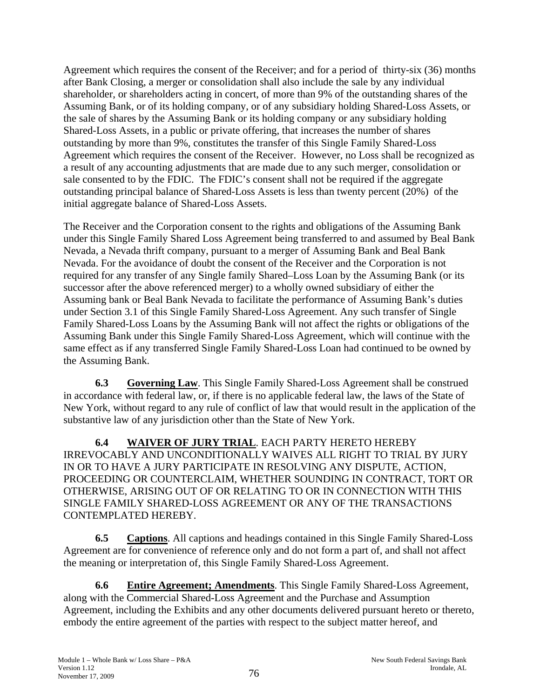Agreement which requires the consent of the Receiver; and for a period of thirty-six (36) months after Bank Closing, a merger or consolidation shall also include the sale by any individual shareholder, or shareholders acting in concert, of more than 9% of the outstanding shares of the Assuming Bank, or of its holding company, or of any subsidiary holding Shared-Loss Assets, or the sale of shares by the Assuming Bank or its holding company or any subsidiary holding Shared-Loss Assets, in a public or private offering, that increases the number of shares outstanding by more than 9%, constitutes the transfer of this Single Family Shared-Loss Agreement which requires the consent of the Receiver. However, no Loss shall be recognized as a result of any accounting adjustments that are made due to any such merger, consolidation or sale consented to by the FDIC. The FDIC's consent shall not be required if the aggregate outstanding principal balance of Shared-Loss Assets is less than twenty percent (20%) of the initial aggregate balance of Shared-Loss Assets.

The Receiver and the Corporation consent to the rights and obligations of the Assuming Bank under this Single Family Shared Loss Agreement being transferred to and assumed by Beal Bank Nevada, a Nevada thrift company, pursuant to a merger of Assuming Bank and Beal Bank Nevada. For the avoidance of doubt the consent of the Receiver and the Corporation is not required for any transfer of any Single family Shared–Loss Loan by the Assuming Bank (or its successor after the above referenced merger) to a wholly owned subsidiary of either the Assuming bank or Beal Bank Nevada to facilitate the performance of Assuming Bank's duties under Section 3.1 of this Single Family Shared-Loss Agreement. Any such transfer of Single Family Shared-Loss Loans by the Assuming Bank will not affect the rights or obligations of the Assuming Bank under this Single Family Shared-Loss Agreement, which will continue with the same effect as if any transferred Single Family Shared-Loss Loan had continued to be owned by the Assuming Bank.

**6.3 Governing Law**. This Single Family Shared-Loss Agreement shall be construed in accordance with federal law, or, if there is no applicable federal law, the laws of the State of New York, without regard to any rule of conflict of law that would result in the application of the substantive law of any jurisdiction other than the State of New York.

**6.4 WAIVER OF JURY TRIAL**. EACH PARTY HERETO HEREBY IRREVOCABLY AND UNCONDITIONALLY WAIVES ALL RIGHT TO TRIAL BY JURY IN OR TO HAVE A JURY PARTICIPATE IN RESOLVING ANY DISPUTE, ACTION, PROCEEDING OR COUNTERCLAIM, WHETHER SOUNDING IN CONTRACT, TORT OR OTHERWISE, ARISING OUT OF OR RELATING TO OR IN CONNECTION WITH THIS SINGLE FAMILY SHARED-LOSS AGREEMENT OR ANY OF THE TRANSACTIONS CONTEMPLATED HEREBY.

**6.5 Captions**. All captions and headings contained in this Single Family Shared-Loss Agreement are for convenience of reference only and do not form a part of, and shall not affect the meaning or interpretation of, this Single Family Shared-Loss Agreement.

**6.6 Entire Agreement; Amendments**. This Single Family Shared-Loss Agreement, along with the Commercial Shared-Loss Agreement and the Purchase and Assumption Agreement, including the Exhibits and any other documents delivered pursuant hereto or thereto, embody the entire agreement of the parties with respect to the subject matter hereof, and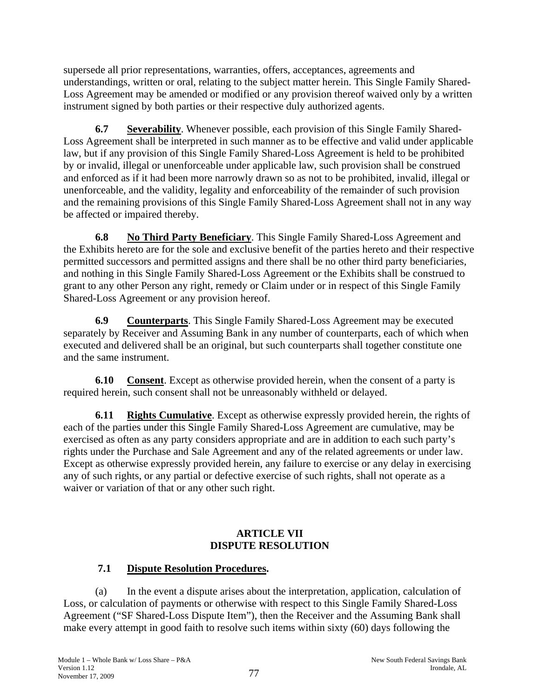supersede all prior representations, warranties, offers, acceptances, agreements and understandings, written or oral, relating to the subject matter herein. This Single Family Shared-Loss Agreement may be amended or modified or any provision thereof waived only by a written instrument signed by both parties or their respective duly authorized agents.

**6.7 Severability**. Whenever possible, each provision of this Single Family Shared-Loss Agreement shall be interpreted in such manner as to be effective and valid under applicable law, but if any provision of this Single Family Shared-Loss Agreement is held to be prohibited by or invalid, illegal or unenforceable under applicable law, such provision shall be construed and enforced as if it had been more narrowly drawn so as not to be prohibited, invalid, illegal or unenforceable, and the validity, legality and enforceability of the remainder of such provision and the remaining provisions of this Single Family Shared-Loss Agreement shall not in any way be affected or impaired thereby.

**6.8 No Third Party Beneficiary.** This Single Family Shared-Loss Agreement and the Exhibits hereto are for the sole and exclusive benefit of the parties hereto and their respective permitted successors and permitted assigns and there shall be no other third party beneficiaries, and nothing in this Single Family Shared-Loss Agreement or the Exhibits shall be construed to grant to any other Person any right, remedy or Claim under or in respect of this Single Family Shared-Loss Agreement or any provision hereof.

**6.9 Counterparts**. This Single Family Shared-Loss Agreement may be executed separately by Receiver and Assuming Bank in any number of counterparts, each of which when executed and delivered shall be an original, but such counterparts shall together constitute one and the same instrument.

**6.10** Consent. Except as otherwise provided herein, when the consent of a party is required herein, such consent shall not be unreasonably withheld or delayed.

**6.11 Rights Cumulative**. Except as otherwise expressly provided herein, the rights of each of the parties under this Single Family Shared-Loss Agreement are cumulative, may be exercised as often as any party considers appropriate and are in addition to each such party's rights under the Purchase and Sale Agreement and any of the related agreements or under law. Except as otherwise expressly provided herein, any failure to exercise or any delay in exercising any of such rights, or any partial or defective exercise of such rights, shall not operate as a waiver or variation of that or any other such right.

## **ARTICLE VII DISPUTE RESOLUTION**

# **7.1 Dispute Resolution Procedures.**

(a) In the event a dispute arises about the interpretation, application, calculation of Loss, or calculation of payments or otherwise with respect to this Single Family Shared-Loss Agreement ("SF Shared-Loss Dispute Item"), then the Receiver and the Assuming Bank shall make every attempt in good faith to resolve such items within sixty (60) days following the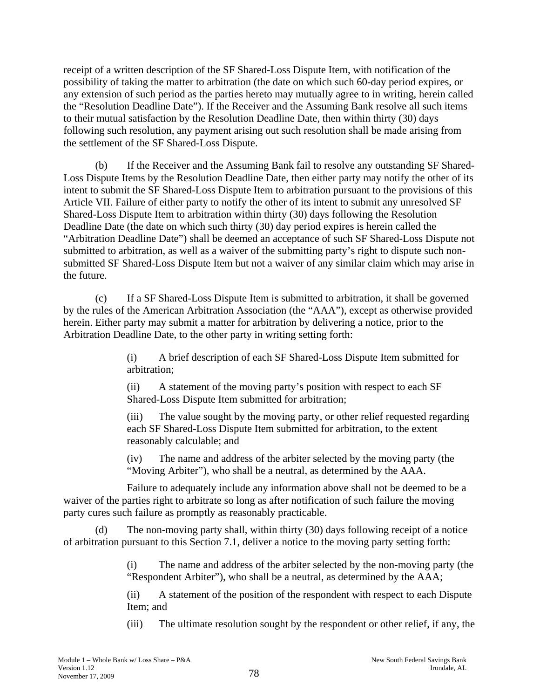receipt of a written description of the SF Shared-Loss Dispute Item, with notification of the possibility of taking the matter to arbitration (the date on which such 60-day period expires, or any extension of such period as the parties hereto may mutually agree to in writing, herein called the "Resolution Deadline Date"). If the Receiver and the Assuming Bank resolve all such items to their mutual satisfaction by the Resolution Deadline Date, then within thirty (30) days following such resolution, any payment arising out such resolution shall be made arising from the settlement of the SF Shared-Loss Dispute.

(b) If the Receiver and the Assuming Bank fail to resolve any outstanding SF Shared-Loss Dispute Items by the Resolution Deadline Date, then either party may notify the other of its intent to submit the SF Shared-Loss Dispute Item to arbitration pursuant to the provisions of this Article VII. Failure of either party to notify the other of its intent to submit any unresolved SF Shared-Loss Dispute Item to arbitration within thirty (30) days following the Resolution Deadline Date (the date on which such thirty (30) day period expires is herein called the "Arbitration Deadline Date") shall be deemed an acceptance of such SF Shared-Loss Dispute not submitted to arbitration, as well as a waiver of the submitting party's right to dispute such nonsubmitted SF Shared-Loss Dispute Item but not a waiver of any similar claim which may arise in the future.

(c) If a SF Shared-Loss Dispute Item is submitted to arbitration, it shall be governed by the rules of the American Arbitration Association (the "AAA"), except as otherwise provided herein. Either party may submit a matter for arbitration by delivering a notice, prior to the Arbitration Deadline Date, to the other party in writing setting forth:

> (i) A brief description of each SF Shared-Loss Dispute Item submitted for arbitration;

(ii) A statement of the moving party's position with respect to each SF Shared-Loss Dispute Item submitted for arbitration;

(iii) The value sought by the moving party, or other relief requested regarding each SF Shared-Loss Dispute Item submitted for arbitration, to the extent reasonably calculable; and

(iv) The name and address of the arbiter selected by the moving party (the "Moving Arbiter"), who shall be a neutral, as determined by the AAA.

Failure to adequately include any information above shall not be deemed to be a waiver of the parties right to arbitrate so long as after notification of such failure the moving party cures such failure as promptly as reasonably practicable.

(d) The non-moving party shall, within thirty (30) days following receipt of a notice of arbitration pursuant to this Section 7.1, deliver a notice to the moving party setting forth:

> (i) The name and address of the arbiter selected by the non-moving party (the "Respondent Arbiter"), who shall be a neutral, as determined by the AAA;

> (ii) A statement of the position of the respondent with respect to each Dispute Item; and

> (iii) The ultimate resolution sought by the respondent or other relief, if any, the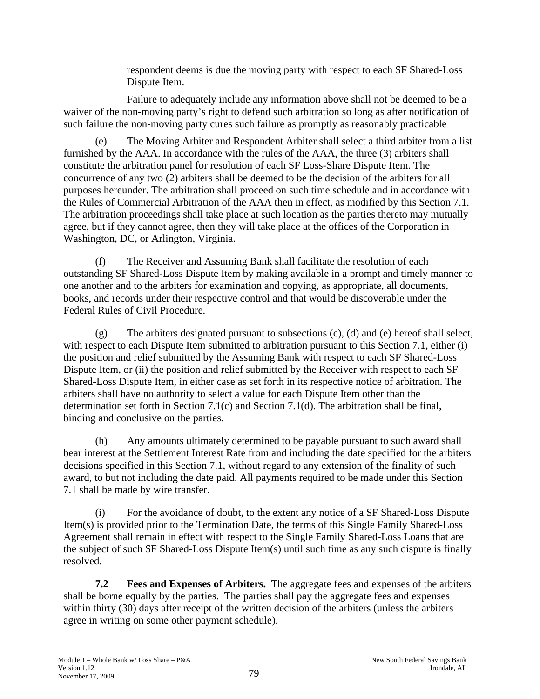respondent deems is due the moving party with respect to each SF Shared-Loss Dispute Item.

Failure to adequately include any information above shall not be deemed to be a waiver of the non-moving party's right to defend such arbitration so long as after notification of such failure the non-moving party cures such failure as promptly as reasonably practicable

(e) The Moving Arbiter and Respondent Arbiter shall select a third arbiter from a list furnished by the AAA. In accordance with the rules of the AAA, the three (3) arbiters shall constitute the arbitration panel for resolution of each SF Loss-Share Dispute Item. The concurrence of any two (2) arbiters shall be deemed to be the decision of the arbiters for all purposes hereunder. The arbitration shall proceed on such time schedule and in accordance with the Rules of Commercial Arbitration of the AAA then in effect, as modified by this Section 7.1. The arbitration proceedings shall take place at such location as the parties thereto may mutually agree, but if they cannot agree, then they will take place at the offices of the Corporation in Washington, DC, or Arlington, Virginia.

(f) The Receiver and Assuming Bank shall facilitate the resolution of each outstanding SF Shared-Loss Dispute Item by making available in a prompt and timely manner to one another and to the arbiters for examination and copying, as appropriate, all documents, books, and records under their respective control and that would be discoverable under the Federal Rules of Civil Procedure.

 $(g)$  The arbiters designated pursuant to subsections  $(c)$ ,  $(d)$  and  $(e)$  hereof shall select, with respect to each Dispute Item submitted to arbitration pursuant to this Section 7.1, either (i) the position and relief submitted by the Assuming Bank with respect to each SF Shared-Loss Dispute Item, or (ii) the position and relief submitted by the Receiver with respect to each SF Shared-Loss Dispute Item, in either case as set forth in its respective notice of arbitration. The arbiters shall have no authority to select a value for each Dispute Item other than the determination set forth in Section 7.1(c) and Section 7.1(d). The arbitration shall be final, binding and conclusive on the parties.

(h) Any amounts ultimately determined to be payable pursuant to such award shall bear interest at the Settlement Interest Rate from and including the date specified for the arbiters decisions specified in this Section 7.1, without regard to any extension of the finality of such award, to but not including the date paid. All payments required to be made under this Section 7.1 shall be made by wire transfer.

(i) For the avoidance of doubt, to the extent any notice of a SF Shared-Loss Dispute Item(s) is provided prior to the Termination Date, the terms of this Single Family Shared-Loss Agreement shall remain in effect with respect to the Single Family Shared-Loss Loans that are the subject of such SF Shared-Loss Dispute Item(s) until such time as any such dispute is finally resolved.

**7.2 Fees and Expenses of Arbiters.** The aggregate fees and expenses of the arbiters shall be borne equally by the parties. The parties shall pay the aggregate fees and expenses within thirty (30) days after receipt of the written decision of the arbiters (unless the arbiters agree in writing on some other payment schedule).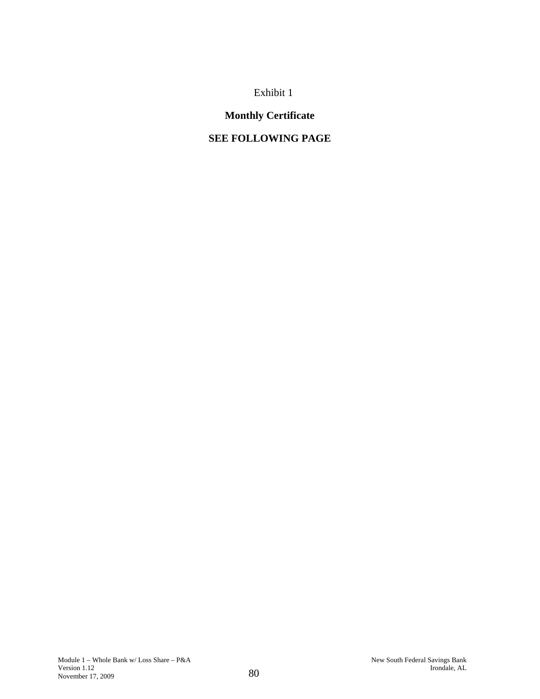Exhibit 1

# **Monthly Certificate**

# **SEE FOLLOWING PAGE**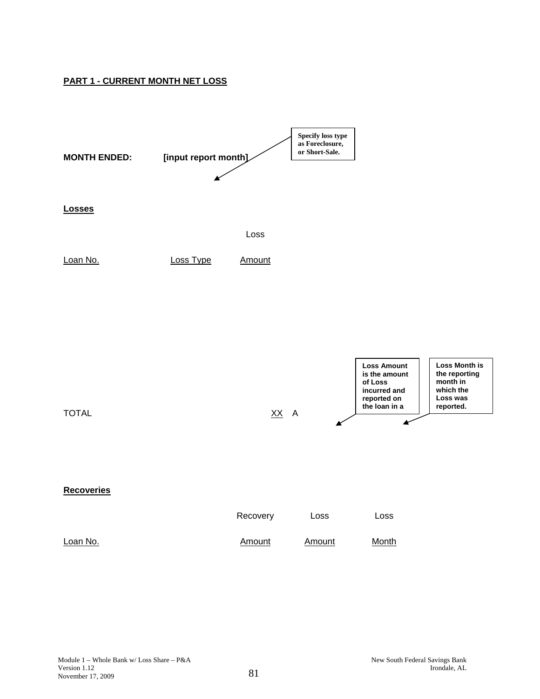#### **PART 1 - CURRENT MONTH NET LOSS**



Loan No.

**Amount** 

**Month** 

**Amount**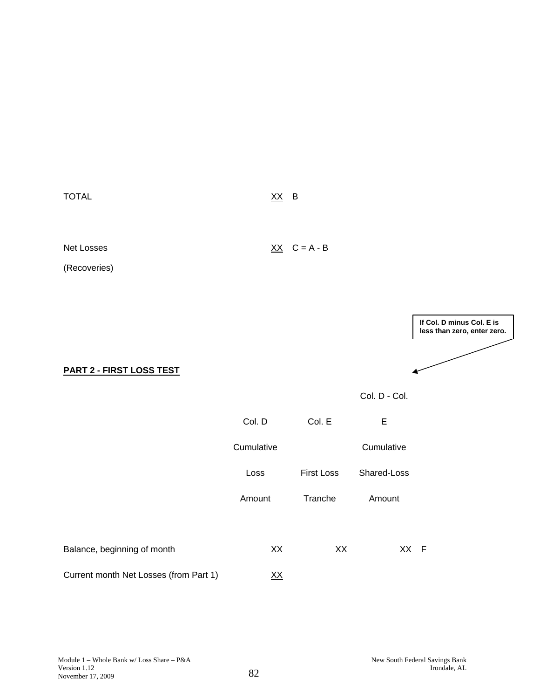| <b>TOTAL</b> | XX B |  |
|--------------|------|--|
|              |      |  |

```
Net Losses \overline{XX} C = A - B
```
(Recoveries)



## **PART 2 - FIRST LOSS TEST**

|                                        |            |                   | Col. D - Col. |
|----------------------------------------|------------|-------------------|---------------|
|                                        | Col. D     | Col. E            | E             |
|                                        | Cumulative |                   | Cumulative    |
|                                        | Loss       | <b>First Loss</b> | Shared-Loss   |
|                                        | Amount     | Tranche           | Amount        |
|                                        |            |                   |               |
| Balance, beginning of month            | XX         | XX                | XX F          |
| Current month Net Losses (from Part 1) | XX         |                   |               |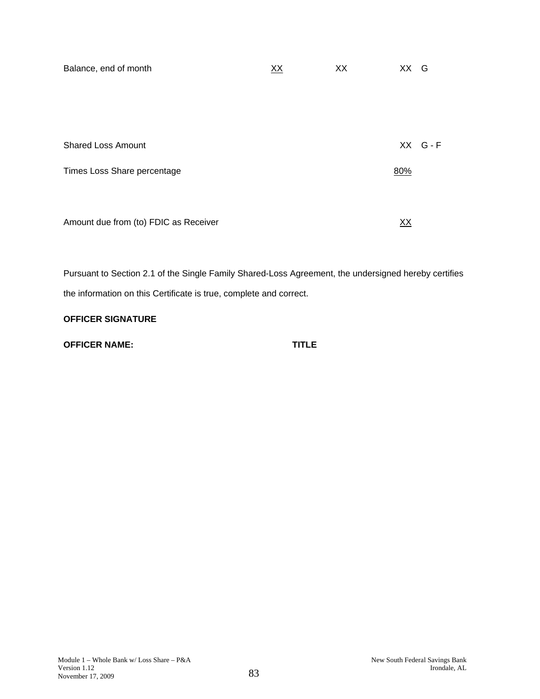| Balance, end of month                 | <u>XX</u> | XX | XX  | G      |
|---------------------------------------|-----------|----|-----|--------|
|                                       |           |    |     |        |
|                                       |           |    |     |        |
|                                       |           |    |     |        |
| <b>Shared Loss Amount</b>             |           |    |     | XX G-F |
| Times Loss Share percentage           |           |    | 80% |        |
|                                       |           |    |     |        |
|                                       |           |    |     |        |
| Amount due from (to) FDIC as Receiver |           |    | XX  |        |

Pursuant to Section 2.1 of the Single Family Shared-Loss Agreement, the undersigned hereby certifies the information on this Certificate is true, complete and correct.

#### **OFFICER SIGNATURE**

**OFFICER NAME:** TITLE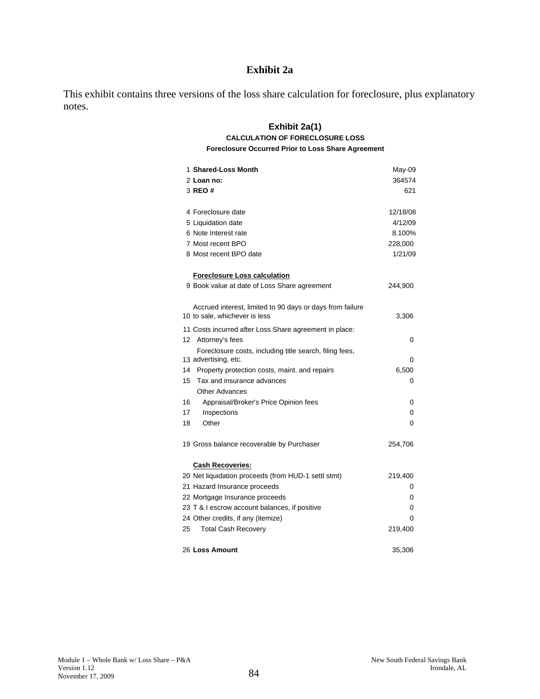#### **Exhibit 2a**

This exhibit contains three versions of the loss share calculation for foreclosure, plus explanatory notes.

#### **Exhibit 2a(1) CALCULATION OF FORECLOSURE LOSS Foreclosure Occurred Prior to Loss Share Agreement**

|    | 1 Shared-Loss Month<br>2 Loan no:<br>3 REO #              | May-09<br>364574<br>621 |
|----|-----------------------------------------------------------|-------------------------|
|    |                                                           |                         |
|    | 4 Foreclosure date                                        | 12/18/08                |
|    | 5 Liquidation date                                        | 4/12/09                 |
|    | 6 Note Interest rate                                      | 8.100%                  |
|    | 7 Most recent BPO                                         | 228,000                 |
|    | 8 Most recent BPO date                                    | 1/21/09                 |
|    | <b>Foreclosure Loss calculation</b>                       |                         |
|    | 9 Book value at date of Loss Share agreement              | 244,900                 |
|    | Accrued interest, limited to 90 days or days from failure |                         |
|    | 10 to sale, whichever is less                             | 3,306                   |
|    | 11 Costs incurred after Loss Share agreement in place:    |                         |
| 12 | Attorney's fees                                           | 0                       |
|    | Foreclosure costs, including title search, filing fees,   |                         |
|    | 13 advertising, etc.                                      | 0                       |
| 14 | Property protection costs, maint. and repairs             | 6,500                   |
| 15 | Tax and insurance advances                                | 0                       |
|    | <b>Other Advances</b>                                     |                         |
| 16 | Appraisal/Broker's Price Opinion fees                     | 0                       |
| 17 | Inspections                                               | 0                       |
| 18 | Other                                                     | 0                       |
|    | 19 Gross balance recoverable by Purchaser                 | 254,706                 |
|    | <b>Cash Recoveries:</b>                                   |                         |
|    | 20 Net liquidation proceeds (from HUD-1 settl stmt)       | 219,400                 |
|    | 21 Hazard Insurance proceeds                              | 0                       |
|    | 22 Mortgage Insurance proceeds                            | 0                       |
|    | 23 T & I escrow account balances, if positive             | 0                       |
|    | 24 Other credits, if any (itemize)                        | 0                       |
| 25 | <b>Total Cash Recovery</b>                                | 219,400                 |
|    | <b>26 Loss Amount</b>                                     | 35,306                  |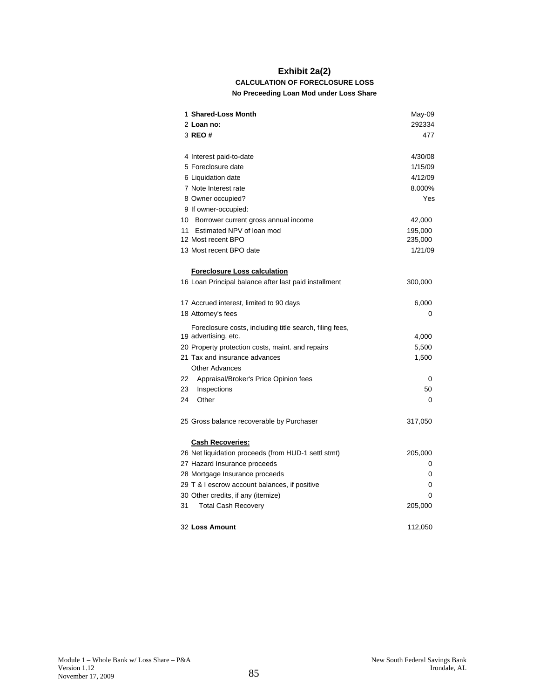#### **Exhibit 2a(2)**

#### **CALCULATION OF FORECLOSURE LOSS**

#### **No Preceeding Loan Mod under Loss Share**

| 1 Shared-Loss Month                                                             | May-09  |
|---------------------------------------------------------------------------------|---------|
| 2 Loan no:                                                                      | 292334  |
| 3 REO #                                                                         | 477     |
| 4 Interest paid-to-date                                                         | 4/30/08 |
| 5 Foreclosure date                                                              | 1/15/09 |
| 6 Liquidation date                                                              | 4/12/09 |
| 7 Note Interest rate                                                            | 8.000%  |
| 8 Owner occupied?                                                               | Yes     |
| 9 If owner-occupied:                                                            |         |
| 10<br>Borrower current gross annual income                                      | 42,000  |
| 11<br>Estimated NPV of loan mod                                                 | 195,000 |
| 12 Most recent BPO                                                              | 235,000 |
| 13 Most recent BPO date                                                         | 1/21/09 |
| <b>Foreclosure Loss calculation</b>                                             |         |
| 16 Loan Principal balance after last paid installment                           | 300,000 |
| 17 Accrued interest, limited to 90 days                                         | 6,000   |
| 18 Attorney's fees                                                              | 0       |
| Foreclosure costs, including title search, filing fees,<br>19 advertising, etc. | 4,000   |
| 20 Property protection costs, maint. and repairs                                | 5,500   |
| 21 Tax and insurance advances                                                   | 1,500   |
| <b>Other Advances</b>                                                           |         |
| 22<br>Appraisal/Broker's Price Opinion fees                                     | 0       |
| 23<br>Inspections                                                               | 50      |
| 24<br>Other                                                                     | 0       |
| 25 Gross balance recoverable by Purchaser                                       | 317,050 |
| <b>Cash Recoveries:</b>                                                         |         |
| 26 Net liquidation proceeds (from HUD-1 settl stmt)                             | 205,000 |
| 27 Hazard Insurance proceeds                                                    | 0       |
| 28 Mortgage Insurance proceeds                                                  | 0       |
| 29 T & I escrow account balances, if positive                                   | 0       |
| 30 Other credits, if any (itemize)                                              | 0       |
| 31<br><b>Total Cash Recovery</b>                                                | 205,000 |
| 32 Loss Amount                                                                  | 112,050 |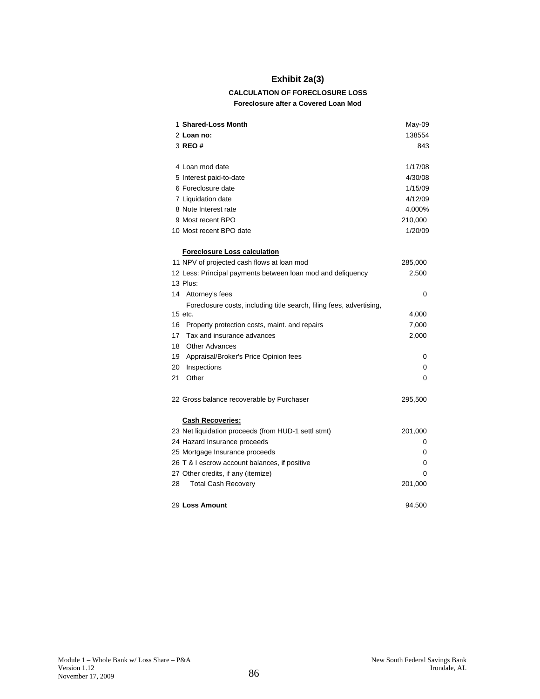## **Exhibit 2a(3)**

#### **CALCULATION OF FORECLOSURE LOSS Foreclosure after a Covered Loan Mod**

| 1 Shared-Loss Month                                                  | May-09  |
|----------------------------------------------------------------------|---------|
| 2 Loan no:                                                           | 138554  |
| 3 REO #                                                              | 843     |
|                                                                      |         |
| 4 Loan mod date                                                      | 1/17/08 |
| 5 Interest paid-to-date                                              | 4/30/08 |
| 6 Foreclosure date                                                   | 1/15/09 |
| 7 Liquidation date                                                   | 4/12/09 |
| 8 Note Interest rate                                                 | 4.000%  |
| 9 Most recent BPO                                                    | 210,000 |
| 10 Most recent BPO date                                              | 1/20/09 |
|                                                                      |         |
| <b>Foreclosure Loss calculation</b>                                  |         |
| 11 NPV of projected cash flows at loan mod                           | 285,000 |
| 12 Less: Principal payments between loan mod and deliquency          | 2,500   |
| 13 Plus:                                                             |         |
| 14<br>Attorney's fees                                                | 0       |
| Foreclosure costs, including title search, filing fees, advertising, |         |
| 15 etc.                                                              | 4,000   |
| 16<br>Property protection costs, maint. and repairs                  | 7,000   |
| 17<br>Tax and insurance advances                                     | 2,000   |
| 18<br><b>Other Advances</b>                                          |         |
| 19 Appraisal/Broker's Price Opinion fees                             | 0       |
| 20<br>Inspections                                                    | 0       |
| 21<br>Other                                                          | 0       |
|                                                                      |         |
| 22 Gross balance recoverable by Purchaser                            | 295,500 |
|                                                                      |         |
| <b>Cash Recoveries:</b>                                              |         |
| 23 Net liquidation proceeds (from HUD-1 settl stmt)                  | 201,000 |
| 24 Hazard Insurance proceeds                                         | 0       |
| 25 Mortgage Insurance proceeds                                       | 0       |
| 26 T & I escrow account balances, if positive                        | 0       |
| 27 Other credits, if any (itemize)                                   | 0       |
| 28<br><b>Total Cash Recovery</b>                                     | 201,000 |
|                                                                      |         |
| 29 Loss Amount                                                       | 94,500  |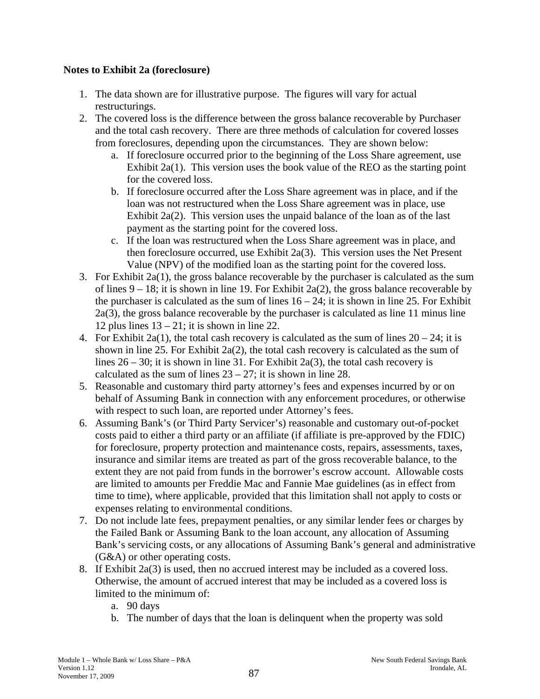## **Notes to Exhibit 2a (foreclosure)**

- 1. The data shown are for illustrative purpose. The figures will vary for actual restructurings.
- 2. The covered loss is the difference between the gross balance recoverable by Purchaser and the total cash recovery. There are three methods of calculation for covered losses from foreclosures, depending upon the circumstances. They are shown below:
	- a. If foreclosure occurred prior to the beginning of the Loss Share agreement, use Exhibit 2a(1). This version uses the book value of the REO as the starting point for the covered loss.
	- b. If foreclosure occurred after the Loss Share agreement was in place, and if the loan was not restructured when the Loss Share agreement was in place, use Exhibit 2a(2). This version uses the unpaid balance of the loan as of the last payment as the starting point for the covered loss.
	- c. If the loan was restructured when the Loss Share agreement was in place, and then foreclosure occurred, use Exhibit 2a(3). This version uses the Net Present Value (NPV) of the modified loan as the starting point for the covered loss.
- 3. For Exhibit  $2a(1)$ , the gross balance recoverable by the purchaser is calculated as the sum of lines  $9 - 18$ ; it is shown in line 19. For Exhibit 2a(2), the gross balance recoverable by the purchaser is calculated as the sum of lines  $16 - 24$ ; it is shown in line 25. For Exhibit 2a(3), the gross balance recoverable by the purchaser is calculated as line 11 minus line 12 plus lines  $13 - 21$ ; it is shown in line 22.
- 4. For Exhibit 2a(1), the total cash recovery is calculated as the sum of lines  $20 24$ ; it is shown in line 25. For Exhibit 2a(2), the total cash recovery is calculated as the sum of lines  $26 - 30$ ; it is shown in line 31. For Exhibit 2a(3), the total cash recovery is calculated as the sum of lines  $23 - 27$ ; it is shown in line 28.
- 5. Reasonable and customary third party attorney's fees and expenses incurred by or on behalf of Assuming Bank in connection with any enforcement procedures, or otherwise with respect to such loan, are reported under Attorney's fees.
- 6. Assuming Bank's (or Third Party Servicer's) reasonable and customary out-of-pocket costs paid to either a third party or an affiliate (if affiliate is pre-approved by the FDIC) for foreclosure, property protection and maintenance costs, repairs, assessments, taxes, insurance and similar items are treated as part of the gross recoverable balance, to the extent they are not paid from funds in the borrower's escrow account. Allowable costs are limited to amounts per Freddie Mac and Fannie Mae guidelines (as in effect from time to time), where applicable, provided that this limitation shall not apply to costs or expenses relating to environmental conditions.
- 7. Do not include late fees, prepayment penalties, or any similar lender fees or charges by the Failed Bank or Assuming Bank to the loan account, any allocation of Assuming Bank's servicing costs, or any allocations of Assuming Bank's general and administrative (G&A) or other operating costs.
- 8. If Exhibit  $2a(3)$  is used, then no accrued interest may be included as a covered loss. Otherwise, the amount of accrued interest that may be included as a covered loss is limited to the minimum of:
	- a. 90 days
	- b. The number of days that the loan is delinquent when the property was sold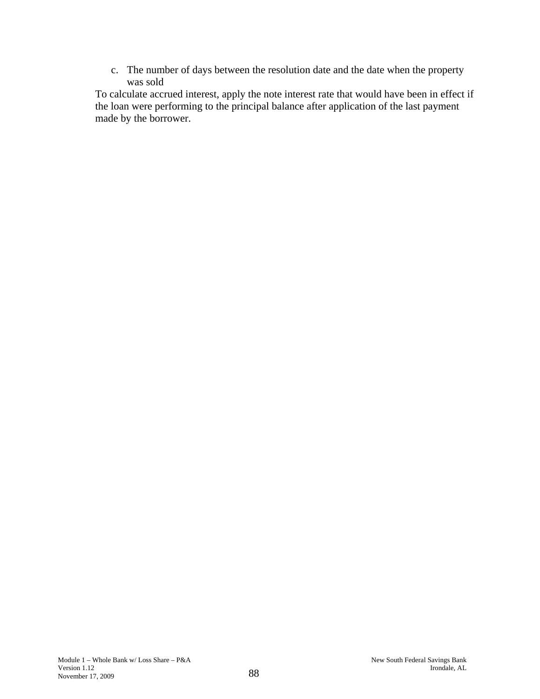c. The number of days between the resolution date and the date when the property was sold

To calculate accrued interest, apply the note interest rate that would have been in effect if the loan were performing to the principal balance after application of the last payment made by the borrower.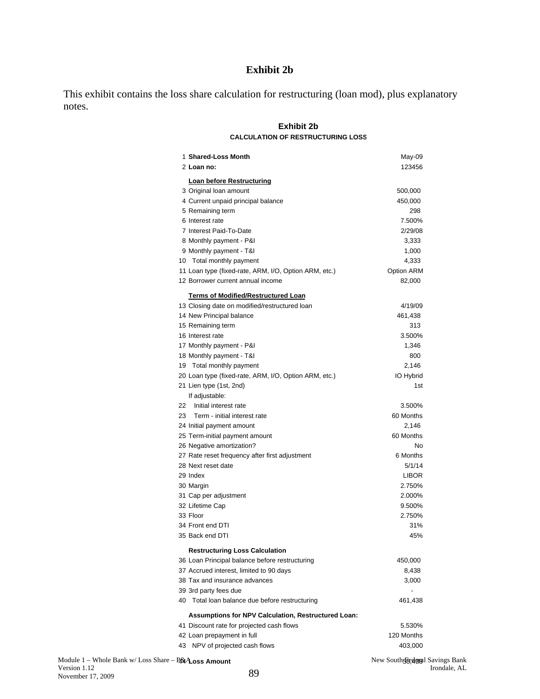#### **Exhibit 2b**

This exhibit contains the loss share calculation for restructuring (loan mod), plus explanatory notes.

#### **Exhibit 2b CALCULATION OF RESTRUCTURING LOSS**

| 1 Shared-Loss Month                                   | May-09            |
|-------------------------------------------------------|-------------------|
| 2 Loan no:                                            | 123456            |
| <b>Loan before Restructuring</b>                      |                   |
| 3 Original loan amount                                | 500,000           |
| 4 Current unpaid principal balance                    | 450,000           |
| 5 Remaining term                                      | 298               |
| 6 Interest rate                                       | 7.500%            |
| 7 Interest Paid-To-Date                               | 2/29/08           |
| 8 Monthly payment - P&I                               | 3,333             |
| 9 Monthly payment - T&I                               | 1,000             |
| 10 Total monthly payment                              | 4,333             |
| 11 Loan type (fixed-rate, ARM, I/O, Option ARM, etc.) | <b>Option ARM</b> |
| 12 Borrower current annual income                     | 82,000            |
| <b>Terms of Modified/Restructured Loan</b>            |                   |
| 13 Closing date on modified/restructured loan         | 4/19/09           |
| 14 New Principal balance                              | 461,438           |
| 15 Remaining term                                     | 313               |
| 16 Interest rate                                      | 3.500%            |
| 17 Monthly payment - P&I                              | 1,346             |
| 18 Monthly payment - T&I                              | 800               |
| Total monthly payment<br>19                           | 2,146             |
| 20 Loan type (fixed-rate, ARM, I/O, Option ARM, etc.) | IO Hybrid         |
| 21 Lien type (1st, 2nd)                               | 1st               |
| If adjustable:                                        |                   |
| 22<br>Initial interest rate                           | 3.500%            |
| 23<br>Term - initial interest rate                    | 60 Months         |
| 24 Initial payment amount                             | 2,146             |
| 25 Term-initial payment amount                        | 60 Months         |
| 26 Negative amortization?                             | No                |
| 27 Rate reset frequency after first adjustment        | 6 Months          |
| 28 Next reset date                                    | 5/1/14            |
| 29 Index                                              | LIBOR             |
| 30 Margin                                             | 2.750%            |
| 31 Cap per adjustment                                 | 2.000%            |
| 32 Lifetime Cap                                       | 9.500%            |
| 33 Floor                                              | 2.750%            |
| 34 Front end DTI                                      | 31%               |
| 35 Back end DTI                                       | 45%               |
| <b>Restructuring Loss Calculation</b>                 |                   |
| 36 Loan Principal balance before restructuring        | 450,000           |
| 37 Accrued interest, limited to 90 days               | 8,438             |
| 38 Tax and insurance advances                         | 3,000             |
| 39 3rd party fees due                                 |                   |
| 40 Total loan balance due before restructuring        | 461,438           |
| Assumptions for NPV Calculation, Restructured Loan:   |                   |
| 41 Discount rate for projected cash flows             | 5.530%            |
| 42 Loan prepayment in full                            | 120 Months        |
| NPV of projected cash flows<br>43                     | 403,000           |
|                                                       |                   |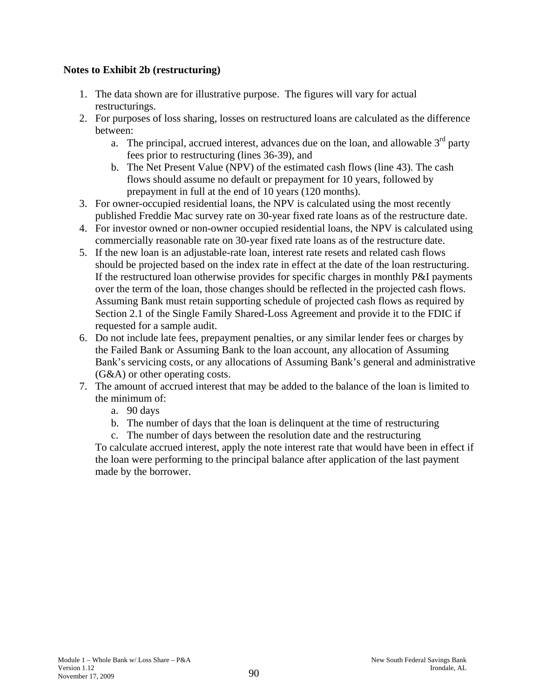## **Notes to Exhibit 2b (restructuring)**

- 1. The data shown are for illustrative purpose. The figures will vary for actual restructurings.
- 2. For purposes of loss sharing, losses on restructured loans are calculated as the difference between:
	- a. The principal, accrued interest, advances due on the loan, and allowable  $3<sup>rd</sup>$  party fees prior to restructuring (lines 36-39), and
	- b. The Net Present Value (NPV) of the estimated cash flows (line 43). The cash flows should assume no default or prepayment for 10 years, followed by prepayment in full at the end of 10 years (120 months).
- 3. For owner-occupied residential loans, the NPV is calculated using the most recently published Freddie Mac survey rate on 30-year fixed rate loans as of the restructure date.
- 4. For investor owned or non-owner occupied residential loans, the NPV is calculated using commercially reasonable rate on 30-year fixed rate loans as of the restructure date.
- 5. If the new loan is an adjustable-rate loan, interest rate resets and related cash flows should be projected based on the index rate in effect at the date of the loan restructuring. If the restructured loan otherwise provides for specific charges in monthly P&I payments over the term of the loan, those changes should be reflected in the projected cash flows. Assuming Bank must retain supporting schedule of projected cash flows as required by Section 2.1 of the Single Family Shared-Loss Agreement and provide it to the FDIC if requested for a sample audit.
- 6. Do not include late fees, prepayment penalties, or any similar lender fees or charges by the Failed Bank or Assuming Bank to the loan account, any allocation of Assuming Bank's servicing costs, or any allocations of Assuming Bank's general and administrative (G&A) or other operating costs.
- 7. The amount of accrued interest that may be added to the balance of the loan is limited to the minimum of:
	- a. 90 days
	- b. The number of days that the loan is delinquent at the time of restructuring

c. The number of days between the resolution date and the restructuring To calculate accrued interest, apply the note interest rate that would have been in effect if the loan were performing to the principal balance after application of the last payment made by the borrower.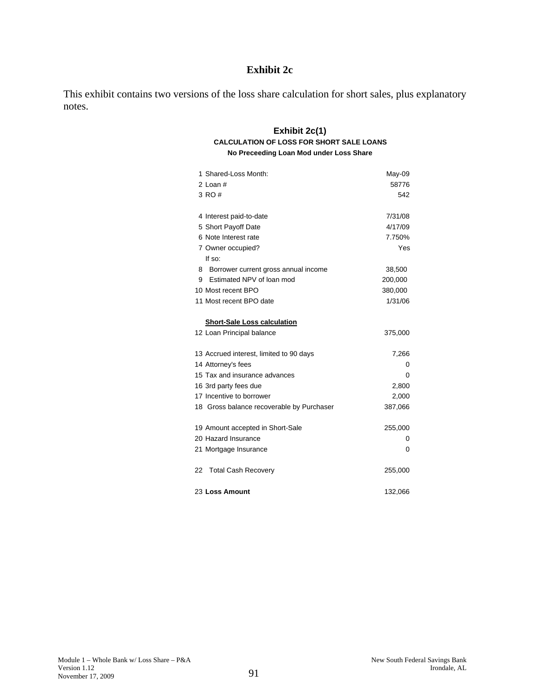#### **Exhibit 2c**

This exhibit contains two versions of the loss share calculation for short sales, plus explanatory notes.

#### **Exhibit 2c(1) CALCULATION OF LOSS FOR SHORT SALE LOANS No Preceeding Loan Mod under Loss Share**

| 1 Shared-Loss Month:<br>2 Loan #<br>3 RO #                      | May-09<br>58776<br>542 |
|-----------------------------------------------------------------|------------------------|
| 4 Interest paid-to-date<br>5 Short Payoff Date                  | 7/31/08<br>4/17/09     |
| 6 Note Interest rate                                            | 7.750%                 |
| 7 Owner occupied?                                               | Yes                    |
| If so:                                                          |                        |
| Borrower current gross annual income<br>8                       | 38,500                 |
| Estimated NPV of loan mod<br>9                                  | 200,000                |
| 10 Most recent BPO                                              | 380,000                |
| 11 Most recent BPO date                                         | 1/31/06                |
| <b>Short-Sale Loss calculation</b><br>12 Loan Principal balance | 375,000                |
| 13 Accrued interest, limited to 90 days                         | 7,266                  |
| 14 Attorney's fees                                              | 0                      |
| 15 Tax and insurance advances                                   | 0                      |
| 16 3rd party fees due                                           | 2,800                  |
| 17 Incentive to borrower                                        | 2,000                  |
| 18 Gross balance recoverable by Purchaser                       | 387,066                |
|                                                                 |                        |
| 19 Amount accepted in Short-Sale                                | 255,000                |
| 20 Hazard Insurance                                             | 0                      |
| 21 Mortgage Insurance                                           | 0                      |
| 22 Total Cash Recovery                                          | 255,000                |
| 23 Loss Amount                                                  | 132,066                |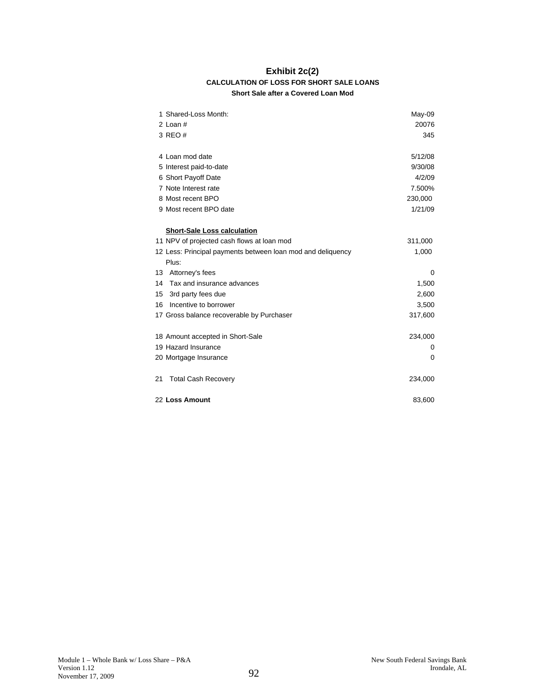#### **Exhibit 2c(2) CALCULATION OF LOSS FOR SHORT SALE LOANS Short Sale after a Covered Loan Mod**

| 1 Shared-Loss Month:                                        | May-09  |
|-------------------------------------------------------------|---------|
| 2 Loan $#$                                                  | 20076   |
| 3 REO #                                                     | 345     |
|                                                             |         |
| 4 Loan mod date                                             | 5/12/08 |
| 5 Interest paid-to-date                                     | 9/30/08 |
| 6 Short Payoff Date                                         | 4/2/09  |
| 7 Note Interest rate                                        | 7.500%  |
| 8 Most recent BPO                                           | 230,000 |
| 9 Most recent BPO date                                      | 1/21/09 |
|                                                             |         |
| <b>Short-Sale Loss calculation</b>                          |         |
| 11 NPV of projected cash flows at loan mod                  | 311,000 |
| 12 Less: Principal payments between loan mod and deliquency | 1,000   |
| Plus:                                                       |         |
| 13<br>Attorney's fees                                       | 0       |
| Tax and insurance advances<br>14                            | 1,500   |
| 15<br>3rd party fees due                                    | 2,600   |
| Incentive to borrower<br>16                                 | 3,500   |
| 17 Gross balance recoverable by Purchaser                   | 317,600 |
|                                                             |         |
| 18 Amount accepted in Short-Sale                            | 234,000 |
| 19 Hazard Insurance                                         | 0       |
| 20 Mortgage Insurance                                       | 0       |
|                                                             |         |
| <b>Total Cash Recovery</b><br>21                            | 234,000 |
|                                                             |         |
| 22 Loss Amount                                              | 83,600  |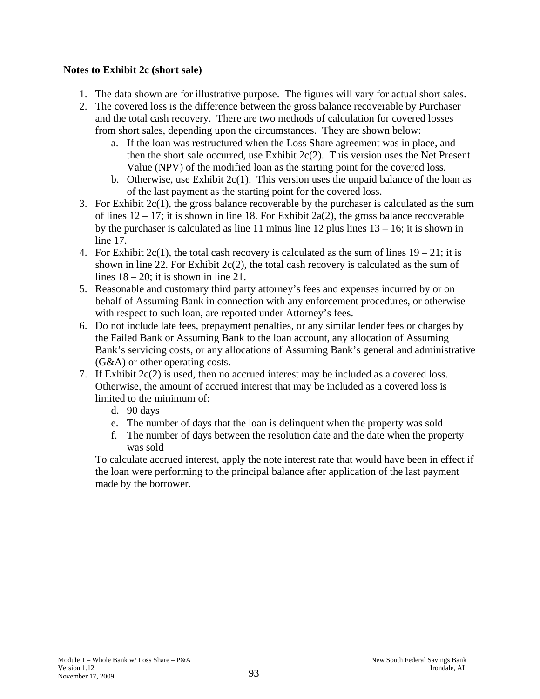## **Notes to Exhibit 2c (short sale)**

- 1. The data shown are for illustrative purpose. The figures will vary for actual short sales.
- 2. The covered loss is the difference between the gross balance recoverable by Purchaser and the total cash recovery. There are two methods of calculation for covered losses from short sales, depending upon the circumstances. They are shown below:
	- a. If the loan was restructured when the Loss Share agreement was in place, and then the short sale occurred, use Exhibit  $2c(2)$ . This version uses the Net Present Value (NPV) of the modified loan as the starting point for the covered loss.
	- b. Otherwise, use Exhibit  $2c(1)$ . This version uses the unpaid balance of the loan as of the last payment as the starting point for the covered loss.
- 3. For Exhibit  $2c(1)$ , the gross balance recoverable by the purchaser is calculated as the sum of lines  $12 - 17$ ; it is shown in line 18. For Exhibit 2a(2), the gross balance recoverable by the purchaser is calculated as line 11 minus line 12 plus lines 13 – 16; it is shown in line 17.
- 4. For Exhibit 2c(1), the total cash recovery is calculated as the sum of lines  $19 21$ ; it is shown in line 22. For Exhibit  $2c(2)$ , the total cash recovery is calculated as the sum of lines  $18 - 20$ ; it is shown in line 21.
- 5. Reasonable and customary third party attorney's fees and expenses incurred by or on behalf of Assuming Bank in connection with any enforcement procedures, or otherwise with respect to such loan, are reported under Attorney's fees.
- 6. Do not include late fees, prepayment penalties, or any similar lender fees or charges by the Failed Bank or Assuming Bank to the loan account, any allocation of Assuming Bank's servicing costs, or any allocations of Assuming Bank's general and administrative (G&A) or other operating costs.
- 7. If Exhibit  $2c(2)$  is used, then no accrued interest may be included as a covered loss. Otherwise, the amount of accrued interest that may be included as a covered loss is limited to the minimum of:
	- d. 90 days
	- e. The number of days that the loan is delinquent when the property was sold
	- f. The number of days between the resolution date and the date when the property was sold

To calculate accrued interest, apply the note interest rate that would have been in effect if the loan were performing to the principal balance after application of the last payment made by the borrower.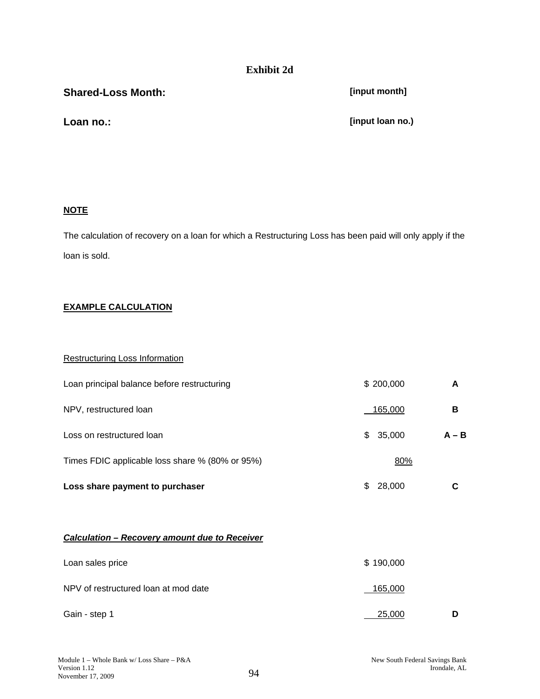## **Exhibit 2d**

#### **Shared-Loss Month: Contract Contract Contract Contract Contract Contract Contract Contract Contract Contract Contract Contract Contract Contract Contract Contract Contract Contract Contract Contract Contract Contract Co**

**Loan no.: [input loan no.)** 

#### **NOTE**

The calculation of recovery on a loan for which a Restructuring Loss has been paid will only apply if the loan is sold.

# **EXAMPLE CALCULATION**

| Restructuring Loss Information |
|--------------------------------|
|--------------------------------|

| Loan principal balance before restructuring     | \$200,000    | A       |
|-------------------------------------------------|--------------|---------|
| NPV, restructured loan                          | 165,000      | В       |
| Loss on restructured loan                       | \$<br>35,000 | $A - B$ |
| Times FDIC applicable loss share % (80% or 95%) | 80%          |         |
| Loss share payment to purchaser                 | \$<br>28,000 | С       |
|                                                 |              |         |
|                                                 |              |         |

## *Calculation – Recovery amount due to Receiver*

| Loan sales price                     | \$190,000 |   |
|--------------------------------------|-----------|---|
| NPV of restructured loan at mod date | 165,000   |   |
| Gain - step 1                        | 25,000    | D |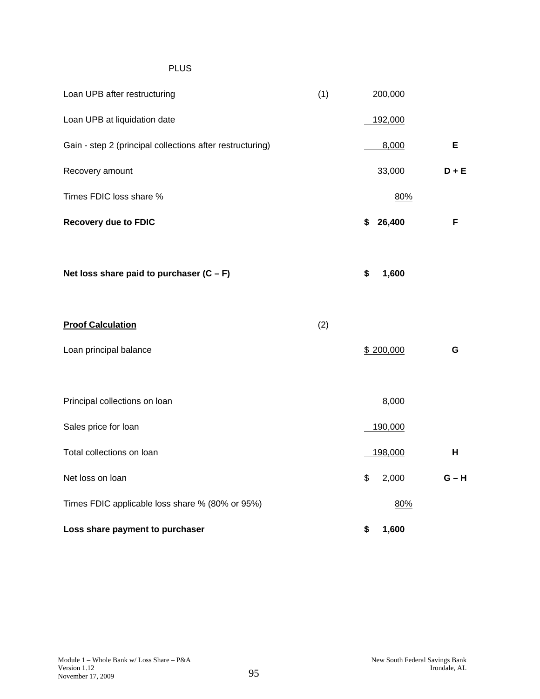#### PLUS

| Loan UPB after restructuring                              | (1) | 200,000      |         |  |
|-----------------------------------------------------------|-----|--------------|---------|--|
| Loan UPB at liquidation date                              |     | 192,000      |         |  |
| Gain - step 2 (principal collections after restructuring) |     | 8,000        | Е       |  |
| Recovery amount                                           |     | 33,000       | $D + E$ |  |
| Times FDIC loss share %                                   |     | 80%          |         |  |
| <b>Recovery due to FDIC</b>                               |     | 26,400<br>\$ | F       |  |
|                                                           |     |              |         |  |
| Net loss share paid to purchaser $(C - F)$                |     | \$<br>1,600  |         |  |
|                                                           |     |              |         |  |
| <b>Proof Calculation</b>                                  | (2) |              |         |  |
| Loan principal balance                                    |     | \$200,000    | G       |  |
|                                                           |     |              |         |  |
| Principal collections on loan                             |     | 8,000        |         |  |
| Sales price for loan                                      |     | 190,000      |         |  |
| Total collections on loan                                 |     | 198,000      | H       |  |
| Net loss on loan                                          |     | \$<br>2,000  | $G - H$ |  |
| Times FDIC applicable loss share % (80% or 95%)           |     | 80%          |         |  |
| Loss share payment to purchaser                           |     | \$<br>1,600  |         |  |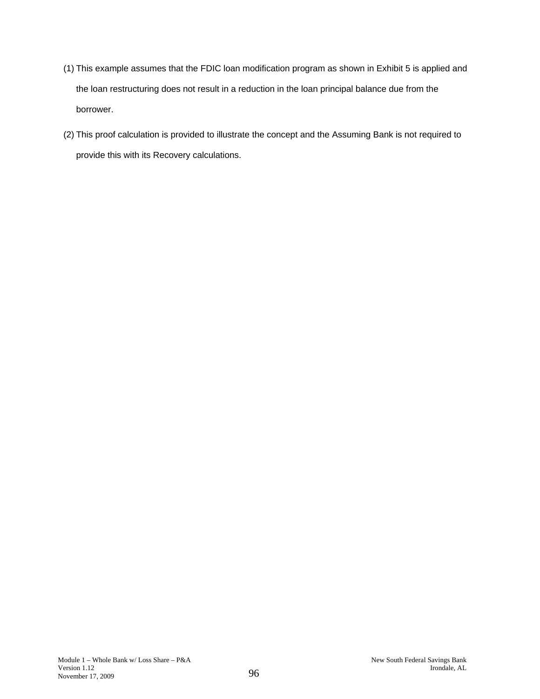- (1) This example assumes that the FDIC loan modification program as shown in Exhibit 5 is applied and the loan restructuring does not result in a reduction in the loan principal balance due from the borrower.
- (2) This proof calculation is provided to illustrate the concept and the Assuming Bank is not required to provide this with its Recovery calculations.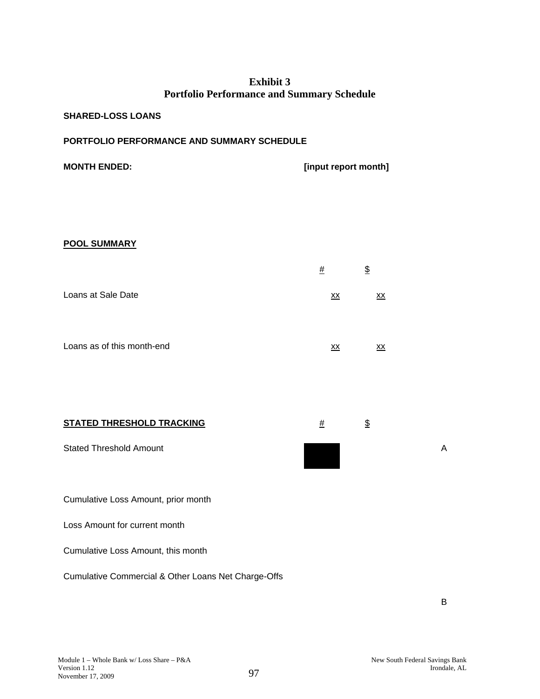## **Exhibit 3 Portfolio Performance and Summary Schedule**

#### **SHARED-LOSS LOANS**

#### **PORTFOLIO PERFORMANCE AND SUMMARY SCHEDULE**

**MONTH ENDED: Input report month]** 

#### **POOL SUMMARY**

|                            | <u>#</u> | \$ |
|----------------------------|----------|----|
| Loans at Sale Date         | XX       | XX |
| Loans as of this month-end | XX       | XX |

#### **STATED THRESHOLD TRACKING**

Stated Threshold Amount

Cumulative Loss Amount, prior month

Loss Amount for current month

Cumulative Loss Amount, this month

Cumulative Commercial & Other Loans Net Charge-Offs

 $\frac{\#}{\#}$  \$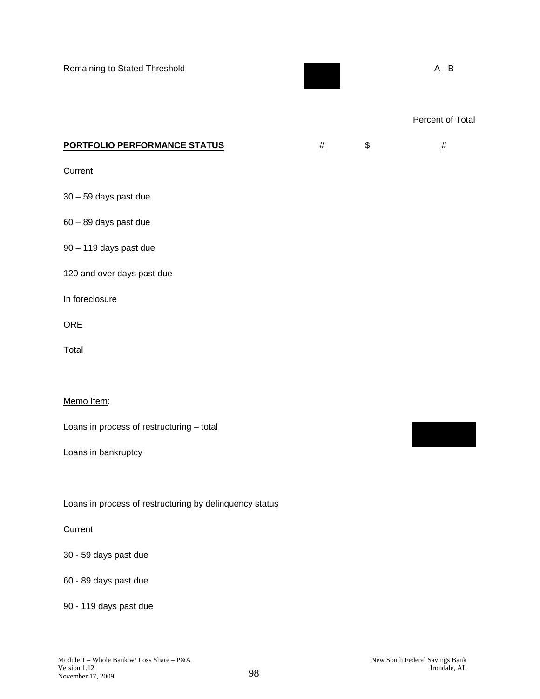| Remaining to Stated Threshold             |   |                | $A - B$          |
|-------------------------------------------|---|----------------|------------------|
|                                           |   |                | Percent of Total |
| <b>PORTFOLIO PERFORMANCE STATUS</b>       | # | $\mathfrak{D}$ | $\underline{\#}$ |
| Current                                   |   |                |                  |
| $30 - 59$ days past due                   |   |                |                  |
| 60 - 89 days past due                     |   |                |                  |
| 90 - 119 days past due                    |   |                |                  |
| 120 and over days past due                |   |                |                  |
| In foreclosure                            |   |                |                  |
| ORE                                       |   |                |                  |
| Total                                     |   |                |                  |
|                                           |   |                |                  |
| Memo Item:                                |   |                |                  |
| Loans in process of restructuring - total |   |                |                  |
| Loans in bankruptcy                       |   |                |                  |
|                                           |   |                |                  |

Loans in process of restructuring by delinquency status<br>Current

30 - 59 days past due

60 - 89 days past due

90 - 119 days past due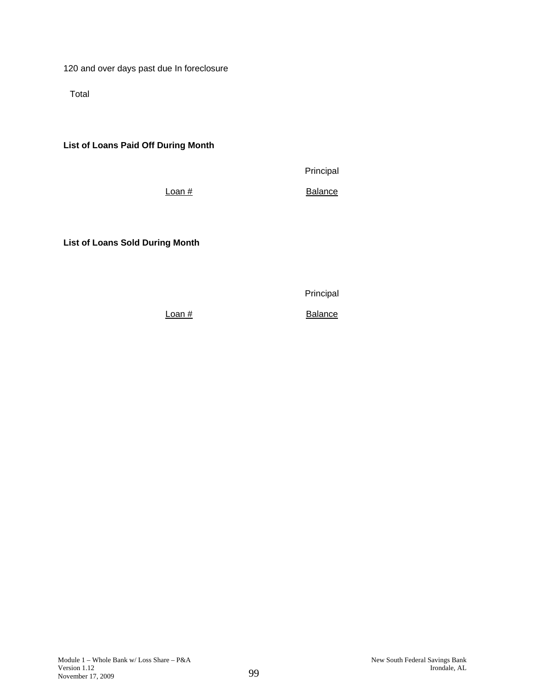120 and over days past due In foreclosure

Total

**List of Loans Paid Off During Month** 

Principal

Loan # Balance

**List of Loans Sold During Month** 

Principal

Loan # Balance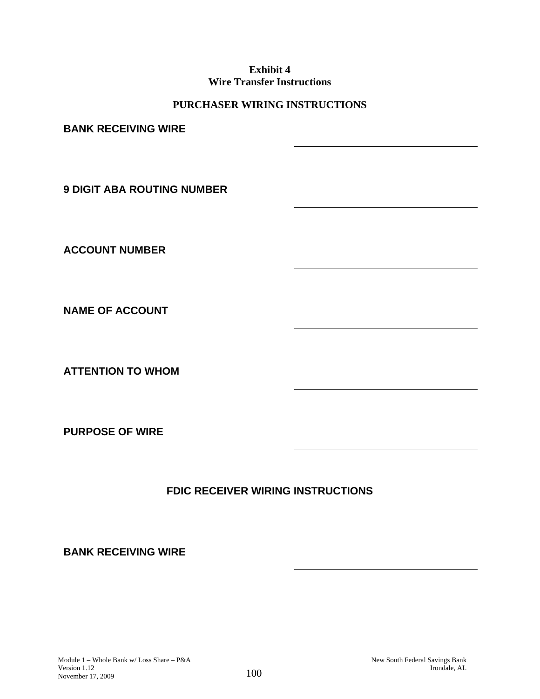#### **Exhibit 4 Wire Transfer Instructions**

## **PURCHASER WIRING INSTRUCTIONS**

## **BANK RECEIVING WIRE**

**9 DIGIT ABA ROUTING NUMBER** 

**ACCOUNT NUMBER** 

**NAME OF ACCOUNT** 

**ATTENTION TO WHOM** 

**PURPOSE OF WIRE** 

# **FDIC RECEIVER WIRING INSTRUCTIONS**

**BANK RECEIVING WIRE**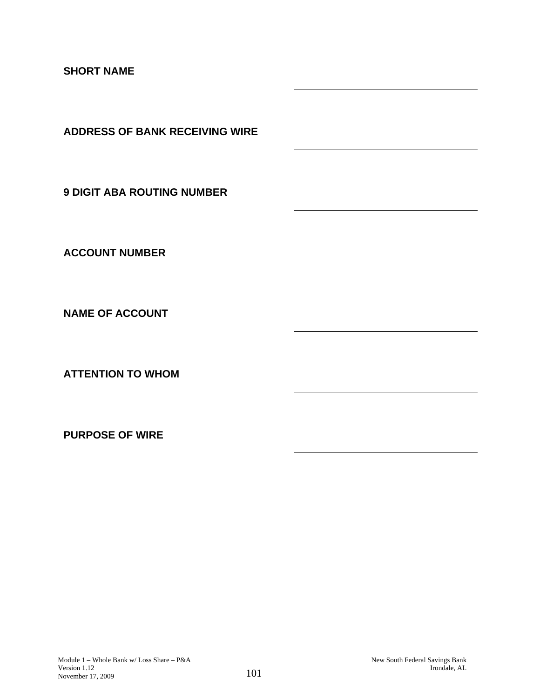**SHORT NAME** 

**ADDRESS OF BANK RECEIVING WIRE** 

**9 DIGIT ABA ROUTING NUMBER** 

**ACCOUNT NUMBER** 

**NAME OF ACCOUNT** 

**ATTENTION TO WHOM** 

**PURPOSE OF WIRE**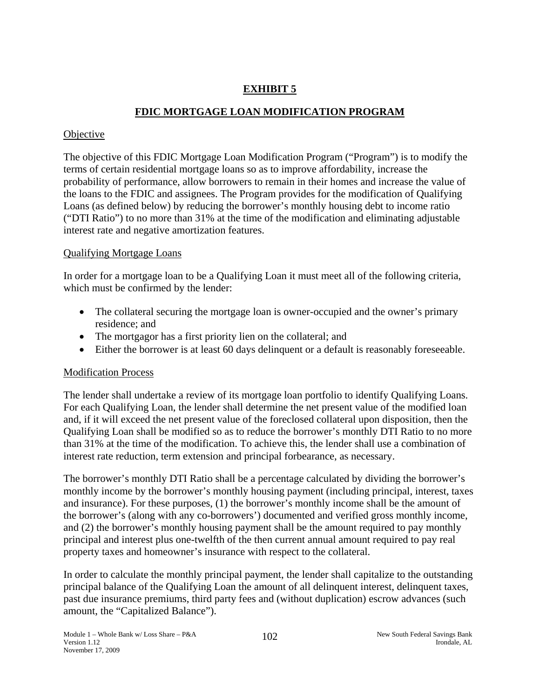# **EXHIBIT 5**

# **FDIC MORTGAGE LOAN MODIFICATION PROGRAM**

# **Objective**

The objective of this FDIC Mortgage Loan Modification Program ("Program") is to modify the terms of certain residential mortgage loans so as to improve affordability, increase the probability of performance, allow borrowers to remain in their homes and increase the value of the loans to the FDIC and assignees. The Program provides for the modification of Qualifying Loans (as defined below) by reducing the borrower's monthly housing debt to income ratio ("DTI Ratio") to no more than 31% at the time of the modification and eliminating adjustable interest rate and negative amortization features.

## Qualifying Mortgage Loans

In order for a mortgage loan to be a Qualifying Loan it must meet all of the following criteria, which must be confirmed by the lender:

- The collateral securing the mortgage loan is owner-occupied and the owner's primary residence; and
- The mortgagor has a first priority lien on the collateral; and
- Either the borrower is at least 60 days delinquent or a default is reasonably foreseeable.

# Modification Process

The lender shall undertake a review of its mortgage loan portfolio to identify Qualifying Loans. For each Qualifying Loan, the lender shall determine the net present value of the modified loan and, if it will exceed the net present value of the foreclosed collateral upon disposition, then the Qualifying Loan shall be modified so as to reduce the borrower's monthly DTI Ratio to no more than 31% at the time of the modification. To achieve this, the lender shall use a combination of interest rate reduction, term extension and principal forbearance, as necessary.

The borrower's monthly DTI Ratio shall be a percentage calculated by dividing the borrower's monthly income by the borrower's monthly housing payment (including principal, interest, taxes and insurance). For these purposes, (1) the borrower's monthly income shall be the amount of the borrower's (along with any co-borrowers') documented and verified gross monthly income, and (2) the borrower's monthly housing payment shall be the amount required to pay monthly principal and interest plus one-twelfth of the then current annual amount required to pay real property taxes and homeowner's insurance with respect to the collateral.

In order to calculate the monthly principal payment, the lender shall capitalize to the outstanding principal balance of the Qualifying Loan the amount of all delinquent interest, delinquent taxes, past due insurance premiums, third party fees and (without duplication) escrow advances (such amount, the "Capitalized Balance").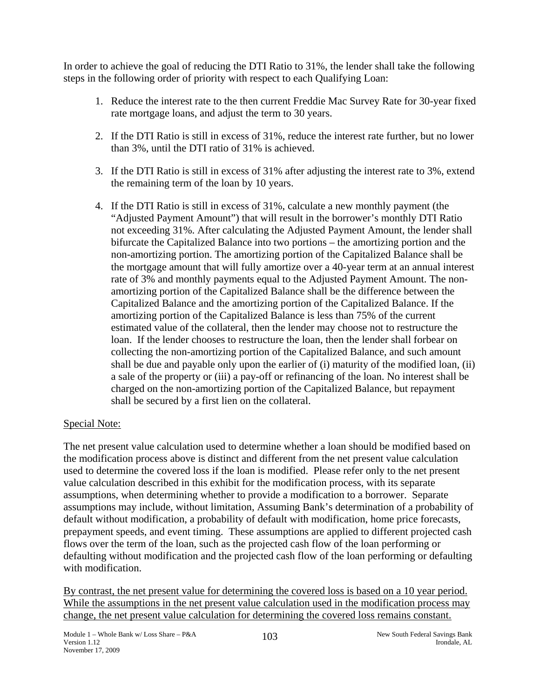In order to achieve the goal of reducing the DTI Ratio to 31%, the lender shall take the following steps in the following order of priority with respect to each Qualifying Loan:

- 1. Reduce the interest rate to the then current Freddie Mac Survey Rate for 30-year fixed rate mortgage loans, and adjust the term to 30 years.
- 2. If the DTI Ratio is still in excess of 31%, reduce the interest rate further, but no lower than 3%, until the DTI ratio of 31% is achieved.
- 3. If the DTI Ratio is still in excess of 31% after adjusting the interest rate to 3%, extend the remaining term of the loan by 10 years.
- 4. If the DTI Ratio is still in excess of 31%, calculate a new monthly payment (the "Adjusted Payment Amount") that will result in the borrower's monthly DTI Ratio not exceeding 31%. After calculating the Adjusted Payment Amount, the lender shall bifurcate the Capitalized Balance into two portions – the amortizing portion and the non-amortizing portion. The amortizing portion of the Capitalized Balance shall be the mortgage amount that will fully amortize over a 40-year term at an annual interest rate of 3% and monthly payments equal to the Adjusted Payment Amount. The nonamortizing portion of the Capitalized Balance shall be the difference between the Capitalized Balance and the amortizing portion of the Capitalized Balance. If the amortizing portion of the Capitalized Balance is less than 75% of the current estimated value of the collateral, then the lender may choose not to restructure the loan. If the lender chooses to restructure the loan, then the lender shall forbear on collecting the non-amortizing portion of the Capitalized Balance, and such amount shall be due and payable only upon the earlier of (i) maturity of the modified loan, (ii) a sale of the property or (iii) a pay-off or refinancing of the loan. No interest shall be charged on the non-amortizing portion of the Capitalized Balance, but repayment shall be secured by a first lien on the collateral.

## Special Note:

The net present value calculation used to determine whether a loan should be modified based on the modification process above is distinct and different from the net present value calculation used to determine the covered loss if the loan is modified. Please refer only to the net present value calculation described in this exhibit for the modification process, with its separate assumptions, when determining whether to provide a modification to a borrower. Separate assumptions may include, without limitation, Assuming Bank's determination of a probability of default without modification, a probability of default with modification, home price forecasts, prepayment speeds, and event timing. These assumptions are applied to different projected cash flows over the term of the loan, such as the projected cash flow of the loan performing or defaulting without modification and the projected cash flow of the loan performing or defaulting with modification.

change, the net present value calculation for determining the covered loss remains constant.<br>Module 1 – Whole Bank w/ Loss Share – P&A 103 New South Federal Savings Bank Irondale, AL By contrast, the net present value for determining the covered loss is based on a 10 year period. While the assumptions in the net present value calculation used in the modification process may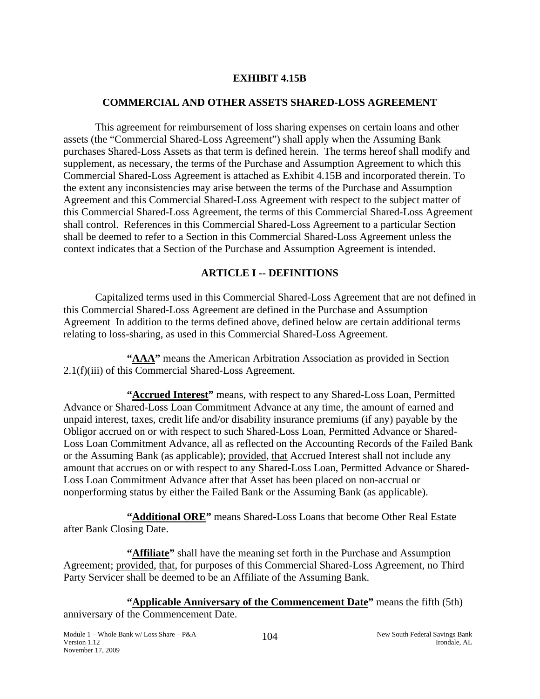#### **EXHIBIT 4.15B**

#### **COMMERCIAL AND OTHER ASSETS SHARED-LOSS AGREEMENT**

This agreement for reimbursement of loss sharing expenses on certain loans and other assets (the "Commercial Shared-Loss Agreement") shall apply when the Assuming Bank purchases Shared-Loss Assets as that term is defined herein. The terms hereof shall modify and supplement, as necessary, the terms of the Purchase and Assumption Agreement to which this Commercial Shared-Loss Agreement is attached as Exhibit 4.15B and incorporated therein. To the extent any inconsistencies may arise between the terms of the Purchase and Assumption Agreement and this Commercial Shared-Loss Agreement with respect to the subject matter of this Commercial Shared-Loss Agreement, the terms of this Commercial Shared-Loss Agreement shall control. References in this Commercial Shared-Loss Agreement to a particular Section shall be deemed to refer to a Section in this Commercial Shared-Loss Agreement unless the context indicates that a Section of the Purchase and Assumption Agreement is intended.

#### **ARTICLE I -- DEFINITIONS**

Capitalized terms used in this Commercial Shared-Loss Agreement that are not defined in this Commercial Shared-Loss Agreement are defined in the Purchase and Assumption Agreement In addition to the terms defined above, defined below are certain additional terms relating to loss-sharing, as used in this Commercial Shared-Loss Agreement.

**"AAA"** means the American Arbitration Association as provided in Section 2.1(f)(iii) of this Commercial Shared-Loss Agreement.

**"Accrued Interest"** means, with respect to any Shared-Loss Loan, Permitted Advance or Shared-Loss Loan Commitment Advance at any time, the amount of earned and unpaid interest, taxes, credit life and/or disability insurance premiums (if any) payable by the Obligor accrued on or with respect to such Shared-Loss Loan, Permitted Advance or Shared-Loss Loan Commitment Advance, all as reflected on the Accounting Records of the Failed Bank or the Assuming Bank (as applicable); provided, that Accrued Interest shall not include any amount that accrues on or with respect to any Shared-Loss Loan, Permitted Advance or Shared-Loss Loan Commitment Advance after that Asset has been placed on non-accrual or nonperforming status by either the Failed Bank or the Assuming Bank (as applicable).

"**Additional ORE**" means Shared-Loss Loans that become Other Real Estate after Bank Closing Date.

"**Affiliate**" shall have the meaning set forth in the Purchase and Assumption Agreement; provided, that, for purposes of this Commercial Shared-Loss Agreement, no Third Party Servicer shall be deemed to be an Affiliate of the Assuming Bank.

**Examplicable Anniversary of the Commencement Date**" means the fifth (5th) anniversary of the Commencement Date.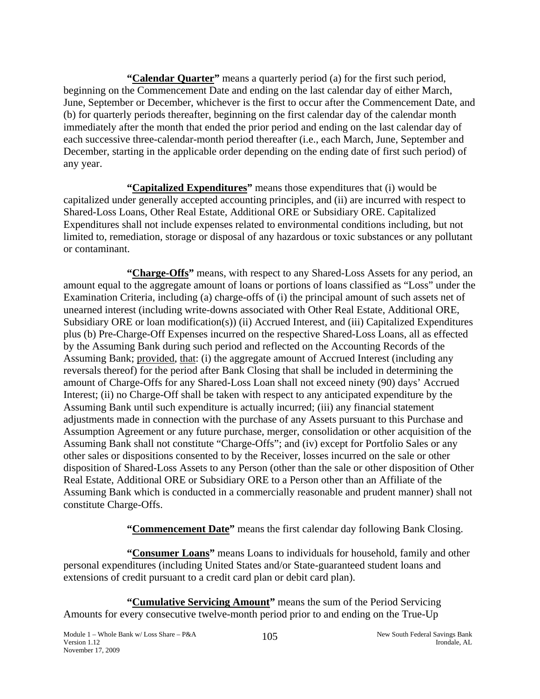**"Calendar Quarter"** means a quarterly period (a) for the first such period, beginning on the Commencement Date and ending on the last calendar day of either March, June, September or December, whichever is the first to occur after the Commencement Date, and (b) for quarterly periods thereafter, beginning on the first calendar day of the calendar month immediately after the month that ended the prior period and ending on the last calendar day of each successive three-calendar-month period thereafter (i.e., each March, June, September and December, starting in the applicable order depending on the ending date of first such period) of any year.

**"Capitalized Expenditures"** means those expenditures that (i) would be capitalized under generally accepted accounting principles, and (ii) are incurred with respect to Shared-Loss Loans, Other Real Estate, Additional ORE or Subsidiary ORE. Capitalized Expenditures shall not include expenses related to environmental conditions including, but not limited to, remediation, storage or disposal of any hazardous or toxic substances or any pollutant or contaminant.

**"Charge-Offs"** means, with respect to any Shared-Loss Assets for any period, an amount equal to the aggregate amount of loans or portions of loans classified as "Loss" under the Examination Criteria, including (a) charge-offs of (i) the principal amount of such assets net of unearned interest (including write-downs associated with Other Real Estate, Additional ORE, Subsidiary ORE or loan modification(s)) (ii) Accrued Interest, and (iii) Capitalized Expenditures plus (b) Pre-Charge-Off Expenses incurred on the respective Shared-Loss Loans, all as effected by the Assuming Bank during such period and reflected on the Accounting Records of the Assuming Bank; provided, that: (i) the aggregate amount of Accrued Interest (including any reversals thereof) for the period after Bank Closing that shall be included in determining the amount of Charge-Offs for any Shared-Loss Loan shall not exceed ninety (90) days' Accrued Interest; (ii) no Charge-Off shall be taken with respect to any anticipated expenditure by the Assuming Bank until such expenditure is actually incurred; (iii) any financial statement adjustments made in connection with the purchase of any Assets pursuant to this Purchase and Assumption Agreement or any future purchase, merger, consolidation or other acquisition of the Assuming Bank shall not constitute "Charge-Offs"; and (iv) except for Portfolio Sales or any other sales or dispositions consented to by the Receiver, losses incurred on the sale or other disposition of Shared-Loss Assets to any Person (other than the sale or other disposition of Other Real Estate, Additional ORE or Subsidiary ORE to a Person other than an Affiliate of the Assuming Bank which is conducted in a commercially reasonable and prudent manner) shall not constitute Charge-Offs.

**"Commencement Date"** means the first calendar day following Bank Closing.

**"Consumer Loans"** means Loans to individuals for household, family and other personal expenditures (including United States and/or State-guaranteed student loans and extensions of credit pursuant to a credit card plan or debit card plan).

**"Cumulative Servicing Amount"** means the sum of the Period Servicing Amounts for every consecutive twelve-month period prior to and ending on the True-Up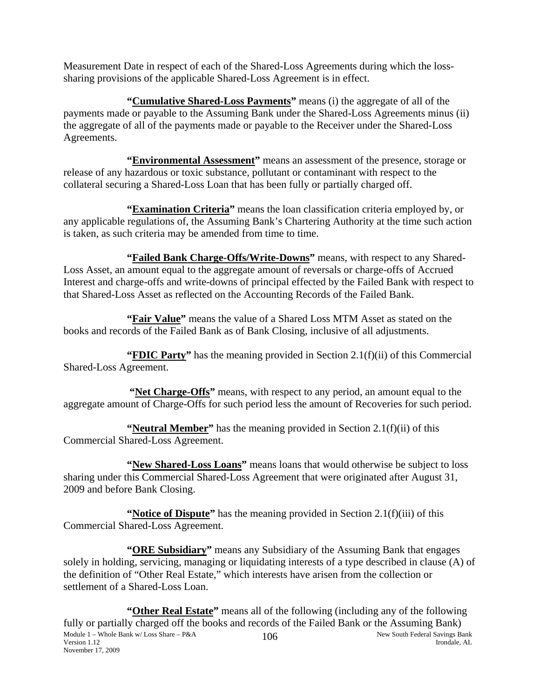Measurement Date in respect of each of the Shared-Loss Agreements during which the losssharing provisions of the applicable Shared-Loss Agreement is in effect.

**"Cumulative Shared-Loss Payments"** means (i) the aggregate of all of the payments made or payable to the Assuming Bank under the Shared-Loss Agreements minus (ii) the aggregate of all of the payments made or payable to the Receiver under the Shared-Loss Agreements.

**"Environmental Assessment"** means an assessment of the presence, storage or release of any hazardous or toxic substance, pollutant or contaminant with respect to the collateral securing a Shared-Loss Loan that has been fully or partially charged off.

**"Examination Criteria"** means the loan classification criteria employed by, or any applicable regulations of, the Assuming Bank's Chartering Authority at the time such action is taken, as such criteria may be amended from time to time.

**"Failed Bank Charge-Offs/Write-Downs"** means, with respect to any Shared-Loss Asset, an amount equal to the aggregate amount of reversals or charge-offs of Accrued Interest and charge-offs and write-downs of principal effected by the Failed Bank with respect to that Shared-Loss Asset as reflected on the Accounting Records of the Failed Bank.

**"Fair Value"** means the value of a Shared Loss MTM Asset as stated on the books and records of the Failed Bank as of Bank Closing, inclusive of all adjustments.

**"FDIC Party"** has the meaning provided in Section 2.1(f)(ii) of this Commercial Shared-Loss Agreement.

**"Net Charge-Offs"** means, with respect to any period, an amount equal to the aggregate amount of Charge-Offs for such period less the amount of Recoveries for such period.

 Commercial Shared-Loss Agreement. **"Neutral Member"** has the meaning provided in Section 2.1(f)(ii) of this

**"New Shared-Loss Loans"** means loans that would otherwise be subject to loss sharing under this Commercial Shared-Loss Agreement that were originated after August 31, 2009 and before Bank Closing.

**"Notice of Dispute"** has the meaning provided in Section 2.1(f)(iii) of this Commercial Shared-Loss Agreement.

**"ORE Subsidiary"** means any Subsidiary of the Assuming Bank that engages solely in holding, servicing, managing or liquidating interests of a type described in clause (A) of the definition of "Other Real Estate," which interests have arisen from the collection or settlement of a Shared-Loss Loan.

**"Other Real Estate"** means all of the following (including any of the following fully or partially charged off the books and records of the Failed Bank or the Assuming Bank) Module 1 – Whole Bank w/ Loss Share – P&A  $106$  New South Federal Savings Bank Irondale, AL November 17, 2009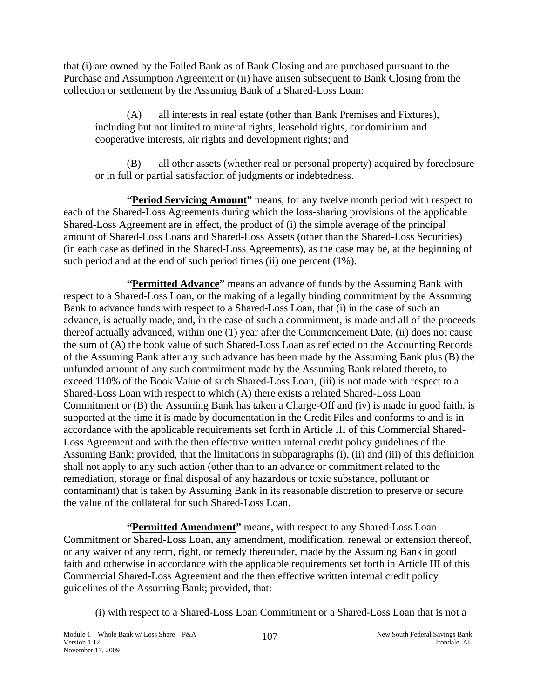that (i) are owned by the Failed Bank as of Bank Closing and are purchased pursuant to the Purchase and Assumption Agreement or (ii) have arisen subsequent to Bank Closing from the collection or settlement by the Assuming Bank of a Shared-Loss Loan:

(A) all interests in real estate (other than Bank Premises and Fixtures), including but not limited to mineral rights, leasehold rights, condominium and cooperative interests, air rights and development rights; and

(B) all other assets (whether real or personal property) acquired by foreclosure or in full or partial satisfaction of judgments or indebtedness.

**"Period Servicing Amount"** means, for any twelve month period with respect to each of the Shared-Loss Agreements during which the loss-sharing provisions of the applicable Shared-Loss Agreement are in effect, the product of (i) the simple average of the principal amount of Shared-Loss Loans and Shared-Loss Assets (other than the Shared-Loss Securities) (in each case as defined in the Shared-Loss Agreements), as the case may be, at the beginning of such period and at the end of such period times (ii) one percent (1%).

**"Permitted Advance"** means an advance of funds by the Assuming Bank with respect to a Shared-Loss Loan, or the making of a legally binding commitment by the Assuming Bank to advance funds with respect to a Shared-Loss Loan, that (i) in the case of such an advance, is actually made, and, in the case of such a commitment, is made and all of the proceeds thereof actually advanced, within one (1) year after the Commencement Date, (ii) does not cause the sum of (A) the book value of such Shared-Loss Loan as reflected on the Accounting Records of the Assuming Bank after any such advance has been made by the Assuming Bank plus (B) the unfunded amount of any such commitment made by the Assuming Bank related thereto, to exceed 110% of the Book Value of such Shared-Loss Loan, (iii) is not made with respect to a Shared-Loss Loan with respect to which (A) there exists a related Shared-Loss Loan Commitment or (B) the Assuming Bank has taken a Charge-Off and (iv) is made in good faith, is supported at the time it is made by documentation in the Credit Files and conforms to and is in accordance with the applicable requirements set forth in Article III of this Commercial Shared-Loss Agreement and with the then effective written internal credit policy guidelines of the Assuming Bank; provided, that the limitations in subparagraphs (i), (ii) and (iii) of this definition shall not apply to any such action (other than to an advance or commitment related to the remediation, storage or final disposal of any hazardous or toxic substance, pollutant or contaminant) that is taken by Assuming Bank in its reasonable discretion to preserve or secure the value of the collateral for such Shared-Loss Loan.

**"Permitted Amendment"** means, with respect to any Shared-Loss Loan Commitment or Shared-Loss Loan, any amendment, modification, renewal or extension thereof, or any waiver of any term, right, or remedy thereunder, made by the Assuming Bank in good faith and otherwise in accordance with the applicable requirements set forth in Article III of this Commercial Shared-Loss Agreement and the then effective written internal credit policy guidelines of the Assuming Bank; provided, that:

(i) with respect to a Shared-Loss Loan Commitment or a Shared-Loss Loan that is not a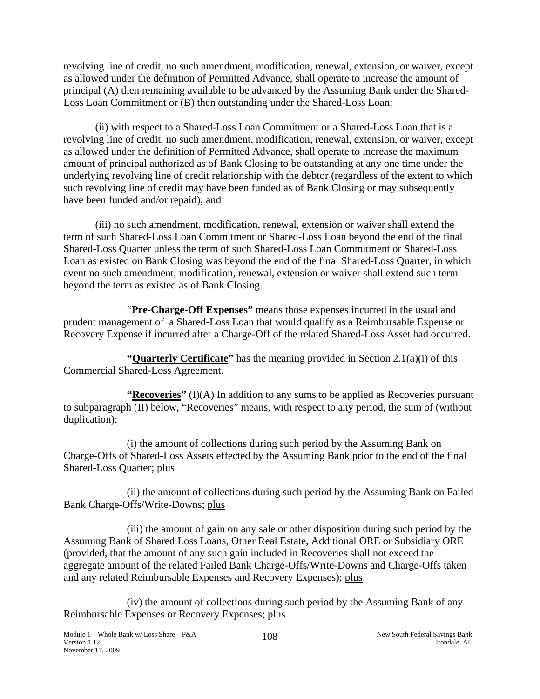revolving line of credit, no such amendment, modification, renewal, extension, or waiver, except as allowed under the definition of Permitted Advance, shall operate to increase the amount of principal (A) then remaining available to be advanced by the Assuming Bank under the Shared-Loss Loan Commitment or (B) then outstanding under the Shared-Loss Loan;

(ii) with respect to a Shared-Loss Loan Commitment or a Shared-Loss Loan that is a revolving line of credit, no such amendment, modification, renewal, extension, or waiver, except as allowed under the definition of Permitted Advance, shall operate to increase the maximum amount of principal authorized as of Bank Closing to be outstanding at any one time under the underlying revolving line of credit relationship with the debtor (regardless of the extent to which such revolving line of credit may have been funded as of Bank Closing or may subsequently have been funded and/or repaid); and

(iii) no such amendment, modification, renewal, extension or waiver shall extend the term of such Shared-Loss Loan Commitment or Shared-Loss Loan beyond the end of the final Shared-Loss Quarter unless the term of such Shared-Loss Loan Commitment or Shared-Loss Loan as existed on Bank Closing was beyond the end of the final Shared-Loss Quarter, in which event no such amendment, modification, renewal, extension or waiver shall extend such term beyond the term as existed as of Bank Closing.

"**Pre-Charge-Off Expenses"** means those expenses incurred in the usual and prudent management of a Shared-Loss Loan that would qualify as a Reimbursable Expense or Recovery Expense if incurred after a Charge-Off of the related Shared-Loss Asset had occurred.

**"Quarterly Certificate"** has the meaning provided in Section 2.1(a)(i) of this Commercial Shared-Loss Agreement.

**"Recoveries"** (I)(A) In addition to any sums to be applied as Recoveries pursuant to subparagraph (II) below, "Recoveries" means, with respect to any period, the sum of (without duplication):

**Shared-Loss Quarter; plus** (i) the amount of collections during such period by the Assuming Bank on Charge-Offs of Shared-Loss Assets effected by the Assuming Bank prior to the end of the final

(ii) the amount of collections during such period by the Assuming Bank on Failed Bank Charge-Offs/Write-Downs; plus

(iii) the amount of gain on any sale or other disposition during such period by the Assuming Bank of Shared Loss Loans, Other Real Estate, Additional ORE or Subsidiary ORE (provided, that the amount of any such gain included in Recoveries shall not exceed the aggregate amount of the related Failed Bank Charge-Offs/Write-Downs and Charge-Offs taken and any related Reimbursable Expenses and Recovery Expenses); plus

(iv) the amount of collections during such period by the Assuming Bank of any Reimbursable Expenses or Recovery Expenses; plus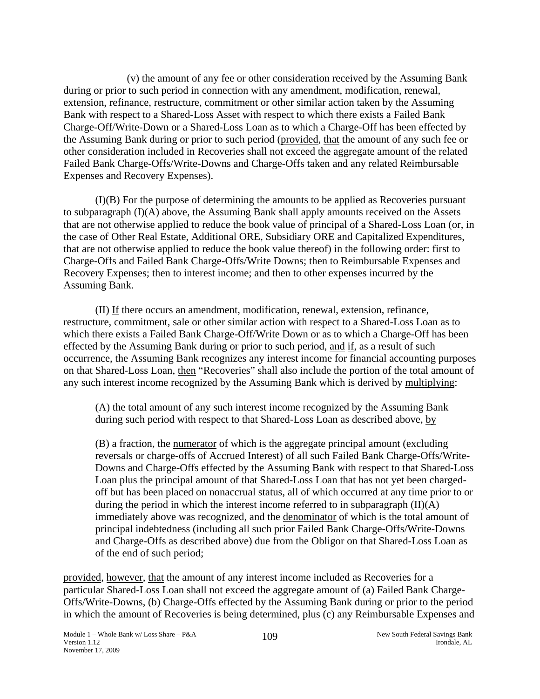(v) the amount of any fee or other consideration received by the Assuming Bank during or prior to such period in connection with any amendment, modification, renewal, extension, refinance, restructure, commitment or other similar action taken by the Assuming Bank with respect to a Shared-Loss Asset with respect to which there exists a Failed Bank Charge-Off/Write-Down or a Shared-Loss Loan as to which a Charge-Off has been effected by the Assuming Bank during or prior to such period (provided, that the amount of any such fee or other consideration included in Recoveries shall not exceed the aggregate amount of the related Failed Bank Charge-Offs/Write-Downs and Charge-Offs taken and any related Reimbursable Expenses and Recovery Expenses).

(I)(B) For the purpose of determining the amounts to be applied as Recoveries pursuant to subparagraph  $(I)(A)$  above, the Assuming Bank shall apply amounts received on the Assets that are not otherwise applied to reduce the book value of principal of a Shared-Loss Loan (or, in the case of Other Real Estate, Additional ORE, Subsidiary ORE and Capitalized Expenditures, that are not otherwise applied to reduce the book value thereof) in the following order: first to Charge-Offs and Failed Bank Charge-Offs/Write Downs; then to Reimbursable Expenses and Recovery Expenses; then to interest income; and then to other expenses incurred by the Assuming Bank.

(II) If there occurs an amendment, modification, renewal, extension, refinance, restructure, commitment, sale or other similar action with respect to a Shared-Loss Loan as to which there exists a Failed Bank Charge-Off/Write Down or as to which a Charge-Off has been effected by the Assuming Bank during or prior to such period, and if, as a result of such occurrence, the Assuming Bank recognizes any interest income for financial accounting purposes on that Shared-Loss Loan, then "Recoveries" shall also include the portion of the total amount of any such interest income recognized by the Assuming Bank which is derived by multiplying:

(A) the total amount of any such interest income recognized by the Assuming Bank during such period with respect to that Shared-Loss Loan as described above, by

(B) a fraction, the numerator of which is the aggregate principal amount (excluding reversals or charge-offs of Accrued Interest) of all such Failed Bank Charge-Offs/Write-Downs and Charge-Offs effected by the Assuming Bank with respect to that Shared-Loss Loan plus the principal amount of that Shared-Loss Loan that has not yet been chargedoff but has been placed on nonaccrual status, all of which occurred at any time prior to or during the period in which the interest income referred to in subparagraph (II)(A) immediately above was recognized, and the denominator of which is the total amount of principal indebtedness (including all such prior Failed Bank Charge-Offs/Write-Downs and Charge-Offs as described above) due from the Obligor on that Shared-Loss Loan as of the end of such period;

provided, however, that the amount of any interest income included as Recoveries for a particular Shared-Loss Loan shall not exceed the aggregate amount of (a) Failed Bank Charge-Offs/Write-Downs, (b) Charge-Offs effected by the Assuming Bank during or prior to the period in which the amount of Recoveries is being determined, plus (c) any Reimbursable Expenses and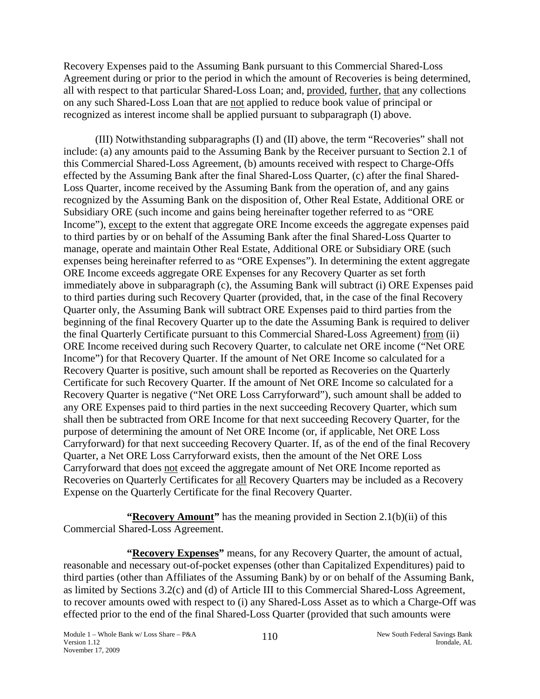Recovery Expenses paid to the Assuming Bank pursuant to this Commercial Shared-Loss Agreement during or prior to the period in which the amount of Recoveries is being determined, all with respect to that particular Shared-Loss Loan; and, provided, further, that any collections on any such Shared-Loss Loan that are not applied to reduce book value of principal or recognized as interest income shall be applied pursuant to subparagraph (I) above.

(III) Notwithstanding subparagraphs (I) and (II) above, the term "Recoveries" shall not include: (a) any amounts paid to the Assuming Bank by the Receiver pursuant to Section 2.1 of this Commercial Shared-Loss Agreement, (b) amounts received with respect to Charge-Offs effected by the Assuming Bank after the final Shared-Loss Quarter, (c) after the final Shared-Loss Quarter, income received by the Assuming Bank from the operation of, and any gains recognized by the Assuming Bank on the disposition of, Other Real Estate, Additional ORE or Subsidiary ORE (such income and gains being hereinafter together referred to as "ORE Income"), except to the extent that aggregate ORE Income exceeds the aggregate expenses paid to third parties by or on behalf of the Assuming Bank after the final Shared-Loss Quarter to manage, operate and maintain Other Real Estate, Additional ORE or Subsidiary ORE (such expenses being hereinafter referred to as "ORE Expenses"). In determining the extent aggregate ORE Income exceeds aggregate ORE Expenses for any Recovery Quarter as set forth immediately above in subparagraph (c), the Assuming Bank will subtract (i) ORE Expenses paid to third parties during such Recovery Quarter (provided, that, in the case of the final Recovery Quarter only, the Assuming Bank will subtract ORE Expenses paid to third parties from the beginning of the final Recovery Quarter up to the date the Assuming Bank is required to deliver the final Quarterly Certificate pursuant to this Commercial Shared-Loss Agreement) from (ii) ORE Income received during such Recovery Quarter, to calculate net ORE income ("Net ORE Income") for that Recovery Quarter. If the amount of Net ORE Income so calculated for a Recovery Quarter is positive, such amount shall be reported as Recoveries on the Quarterly Certificate for such Recovery Quarter. If the amount of Net ORE Income so calculated for a Recovery Quarter is negative ("Net ORE Loss Carryforward"), such amount shall be added to any ORE Expenses paid to third parties in the next succeeding Recovery Quarter, which sum shall then be subtracted from ORE Income for that next succeeding Recovery Quarter, for the purpose of determining the amount of Net ORE Income (or, if applicable, Net ORE Loss Carryforward) for that next succeeding Recovery Quarter. If, as of the end of the final Recovery Quarter, a Net ORE Loss Carryforward exists, then the amount of the Net ORE Loss Carryforward that does not exceed the aggregate amount of Net ORE Income reported as Recoveries on Quarterly Certificates for all Recovery Quarters may be included as a Recovery Expense on the Quarterly Certificate for the final Recovery Quarter.

**"Recovery Amount"** has the meaning provided in Section 2.1(b)(ii) of this Commercial Shared-Loss Agreement.

**"Recovery Expenses"** means, for any Recovery Quarter, the amount of actual, reasonable and necessary out-of-pocket expenses (other than Capitalized Expenditures) paid to third parties (other than Affiliates of the Assuming Bank) by or on behalf of the Assuming Bank, as limited by Sections 3.2(c) and (d) of Article III to this Commercial Shared-Loss Agreement, to recover amounts owed with respect to (i) any Shared-Loss Asset as to which a Charge-Off was effected prior to the end of the final Shared-Loss Quarter (provided that such amounts were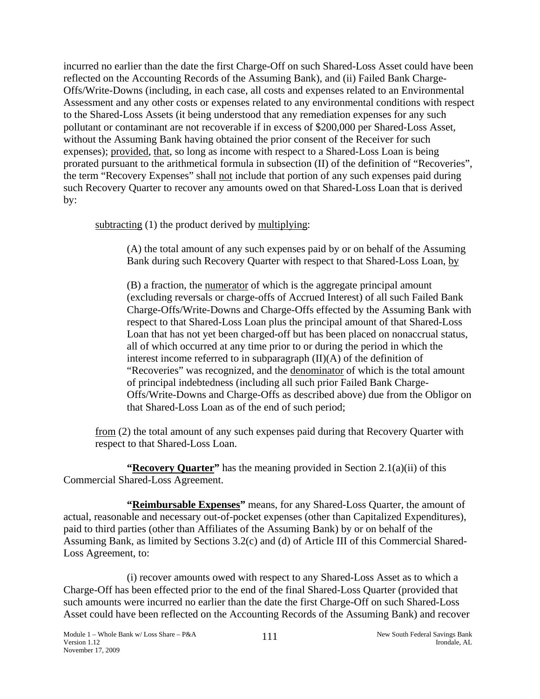incurred no earlier than the date the first Charge-Off on such Shared-Loss Asset could have been reflected on the Accounting Records of the Assuming Bank), and (ii) Failed Bank Charge-Offs/Write-Downs (including, in each case, all costs and expenses related to an Environmental Assessment and any other costs or expenses related to any environmental conditions with respect to the Shared-Loss Assets (it being understood that any remediation expenses for any such pollutant or contaminant are not recoverable if in excess of \$200,000 per Shared-Loss Asset, without the Assuming Bank having obtained the prior consent of the Receiver for such expenses); provided, that, so long as income with respect to a Shared-Loss Loan is being prorated pursuant to the arithmetical formula in subsection (II) of the definition of "Recoveries", the term "Recovery Expenses" shall not include that portion of any such expenses paid during such Recovery Quarter to recover any amounts owed on that Shared-Loss Loan that is derived by:

subtracting (1) the product derived by multiplying:

(A) the total amount of any such expenses paid by or on behalf of the Assuming Bank during such Recovery Quarter with respect to that Shared-Loss Loan, by

(B) a fraction, the numerator of which is the aggregate principal amount (excluding reversals or charge-offs of Accrued Interest) of all such Failed Bank Charge-Offs/Write-Downs and Charge-Offs effected by the Assuming Bank with respect to that Shared-Loss Loan plus the principal amount of that Shared-Loss Loan that has not yet been charged-off but has been placed on nonaccrual status, all of which occurred at any time prior to or during the period in which the interest income referred to in subparagraph  $(II)(A)$  of the definition of "Recoveries" was recognized, and the denominator of which is the total amount of principal indebtedness (including all such prior Failed Bank Charge-Offs/Write-Downs and Charge-Offs as described above) due from the Obligor on that Shared-Loss Loan as of the end of such period;

from (2) the total amount of any such expenses paid during that Recovery Quarter with respect to that Shared-Loss Loan.

**"Recovery Quarter"** has the meaning provided in Section 2.1(a)(ii) of this Commercial Shared-Loss Agreement.

**"Reimbursable Expenses"** means, for any Shared-Loss Quarter, the amount of actual, reasonable and necessary out-of-pocket expenses (other than Capitalized Expenditures), paid to third parties (other than Affiliates of the Assuming Bank) by or on behalf of the Assuming Bank, as limited by Sections 3.2(c) and (d) of Article III of this Commercial Shared-Loss Agreement, to:

(i) recover amounts owed with respect to any Shared-Loss Asset as to which a Charge-Off has been effected prior to the end of the final Shared-Loss Quarter (provided that such amounts were incurred no earlier than the date the first Charge-Off on such Shared-Loss Asset could have been reflected on the Accounting Records of the Assuming Bank) and recover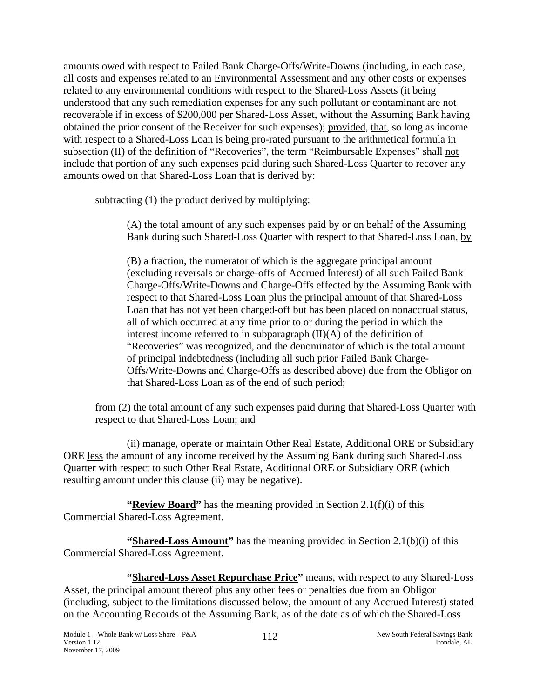amounts owed with respect to Failed Bank Charge-Offs/Write-Downs (including, in each case, all costs and expenses related to an Environmental Assessment and any other costs or expenses related to any environmental conditions with respect to the Shared-Loss Assets (it being understood that any such remediation expenses for any such pollutant or contaminant are not recoverable if in excess of \$200,000 per Shared-Loss Asset, without the Assuming Bank having obtained the prior consent of the Receiver for such expenses); provided, that, so long as income with respect to a Shared-Loss Loan is being pro-rated pursuant to the arithmetical formula in subsection (II) of the definition of "Recoveries", the term "Reimbursable Expenses" shall not include that portion of any such expenses paid during such Shared-Loss Quarter to recover any amounts owed on that Shared-Loss Loan that is derived by:

subtracting (1) the product derived by multiplying:

(A) the total amount of any such expenses paid by or on behalf of the Assuming Bank during such Shared-Loss Quarter with respect to that Shared-Loss Loan, by

(B) a fraction, the numerator of which is the aggregate principal amount (excluding reversals or charge-offs of Accrued Interest) of all such Failed Bank Charge-Offs/Write-Downs and Charge-Offs effected by the Assuming Bank with respect to that Shared-Loss Loan plus the principal amount of that Shared-Loss Loan that has not yet been charged-off but has been placed on nonaccrual status, all of which occurred at any time prior to or during the period in which the interest income referred to in subparagraph (II)(A) of the definition of "Recoveries" was recognized, and the denominator of which is the total amount of principal indebtedness (including all such prior Failed Bank Charge-Offs/Write-Downs and Charge-Offs as described above) due from the Obligor on that Shared-Loss Loan as of the end of such period;

from (2) the total amount of any such expenses paid during that Shared-Loss Quarter with respect to that Shared-Loss Loan; and

(ii) manage, operate or maintain Other Real Estate, Additional ORE or Subsidiary ORE less the amount of any income received by the Assuming Bank during such Shared-Loss Quarter with respect to such Other Real Estate, Additional ORE or Subsidiary ORE (which resulting amount under this clause (ii) may be negative).

**"Review Board"** has the meaning provided in Section 2.1(f)(i) of this Commercial Shared-Loss Agreement.

**"Shared-Loss Amount"** has the meaning provided in Section 2.1(b)(i) of this Commercial Shared-Loss Agreement.

**"Shared-Loss Asset Repurchase Price"** means, with respect to any Shared-Loss Asset, the principal amount thereof plus any other fees or penalties due from an Obligor (including, subject to the limitations discussed below, the amount of any Accrued Interest) stated on the Accounting Records of the Assuming Bank, as of the date as of which the Shared-Loss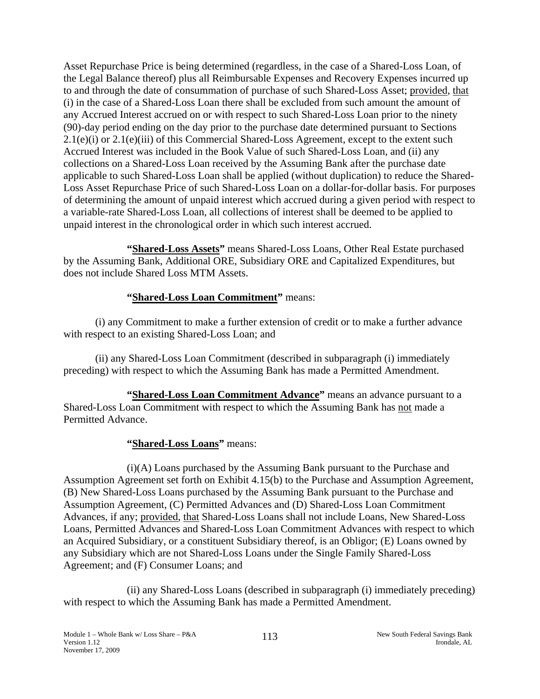Asset Repurchase Price is being determined (regardless, in the case of a Shared-Loss Loan, of the Legal Balance thereof) plus all Reimbursable Expenses and Recovery Expenses incurred up to and through the date of consummation of purchase of such Shared-Loss Asset; provided, that (i) in the case of a Shared-Loss Loan there shall be excluded from such amount the amount of any Accrued Interest accrued on or with respect to such Shared-Loss Loan prior to the ninety (90)-day period ending on the day prior to the purchase date determined pursuant to Sections 2.1(e)(i) or 2.1(e)(iii) of this Commercial Shared-Loss Agreement, except to the extent such Accrued Interest was included in the Book Value of such Shared-Loss Loan, and (ii) any collections on a Shared-Loss Loan received by the Assuming Bank after the purchase date applicable to such Shared-Loss Loan shall be applied (without duplication) to reduce the Shared-Loss Asset Repurchase Price of such Shared-Loss Loan on a dollar-for-dollar basis. For purposes of determining the amount of unpaid interest which accrued during a given period with respect to a variable-rate Shared-Loss Loan, all collections of interest shall be deemed to be applied to unpaid interest in the chronological order in which such interest accrued.

**"Shared-Loss Assets"** means Shared-Loss Loans, Other Real Estate purchased by the Assuming Bank, Additional ORE, Subsidiary ORE and Capitalized Expenditures, but does not include Shared Loss MTM Assets.

### "Shared-Loss Loan Commitment" means:

(i) any Commitment to make a further extension of credit or to make a further advance with respect to an existing Shared-Loss Loan; and

(ii) any Shared-Loss Loan Commitment (described in subparagraph (i) immediately preceding) with respect to which the Assuming Bank has made a Permitted Amendment.

**"Shared-Loss Loan Commitment Advance"** means an advance pursuant to a Shared-Loss Loan Commitment with respect to which the Assuming Bank has not made a Permitted Advance.

## **"Shared-Loss Loans"** means:

(i)(A) Loans purchased by the Assuming Bank pursuant to the Purchase and Assumption Agreement set forth on Exhibit 4.15(b) to the Purchase and Assumption Agreement, (B) New Shared-Loss Loans purchased by the Assuming Bank pursuant to the Purchase and Assumption Agreement, (C) Permitted Advances and (D) Shared-Loss Loan Commitment Advances, if any; provided, that Shared-Loss Loans shall not include Loans, New Shared-Loss Loans, Permitted Advances and Shared-Loss Loan Commitment Advances with respect to which an Acquired Subsidiary, or a constituent Subsidiary thereof, is an Obligor; (E) Loans owned by any Subsidiary which are not Shared-Loss Loans under the Single Family Shared-Loss Agreement; and (F) Consumer Loans; and

(ii) any Shared-Loss Loans (described in subparagraph (i) immediately preceding) with respect to which the Assuming Bank has made a Permitted Amendment.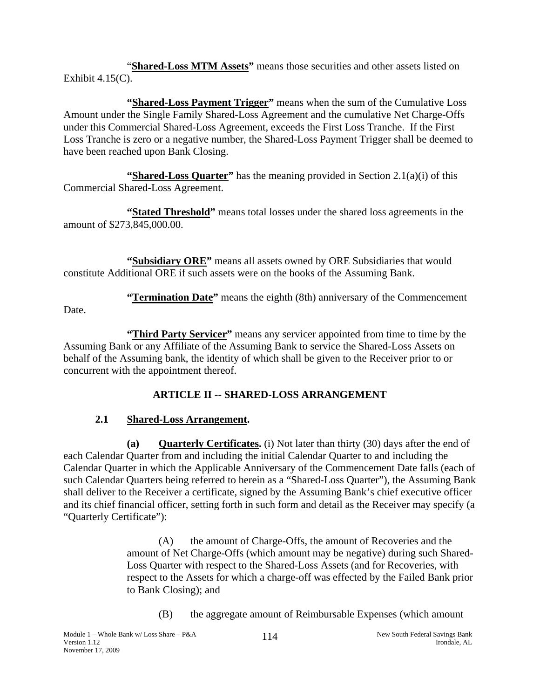"Shared-Loss MTM Assets" means those securities and other assets listed on Exhibit  $4.15(C)$ .

**"Shared-Loss Payment Trigger"** means when the sum of the Cumulative Loss Amount under the Single Family Shared-Loss Agreement and the cumulative Net Charge-Offs under this Commercial Shared-Loss Agreement, exceeds the First Loss Tranche. If the First Loss Tranche is zero or a negative number, the Shared-Loss Payment Trigger shall be deemed to have been reached upon Bank Closing.

**"Shared-Loss Quarter"** has the meaning provided in Section 2.1(a)(i) of this Commercial Shared-Loss Agreement.

**"Stated Threshold"** means total losses under the shared loss agreements in the amount of \$273,845,000.00.

**"Subsidiary ORE"** means all assets owned by ORE Subsidiaries that would constitute Additional ORE if such assets were on the books of the Assuming Bank.

**"Termination Date"** means the eighth (8th) anniversary of the Commencement Date.

**"Third Party Servicer"** means any servicer appointed from time to time by the Assuming Bank or any Affiliate of the Assuming Bank to service the Shared-Loss Assets on behalf of the Assuming bank, the identity of which shall be given to the Receiver prior to or concurrent with the appointment thereof.

## **ARTICLE II** -- **SHARED-LOSS ARRANGEMENT**

## **2.1 Shared-Loss Arrangement.**

**(a) Quarterly Certificates.** (i) Not later than thirty (30) days after the end of each Calendar Quarter from and including the initial Calendar Quarter to and including the Calendar Quarter in which the Applicable Anniversary of the Commencement Date falls (each of such Calendar Quarters being referred to herein as a "Shared-Loss Quarter"), the Assuming Bank shall deliver to the Receiver a certificate, signed by the Assuming Bank's chief executive officer and its chief financial officer, setting forth in such form and detail as the Receiver may specify (a "Quarterly Certificate"):

> (A) the amount of Charge-Offs, the amount of Recoveries and the amount of Net Charge-Offs (which amount may be negative) during such Shared-Loss Quarter with respect to the Shared-Loss Assets (and for Recoveries, with respect to the Assets for which a charge-off was effected by the Failed Bank prior to Bank Closing); and

(B) the aggregate amount of Reimbursable Expenses (which amount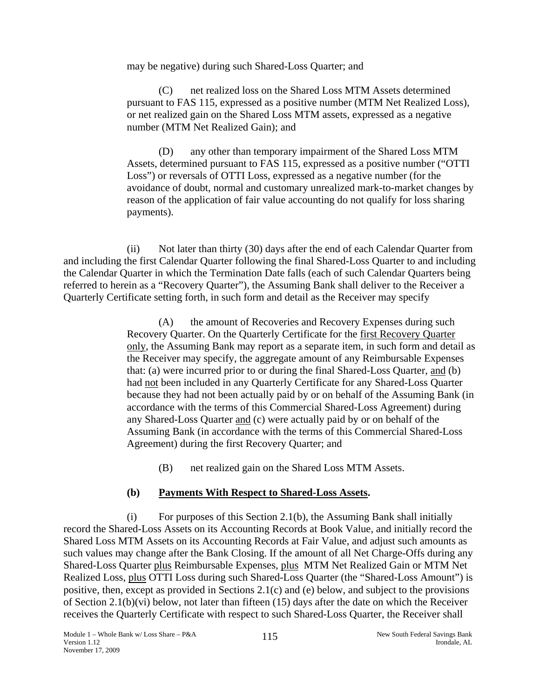may be negative) during such Shared-Loss Quarter; and

(C) net realized loss on the Shared Loss MTM Assets determined pursuant to FAS 115, expressed as a positive number (MTM Net Realized Loss), or net realized gain on the Shared Loss MTM assets, expressed as a negative number (MTM Net Realized Gain); and

(D) any other than temporary impairment of the Shared Loss MTM Assets, determined pursuant to FAS 115, expressed as a positive number ("OTTI Loss") or reversals of OTTI Loss, expressed as a negative number (for the avoidance of doubt, normal and customary unrealized mark-to-market changes by reason of the application of fair value accounting do not qualify for loss sharing payments).

(ii) Not later than thirty (30) days after the end of each Calendar Quarter from and including the first Calendar Quarter following the final Shared-Loss Quarter to and including the Calendar Quarter in which the Termination Date falls (each of such Calendar Quarters being referred to herein as a "Recovery Quarter"), the Assuming Bank shall deliver to the Receiver a Quarterly Certificate setting forth, in such form and detail as the Receiver may specify

> (A) the amount of Recoveries and Recovery Expenses during such Recovery Quarter. On the Quarterly Certificate for the first Recovery Quarter only, the Assuming Bank may report as a separate item, in such form and detail as the Receiver may specify, the aggregate amount of any Reimbursable Expenses that: (a) were incurred prior to or during the final Shared-Loss Quarter, and (b) had not been included in any Quarterly Certificate for any Shared-Loss Quarter because they had not been actually paid by or on behalf of the Assuming Bank (in accordance with the terms of this Commercial Shared-Loss Agreement) during any Shared-Loss Quarter and (c) were actually paid by or on behalf of the Assuming Bank (in accordance with the terms of this Commercial Shared-Loss Agreement) during the first Recovery Quarter; and

(B) net realized gain on the Shared Loss MTM Assets.

## **(b) Payments With Respect to Shared-Loss Assets.**

(i) For purposes of this Section 2.1(b), the Assuming Bank shall initially record the Shared-Loss Assets on its Accounting Records at Book Value, and initially record the Shared Loss MTM Assets on its Accounting Records at Fair Value, and adjust such amounts as such values may change after the Bank Closing. If the amount of all Net Charge-Offs during any Shared-Loss Quarter plus Reimbursable Expenses, plus MTM Net Realized Gain or MTM Net Realized Loss, plus OTTI Loss during such Shared-Loss Quarter (the "Shared-Loss Amount") is positive, then, except as provided in Sections 2.1(c) and (e) below, and subject to the provisions of Section 2.1(b)(vi) below, not later than fifteen (15) days after the date on which the Receiver receives the Quarterly Certificate with respect to such Shared-Loss Quarter, the Receiver shall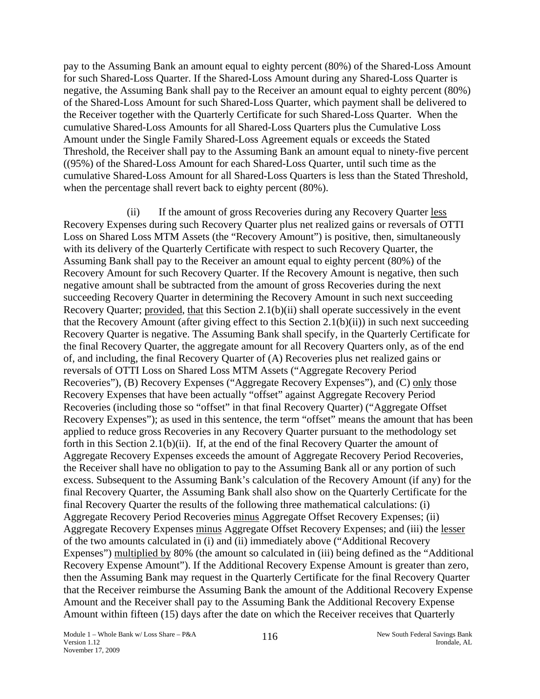pay to the Assuming Bank an amount equal to eighty percent (80%) of the Shared-Loss Amount for such Shared-Loss Quarter. If the Shared-Loss Amount during any Shared-Loss Quarter is negative, the Assuming Bank shall pay to the Receiver an amount equal to eighty percent (80%) of the Shared-Loss Amount for such Shared-Loss Quarter, which payment shall be delivered to the Receiver together with the Quarterly Certificate for such Shared-Loss Quarter. When the cumulative Shared-Loss Amounts for all Shared-Loss Quarters plus the Cumulative Loss Amount under the Single Family Shared-Loss Agreement equals or exceeds the Stated Threshold, the Receiver shall pay to the Assuming Bank an amount equal to ninety-five percent ((95%) of the Shared-Loss Amount for each Shared-Loss Quarter, until such time as the cumulative Shared-Loss Amount for all Shared-Loss Quarters is less than the Stated Threshold, when the percentage shall revert back to eighty percent (80%).

(ii) If the amount of gross Recoveries during any Recovery Quarter less Recovery Expenses during such Recovery Quarter plus net realized gains or reversals of OTTI Loss on Shared Loss MTM Assets (the "Recovery Amount") is positive, then, simultaneously with its delivery of the Quarterly Certificate with respect to such Recovery Quarter, the Assuming Bank shall pay to the Receiver an amount equal to eighty percent (80%) of the Recovery Amount for such Recovery Quarter. If the Recovery Amount is negative, then such negative amount shall be subtracted from the amount of gross Recoveries during the next succeeding Recovery Quarter in determining the Recovery Amount in such next succeeding Recovery Quarter; provided, that this Section 2.1(b)(ii) shall operate successively in the event that the Recovery Amount (after giving effect to this Section 2.1(b)(ii)) in such next succeeding Recovery Quarter is negative. The Assuming Bank shall specify, in the Quarterly Certificate for the final Recovery Quarter, the aggregate amount for all Recovery Quarters only, as of the end of, and including, the final Recovery Quarter of (A) Recoveries plus net realized gains or reversals of OTTI Loss on Shared Loss MTM Assets ("Aggregate Recovery Period Recoveries"), (B) Recovery Expenses ("Aggregate Recovery Expenses"), and (C) only those Recovery Expenses that have been actually "offset" against Aggregate Recovery Period Recoveries (including those so "offset" in that final Recovery Quarter) ("Aggregate Offset Recovery Expenses"); as used in this sentence, the term "offset" means the amount that has been applied to reduce gross Recoveries in any Recovery Quarter pursuant to the methodology set forth in this Section 2.1(b)(ii). If, at the end of the final Recovery Quarter the amount of Aggregate Recovery Expenses exceeds the amount of Aggregate Recovery Period Recoveries, the Receiver shall have no obligation to pay to the Assuming Bank all or any portion of such excess. Subsequent to the Assuming Bank's calculation of the Recovery Amount (if any) for the final Recovery Quarter, the Assuming Bank shall also show on the Quarterly Certificate for the final Recovery Quarter the results of the following three mathematical calculations: (i) Aggregate Recovery Period Recoveries minus Aggregate Offset Recovery Expenses; (ii) Aggregate Recovery Expenses minus Aggregate Offset Recovery Expenses; and (iii) the lesser of the two amounts calculated in (i) and (ii) immediately above ("Additional Recovery Expenses") multiplied by 80% (the amount so calculated in (iii) being defined as the "Additional Recovery Expense Amount"). If the Additional Recovery Expense Amount is greater than zero, then the Assuming Bank may request in the Quarterly Certificate for the final Recovery Quarter that the Receiver reimburse the Assuming Bank the amount of the Additional Recovery Expense Amount and the Receiver shall pay to the Assuming Bank the Additional Recovery Expense Amount within fifteen (15) days after the date on which the Receiver receives that Quarterly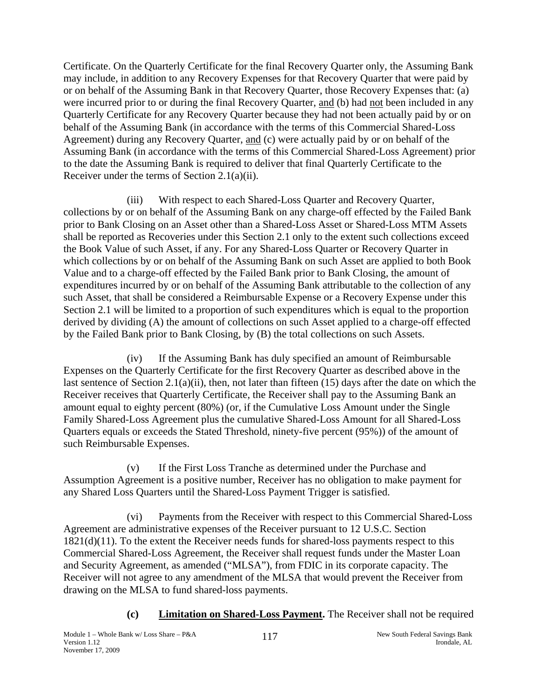Certificate. On the Quarterly Certificate for the final Recovery Quarter only, the Assuming Bank may include, in addition to any Recovery Expenses for that Recovery Quarter that were paid by or on behalf of the Assuming Bank in that Recovery Quarter, those Recovery Expenses that: (a) were incurred prior to or during the final Recovery Quarter, and (b) had not been included in any Quarterly Certificate for any Recovery Quarter because they had not been actually paid by or on behalf of the Assuming Bank (in accordance with the terms of this Commercial Shared-Loss Agreement) during any Recovery Quarter, and (c) were actually paid by or on behalf of the Assuming Bank (in accordance with the terms of this Commercial Shared-Loss Agreement) prior to the date the Assuming Bank is required to deliver that final Quarterly Certificate to the Receiver under the terms of Section 2.1(a)(ii).

(iii) With respect to each Shared-Loss Quarter and Recovery Quarter, collections by or on behalf of the Assuming Bank on any charge-off effected by the Failed Bank prior to Bank Closing on an Asset other than a Shared-Loss Asset or Shared-Loss MTM Assets shall be reported as Recoveries under this Section 2.1 only to the extent such collections exceed the Book Value of such Asset, if any. For any Shared-Loss Quarter or Recovery Quarter in which collections by or on behalf of the Assuming Bank on such Asset are applied to both Book Value and to a charge-off effected by the Failed Bank prior to Bank Closing, the amount of expenditures incurred by or on behalf of the Assuming Bank attributable to the collection of any such Asset, that shall be considered a Reimbursable Expense or a Recovery Expense under this Section 2.1 will be limited to a proportion of such expenditures which is equal to the proportion derived by dividing (A) the amount of collections on such Asset applied to a charge-off effected by the Failed Bank prior to Bank Closing, by (B) the total collections on such Assets.

(iv) If the Assuming Bank has duly specified an amount of Reimbursable Expenses on the Quarterly Certificate for the first Recovery Quarter as described above in the last sentence of Section 2.1(a)(ii), then, not later than fifteen (15) days after the date on which the Receiver receives that Quarterly Certificate, the Receiver shall pay to the Assuming Bank an amount equal to eighty percent (80%) (or, if the Cumulative Loss Amount under the Single Family Shared-Loss Agreement plus the cumulative Shared-Loss Amount for all Shared-Loss Quarters equals or exceeds the Stated Threshold, ninety-five percent (95%)) of the amount of such Reimbursable Expenses.

(v) If the First Loss Tranche as determined under the Purchase and Assumption Agreement is a positive number, Receiver has no obligation to make payment for any Shared Loss Quarters until the Shared-Loss Payment Trigger is satisfied.

(vi) Payments from the Receiver with respect to this Commercial Shared-Loss Agreement are administrative expenses of the Receiver pursuant to 12 U.S.C. Section  $1821(d)(11)$ . To the extent the Receiver needs funds for shared-loss payments respect to this Commercial Shared-Loss Agreement, the Receiver shall request funds under the Master Loan and Security Agreement, as amended ("MLSA"), from FDIC in its corporate capacity. The Receiver will not agree to any amendment of the MLSA that would prevent the Receiver from drawing on the MLSA to fund shared-loss payments.

**(c) Limitation on Shared-Loss Payment.** The Receiver shall not be required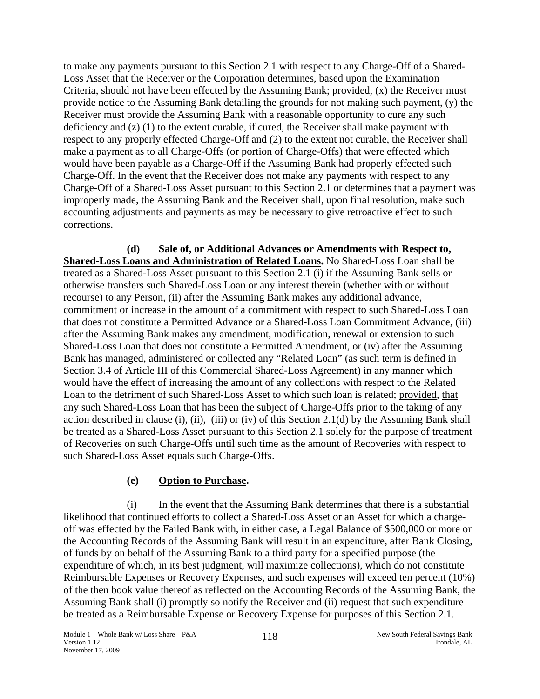to make any payments pursuant to this Section 2.1 with respect to any Charge-Off of a Shared-Loss Asset that the Receiver or the Corporation determines, based upon the Examination Criteria, should not have been effected by the Assuming Bank; provided, (x) the Receiver must provide notice to the Assuming Bank detailing the grounds for not making such payment, (y) the Receiver must provide the Assuming Bank with a reasonable opportunity to cure any such deficiency and (z) (1) to the extent curable, if cured, the Receiver shall make payment with respect to any properly effected Charge-Off and (2) to the extent not curable, the Receiver shall make a payment as to all Charge-Offs (or portion of Charge-Offs) that were effected which would have been payable as a Charge-Off if the Assuming Bank had properly effected such Charge-Off. In the event that the Receiver does not make any payments with respect to any Charge-Off of a Shared-Loss Asset pursuant to this Section 2.1 or determines that a payment was improperly made, the Assuming Bank and the Receiver shall, upon final resolution, make such accounting adjustments and payments as may be necessary to give retroactive effect to such corrections.

Loan to the detriment of such Shared-Loss Asset to which such loan is related; provided, that **(d) Sale of, or Additional Advances or Amendments with Respect to, Shared-Loss Loans and Administration of Related Loans.** No Shared-Loss Loan shall be treated as a Shared-Loss Asset pursuant to this Section 2.1 (i) if the Assuming Bank sells or otherwise transfers such Shared-Loss Loan or any interest therein (whether with or without recourse) to any Person, (ii) after the Assuming Bank makes any additional advance, commitment or increase in the amount of a commitment with respect to such Shared-Loss Loan that does not constitute a Permitted Advance or a Shared-Loss Loan Commitment Advance, (iii) after the Assuming Bank makes any amendment, modification, renewal or extension to such Shared-Loss Loan that does not constitute a Permitted Amendment, or (iv) after the Assuming Bank has managed, administered or collected any "Related Loan" (as such term is defined in Section 3.4 of Article III of this Commercial Shared-Loss Agreement) in any manner which would have the effect of increasing the amount of any collections with respect to the Related any such Shared-Loss Loan that has been the subject of Charge-Offs prior to the taking of any action described in clause (i), (ii), (iii) or (iv) of this Section 2.1(d) by the Assuming Bank shall be treated as a Shared-Loss Asset pursuant to this Section 2.1 solely for the purpose of treatment of Recoveries on such Charge-Offs until such time as the amount of Recoveries with respect to such Shared-Loss Asset equals such Charge-Offs.

## **(e) Option to Purchase.**

(i) In the event that the Assuming Bank determines that there is a substantial likelihood that continued efforts to collect a Shared-Loss Asset or an Asset for which a chargeoff was effected by the Failed Bank with, in either case, a Legal Balance of \$500,000 or more on the Accounting Records of the Assuming Bank will result in an expenditure, after Bank Closing, of funds by on behalf of the Assuming Bank to a third party for a specified purpose (the expenditure of which, in its best judgment, will maximize collections), which do not constitute Reimbursable Expenses or Recovery Expenses, and such expenses will exceed ten percent (10%) of the then book value thereof as reflected on the Accounting Records of the Assuming Bank, the Assuming Bank shall (i) promptly so notify the Receiver and (ii) request that such expenditure be treated as a Reimbursable Expense or Recovery Expense for purposes of this Section 2.1.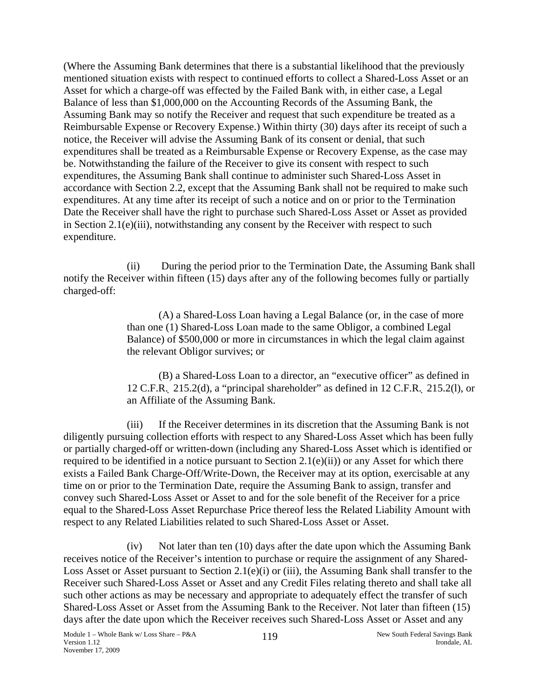(Where the Assuming Bank determines that there is a substantial likelihood that the previously mentioned situation exists with respect to continued efforts to collect a Shared-Loss Asset or an Asset for which a charge-off was effected by the Failed Bank with, in either case, a Legal Balance of less than \$1,000,000 on the Accounting Records of the Assuming Bank, the Assuming Bank may so notify the Receiver and request that such expenditure be treated as a Reimbursable Expense or Recovery Expense.) Within thirty (30) days after its receipt of such a notice, the Receiver will advise the Assuming Bank of its consent or denial, that such expenditures shall be treated as a Reimbursable Expense or Recovery Expense, as the case may be. Notwithstanding the failure of the Receiver to give its consent with respect to such expenditures, the Assuming Bank shall continue to administer such Shared-Loss Asset in accordance with Section 2.2, except that the Assuming Bank shall not be required to make such expenditures. At any time after its receipt of such a notice and on or prior to the Termination Date the Receiver shall have the right to purchase such Shared-Loss Asset or Asset as provided in Section 2.1(e)(iii), notwithstanding any consent by the Receiver with respect to such expenditure.

(ii) During the period prior to the Termination Date, the Assuming Bank shall notify the Receiver within fifteen (15) days after any of the following becomes fully or partially charged-off:

> (A) a Shared-Loss Loan having a Legal Balance (or, in the case of more than one (1) Shared-Loss Loan made to the same Obligor, a combined Legal Balance) of \$500,000 or more in circumstances in which the legal claim against the relevant Obligor survives; or

(B) a Shared-Loss Loan to a director, an "executive officer" as defined in 12 C.F.R. 215.2(d), a "principal shareholder" as defined in 12 C.F.R. 215.2(l), or an Affiliate of the Assuming Bank.

(iii) If the Receiver determines in its discretion that the Assuming Bank is not diligently pursuing collection efforts with respect to any Shared-Loss Asset which has been fully or partially charged-off or written-down (including any Shared-Loss Asset which is identified or required to be identified in a notice pursuant to Section 2.1(e)(ii)) or any Asset for which there exists a Failed Bank Charge-Off/Write-Down, the Receiver may at its option, exercisable at any time on or prior to the Termination Date, require the Assuming Bank to assign, transfer and convey such Shared-Loss Asset or Asset to and for the sole benefit of the Receiver for a price equal to the Shared-Loss Asset Repurchase Price thereof less the Related Liability Amount with respect to any Related Liabilities related to such Shared-Loss Asset or Asset.

(iv) Not later than ten (10) days after the date upon which the Assuming Bank receives notice of the Receiver's intention to purchase or require the assignment of any Shared-Loss Asset or Asset pursuant to Section 2.1(e)(i) or (iii), the Assuming Bank shall transfer to the Receiver such Shared-Loss Asset or Asset and any Credit Files relating thereto and shall take all such other actions as may be necessary and appropriate to adequately effect the transfer of such Shared-Loss Asset or Asset from the Assuming Bank to the Receiver. Not later than fifteen (15) days after the date upon which the Receiver receives such Shared-Loss Asset or Asset and any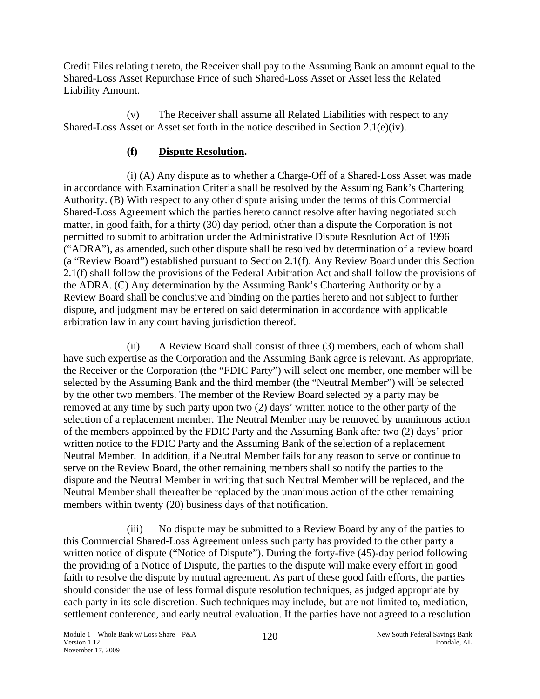Credit Files relating thereto, the Receiver shall pay to the Assuming Bank an amount equal to the Shared-Loss Asset Repurchase Price of such Shared-Loss Asset or Asset less the Related Liability Amount.

(v) The Receiver shall assume all Related Liabilities with respect to any Shared-Loss Asset or Asset set forth in the notice described in Section 2.1(e)(iv).

### **(f) Dispute Resolution.**

(i) (A) Any dispute as to whether a Charge-Off of a Shared-Loss Asset was made in accordance with Examination Criteria shall be resolved by the Assuming Bank's Chartering Authority. (B) With respect to any other dispute arising under the terms of this Commercial Shared-Loss Agreement which the parties hereto cannot resolve after having negotiated such matter, in good faith, for a thirty (30) day period, other than a dispute the Corporation is not permitted to submit to arbitration under the Administrative Dispute Resolution Act of 1996 ("ADRA"), as amended, such other dispute shall be resolved by determination of a review board (a "Review Board") established pursuant to Section 2.1(f). Any Review Board under this Section 2.1(f) shall follow the provisions of the Federal Arbitration Act and shall follow the provisions of the ADRA. (C) Any determination by the Assuming Bank's Chartering Authority or by a Review Board shall be conclusive and binding on the parties hereto and not subject to further dispute, and judgment may be entered on said determination in accordance with applicable arbitration law in any court having jurisdiction thereof.

(ii) A Review Board shall consist of three (3) members, each of whom shall have such expertise as the Corporation and the Assuming Bank agree is relevant. As appropriate, the Receiver or the Corporation (the "FDIC Party") will select one member, one member will be selected by the Assuming Bank and the third member (the "Neutral Member") will be selected by the other two members. The member of the Review Board selected by a party may be removed at any time by such party upon two (2) days' written notice to the other party of the selection of a replacement member. The Neutral Member may be removed by unanimous action of the members appointed by the FDIC Party and the Assuming Bank after two (2) days' prior written notice to the FDIC Party and the Assuming Bank of the selection of a replacement Neutral Member. In addition, if a Neutral Member fails for any reason to serve or continue to serve on the Review Board, the other remaining members shall so notify the parties to the dispute and the Neutral Member in writing that such Neutral Member will be replaced, and the Neutral Member shall thereafter be replaced by the unanimous action of the other remaining members within twenty (20) business days of that notification.

(iii) No dispute may be submitted to a Review Board by any of the parties to this Commercial Shared-Loss Agreement unless such party has provided to the other party a written notice of dispute ("Notice of Dispute"). During the forty-five (45)-day period following the providing of a Notice of Dispute, the parties to the dispute will make every effort in good faith to resolve the dispute by mutual agreement. As part of these good faith efforts, the parties should consider the use of less formal dispute resolution techniques, as judged appropriate by each party in its sole discretion. Such techniques may include, but are not limited to, mediation, settlement conference, and early neutral evaluation. If the parties have not agreed to a resolution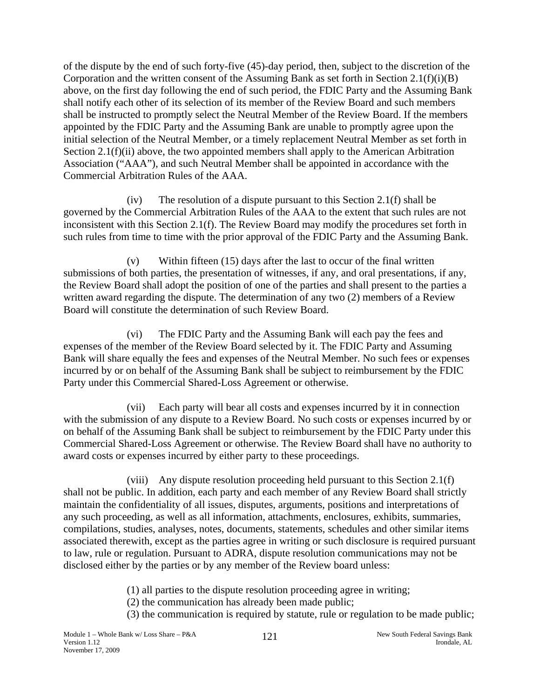of the dispute by the end of such forty-five (45)-day period, then, subject to the discretion of the Corporation and the written consent of the Assuming Bank as set forth in Section  $2.1(f)(i)(B)$ above, on the first day following the end of such period, the FDIC Party and the Assuming Bank shall notify each other of its selection of its member of the Review Board and such members shall be instructed to promptly select the Neutral Member of the Review Board. If the members appointed by the FDIC Party and the Assuming Bank are unable to promptly agree upon the initial selection of the Neutral Member, or a timely replacement Neutral Member as set forth in Section 2.1(f)(ii) above, the two appointed members shall apply to the American Arbitration Association ("AAA"), and such Neutral Member shall be appointed in accordance with the Commercial Arbitration Rules of the AAA.

(iv) The resolution of a dispute pursuant to this Section 2.1(f) shall be governed by the Commercial Arbitration Rules of the AAA to the extent that such rules are not inconsistent with this Section 2.1(f). The Review Board may modify the procedures set forth in such rules from time to time with the prior approval of the FDIC Party and the Assuming Bank.

(v) Within fifteen (15) days after the last to occur of the final written submissions of both parties, the presentation of witnesses, if any, and oral presentations, if any, the Review Board shall adopt the position of one of the parties and shall present to the parties a written award regarding the dispute. The determination of any two (2) members of a Review Board will constitute the determination of such Review Board.

(vi) The FDIC Party and the Assuming Bank will each pay the fees and expenses of the member of the Review Board selected by it. The FDIC Party and Assuming Bank will share equally the fees and expenses of the Neutral Member. No such fees or expenses incurred by or on behalf of the Assuming Bank shall be subject to reimbursement by the FDIC Party under this Commercial Shared-Loss Agreement or otherwise.

(vii) Each party will bear all costs and expenses incurred by it in connection with the submission of any dispute to a Review Board. No such costs or expenses incurred by or on behalf of the Assuming Bank shall be subject to reimbursement by the FDIC Party under this Commercial Shared-Loss Agreement or otherwise. The Review Board shall have no authority to award costs or expenses incurred by either party to these proceedings.

(viii) Any dispute resolution proceeding held pursuant to this Section 2.1(f) shall not be public. In addition, each party and each member of any Review Board shall strictly maintain the confidentiality of all issues, disputes, arguments, positions and interpretations of any such proceeding, as well as all information, attachments, enclosures, exhibits, summaries, compilations, studies, analyses, notes, documents, statements, schedules and other similar items associated therewith, except as the parties agree in writing or such disclosure is required pursuant to law, rule or regulation. Pursuant to ADRA, dispute resolution communications may not be disclosed either by the parties or by any member of the Review board unless:

(1) all parties to the dispute resolution proceeding agree in writing;

- (2) the communication has already been made public;
- (3) the communication is required by statute, rule or regulation to be made public;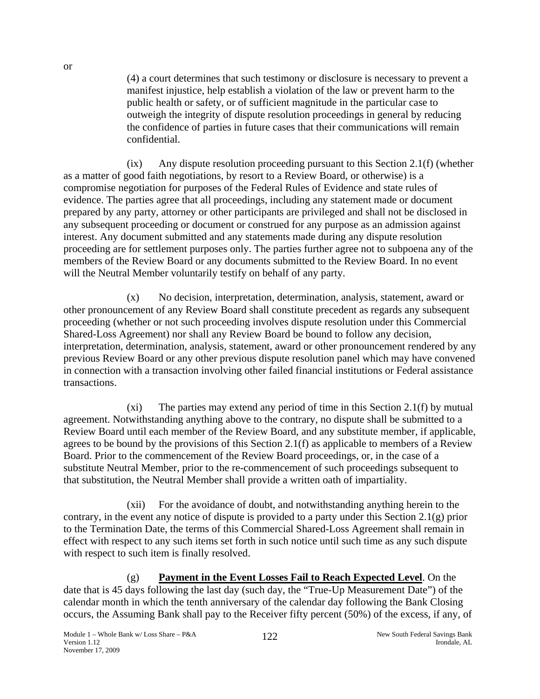(4) a court determines that such testimony or disclosure is necessary to prevent a manifest injustice, help establish a violation of the law or prevent harm to the public health or safety, or of sufficient magnitude in the particular case to outweigh the integrity of dispute resolution proceedings in general by reducing the confidence of parties in future cases that their communications will remain confidential.

 $(ix)$  Any dispute resolution proceeding pursuant to this Section 2.1(f) (whether as a matter of good faith negotiations, by resort to a Review Board, or otherwise) is a compromise negotiation for purposes of the Federal Rules of Evidence and state rules of evidence. The parties agree that all proceedings, including any statement made or document prepared by any party, attorney or other participants are privileged and shall not be disclosed in any subsequent proceeding or document or construed for any purpose as an admission against interest. Any document submitted and any statements made during any dispute resolution proceeding are for settlement purposes only. The parties further agree not to subpoena any of the members of the Review Board or any documents submitted to the Review Board. In no event will the Neutral Member voluntarily testify on behalf of any party.

(x) No decision, interpretation, determination, analysis, statement, award or other pronouncement of any Review Board shall constitute precedent as regards any subsequent proceeding (whether or not such proceeding involves dispute resolution under this Commercial Shared-Loss Agreement) nor shall any Review Board be bound to follow any decision, interpretation, determination, analysis, statement, award or other pronouncement rendered by any previous Review Board or any other previous dispute resolution panel which may have convened in connection with a transaction involving other failed financial institutions or Federal assistance transactions.

(xi) The parties may extend any period of time in this Section 2.1(f) by mutual agreement. Notwithstanding anything above to the contrary, no dispute shall be submitted to a Review Board until each member of the Review Board, and any substitute member, if applicable, agrees to be bound by the provisions of this Section 2.1(f) as applicable to members of a Review Board. Prior to the commencement of the Review Board proceedings, or, in the case of a substitute Neutral Member, prior to the re-commencement of such proceedings subsequent to that substitution, the Neutral Member shall provide a written oath of impartiality.

(xii) For the avoidance of doubt, and notwithstanding anything herein to the contrary, in the event any notice of dispute is provided to a party under this Section 2.1(g) prior to the Termination Date, the terms of this Commercial Shared-Loss Agreement shall remain in effect with respect to any such items set forth in such notice until such time as any such dispute with respect to such item is finally resolved.

 (g) **Payment in the Event Losses Fail to Reach Expected Level**. On the date that is 45 days following the last day (such day, the "True-Up Measurement Date") of the calendar month in which the tenth anniversary of the calendar day following the Bank Closing occurs, the Assuming Bank shall pay to the Receiver fifty percent (50%) of the excess, if any, of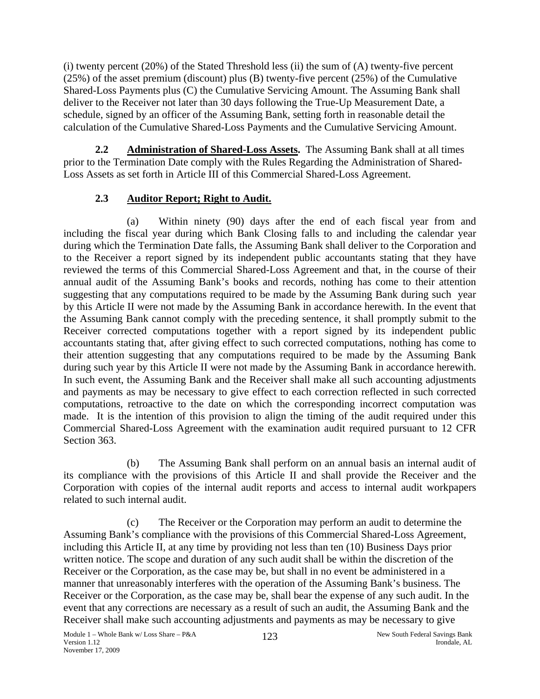(i) twenty percent (20%) of the Stated Threshold less (ii) the sum of (A) twenty-five percent (25%) of the asset premium (discount) plus (B) twenty-five percent (25%) of the Cumulative Shared-Loss Payments plus (C) the Cumulative Servicing Amount. The Assuming Bank shall deliver to the Receiver not later than 30 days following the True-Up Measurement Date, a schedule, signed by an officer of the Assuming Bank, setting forth in reasonable detail the calculation of the Cumulative Shared-Loss Payments and the Cumulative Servicing Amount.

**2.2** Administration of Shared-Loss Assets. The Assuming Bank shall at all times prior to the Termination Date comply with the Rules Regarding the Administration of Shared-Loss Assets as set forth in Article III of this Commercial Shared-Loss Agreement.

## **2.3 Auditor Report; Right to Audit.**

(a) Within ninety (90) days after the end of each fiscal year from and including the fiscal year during which Bank Closing falls to and including the calendar year during which the Termination Date falls, the Assuming Bank shall deliver to the Corporation and to the Receiver a report signed by its independent public accountants stating that they have reviewed the terms of this Commercial Shared-Loss Agreement and that, in the course of their annual audit of the Assuming Bank's books and records, nothing has come to their attention suggesting that any computations required to be made by the Assuming Bank during such year by this Article II were not made by the Assuming Bank in accordance herewith. In the event that the Assuming Bank cannot comply with the preceding sentence, it shall promptly submit to the Receiver corrected computations together with a report signed by its independent public accountants stating that, after giving effect to such corrected computations, nothing has come to their attention suggesting that any computations required to be made by the Assuming Bank during such year by this Article II were not made by the Assuming Bank in accordance herewith. In such event, the Assuming Bank and the Receiver shall make all such accounting adjustments and payments as may be necessary to give effect to each correction reflected in such corrected computations, retroactive to the date on which the corresponding incorrect computation was made. It is the intention of this provision to align the timing of the audit required under this Commercial Shared-Loss Agreement with the examination audit required pursuant to 12 CFR Section 363.

(b) The Assuming Bank shall perform on an annual basis an internal audit of its compliance with the provisions of this Article II and shall provide the Receiver and the Corporation with copies of the internal audit reports and access to internal audit workpapers related to such internal audit.

(c) The Receiver or the Corporation may perform an audit to determine the Assuming Bank's compliance with the provisions of this Commercial Shared-Loss Agreement, including this Article II, at any time by providing not less than ten (10) Business Days prior written notice. The scope and duration of any such audit shall be within the discretion of the Receiver or the Corporation, as the case may be, but shall in no event be administered in a manner that unreasonably interferes with the operation of the Assuming Bank's business. The Receiver or the Corporation, as the case may be, shall bear the expense of any such audit. In the event that any corrections are necessary as a result of such an audit, the Assuming Bank and the Receiver shall make such accounting adjustments and payments as may be necessary to give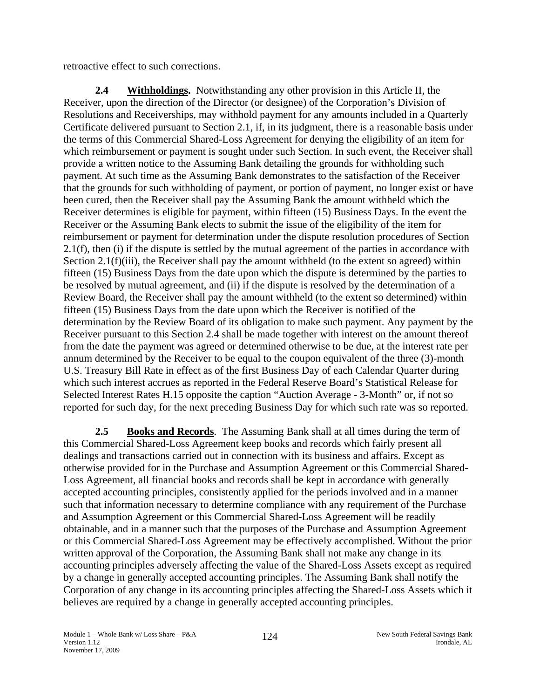retroactive effect to such corrections.

**2.4 Withholdings.** Notwithstanding any other provision in this Article II, the Receiver, upon the direction of the Director (or designee) of the Corporation's Division of Resolutions and Receiverships, may withhold payment for any amounts included in a Quarterly Certificate delivered pursuant to Section 2.1, if, in its judgment, there is a reasonable basis under the terms of this Commercial Shared-Loss Agreement for denying the eligibility of an item for which reimbursement or payment is sought under such Section. In such event, the Receiver shall provide a written notice to the Assuming Bank detailing the grounds for withholding such payment. At such time as the Assuming Bank demonstrates to the satisfaction of the Receiver that the grounds for such withholding of payment, or portion of payment, no longer exist or have been cured, then the Receiver shall pay the Assuming Bank the amount withheld which the Receiver determines is eligible for payment, within fifteen (15) Business Days. In the event the Receiver or the Assuming Bank elects to submit the issue of the eligibility of the item for reimbursement or payment for determination under the dispute resolution procedures of Section 2.1(f), then (i) if the dispute is settled by the mutual agreement of the parties in accordance with Section 2.1(f)(iii), the Receiver shall pay the amount withheld (to the extent so agreed) within fifteen (15) Business Days from the date upon which the dispute is determined by the parties to be resolved by mutual agreement, and (ii) if the dispute is resolved by the determination of a Review Board, the Receiver shall pay the amount withheld (to the extent so determined) within fifteen (15) Business Days from the date upon which the Receiver is notified of the determination by the Review Board of its obligation to make such payment. Any payment by the Receiver pursuant to this Section 2.4 shall be made together with interest on the amount thereof from the date the payment was agreed or determined otherwise to be due, at the interest rate per annum determined by the Receiver to be equal to the coupon equivalent of the three (3)-month U.S. Treasury Bill Rate in effect as of the first Business Day of each Calendar Quarter during which such interest accrues as reported in the Federal Reserve Board's Statistical Release for Selected Interest Rates H.15 opposite the caption "Auction Average - 3-Month" or, if not so reported for such day, for the next preceding Business Day for which such rate was so reported.

**2.5 Books and Records**. The Assuming Bank shall at all times during the term of this Commercial Shared-Loss Agreement keep books and records which fairly present all dealings and transactions carried out in connection with its business and affairs. Except as otherwise provided for in the Purchase and Assumption Agreement or this Commercial Shared-Loss Agreement, all financial books and records shall be kept in accordance with generally accepted accounting principles, consistently applied for the periods involved and in a manner such that information necessary to determine compliance with any requirement of the Purchase and Assumption Agreement or this Commercial Shared-Loss Agreement will be readily obtainable, and in a manner such that the purposes of the Purchase and Assumption Agreement or this Commercial Shared-Loss Agreement may be effectively accomplished. Without the prior written approval of the Corporation, the Assuming Bank shall not make any change in its accounting principles adversely affecting the value of the Shared-Loss Assets except as required by a change in generally accepted accounting principles. The Assuming Bank shall notify the Corporation of any change in its accounting principles affecting the Shared-Loss Assets which it believes are required by a change in generally accepted accounting principles.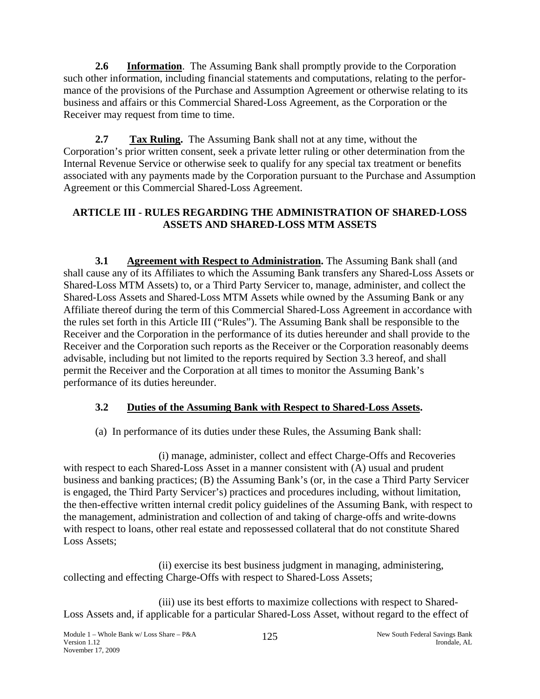**2.6 Information.** The Assuming Bank shall promptly provide to the Corporation such other information, including financial statements and computations, relating to the performance of the provisions of the Purchase and Assumption Agreement or otherwise relating to its business and affairs or this Commercial Shared-Loss Agreement, as the Corporation or the Receiver may request from time to time.

**2.7 Tax Ruling.** The Assuming Bank shall not at any time, without the Corporation's prior written consent, seek a private letter ruling or other determination from the Internal Revenue Service or otherwise seek to qualify for any special tax treatment or benefits associated with any payments made by the Corporation pursuant to the Purchase and Assumption Agreement or this Commercial Shared-Loss Agreement.

### **ARTICLE III - RULES REGARDING THE ADMINISTRATION OF SHARED-LOSS ASSETS AND SHARED-LOSS MTM ASSETS**

**3.1** Agreement with Respect to Administration. The Assuming Bank shall (and shall cause any of its Affiliates to which the Assuming Bank transfers any Shared-Loss Assets or Shared-Loss MTM Assets) to, or a Third Party Servicer to, manage, administer, and collect the Shared-Loss Assets and Shared-Loss MTM Assets while owned by the Assuming Bank or any Affiliate thereof during the term of this Commercial Shared-Loss Agreement in accordance with the rules set forth in this Article III ("Rules"). The Assuming Bank shall be responsible to the Receiver and the Corporation in the performance of its duties hereunder and shall provide to the Receiver and the Corporation such reports as the Receiver or the Corporation reasonably deems advisable, including but not limited to the reports required by Section 3.3 hereof, and shall permit the Receiver and the Corporation at all times to monitor the Assuming Bank's performance of its duties hereunder.

## **3.2 Duties of the Assuming Bank with Respect to Shared-Loss Assets.**

(a) In performance of its duties under these Rules, the Assuming Bank shall:

(i) manage, administer, collect and effect Charge-Offs and Recoveries with respect to each Shared-Loss Asset in a manner consistent with (A) usual and prudent business and banking practices; (B) the Assuming Bank's (or, in the case a Third Party Servicer is engaged, the Third Party Servicer's) practices and procedures including, without limitation, the then-effective written internal credit policy guidelines of the Assuming Bank, with respect to the management, administration and collection of and taking of charge-offs and write-downs with respect to loans, other real estate and repossessed collateral that do not constitute Shared Loss Assets;

(ii) exercise its best business judgment in managing, administering, collecting and effecting Charge-Offs with respect to Shared-Loss Assets;

(iii) use its best efforts to maximize collections with respect to Shared-Loss Assets and, if applicable for a particular Shared-Loss Asset, without regard to the effect of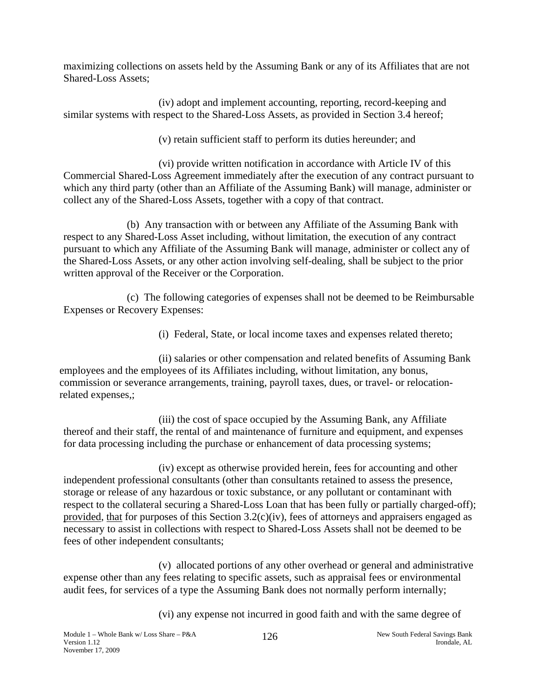maximizing collections on assets held by the Assuming Bank or any of its Affiliates that are not Shared-Loss Assets;

(iv) adopt and implement accounting, reporting, record-keeping and similar systems with respect to the Shared-Loss Assets, as provided in Section 3.4 hereof;

(v) retain sufficient staff to perform its duties hereunder; and

(vi) provide written notification in accordance with Article IV of this Commercial Shared-Loss Agreement immediately after the execution of any contract pursuant to which any third party (other than an Affiliate of the Assuming Bank) will manage, administer or collect any of the Shared-Loss Assets, together with a copy of that contract.

(b) Any transaction with or between any Affiliate of the Assuming Bank with respect to any Shared-Loss Asset including, without limitation, the execution of any contract pursuant to which any Affiliate of the Assuming Bank will manage, administer or collect any of the Shared-Loss Assets, or any other action involving self-dealing, shall be subject to the prior written approval of the Receiver or the Corporation.

(c) The following categories of expenses shall not be deemed to be Reimbursable Expenses or Recovery Expenses:

(i) Federal, State, or local income taxes and expenses related thereto;

(ii) salaries or other compensation and related benefits of Assuming Bank employees and the employees of its Affiliates including, without limitation, any bonus, commission or severance arrangements, training, payroll taxes, dues, or travel- or relocationrelated expenses,;

(iii) the cost of space occupied by the Assuming Bank, any Affiliate thereof and their staff, the rental of and maintenance of furniture and equipment, and expenses for data processing including the purchase or enhancement of data processing systems;

(iv) except as otherwise provided herein, fees for accounting and other independent professional consultants (other than consultants retained to assess the presence, storage or release of any hazardous or toxic substance, or any pollutant or contaminant with respect to the collateral securing a Shared-Loss Loan that has been fully or partially charged-off); provided, that for purposes of this Section 3.2(c)(iv), fees of attorneys and appraisers engaged as necessary to assist in collections with respect to Shared-Loss Assets shall not be deemed to be fees of other independent consultants;

(v) allocated portions of any other overhead or general and administrative expense other than any fees relating to specific assets, such as appraisal fees or environmental audit fees, for services of a type the Assuming Bank does not normally perform internally;

(vi) any expense not incurred in good faith and with the same degree of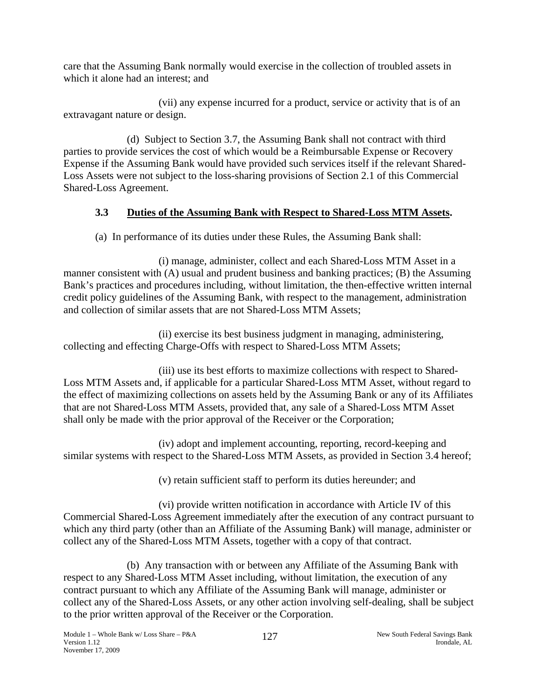care that the Assuming Bank normally would exercise in the collection of troubled assets in which it alone had an interest; and

(vii) any expense incurred for a product, service or activity that is of an extravagant nature or design.

(d) Subject to Section 3.7, the Assuming Bank shall not contract with third parties to provide services the cost of which would be a Reimbursable Expense or Recovery Expense if the Assuming Bank would have provided such services itself if the relevant Shared-Loss Assets were not subject to the loss-sharing provisions of Section 2.1 of this Commercial Shared-Loss Agreement.

# **3.3 Duties of the Assuming Bank with Respect to Shared-Loss MTM Assets.**

(a) In performance of its duties under these Rules, the Assuming Bank shall:

(i) manage, administer, collect and each Shared-Loss MTM Asset in a manner consistent with (A) usual and prudent business and banking practices; (B) the Assuming Bank's practices and procedures including, without limitation, the then-effective written internal credit policy guidelines of the Assuming Bank, with respect to the management, administration and collection of similar assets that are not Shared-Loss MTM Assets;

(ii) exercise its best business judgment in managing, administering, collecting and effecting Charge-Offs with respect to Shared-Loss MTM Assets;

(iii) use its best efforts to maximize collections with respect to Shared-Loss MTM Assets and, if applicable for a particular Shared-Loss MTM Asset, without regard to the effect of maximizing collections on assets held by the Assuming Bank or any of its Affiliates that are not Shared-Loss MTM Assets, provided that, any sale of a Shared-Loss MTM Asset shall only be made with the prior approval of the Receiver or the Corporation;

(iv) adopt and implement accounting, reporting, record-keeping and similar systems with respect to the Shared-Loss MTM Assets, as provided in Section 3.4 hereof;

(v) retain sufficient staff to perform its duties hereunder; and

(vi) provide written notification in accordance with Article IV of this Commercial Shared-Loss Agreement immediately after the execution of any contract pursuant to which any third party (other than an Affiliate of the Assuming Bank) will manage, administer or collect any of the Shared-Loss MTM Assets, together with a copy of that contract.

(b) Any transaction with or between any Affiliate of the Assuming Bank with respect to any Shared-Loss MTM Asset including, without limitation, the execution of any contract pursuant to which any Affiliate of the Assuming Bank will manage, administer or collect any of the Shared-Loss Assets, or any other action involving self-dealing, shall be subject to the prior written approval of the Receiver or the Corporation.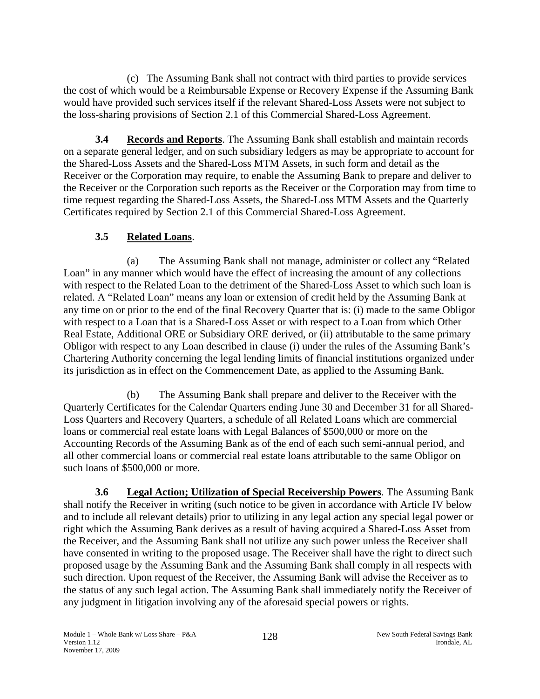(c) The Assuming Bank shall not contract with third parties to provide services the cost of which would be a Reimbursable Expense or Recovery Expense if the Assuming Bank would have provided such services itself if the relevant Shared-Loss Assets were not subject to the loss-sharing provisions of Section 2.1 of this Commercial Shared-Loss Agreement.

**3.4 Records and Reports**. The Assuming Bank shall establish and maintain records on a separate general ledger, and on such subsidiary ledgers as may be appropriate to account for the Shared-Loss Assets and the Shared-Loss MTM Assets, in such form and detail as the Receiver or the Corporation may require, to enable the Assuming Bank to prepare and deliver to the Receiver or the Corporation such reports as the Receiver or the Corporation may from time to time request regarding the Shared-Loss Assets, the Shared-Loss MTM Assets and the Quarterly Certificates required by Section 2.1 of this Commercial Shared-Loss Agreement.

## **3.5 Related Loans**.

(a) The Assuming Bank shall not manage, administer or collect any "Related Loan" in any manner which would have the effect of increasing the amount of any collections with respect to the Related Loan to the detriment of the Shared-Loss Asset to which such loan is related. A "Related Loan" means any loan or extension of credit held by the Assuming Bank at any time on or prior to the end of the final Recovery Quarter that is: (i) made to the same Obligor with respect to a Loan that is a Shared-Loss Asset or with respect to a Loan from which Other Real Estate, Additional ORE or Subsidiary ORE derived, or (ii) attributable to the same primary Obligor with respect to any Loan described in clause (i) under the rules of the Assuming Bank's Chartering Authority concerning the legal lending limits of financial institutions organized under its jurisdiction as in effect on the Commencement Date, as applied to the Assuming Bank.

(b) The Assuming Bank shall prepare and deliver to the Receiver with the Quarterly Certificates for the Calendar Quarters ending June 30 and December 31 for all Shared-Loss Quarters and Recovery Quarters, a schedule of all Related Loans which are commercial loans or commercial real estate loans with Legal Balances of \$500,000 or more on the Accounting Records of the Assuming Bank as of the end of each such semi-annual period, and all other commercial loans or commercial real estate loans attributable to the same Obligor on such loans of \$500,000 or more.

**3.6 Legal Action; Utilization of Special Receivership Powers**. The Assuming Bank shall notify the Receiver in writing (such notice to be given in accordance with Article IV below and to include all relevant details) prior to utilizing in any legal action any special legal power or right which the Assuming Bank derives as a result of having acquired a Shared-Loss Asset from the Receiver, and the Assuming Bank shall not utilize any such power unless the Receiver shall have consented in writing to the proposed usage. The Receiver shall have the right to direct such proposed usage by the Assuming Bank and the Assuming Bank shall comply in all respects with such direction. Upon request of the Receiver, the Assuming Bank will advise the Receiver as to the status of any such legal action. The Assuming Bank shall immediately notify the Receiver of any judgment in litigation involving any of the aforesaid special powers or rights.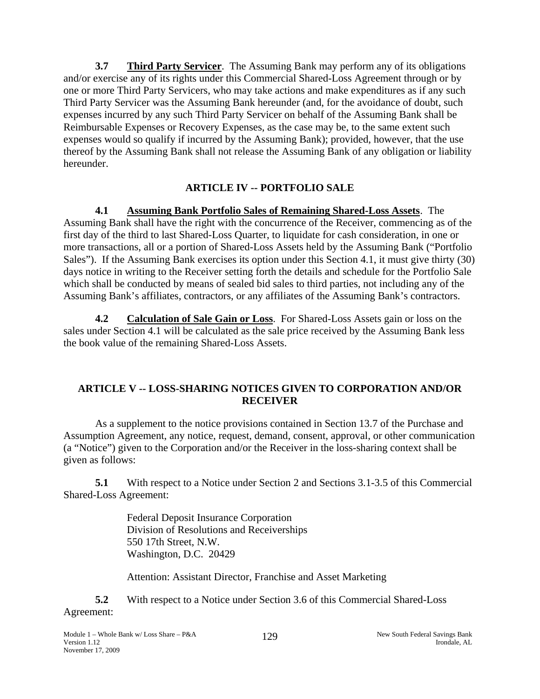**3.7** Third Party Servicer. The Assuming Bank may perform any of its obligations and/or exercise any of its rights under this Commercial Shared-Loss Agreement through or by one or more Third Party Servicers, who may take actions and make expenditures as if any such Third Party Servicer was the Assuming Bank hereunder (and, for the avoidance of doubt, such expenses incurred by any such Third Party Servicer on behalf of the Assuming Bank shall be Reimbursable Expenses or Recovery Expenses, as the case may be, to the same extent such expenses would so qualify if incurred by the Assuming Bank); provided, however, that the use thereof by the Assuming Bank shall not release the Assuming Bank of any obligation or liability hereunder.

## **ARTICLE IV -- PORTFOLIO SALE**

**4.1 Assuming Bank Portfolio Sales of Remaining Shared-Loss Assets**. The Assuming Bank shall have the right with the concurrence of the Receiver, commencing as of the first day of the third to last Shared-Loss Quarter, to liquidate for cash consideration, in one or more transactions, all or a portion of Shared-Loss Assets held by the Assuming Bank ("Portfolio Sales"). If the Assuming Bank exercises its option under this Section 4.1, it must give thirty (30) days notice in writing to the Receiver setting forth the details and schedule for the Portfolio Sale which shall be conducted by means of sealed bid sales to third parties, not including any of the Assuming Bank's affiliates, contractors, or any affiliates of the Assuming Bank's contractors.

**4.2 Calculation of Sale Gain or Loss**. For Shared-Loss Assets gain or loss on the sales under Section 4.1 will be calculated as the sale price received by the Assuming Bank less the book value of the remaining Shared-Loss Assets.

## **ARTICLE V -- LOSS-SHARING NOTICES GIVEN TO CORPORATION AND/OR RECEIVER**

As a supplement to the notice provisions contained in Section 13.7 of the Purchase and Assumption Agreement, any notice, request, demand, consent, approval, or other communication (a "Notice") given to the Corporation and/or the Receiver in the loss-sharing context shall be given as follows:

**5.1** With respect to a Notice under Section 2 and Sections 3.1-3.5 of this Commercial Shared-Loss Agreement:

> Federal Deposit Insurance Corporation Division of Resolutions and Receiverships 550 17th Street, N.W. Washington, D.C. 20429

Attention: Assistant Director, Franchise and Asset Marketing

**5.2** With respect to a Notice under Section 3.6 of this Commercial Shared-Loss Agreement: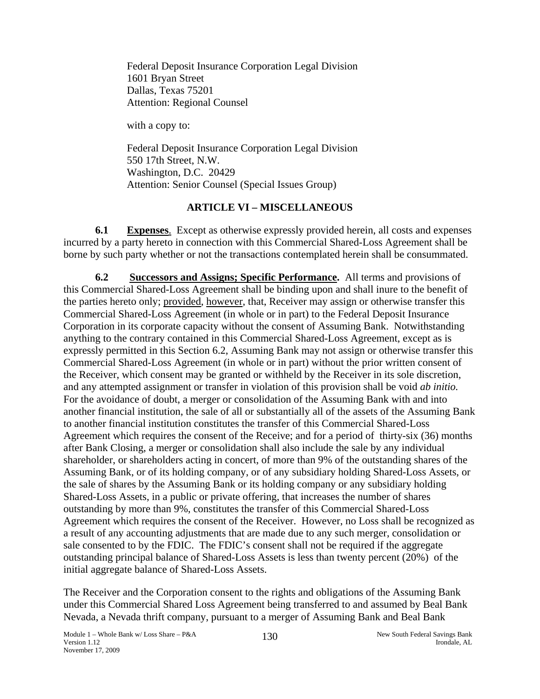Federal Deposit Insurance Corporation Legal Division 1601 Bryan Street Dallas, Texas 75201 Attention: Regional Counsel

with a copy to:

Federal Deposit Insurance Corporation Legal Division 550 17th Street, N.W. Washington, D.C. 20429 Attention: Senior Counsel (Special Issues Group)

#### **ARTICLE VI – MISCELLANEOUS**

**6.1** Expenses. Except as otherwise expressly provided herein, all costs and expenses incurred by a party hereto in connection with this Commercial Shared-Loss Agreement shall be borne by such party whether or not the transactions contemplated herein shall be consummated.

**6.2 Successors and Assigns; Specific Performance.** All terms and provisions of this Commercial Shared-Loss Agreement shall be binding upon and shall inure to the benefit of the parties hereto only; provided, however, that, Receiver may assign or otherwise transfer this Commercial Shared-Loss Agreement (in whole or in part) to the Federal Deposit Insurance Corporation in its corporate capacity without the consent of Assuming Bank. Notwithstanding anything to the contrary contained in this Commercial Shared-Loss Agreement, except as is expressly permitted in this Section 6.2, Assuming Bank may not assign or otherwise transfer this Commercial Shared-Loss Agreement (in whole or in part) without the prior written consent of the Receiver, which consent may be granted or withheld by the Receiver in its sole discretion, and any attempted assignment or transfer in violation of this provision shall be void *ab initio.*  For the avoidance of doubt, a merger or consolidation of the Assuming Bank with and into another financial institution, the sale of all or substantially all of the assets of the Assuming Bank to another financial institution constitutes the transfer of this Commercial Shared-Loss Agreement which requires the consent of the Receive; and for a period of thirty-six (36) months after Bank Closing, a merger or consolidation shall also include the sale by any individual shareholder, or shareholders acting in concert, of more than 9% of the outstanding shares of the Assuming Bank, or of its holding company, or of any subsidiary holding Shared-Loss Assets, or the sale of shares by the Assuming Bank or its holding company or any subsidiary holding Shared-Loss Assets, in a public or private offering, that increases the number of shares outstanding by more than 9%, constitutes the transfer of this Commercial Shared-Loss Agreement which requires the consent of the Receiver. However, no Loss shall be recognized as a result of any accounting adjustments that are made due to any such merger, consolidation or sale consented to by the FDIC. The FDIC's consent shall not be required if the aggregate outstanding principal balance of Shared-Loss Assets is less than twenty percent (20%) of the initial aggregate balance of Shared-Loss Assets.

The Receiver and the Corporation consent to the rights and obligations of the Assuming Bank under this Commercial Shared Loss Agreement being transferred to and assumed by Beal Bank Nevada, a Nevada thrift company, pursuant to a merger of Assuming Bank and Beal Bank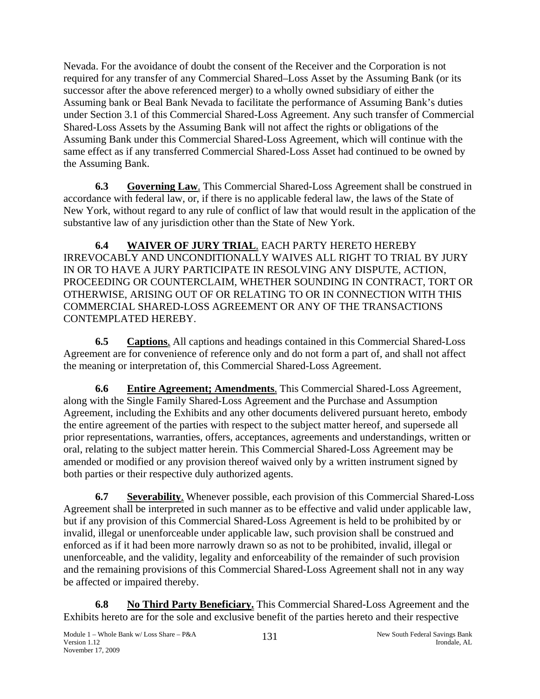Nevada. For the avoidance of doubt the consent of the Receiver and the Corporation is not required for any transfer of any Commercial Shared–Loss Asset by the Assuming Bank (or its successor after the above referenced merger) to a wholly owned subsidiary of either the Assuming bank or Beal Bank Nevada to facilitate the performance of Assuming Bank's duties under Section 3.1 of this Commercial Shared-Loss Agreement. Any such transfer of Commercial Shared-Loss Assets by the Assuming Bank will not affect the rights or obligations of the Assuming Bank under this Commercial Shared-Loss Agreement, which will continue with the same effect as if any transferred Commercial Shared-Loss Asset had continued to be owned by the Assuming Bank.

**6.3** Governing Law. This Commercial Shared-Loss Agreement shall be construed in accordance with federal law, or, if there is no applicable federal law, the laws of the State of New York, without regard to any rule of conflict of law that would result in the application of the substantive law of any jurisdiction other than the State of New York.

**6.4 WAIVER OF JURY TRIAL**. EACH PARTY HERETO HEREBY IRREVOCABLY AND UNCONDITIONALLY WAIVES ALL RIGHT TO TRIAL BY JURY IN OR TO HAVE A JURY PARTICIPATE IN RESOLVING ANY DISPUTE, ACTION, PROCEEDING OR COUNTERCLAIM, WHETHER SOUNDING IN CONTRACT, TORT OR OTHERWISE, ARISING OUT OF OR RELATING TO OR IN CONNECTION WITH THIS COMMERCIAL SHARED-LOSS AGREEMENT OR ANY OF THE TRANSACTIONS CONTEMPLATED HEREBY.

**6.5 Captions**. All captions and headings contained in this Commercial Shared-Loss Agreement are for convenience of reference only and do not form a part of, and shall not affect the meaning or interpretation of, this Commercial Shared-Loss Agreement.

**6.6 Entire Agreement; Amendments**. This Commercial Shared-Loss Agreement, along with the Single Family Shared-Loss Agreement and the Purchase and Assumption Agreement, including the Exhibits and any other documents delivered pursuant hereto, embody the entire agreement of the parties with respect to the subject matter hereof, and supersede all prior representations, warranties, offers, acceptances, agreements and understandings, written or oral, relating to the subject matter herein. This Commercial Shared-Loss Agreement may be amended or modified or any provision thereof waived only by a written instrument signed by both parties or their respective duly authorized agents.

**6.7 Severability**. Whenever possible, each provision of this Commercial Shared-Loss Agreement shall be interpreted in such manner as to be effective and valid under applicable law, but if any provision of this Commercial Shared-Loss Agreement is held to be prohibited by or invalid, illegal or unenforceable under applicable law, such provision shall be construed and enforced as if it had been more narrowly drawn so as not to be prohibited, invalid, illegal or unenforceable, and the validity, legality and enforceability of the remainder of such provision and the remaining provisions of this Commercial Shared-Loss Agreement shall not in any way be affected or impaired thereby.

**6.8 No Third Party Beneficiary.** This Commercial Shared-Loss Agreement and the Exhibits hereto are for the sole and exclusive benefit of the parties hereto and their respective